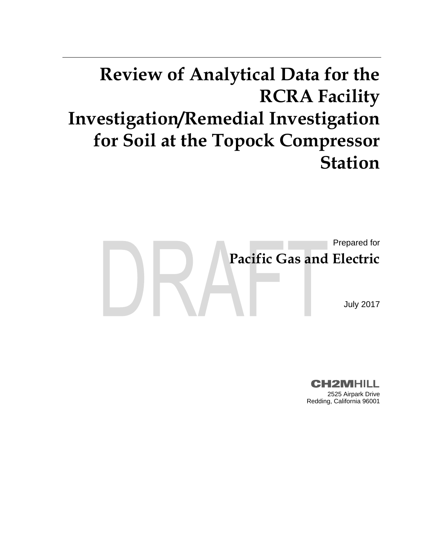# **Review of Analytical Data for the RCRA Facility Investigation/Remedial Investigation for Soil at the Topock Compressor Station**



**CH2MHILL** 2525 Airpark Drive Redding, California 96001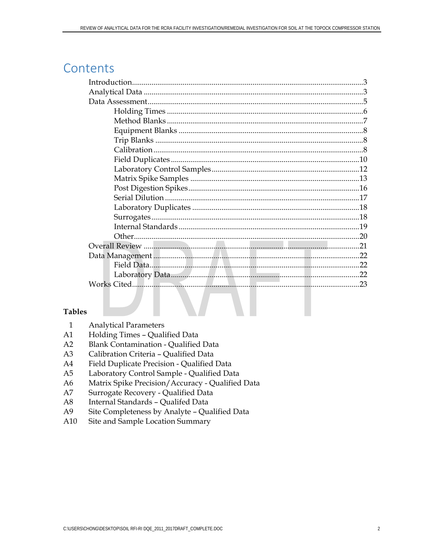# Contents

### **Tables**

| <b>Analytical Parameters</b> |
|------------------------------|
|                              |

- Holding Times Qualified Data  $A1$
- $A2$ **Blank Contamination - Qualified Data**
- $A3$ Calibration Criteria - Qualified Data
- $A4$ Field Duplicate Precision - Qualified Data
- Laboratory Control Sample Qualified Data  $A<sub>5</sub>$
- A6 Matrix Spike Precision/Accuracy - Qualified Data
- $A7$ Surrogate Recovery - Qualified Data
- $A8$ Internal Standards - Qualifed Data
- A<sub>9</sub> Site Completeness by Analyte - Qualified Data
- A10 Site and Sample Location Summary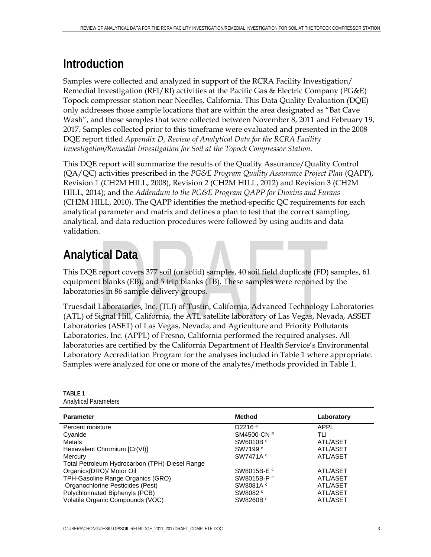# **Introduction**

Samples were collected and analyzed in support of the RCRA Facility Investigation/ Remedial Investigation (RFI/RI) activities at the Pacific Gas & Electric Company (PG&E) Topock compressor station near Needles, California. This Data Quality Evaluation (DQE) only addresses those sample locations that are within the area designated as "Bat Cave Wash", and those samples that were collected between November 8, 2011 and February 19, 2017. Samples collected prior to this timeframe were evaluated and presented in the 2008 DQE report titled *Appendix D, Review of Analytical Data for the RCRA Facility Investigation/Remedial Investigation for Soil at the Topock Compressor Station*.

This DQE report will summarize the results of the Quality Assurance/Quality Control (QA/QC) activities prescribed in the *PG&E Program Quality Assurance Project Plan* (QAPP), Revision 1 (CH2M HILL, 2008), Revision 2 (CH2M HILL, 2012) and Revision 3 (CH2M HILL, 2014); and the *Addendum to the PG&E Program QAPP for Dioxins and Furans* (CH2M HILL, 2010). The QAPP identifies the method-specific QC requirements for each analytical parameter and matrix and defines a plan to test that the correct sampling, analytical, and data reduction procedures were followed by using audits and data validation.

# **Analytical Data**

This DQE report covers 377 soil (or solid) samples, 40 soil field duplicate (FD) samples, 61 equipment blanks (EB), and 5 trip blanks (TB). These samples were reported by the laboratories in 86 sample delivery groups.

Truesdail Laboratories, Inc. (TLI) of Tustin, California, Advanced Technology Laboratories (ATL) of Signal Hill, California, the ATL satellite laboratory of Las Vegas, Nevada, ASSET Laboratories (ASET) of Las Vegas, Nevada, and Agriculture and Priority Pollutants Laboratories, Inc. (APPL) of Fresno, California performed the required analyses. All laboratories are certified by the California Department of Health Service's Environmental Laboratory Accreditation Program for the analyses included in Table 1 where appropriate. Samples were analyzed for one or more of the analytes/methods provided in Table 1.

### **TABLE 1**  Analytical Parameters

| <b>Parameter</b>                               | <b>Method</b>          | Laboratory |
|------------------------------------------------|------------------------|------------|
| Percent moisture                               | D2216 <sup>a</sup>     | APPL       |
| Cyanide                                        | SM4500-CN b            | TLI        |
| <b>Metals</b>                                  | SW6010B <sup>c</sup>   | ATL/ASET   |
| Hexavalent Chromium [Cr(VI)]                   | SW7199 <sup>c</sup>    | ATL/ASET   |
| Mercury                                        | SW7471A <sup>c</sup>   | ATL/ASET   |
| Total Petroleum Hydrocarbon (TPH)-Diesel Range |                        |            |
| Organics(DRO)/ Motor Oil                       | SW8015B-E <sup>c</sup> | ATL/ASET   |
| TPH-Gasoline Range Organics (GRO)              | SW8015B-P <sup>c</sup> | ATL/ASET   |
| Organochlorine Pesticides (Pest)               | SW8081A <sup>c</sup>   | ATL/ASET   |
| Polychlorinated Biphenyls (PCB)                | SW8082 <sup>c</sup>    | ATL/ASET   |
| Volatile Organic Compounds (VOC)               | SW8260B <sup>c</sup>   | ATL/ASET   |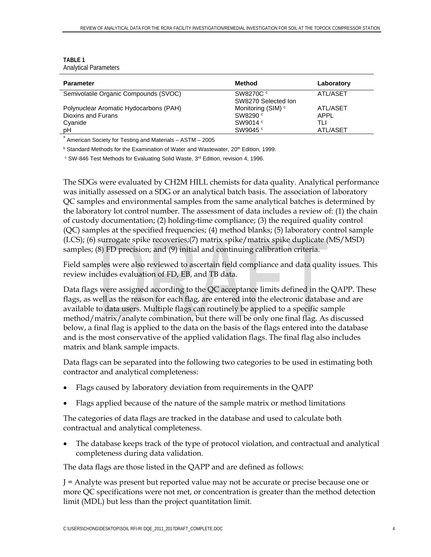| <b>TABLE 1</b>               |
|------------------------------|
| <b>Analytical Parameters</b> |

| <b>Parameter</b>                                         | <b>Method</b>                    | Laboratory |
|----------------------------------------------------------|----------------------------------|------------|
| Semivolatile Organic Compounds (SVOC)                    | SW8270C c<br>SW8270 Selected Ion | ATL/ASET   |
| Polynuclear Aromatic Hydocarbons (PAH)                   | Monitoring (SIM) <sup>c</sup>    | ATL/ASET   |
| Dioxins and Furans                                       | SW8290 <sup>c</sup>              | APPL       |
| Cyanide                                                  | SW9014 c                         | TLI        |
| рH                                                       | SW9045 <sup>c</sup>              | ATL/ASET   |
| American Society for Testing and Materials - ASTM - 2005 |                                  |            |

<sup>b</sup> Standard Methods for the Examination of Water and Wastewater, 20<sup>th</sup> Edition, 1999.

 $\textdegree$  SW-846 Test Methods for Evaluating Solid Waste, 3<sup>rd</sup> Edition, revision 4, 1996.

The SDGs were evaluated by CH2M HILL chemists for data quality. Analytical performance was initially assessed on a SDG or an analytical batch basis. The association of laboratory QC samples and environmental samples from the same analytical batches is determined by the laboratory lot control number. The assessment of data includes a review of: (1) the chain of custody documentation; (2) holding-time compliance; (3) the required quality control (QC) samples at the specified frequencies; (4) method blanks; (5) laboratory control sample (LCS); (6) surrogate spike recoveries;(7) matrix spike/matrix spike duplicate (MS/MSD) samples; (8) FD precision; and (9) initial and continuing calibration criteria.

Field samples were also reviewed to ascertain field compliance and data quality issues. This review includes evaluation of FD, EB, and TB data.

Data flags were assigned according to the QC acceptance limits defined in the QAPP. These flags, as well as the reason for each flag, are entered into the electronic database and are available to data users. Multiple flags can routinely be applied to a specific sample method/matrix/analyte combination, but there will be only one final flag. As discussed below, a final flag is applied to the data on the basis of the flags entered into the database and is the most conservative of the applied validation flags. The final flag also includes matrix and blank sample impacts.

Data flags can be separated into the following two categories to be used in estimating both contractor and analytical completeness:

- Flags caused by laboratory deviation from requirements in the QAPP
- Flags applied because of the nature of the sample matrix or method limitations

The categories of data flags are tracked in the database and used to calculate both contractual and analytical completeness.

 The database keeps track of the type of protocol violation, and contractual and analytical completeness during data validation.

The data flags are those listed in the QAPP and are defined as follows:

J = Analyte was present but reported value may not be accurate or precise because one or more QC specifications were not met, or concentration is greater than the method detection limit (MDL) but less than the project quantitation limit.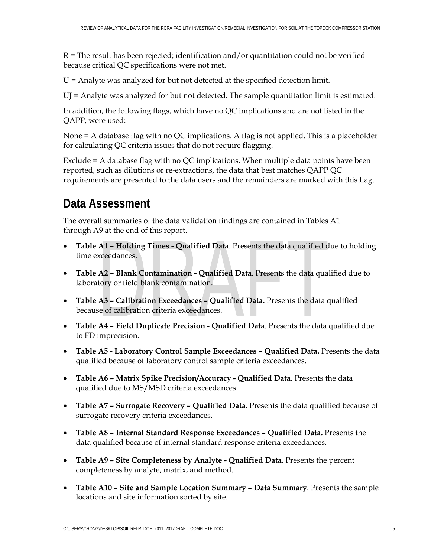$R =$ The result has been rejected; identification and/or quantitation could not be verified because critical QC specifications were not met.

U = Analyte was analyzed for but not detected at the specified detection limit.

UJ = Analyte was analyzed for but not detected. The sample quantitation limit is estimated.

In addition, the following flags, which have no QC implications and are not listed in the QAPP, were used:

None = A database flag with no QC implications. A flag is not applied. This is a placeholder for calculating QC criteria issues that do not require flagging.

Exclude = A database flag with no QC implications. When multiple data points have been reported, such as dilutions or re-extractions, the data that best matches QAPP QC requirements are presented to the data users and the remainders are marked with this flag.

# **Data Assessment**

The overall summaries of the data validation findings are contained in Tables A1 through A9 at the end of this report.

- **Table A1 Holding Times Qualified Data**. Presents the data qualified due to holding time exceedances.
- **Table A2 Blank Contamination Qualified Data**. Presents the data qualified due to laboratory or field blank contamination.
- **Table A3 Calibration Exceedances Qualified Data.** Presents the data qualified because of calibration criteria exceedances.
- **Table A4 Field Duplicate Precision Qualified Data**. Presents the data qualified due to FD imprecision.
- **Table A5 Laboratory Control Sample Exceedances Qualified Data.** Presents the data qualified because of laboratory control sample criteria exceedances.
- **Table A6 Matrix Spike Precision/Accuracy Qualified Data**. Presents the data qualified due to MS/MSD criteria exceedances.
- **Table A7 Surrogate Recovery Qualified Data.** Presents the data qualified because of surrogate recovery criteria exceedances.
- **Table A8 Internal Standard Response Exceedances Qualified Data.** Presents the data qualified because of internal standard response criteria exceedances.
- **Table A9 Site Completeness by Analyte Qualified Data**. Presents the percent completeness by analyte, matrix, and method.
- **Table A10 Site and Sample Location Summary Data Summary**. Presents the sample locations and site information sorted by site.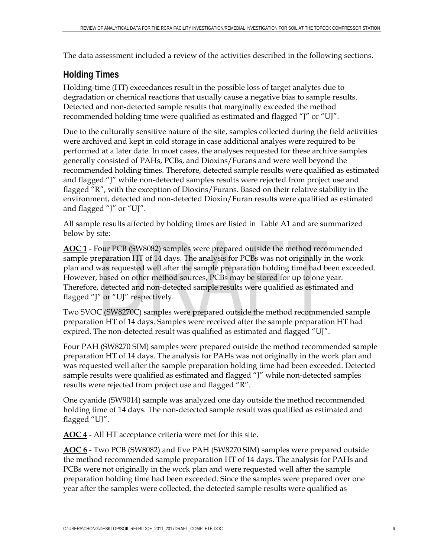The data assessment included a review of the activities described in the following sections.

# **Holding Times**

Holding-time (HT) exceedances result in the possible loss of target analytes due to degradation or chemical reactions that usually cause a negative bias to sample results. Detected and non-detected sample results that marginally exceeded the method recommended holding time were qualified as estimated and flagged "J" or "UJ".

Due to the culturally sensitive nature of the site, samples collected during the field activities were archived and kept in cold storage in case additional analyes were required to be performed at a later date. In most cases, the analyses requested for these archive samples generally consisted of PAHs, PCBs, and Dioxins/Furans and were well beyond the recommended holding times. Therefore, detected sample results were qualified as estimated and flagged "J" while non-detected samples results were rejected from project use and flagged "R", with the exception of Dioxins/Furans. Based on their relative stability in the environment, detected and non-detected Dioxin/Furan results were qualified as estimated and flagged "J" or "UJ".

All sample results affected by holding times are listed in Table A1 and are summarized below by site:

**AOC 1** - Four PCB (SW8082) samples were prepared outside the method recommended sample preparation HT of 14 days. The analysis for PCBs was not originally in the work plan and was requested well after the sample preparation holding time had been exceeded. However, based on other method sources, PCBs may be stored for up to one year. Therefore, detected and non-detected sample results were qualified as estimated and flagged "J" or "UJ" respectively.

Two SVOC (SW8270C) samples were prepared outside the method recommended sample preparation HT of 14 days. Samples were received after the sample preparation HT had expired. The non-detected result was qualified as estimated and flagged "UJ".

Four PAH (SW8270 SIM) samples were prepared outside the method recommended sample preparation HT of 14 days. The analysis for PAHs was not originally in the work plan and was requested well after the sample preparation holding time had been exceeded. Detected sample results were qualified as estimated and flagged "J" while non-detected samples results were rejected from project use and flagged "R".

One cyanide (SW9014) sample was analyzed one day outside the method recommended holding time of 14 days. The non-detected sample result was qualified as estimated and flagged "UJ".

**AOC 4** - All HT acceptance criteria were met for this site.

**AOC 6** - Two PCB (SW8082) and five PAH (SW8270 SIM) samples were prepared outside the method recommended sample preparation HT of 14 days. The analysis for PAHs and PCBs were not originally in the work plan and were requested well after the sample preparation holding time had been exceeded. Since the samples were prepared over one year after the samples were collected, the detected sample results were qualified as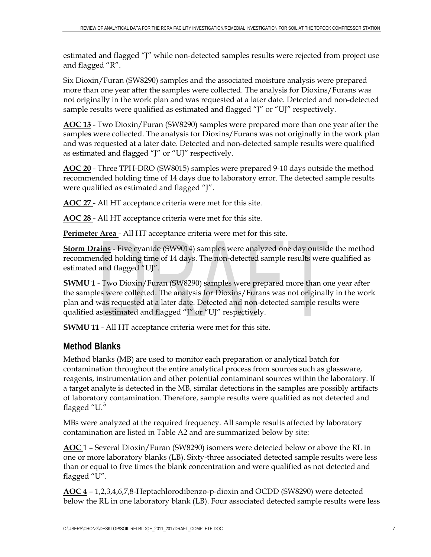estimated and flagged "J" while non-detected samples results were rejected from project use and flagged "R".

Six Dioxin/Furan (SW8290) samples and the associated moisture analysis were prepared more than one year after the samples were collected. The analysis for Dioxins/Furans was not originally in the work plan and was requested at a later date. Detected and non-detected sample results were qualified as estimated and flagged "J" or "UJ" respectively.

**AOC 13** - Two Dioxin/Furan (SW8290) samples were prepared more than one year after the samples were collected. The analysis for Dioxins/Furans was not originally in the work plan and was requested at a later date. Detected and non-detected sample results were qualified as estimated and flagged "J" or "UJ" respectively.

**AOC 20** - Three TPH-DRO (SW8015) samples were prepared 9-10 days outside the method recommended holding time of 14 days due to laboratory error. The detected sample results were qualified as estimated and flagged "J".

**AOC 27** - All HT acceptance criteria were met for this site.

**AOC 28** - All HT acceptance criteria were met for this site.

**Perimeter Area** - All HT acceptance criteria were met for this site.

**Storm Drains** - Five cyanide (SW9014) samples were analyzed one day outside the method recommended holding time of 14 days. The non-detected sample results were qualified as estimated and flagged "UJ".

**SWMU 1** - Two Dioxin/Furan (SW8290) samples were prepared more than one year after the samples were collected. The analysis for Dioxins/Furans was not originally in the work plan and was requested at a later date. Detected and non-detected sample results were qualified as estimated and flagged "J" or "UJ" respectively.

**SWMU 11** - All HT acceptance criteria were met for this site.

# **Method Blanks**

Method blanks (MB) are used to monitor each preparation or analytical batch for contamination throughout the entire analytical process from sources such as glassware, reagents, instrumentation and other potential contaminant sources within the laboratory. If a target analyte is detected in the MB, similar detections in the samples are possibly artifacts of laboratory contamination. Therefore, sample results were qualified as not detected and flagged "U."

MBs were analyzed at the required frequency. All sample results affected by laboratory contamination are listed in Table A2 and are summarized below by site:

**AOC** 1 – Several Dioxin/Furan (SW8290) isomers were detected below or above the RL in one or more laboratory blanks (LB). Sixty-three associated detected sample results were less than or equal to five times the blank concentration and were qualified as not detected and flagged "U".

**AOC 4** – 1,2,3,4,6,7,8-Heptachlorodibenzo-p-dioxin and OCDD (SW8290) were detected below the RL in one laboratory blank (LB). Four associated detected sample results were less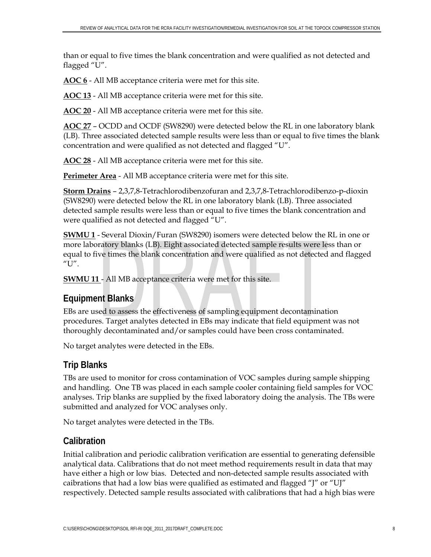than or equal to five times the blank concentration and were qualified as not detected and flagged "U".

**AOC 6** - All MB acceptance criteria were met for this site.

**AOC 13** - All MB acceptance criteria were met for this site.

**AOC 20** - All MB acceptance criteria were met for this site.

**AOC 27** – OCDD and OCDF (SW8290) were detected below the RL in one laboratory blank (LB). Three associated detected sample results were less than or equal to five times the blank concentration and were qualified as not detected and flagged "U".

**AOC 28** - All MB acceptance criteria were met for this site.

**Perimeter Area** - All MB acceptance criteria were met for this site.

**Storm Drains** – 2,3,7,8-Tetrachlorodibenzofuran and 2,3,7,8-Tetrachlorodibenzo-p-dioxin (SW8290) were detected below the RL in one laboratory blank (LB). Three associated detected sample results were less than or equal to five times the blank concentration and were qualified as not detected and flagged "U".

**SWMU 1** - Several Dioxin/Furan (SW8290) isomers were detected below the RL in one or more laboratory blanks (LB). Eight associated detected sample results were less than or equal to five times the blank concentration and were qualified as not detected and flagged "U".

**SWMU 11** - All MB acceptance criteria were met for this site.

# **Equipment Blanks**

EBs are used to assess the effectiveness of sampling equipment decontamination procedures. Target analytes detected in EBs may indicate that field equipment was not thoroughly decontaminated and/or samples could have been cross contaminated.

No target analytes were detected in the EBs.

# **Trip Blanks**

TBs are used to monitor for cross contamination of VOC samples during sample shipping and handling. One TB was placed in each sample cooler containing field samples for VOC analyses. Trip blanks are supplied by the fixed laboratory doing the analysis. The TBs were submitted and analyzed for VOC analyses only.

No target analytes were detected in the TBs.

# **Calibration**

Initial calibration and periodic calibration verification are essential to generating defensible analytical data. Calibrations that do not meet method requirements result in data that may have either a high or low bias. Detected and non-detected sample results associated with caibrations that had a low bias were qualified as estimated and flagged "J" or "UJ" respectively. Detected sample results associated with calibrations that had a high bias were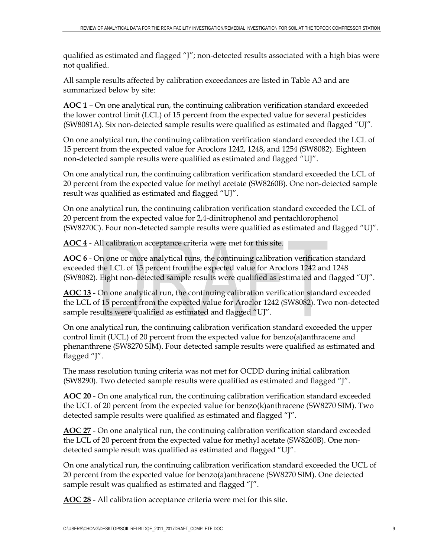qualified as estimated and flagged "J"; non-detected results associated with a high bias were not qualified.

All sample results affected by calibration exceedances are listed in Table A3 and are summarized below by site:

**AOC 1** – On one analytical run, the continuing calibration verification standard exceeded the lower control limit (LCL) of 15 percent from the expected value for several pesticides (SW8081A). Six non-detected sample results were qualified as estimated and flagged "UJ".

On one analytical run, the continuing calibration verification standard exceeded the LCL of 15 percent from the expected value for Aroclors 1242, 1248, and 1254 (SW8082). Eighteen non-detected sample results were qualified as estimated and flagged "UJ".

On one analytical run, the continuing calibration verification standard exceeded the LCL of 20 percent from the expected value for methyl acetate (SW8260B). One non-detected sample result was qualified as estimated and flagged "UJ".

On one analytical run, the continuing calibration verification standard exceeded the LCL of 20 percent from the expected value for 2,4-dinitrophenol and pentachlorophenol (SW8270C). Four non-detected sample results were qualified as estimated and flagged "UJ".

**AOC 4** - All calibration acceptance criteria were met for this site.

**AOC 6** - On one or more analytical runs, the continuing calibration verification standard exceeded the LCL of 15 percent from the expected value for Aroclors 1242 and 1248 (SW8082). Eight non-detected sample results were qualified as estimated and flagged "UJ".

**AOC 13** - On one analytical run, the continuing calibration verification standard exceeded the LCL of 15 percent from the expected value for Aroclor 1242 (SW8082). Two non-detected sample results were qualified as estimated and flagged "UJ".

On one analytical run, the continuing calibration verification standard exceeded the upper control limit (UCL) of 20 percent from the expected value for benzo(a)anthracene and phenanthrene (SW8270 SIM). Four detected sample results were qualified as estimated and flagged "J".

The mass resolution tuning criteria was not met for OCDD during initial calibration (SW8290). Two detected sample results were qualified as estimated and flagged "J".

**AOC 20** - On one analytical run, the continuing calibration verification standard exceeded the UCL of 20 percent from the expected value for benzo(k)anthracene (SW8270 SIM). Two detected sample results were qualified as estimated and flagged "J".

**AOC 27** - On one analytical run, the continuing calibration verification standard exceeded the LCL of 20 percent from the expected value for methyl acetate (SW8260B). One nondetected sample result was qualified as estimated and flagged "UJ".

On one analytical run, the continuing calibration verification standard exceeded the UCL of 20 percent from the expected value for benzo(a)anthracene (SW8270 SIM). One detected sample result was qualified as estimated and flagged "J".

**AOC 28** - All calibration acceptance criteria were met for this site.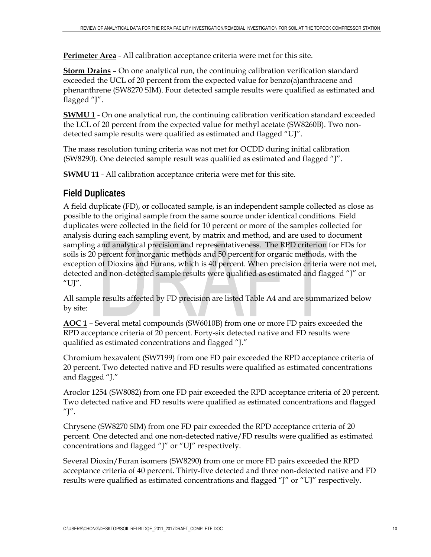**Perimeter Area** - All calibration acceptance criteria were met for this site.

**Storm Drains** – On one analytical run, the continuing calibration verification standard exceeded the UCL of 20 percent from the expected value for benzo(a)anthracene and phenanthrene (SW8270 SIM). Four detected sample results were qualified as estimated and flagged "J".

**SWMU 1** - On one analytical run, the continuing calibration verification standard exceeded the LCL of 20 percent from the expected value for methyl acetate (SW8260B). Two nondetected sample results were qualified as estimated and flagged "UJ".

The mass resolution tuning criteria was not met for OCDD during initial calibration (SW8290). One detected sample result was qualified as estimated and flagged "J".

**SWMU 11** - All calibration acceptance criteria were met for this site.

# **Field Duplicates**

A field duplicate (FD), or collocated sample, is an independent sample collected as close as possible to the original sample from the same source under identical conditions. Field duplicates were collected in the field for 10 percent or more of the samples collected for analysis during each sampling event, by matrix and method, and are used to document sampling and analytical precision and representativeness. The RPD criterion for FDs for soils is 20 percent for inorganic methods and 50 percent for organic methods, with the exception of Dioxins and Furans, which is 40 percent. When precision criteria were not met, detected and non-detected sample results were qualified as estimated and flagged "J" or "UJ".

All sample results affected by FD precision are listed Table A4 and are summarized below by site:

**AOC 1** – Several metal compounds (SW6010B) from one or more FD pairs exceeded the RPD acceptance criteria of 20 percent. Forty-six detected native and FD results were qualified as estimated concentrations and flagged "J."

Chromium hexavalent (SW7199) from one FD pair exceeded the RPD acceptance criteria of 20 percent. Two detected native and FD results were qualified as estimated concentrations and flagged "J."

Aroclor 1254 (SW8082) from one FD pair exceeded the RPD acceptance criteria of 20 percent. Two detected native and FD results were qualified as estimated concentrations and flagged "J".

Chrysene (SW8270 SIM) from one FD pair exceeded the RPD acceptance criteria of 20 percent. One detected and one non-detected native/FD results were qualified as estimated concentrations and flagged "J" or "UJ" respectively.

Several Dioxin/Furan isomers (SW8290) from one or more FD pairs exceeded the RPD acceptance criteria of 40 percent. Thirty-five detected and three non-detected native and FD results were qualified as estimated concentrations and flagged "J" or "UJ" respectively.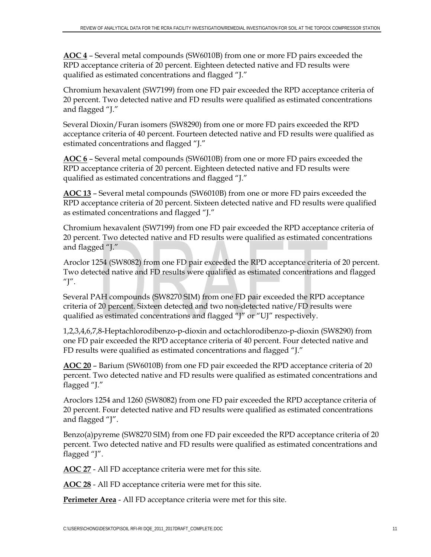**AOC 4** – Several metal compounds (SW6010B) from one or more FD pairs exceeded the RPD acceptance criteria of 20 percent. Eighteen detected native and FD results were qualified as estimated concentrations and flagged "J."

Chromium hexavalent (SW7199) from one FD pair exceeded the RPD acceptance criteria of 20 percent. Two detected native and FD results were qualified as estimated concentrations and flagged "J."

Several Dioxin/Furan isomers (SW8290) from one or more FD pairs exceeded the RPD acceptance criteria of 40 percent. Fourteen detected native and FD results were qualified as estimated concentrations and flagged "J."

**AOC 6** – Several metal compounds (SW6010B) from one or more FD pairs exceeded the RPD acceptance criteria of 20 percent. Eighteen detected native and FD results were qualified as estimated concentrations and flagged "J."

**AOC 13** – Several metal compounds (SW6010B) from one or more FD pairs exceeded the RPD acceptance criteria of 20 percent. Sixteen detected native and FD results were qualified as estimated concentrations and flagged "J."

Chromium hexavalent (SW7199) from one FD pair exceeded the RPD acceptance criteria of 20 percent. Two detected native and FD results were qualified as estimated concentrations and flagged "J."

Aroclor 1254 (SW8082) from one FD pair exceeded the RPD acceptance criteria of 20 percent. Two detected native and FD results were qualified as estimated concentrations and flagged "J".

Several PAH compounds (SW8270 SIM) from one FD pair exceeded the RPD acceptance criteria of 20 percent. Sixteen detected and two non-detected native/FD results were qualified as estimated concentrations and flagged "J" or "UJ" respectively.

1,2,3,4,6,7,8-Heptachlorodibenzo-p-dioxin and octachlorodibenzo-p-dioxin (SW8290) from one FD pair exceeded the RPD acceptance criteria of 40 percent. Four detected native and FD results were qualified as estimated concentrations and flagged "J."

**AOC 20** – Barium (SW6010B) from one FD pair exceeded the RPD acceptance criteria of 20 percent. Two detected native and FD results were qualified as estimated concentrations and flagged "J."

Aroclors 1254 and 1260 (SW8082) from one FD pair exceeded the RPD acceptance criteria of 20 percent. Four detected native and FD results were qualified as estimated concentrations and flagged "J".

Benzo(a)pyreme (SW8270 SIM) from one FD pair exceeded the RPD acceptance criteria of 20 percent. Two detected native and FD results were qualified as estimated concentrations and flagged "J".

**AOC 27** - All FD acceptance criteria were met for this site.

**AOC 28** - All FD acceptance criteria were met for this site.

**Perimeter Area** - All FD acceptance criteria were met for this site.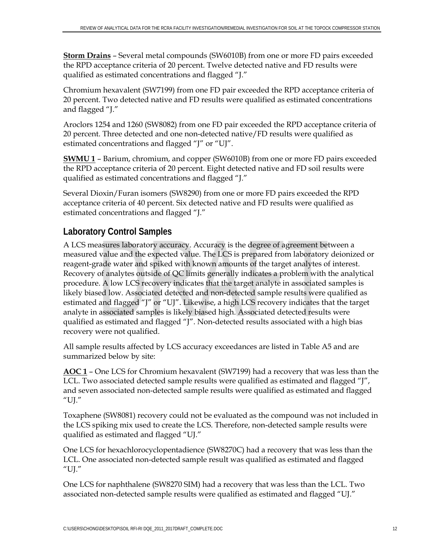**Storm Drains** – Several metal compounds (SW6010B) from one or more FD pairs exceeded the RPD acceptance criteria of 20 percent. Twelve detected native and FD results were qualified as estimated concentrations and flagged "J."

Chromium hexavalent (SW7199) from one FD pair exceeded the RPD acceptance criteria of 20 percent. Two detected native and FD results were qualified as estimated concentrations and flagged "J."

Aroclors 1254 and 1260 (SW8082) from one FD pair exceeded the RPD acceptance criteria of 20 percent. Three detected and one non-detected native/FD results were qualified as estimated concentrations and flagged "J" or "UJ".

**SWMU 1** – Barium, chromium, and copper (SW6010B) from one or more FD pairs exceeded the RPD acceptance criteria of 20 percent. Eight detected native and FD soil results were qualified as estimated concentrations and flagged "J."

Several Dioxin/Furan isomers (SW8290) from one or more FD pairs exceeded the RPD acceptance criteria of 40 percent. Six detected native and FD results were qualified as estimated concentrations and flagged "J."

# **Laboratory Control Samples**

A LCS measures laboratory accuracy. Accuracy is the degree of agreement between a measured value and the expected value. The LCS is prepared from laboratory deionized or reagent-grade water and spiked with known amounts of the target analytes of interest. Recovery of analytes outside of QC limits generally indicates a problem with the analytical procedure. A low LCS recovery indicates that the target analyte in associated samples is likely biased low. Associated detected and non-detected sample results were qualified as estimated and flagged "J" or "UJ". Likewise, a high LCS recovery indicates that the target analyte in associated samples is likely biased high. Associated detected results were qualified as estimated and flagged "J". Non-detected results associated with a high bias recovery were not qualified.

All sample results affected by LCS accuracy exceedances are listed in Table A5 and are summarized below by site:

**AOC 1** – One LCS for Chromium hexavalent (SW7199) had a recovery that was less than the LCL. Two associated detected sample results were qualified as estimated and flagged "J", and seven associated non-detected sample results were qualified as estimated and flagged "UJ."

Toxaphene (SW8081) recovery could not be evaluated as the compound was not included in the LCS spiking mix used to create the LCS. Therefore, non-detected sample results were qualified as estimated and flagged "UJ."

One LCS for hexachlorocyclopentadience (SW8270C) had a recovery that was less than the LCL. One associated non-detected sample result was qualified as estimated and flagged " $UI''$ 

One LCS for naphthalene (SW8270 SIM) had a recovery that was less than the LCL. Two associated non-detected sample results were qualified as estimated and flagged "UJ."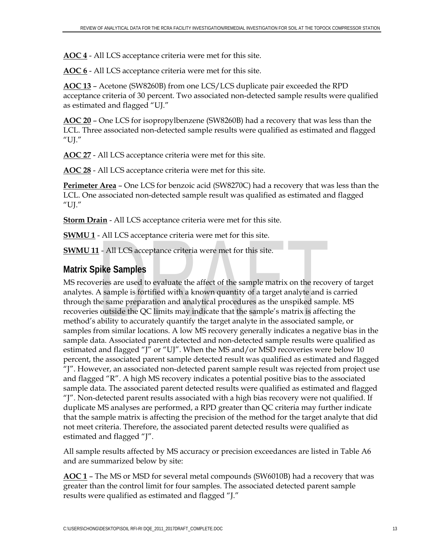**AOC 4** - All LCS acceptance criteria were met for this site.

**AOC 6** - All LCS acceptance criteria were met for this site.

**AOC 13** – Acetone (SW8260B) from one LCS/LCS duplicate pair exceeded the RPD acceptance criteria of 30 percent. Two associated non-detected sample results were qualified as estimated and flagged "UJ."

**AOC 20** – One LCS for isopropylbenzene (SW8260B) had a recovery that was less than the LCL. Three associated non-detected sample results were qualified as estimated and flagged "UJ."

**AOC 27** - All LCS acceptance criteria were met for this site.

**AOC 28** - All LCS acceptance criteria were met for this site.

**Perimeter Area** – One LCS for benzoic acid (SW8270C) had a recovery that was less than the LCL. One associated non-detected sample result was qualified as estimated and flagged "UJ."

**Storm Drain** - All LCS acceptance criteria were met for this site.

**SWMU 1** - All LCS acceptance criteria were met for this site.

**SWMU 11** - All LCS acceptance criteria were met for this site.

# **Matrix Spike Samples**

MS recoveries are used to evaluate the affect of the sample matrix on the recovery of target analytes. A sample is fortified with a known quantity of a target analyte and is carried through the same preparation and analytical procedures as the unspiked sample. MS recoveries outside the QC limits may indicate that the sample's matrix is affecting the method's ability to accurately quantify the target analyte in the associated sample, or samples from similar locations. A low MS recovery generally indicates a negative bias in the sample data. Associated parent detected and non-detected sample results were qualified as estimated and flagged "J" or "UJ". When the MS and/or MSD recoveries were below 10 percent, the associated parent sample detected result was qualified as estimated and flagged "J". However, an associated non-detected parent sample result was rejected from project use and flagged "R". A high MS recovery indicates a potential positive bias to the associated sample data. The associated parent detected results were qualified as estimated and flagged "J". Non-detected parent results associated with a high bias recovery were not qualified. If duplicate MS analyses are performed, a RPD greater than QC criteria may further indicate that the sample matrix is affecting the precision of the method for the target analyte that did not meet criteria. Therefore, the associated parent detected results were qualified as estimated and flagged "J".

All sample results affected by MS accuracy or precision exceedances are listed in Table A6 and are summarized below by site:

**AOC 1** – The MS or MSD for several metal compounds (SW6010B) had a recovery that was greater than the control limit for four samples. The associated detected parent sample results were qualified as estimated and flagged "J."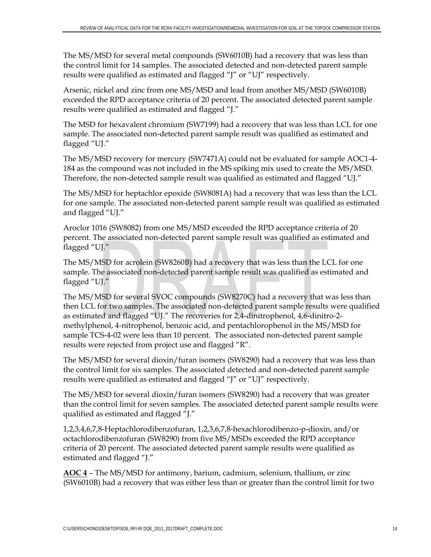The MS/MSD for several metal compounds (SW6010B) had a recovery that was less than the control limit for 14 samples. The associated detected and non-detected parent sample results were qualified as estimated and flagged "J" or "UJ" respectively.

Arsenic, nickel and zinc from one MS/MSD and lead from another MS/MSD (SW6010B) exceeded the RPD acceptance criteria of 20 percent. The associated detected parent sample results were qualified as estimated and flagged "J."

The MSD for hexavalent chromium (SW7199) had a recovery that was less than LCL for one sample. The associated non-detected parent sample result was qualified as estimated and flagged "UJ."

The MS/MSD recovery for mercury (SW7471A) could not be evaluated for sample AOC1-4- 184 as the compound was not included in the MS spiking mix used to create the MS/MSD. Therefore, the non-detected sample result was qualified as estimated and flagged "UJ."

The MS/MSD for heptachlor epoxide (SW8081A) had a recovery that was less than the LCL for one sample. The associated non-detected parent sample result was qualified as estimated and flagged "UJ."

Aroclor 1016 (SW8082) from one MS/MSD exceeded the RPD acceptance criteria of 20 percent. The associated non-detected parent sample result was qualified as estimated and flagged "UJ."

The MS/MSD for acrolein (SW8260B) had a recovery that was less than the LCL for one sample. The associated non-detected parent sample result was qualified as estimated and flagged "UJ."

The MS/MSD for several SVOC compounds (SW8270C) had a recovery that was less than then LCL for two samples. The associated non-detected parent sample results were qualified as estimated and flagged "UJ." The recoveries for 2,4-dinitrophenol, 4,6-dinitro-2 methylphenol, 4-nitrophenol, benzoic acid, and pentachlorophenol in the MS/MSD for sample TCS-4-02 were less than 10 percent. The associated non-detected parent sample results were rejected from project use and flagged "R".

The MS/MSD for several dioxin/furan isomers (SW8290) had a recovery that was less than the control limit for six samples. The associated detected and non-detected parent sample results were qualified as estimated and flagged "J" or "UJ" respectively.

The MS/MSD for several dioxin/furan isomers (SW8290) had a recovery that was greater than the control limit for seven samples. The associated detected parent sample results were qualified as estimated and flagged "J."

1,2,3,4,6,7,8-Heptachlorodibenzofuran, 1,2,3,6,7,8-hexachlorodibenzo-p-dioxin, and/or octachlorodibenzofuran (SW8290) from five MS/MSDs exceeded the RPD acceptance criteria of 20 percent. The associated detected parent sample results were qualified as estimated and flagged "J."

**AOC 4** – The MS/MSD for antimony, barium, cadmium, selenium, thallium, or zinc (SW6010B) had a recovery that was either less than or greater than the control limit for two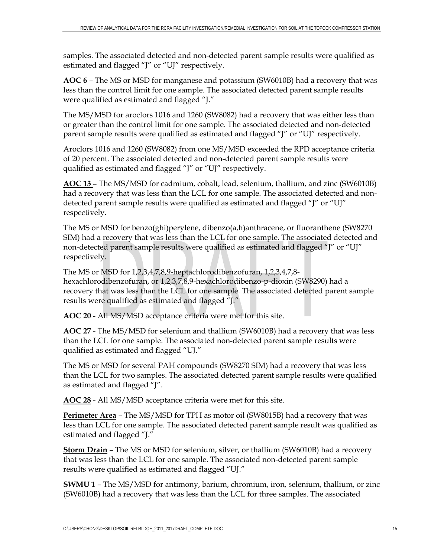samples. The associated detected and non-detected parent sample results were qualified as estimated and flagged "J" or "UJ" respectively.

**AOC 6** – The MS or MSD for manganese and potassium (SW6010B) had a recovery that was less than the control limit for one sample. The associated detected parent sample results were qualified as estimated and flagged "J."

The MS/MSD for aroclors 1016 and 1260 (SW8082) had a recovery that was either less than or greater than the control limit for one sample. The associated detected and non-detected parent sample results were qualified as estimated and flagged "J" or "UJ" respectively.

Aroclors 1016 and 1260 (SW8082) from one MS/MSD exceeded the RPD acceptance criteria of 20 percent. The associated detected and non-detected parent sample results were qualified as estimated and flagged "J" or "UJ" respectively.

**AOC 13** – The MS/MSD for cadmium, cobalt, lead, selenium, thallium, and zinc (SW6010B) had a recovery that was less than the LCL for one sample. The associated detected and nondetected parent sample results were qualified as estimated and flagged "J" or "UJ" respectively.

The MS or MSD for benzo(ghi)perylene, dibenzo(a,h)anthracene, or fluoranthene (SW8270 SIM) had a recovery that was less than the LCL for one sample. The associated detected and non-detected parent sample results were qualified as estimated and flagged "J" or "UJ" respectively.

The MS or MSD for 1,2,3,4,7,8,9-heptachlorodibenzofuran, 1,2,3,4,7,8 hexachlorodibenzofuran, or 1,2,3,7,8,9-hexachlorodibenzo-p-dioxin (SW8290) had a recovery that was less than the LCL for one sample. The associated detected parent sample results were qualified as estimated and flagged "J."

**AOC 20** - All MS/MSD acceptance criteria were met for this site.

**AOC 27** - The MS/MSD for selenium and thallium (SW6010B) had a recovery that was less than the LCL for one sample. The associated non-detected parent sample results were qualified as estimated and flagged "UJ."

The MS or MSD for several PAH compounds (SW8270 SIM) had a recovery that was less than the LCL for two samples. The associated detected parent sample results were qualified as estimated and flagged "J".

**AOC 28** - All MS/MSD acceptance criteria were met for this site.

**Perimeter Area** – The MS/MSD for TPH as motor oil (SW8015B) had a recovery that was less than LCL for one sample. The associated detected parent sample result was qualified as estimated and flagged "J."

**Storm Drain** – The MS or MSD for selenium, silver, or thallium (SW6010B) had a recovery that was less than the LCL for one sample. The associated non-detected parent sample results were qualified as estimated and flagged "UJ."

**SWMU 1** – The MS/MSD for antimony, barium, chromium, iron, selenium, thallium, or zinc (SW6010B) had a recovery that was less than the LCL for three samples. The associated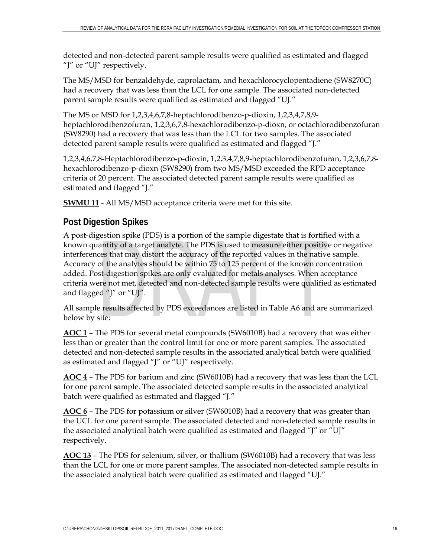detected and non-detected parent sample results were qualified as estimated and flagged "J" or "UJ" respectively.

The MS/MSD for benzaldehyde, caprolactam, and hexachlorocyclopentadiene (SW8270C) had a recovery that was less than the LCL for one sample. The associated non-detected parent sample results were qualified as estimated and flagged "UJ."

The MS or MSD for 1,2,3,4,6,7,8-heptachlorodibenzo-p-dioxin, 1,2,3,4,7,8,9 heptachlorodibenzofuran, 1,2,3,6,7,8-hexachlorodibenzo-p-dioxn, or octachlorodibenzofuran (SW8290) had a recovery that was less than the LCL for two samples. The associated detected parent sample results were qualified as estimated and flagged "J."

1,2,3,4,6,7,8-Heptachlorodibenzo-p-dioxin, 1,2,3,4,7,8,9-heptachlorodibenzofuran, 1,2,3,6,7,8 hexachlorodibenzo-p-dioxn (SW8290) from two MS/MSD exceeded the RPD acceptance criteria of 20 percent. The associated detected parent sample results were qualified as estimated and flagged "J."

**SWMU 11** - All MS/MSD acceptance criteria were met for this site.

# **Post Digestion Spikes**

A post-digestion spike (PDS) is a portion of the sample digestate that is fortified with a known quantity of a target analyte. The PDS is used to measure either positive or negative interferences that may distort the accuracy of the reported values in the native sample. Accuracy of the analytes should be within 75 to 125 percent of the known concentration added. Post-digestion spikes are only evaluated for metals analyses. When acceptance criteria were not met, detected and non-detected sample results were qualified as estimated and flagged "J" or "UJ".

All sample results affected by PDS exceedances are listed in Table A6 and are summarized below by site:

**AOC 1** – The PDS for several metal compounds (SW6010B) had a recovery that was either less than or greater than the control limit for one or more parent samples. The associated detected and non-detected sample results in the associated analytical batch were qualified as estimated and flagged "J" or "UJ" respectively.

**AOC 4** – The PDS for barium and zinc (SW6010B) had a recovery that was less than the LCL for one parent sample. The associated detected sample results in the associated analytical batch were qualified as estimated and flagged "J."

**AOC 6** – The PDS for potassium or silver (SW6010B) had a recovery that was greater than the UCL for one parent sample. The associated detected and non-detected sample results in the associated analytical batch were qualified as estimated and flagged "J" or "UJ" respectively.

**AOC 13** – The PDS for selenium, silver, or thallium (SW6010B) had a recovery that was less than the LCL for one or more parent samples. The associated non-detected sample results in the associated analytical batch were qualified as estimated and flagged "UJ."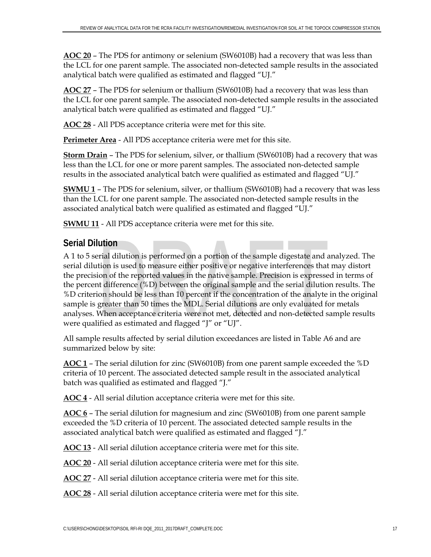**AOC 20** – The PDS for antimony or selenium (SW6010B) had a recovery that was less than the LCL for one parent sample. The associated non-detected sample results in the associated analytical batch were qualified as estimated and flagged "UJ."

**AOC 27** – The PDS for selenium or thallium (SW6010B) had a recovery that was less than the LCL for one parent sample. The associated non-detected sample results in the associated analytical batch were qualified as estimated and flagged "UJ."

**AOC 28** - All PDS acceptance criteria were met for this site.

**Perimeter Area** - All PDS acceptance criteria were met for this site.

**Storm Drain** – The PDS for selenium, silver, or thallium (SW6010B) had a recovery that was less than the LCL for one or more parent samples. The associated non-detected sample results in the associated analytical batch were qualified as estimated and flagged "UJ."

**SWMU 1** – The PDS for selenium, silver, or thallium (SW6010B) had a recovery that was less than the LCL for one parent sample. The associated non-detected sample results in the associated analytical batch were qualified as estimated and flagged "UJ."

**SWMU 11** - All PDS acceptance criteria were met for this site.

# **Serial Dilution**

A 1 to 5 serial dilution is performed on a portion of the sample digestate and analyzed. The serial dilution is used to measure either positive or negative interferences that may distort the precision of the reported values in the native sample. Precision is expressed in terms of the percent difference (%D) between the original sample and the serial dilution results. The %D criterion should be less than 10 percent if the concentration of the analyte in the original sample is greater than 50 times the MDL. Serial dilutions are only evaluated for metals analyses. When acceptance criteria were not met, detected and non-detected sample results were qualified as estimated and flagged "J" or "UJ".

All sample results affected by serial dilution exceedances are listed in Table A6 and are summarized below by site:

**AOC 1** – The serial dilution for zinc (SW6010B) from one parent sample exceeded the %D criteria of 10 percent. The associated detected sample result in the associated analytical batch was qualified as estimated and flagged "J."

**AOC 4** - All serial dilution acceptance criteria were met for this site.

**AOC 6** – The serial dilution for magnesium and zinc (SW6010B) from one parent sample exceeded the %D criteria of 10 percent. The associated detected sample results in the associated analytical batch were qualified as estimated and flagged "J."

**AOC 13** - All serial dilution acceptance criteria were met for this site.

**AOC 20** - All serial dilution acceptance criteria were met for this site.

**AOC 27** - All serial dilution acceptance criteria were met for this site.

**AOC 28** - All serial dilution acceptance criteria were met for this site.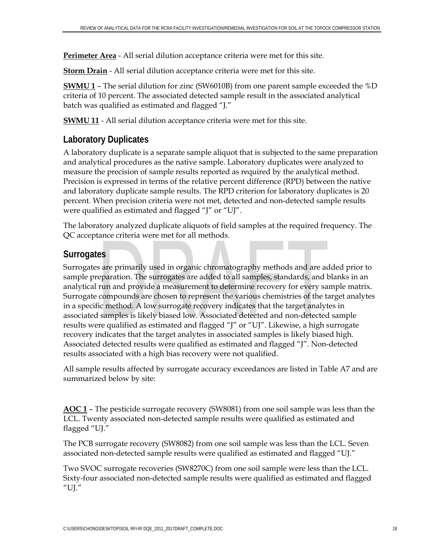**Perimeter Area** - All serial dilution acceptance criteria were met for this site.

**Storm Drain** - All serial dilution acceptance criteria were met for this site.

**SWMU 1** – The serial dilution for zinc (SW6010B) from one parent sample exceeded the %D criteria of 10 percent. The associated detected sample result in the associated analytical batch was qualified as estimated and flagged "J."

**SWMU 11** - All serial dilution acceptance criteria were met for this site.

# **Laboratory Duplicates**

A laboratory duplicate is a separate sample aliquot that is subjected to the same preparation and analytical procedures as the native sample. Laboratory duplicates were analyzed to measure the precision of sample results reported as required by the analytical method. Precision is expressed in terms of the relative percent difference (RPD) between the native and laboratory duplicate sample results. The RPD criterion for laboratory duplicates is 20 percent. When precision criteria were not met, detected and non-detected sample results were qualified as estimated and flagged "J" or "UJ".

The laboratory analyzed duplicate aliquots of field samples at the required frequency. The QC acceptance criteria were met for all methods.

# **Surrogates**

Surrogates are primarily used in organic chromatography methods and are added prior to sample preparation. The surrogates are added to all samples, standards, and blanks in an analytical run and provide a measurement to determine recovery for every sample matrix. Surrogate compounds are chosen to represent the various chemistries of the target analytes in a specific method. A low surrogate recovery indicates that the target analytes in associated samples is likely biased low. Associated detected and non-detected sample results were qualified as estimated and flagged "J" or "UJ". Likewise, a high surrogate recovery indicates that the target analytes in associated samples is likely biased high. Associated detected results were qualified as estimated and flagged "J". Non-detected results associated with a high bias recovery were not qualified.

All sample results affected by surrogate accuracy exceedances are listed in Table A7 and are summarized below by site:

**AOC 1** – The pesticide surrogate recovery (SW8081) from one soil sample was less than the LCL. Twenty associated non-detected sample results were qualified as estimated and flagged "UJ."

The PCB surrogate recovery (SW8082) from one soil sample was less than the LCL. Seven associated non-detected sample results were qualified as estimated and flagged "UJ."

Two SVOC surrogate recoveries (SW8270C) from one soil sample were less than the LCL. Sixty-four associated non-detected sample results were qualified as estimated and flagged "UJ."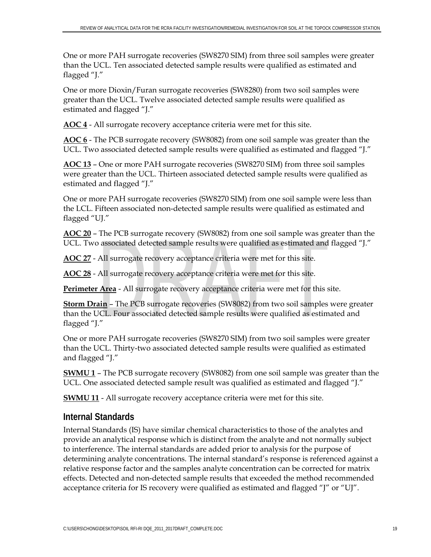One or more PAH surrogate recoveries (SW8270 SIM) from three soil samples were greater than the UCL. Ten associated detected sample results were qualified as estimated and flagged "J."

One or more Dioxin/Furan surrogate recoveries (SW8280) from two soil samples were greater than the UCL. Twelve associated detected sample results were qualified as estimated and flagged "J."

**AOC 4** - All surrogate recovery acceptance criteria were met for this site.

**AOC 6** - The PCB surrogate recovery (SW8082) from one soil sample was greater than the UCL. Two associated detected sample results were qualified as estimated and flagged "J."

**AOC 13** – One or more PAH surrogate recoveries (SW8270 SIM) from three soil samples were greater than the UCL. Thirteen associated detected sample results were qualified as estimated and flagged "J."

One or more PAH surrogate recoveries (SW8270 SIM) from one soil sample were less than the LCL. Fifteen associated non-detected sample results were qualified as estimated and flagged "UJ."

**AOC 20** – The PCB surrogate recovery (SW8082) from one soil sample was greater than the UCL. Two associated detected sample results were qualified as estimated and flagged "J."

**AOC 27** - All surrogate recovery acceptance criteria were met for this site.

**AOC 28** - All surrogate recovery acceptance criteria were met for this site.

**Perimeter Area** - All surrogate recovery acceptance criteria were met for this site.

**Storm Drain** – The PCB surrogate recoveries (SW8082) from two soil samples were greater than the UCL. Four associated detected sample results were qualified as estimated and flagged "J."

One or more PAH surrogate recoveries (SW8270 SIM) from two soil samples were greater than the UCL. Thirty-two associated detected sample results were qualified as estimated and flagged "J."

**SWMU 1** – The PCB surrogate recovery (SW8082) from one soil sample was greater than the UCL. One associated detected sample result was qualified as estimated and flagged "J."

**SWMU 11** - All surrogate recovery acceptance criteria were met for this site.

# **Internal Standards**

Internal Standards (IS) have similar chemical characteristics to those of the analytes and provide an analytical response which is distinct from the analyte and not normally subject to interference. The internal standards are added prior to analysis for the purpose of determining analyte concentrations. The internal standard's response is referenced against a relative response factor and the samples analyte concentration can be corrected for matrix effects. Detected and non-detected sample results that exceeded the method recommended acceptance criteria for IS recovery were qualified as estimated and flagged "J" or "UJ".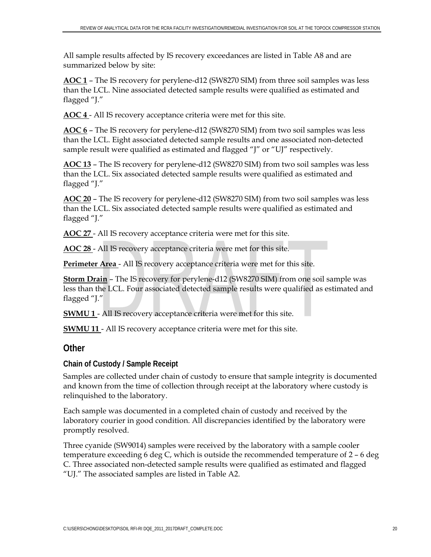All sample results affected by IS recovery exceedances are listed in Table A8 and are summarized below by site:

**AOC 1** – The IS recovery for perylene-d12 (SW8270 SIM) from three soil samples was less than the LCL. Nine associated detected sample results were qualified as estimated and flagged "J."

**AOC 4** - All IS recovery acceptance criteria were met for this site.

**AOC 6** – The IS recovery for perylene-d12 (SW8270 SIM) from two soil samples was less than the LCL. Eight associated detected sample results and one associated non-detected sample result were qualified as estimated and flagged "J" or "UJ" respectively.

**AOC 13** – The IS recovery for perylene-d12 (SW8270 SIM) from two soil samples was less than the LCL. Six associated detected sample results were qualified as estimated and flagged "J."

**AOC 20** – The IS recovery for perylene-d12 (SW8270 SIM) from two soil samples was less than the LCL. Six associated detected sample results were qualified as estimated and flagged "J."

**AOC 27** - All IS recovery acceptance criteria were met for this site.

**AOC 28** - All IS recovery acceptance criteria were met for this site.

**Perimeter Area** - All IS recovery acceptance criteria were met for this site.

**Storm Drain** – The IS recovery for perylene-d12 (SW8270 SIM) from one soil sample was less than the LCL. Four associated detected sample results were qualified as estimated and flagged "J."

**SWMU 1** - All IS recovery acceptance criteria were met for this site.

**SWMU 11** - All IS recovery acceptance criteria were met for this site.

# **Other**

**Chain of Custody / Sample Receipt** 

Samples are collected under chain of custody to ensure that sample integrity is documented and known from the time of collection through receipt at the laboratory where custody is relinquished to the laboratory.

Each sample was documented in a completed chain of custody and received by the laboratory courier in good condition. All discrepancies identified by the laboratory were promptly resolved.

Three cyanide (SW9014) samples were received by the laboratory with a sample cooler temperature exceeding 6 deg C, which is outside the recommended temperature of 2 – 6 deg C. Three associated non-detected sample results were qualified as estimated and flagged "UJ." The associated samples are listed in Table A2.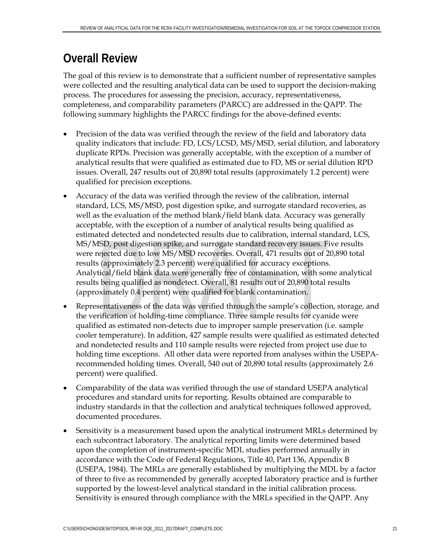# **Overall Review**

The goal of this review is to demonstrate that a sufficient number of representative samples were collected and the resulting analytical data can be used to support the decision-making process. The procedures for assessing the precision, accuracy, representativeness, completeness, and comparability parameters (PARCC) are addressed in the QAPP. The following summary highlights the PARCC findings for the above-defined events:

- Precision of the data was verified through the review of the field and laboratory data quality indicators that include: FD, LCS/LCSD, MS/MSD, serial dilution, and laboratory duplicate RPDs. Precision was generally acceptable, with the exception of a number of analytical results that were qualified as estimated due to FD, MS or serial dilution RPD issues. Overall, 247 results out of 20,890 total results (approximately 1.2 percent) were qualified for precision exceptions.
- Accuracy of the data was verified through the review of the calibration, internal standard, LCS, MS/MSD, post digestion spike, and surrogate standard recoveries, as well as the evaluation of the method blank/field blank data. Accuracy was generally acceptable, with the exception of a number of analytical results being qualified as estimated detected and nondetected results due to calibration, internal standard, LCS, MS/MSD, post digestion spike, and surrogate standard recovery issues. Five results were rejected due to low MS/MSD recoveries. Overall, 471 results out of 20,890 total results (approximately 2.3 percent) were qualified for accuracy exceptions. Analytical/field blank data were generally free of contamination, with some analytical results being qualified as nondetect. Overall, 81 results out of 20,890 total results (approximately 0.4 percent) were qualified for blank contamination.
- Representativeness of the data was verified through the sample's collection, storage, and the verification of holding-time compliance. Three sample results for cyanide were qualified as estimated non-detects due to improper sample preservation (i.e. sample cooler temperature). In addition, 427 sample results were qualified as estimated detected and nondetected results and 110 sample results were rejected from project use due to holding time exceptions. All other data were reported from analyses within the USEPArecommended holding times. Overall, 540 out of 20,890 total results (approximately 2.6 percent) were qualified.
- Comparability of the data was verified through the use of standard USEPA analytical procedures and standard units for reporting. Results obtained are comparable to industry standards in that the collection and analytical techniques followed approved, documented procedures.
- Sensitivity is a measurement based upon the analytical instrument MRLs determined by each subcontract laboratory. The analytical reporting limits were determined based upon the completion of instrument-specific MDL studies performed annually in accordance with the Code of Federal Regulations, Title 40, Part 136, Appendix B (USEPA, 1984). The MRLs are generally established by multiplying the MDL by a factor of three to five as recommended by generally accepted laboratory practice and is further supported by the lowest-level analytical standard in the initial calibration process. Sensitivity is ensured through compliance with the MRLs specified in the QAPP. Any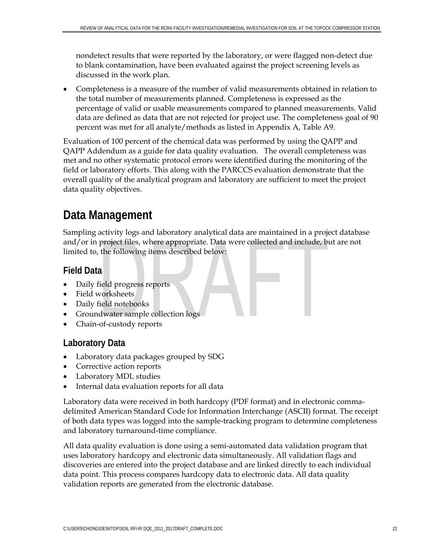nondetect results that were reported by the laboratory, or were flagged non-detect due to blank contamination, have been evaluated against the project screening levels as discussed in the work plan.

 Completeness is a measure of the number of valid measurements obtained in relation to the total number of measurements planned. Completeness is expressed as the percentage of valid or usable measurements compared to planned measurements. Valid data are defined as data that are not rejected for project use. The completeness goal of 90 percent was met for all analyte/methods as listed in Appendix A, Table A9.

Evaluation of 100 percent of the chemical data was performed by using the QAPP and QAPP Addendum as a guide for data quality evaluation. The overall completeness was met and no other systematic protocol errors were identified during the monitoring of the field or laboratory efforts. This along with the PARCCS evaluation demonstrate that the overall quality of the analytical program and laboratory are sufficient to meet the project data quality objectives.

# **Data Management**

Sampling activity logs and laboratory analytical data are maintained in a project database and/or in project files, where appropriate. Data were collected and include, but are not limited to, the following items described below:

# **Field Data**

- Daily field progress reports
- Field worksheets
- Daily field notebooks
- Groundwater sample collection logs
- Chain-of-custody reports

# **Laboratory Data**

- Laboratory data packages grouped by SDG
- Corrective action reports
- Laboratory MDL studies
- Internal data evaluation reports for all data

Laboratory data were received in both hardcopy (PDF format) and in electronic commadelimited American Standard Code for Information Interchange (ASCII) format. The receipt of both data types was logged into the sample-tracking program to determine completeness and laboratory turnaround-time compliance.

All data quality evaluation is done using a semi-automated data validation program that uses laboratory hardcopy and electronic data simultaneously. All validation flags and discoveries are entered into the project database and are linked directly to each individual data point. This process compares hardcopy data to electronic data. All data quality validation reports are generated from the electronic database.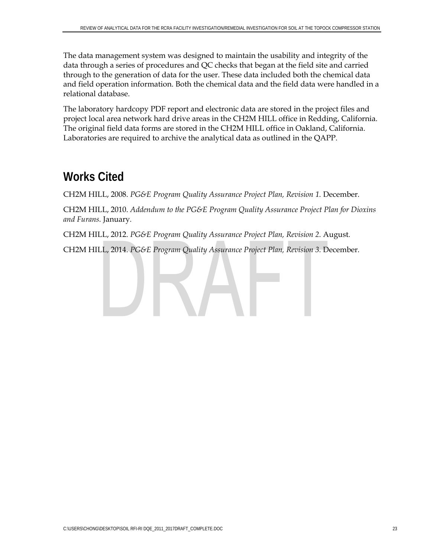The data management system was designed to maintain the usability and integrity of the data through a series of procedures and QC checks that began at the field site and carried through to the generation of data for the user. These data included both the chemical data and field operation information. Both the chemical data and the field data were handled in a relational database.

The laboratory hardcopy PDF report and electronic data are stored in the project files and project local area network hard drive areas in the CH2M HILL office in Redding, California. The original field data forms are stored in the CH2M HILL office in Oakland, California. Laboratories are required to archive the analytical data as outlined in the QAPP.

# **Works Cited**

CH2M HILL, 2008. *PG&E Program Quality Assurance Project Plan, Revision 1. December.* 

CH2M HILL, 2010. *Addendum to the PG&E Program Quality Assurance Project Plan for Dioxins and Furans.* January*.*

CH2M HILL, 2012. *PG&E Program Quality Assurance Project Plan, Revision 2.* August*.*

CH2M HILL, 2014. *PG&E Program Quality Assurance Project Plan, Revision 3.* December*.*

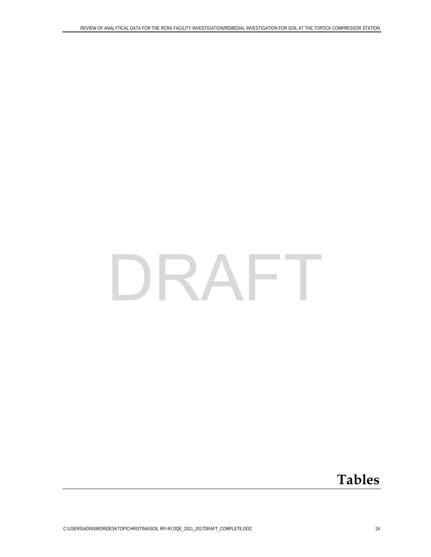# DRAFT

# **Tables**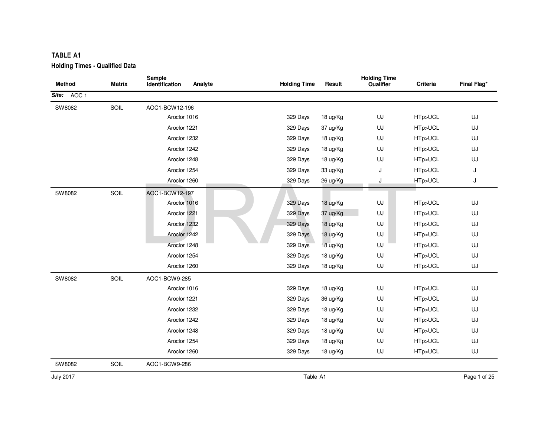| <b>TABLE A1</b>                       |        |                                     |                     |          |                                  |          |             |
|---------------------------------------|--------|-------------------------------------|---------------------|----------|----------------------------------|----------|-------------|
| <b>Holding Times - Qualified Data</b> |        |                                     |                     |          |                                  |          |             |
| <b>Method</b>                         | Matrix | Sample<br>Analyte<br>Identification | <b>Holding Time</b> | Result   | <b>Holding Time</b><br>Qualifier | Criteria | Final Flag* |
| Site: AOC 1                           |        |                                     |                     |          |                                  |          |             |
| SW8082                                | SOIL   | AOC1-BCW12-196                      |                     |          |                                  |          |             |
|                                       |        | Aroclor 1016                        | 329 Days            | 18 ug/Kg | UJ                               | HTp>UCL  | UJ          |
|                                       |        | Aroclor 1221                        | 329 Days            | 37 ug/Kg | UJ                               | HTp>UCL  | UJ          |
|                                       |        | Aroclor 1232                        | 329 Days            | 18 ug/Kg | UJ                               | HTp>UCL  | UJ          |
|                                       |        | Aroclor 1242                        | 329 Days            | 18 ug/Kg | UJ                               | HTp>UCL  | UJ          |
|                                       |        | Aroclor 1248                        | 329 Days            | 18 ug/Kg | UJ                               | HTp>UCL  | UJ          |
|                                       |        | Aroclor 1254                        | 329 Days            | 33 ug/Kg | J                                | HTp>UCL  | J           |
|                                       |        | Aroclor 1260                        | 329 Days            | 26 ug/Kg | J                                | HTp>UCL  | J           |
| SW8082                                | SOIL   | AOC1-BCW12-197                      |                     |          |                                  |          |             |
|                                       |        | Aroclor 1016                        | 329 Days            | 18 ug/Kg | UJ                               | HTp>UCL  | UJ          |
|                                       |        | Aroclor 1221                        | 329 Days            | 37 ug/Kg | UJ                               | HTp>UCL  | UJ          |
|                                       |        | Aroclor 1232                        | 329 Days            | 18 ug/Kg | UJ                               | HTp>UCL  | UJ          |
|                                       |        | Aroclor 1242                        | 329 Days            | 18 ug/Kg | UJ                               | HTp>UCL  | UJ          |
|                                       |        | Aroclor 1248                        | 329 Days            | 18 ug/Kg | UJ                               | HTp>UCL  | UJ          |
|                                       |        | Aroclor 1254                        | 329 Days            | 18 ug/Kg | UJ                               | HTp>UCL  | UJ          |
|                                       |        | Aroclor 1260                        | 329 Days            | 18 ug/Kg | UJ                               | HTp>UCL  | UJ          |
| SW8082                                | SOIL   | AOC1-BCW9-285                       |                     |          |                                  |          |             |
|                                       |        | Aroclor 1016                        | 329 Days            | 18 ug/Kg | UJ                               | HTp>UCL  | UJ          |
|                                       |        | Aroclor 1221                        | 329 Days            | 36 ug/Kg | UJ                               | HTp>UCL  | UJ          |
|                                       |        | Aroclor 1232                        | 329 Days            | 18 ug/Kg | UJ                               | HTp>UCL  | UJ          |
|                                       |        | Aroclor 1242                        | 329 Days            | 18 ug/Kg | UJ                               | HTp>UCL  | UJ          |
|                                       |        | Aroclor 1248                        | 329 Days            | 18 ug/Kg | UJ                               | HTp>UCL  | UJ          |
|                                       |        | Aroclor 1254                        | 329 Days            | 18 ug/Kg | UJ                               | HTp>UCL  | UJ          |
|                                       |        | Aroclor 1260                        | 329 Days            | 18 ug/Kg | UJ                               | HTp>UCL  | UJ          |
| SW8082                                | SOIL   | AOC1-BCW9-286                       |                     |          |                                  |          |             |

July 2017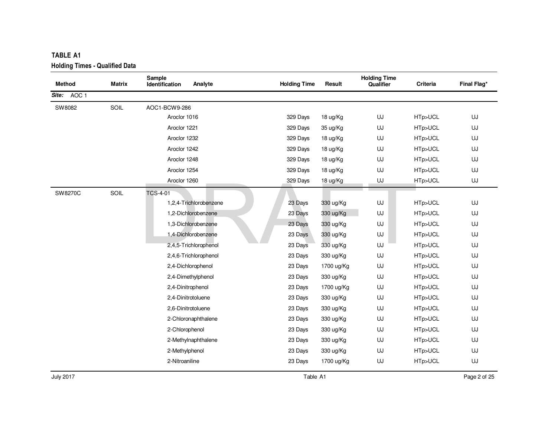| <b>TABLE A1</b>                       |        |                    |                        |                     |            |                     |                 |             |
|---------------------------------------|--------|--------------------|------------------------|---------------------|------------|---------------------|-----------------|-------------|
| <b>Holding Times - Qualified Data</b> |        | Sample             |                        |                     |            | <b>Holding Time</b> |                 |             |
| <b>Method</b>                         | Matrix | Identification     | Analyte                | <b>Holding Time</b> | Result     | Qualifier           | <b>Criteria</b> | Final Flag* |
| Site: AOC 1                           |        |                    |                        |                     |            |                     |                 |             |
| SW8082                                | SOIL   | AOC1-BCW9-286      |                        |                     |            |                     |                 |             |
|                                       |        | Aroclor 1016       |                        | 329 Days            | 18 ug/Kg   | UJ                  | HTp>UCL         | UJ          |
|                                       |        | Aroclor 1221       |                        | 329 Days            | 35 ug/Kg   | UJ                  | HTp>UCL         | UJ          |
|                                       |        | Aroclor 1232       |                        | 329 Days            | 18 ug/Kg   | UJ                  | HTp>UCL         | UJ          |
|                                       |        | Aroclor 1242       |                        | 329 Days            | 18 ug/Kg   | UJ                  | HTp>UCL         | UJ          |
|                                       |        | Aroclor 1248       |                        | 329 Days            | 18 ug/Kg   | UJ                  | HTp>UCL         | UJ          |
|                                       |        | Aroclor 1254       |                        | 329 Days            | 18 ug/Kg   | UJ                  | HTp>UCL         | UJ          |
|                                       |        | Aroclor 1260       |                        | 329 Days            | 18 ug/Kg   | UJ                  | HTp>UCL         | UJ          |
| SW8270C                               | SOIL   | <b>TCS-4-01</b>    |                        |                     |            |                     |                 |             |
|                                       |        |                    | 1,2,4-Trichlorobenzene | 23 Days             | 330 ug/Kg  | UJ                  | HTp>UCL         | UJ          |
|                                       |        |                    | 1,2-Dichlorobenzene    | 23 Days             | 330 ug/Kg  | UJ                  | HTp>UCL         | UJ          |
|                                       |        |                    | 1,3-Dichlorobenzene    | 23 Days             | 330 ug/Kg  | UJ                  | HTp>UCL         | UJ          |
|                                       |        |                    | 1,4-Dichlorobenzene    | 23 Days             | 330 ug/Kg  | UJ                  | HTp>UCL         | UJ          |
|                                       |        |                    | 2,4,5-Trichlorophenol  | 23 Days             | 330 ug/Kg  | UJ                  | HTp>UCL         | UJ          |
|                                       |        |                    | 2,4,6-Trichlorophenol  | 23 Days             | 330 ug/Kg  | UJ                  | HTp>UCL         | UJ          |
|                                       |        |                    | 2,4-Dichlorophenol     | 23 Days             | 1700 ug/Kg | UJ                  | HTp>UCL         | UJ          |
|                                       |        |                    | 2,4-Dimethylphenol     | 23 Days             | 330 ug/Kg  | UJ                  | HTp>UCL         | UJ          |
|                                       |        | 2,4-Dinitrophenol  |                        | 23 Days             | 1700 ug/Kg | UJ                  | HTp>UCL         | UJ          |
|                                       |        | 2,4-Dinitrotoluene |                        | 23 Days             | 330 ug/Kg  | UJ                  | HTp>UCL         | UJ          |
|                                       |        | 2,6-Dinitrotoluene |                        | 23 Days             | 330 ug/Kg  | UJ                  | HTp>UCL         | UJ          |
|                                       |        |                    | 2-Chloronaphthalene    | 23 Days             | 330 ug/Kg  | UJ                  | HTp>UCL         | UJ          |
|                                       |        | 2-Chlorophenol     |                        | 23 Days             | 330 ug/Kg  | UJ                  | HTp>UCL         | UJ          |
|                                       |        |                    | 2-Methylnaphthalene    | 23 Days             | 330 ug/Kg  | UJ                  | HTp>UCL         | UJ          |
|                                       |        | 2-Methylphenol     |                        | 23 Days             | 330 ug/Kg  | UJ                  | HTp>UCL         | UJ          |
|                                       |        | 2-Nitroaniline     |                        | 23 Days             | 1700 ug/Kg | UJ                  | HTp>UCL         | UJ          |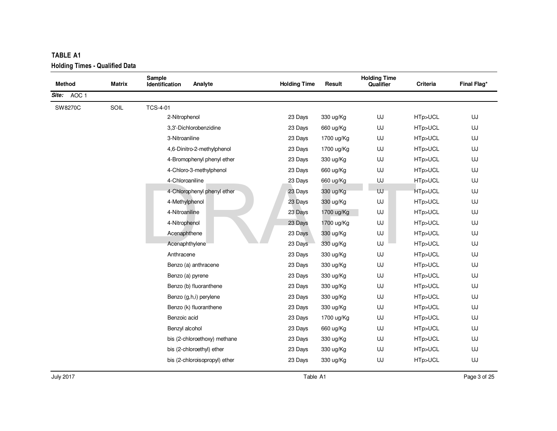| <b>Method</b> | Matrix | Sample<br>Analyte<br>Identification | <b>Holding Time</b> | Result     | <b>Holding Time</b><br>Qualifier | Criteria | Final Flag* |
|---------------|--------|-------------------------------------|---------------------|------------|----------------------------------|----------|-------------|
| Site: AOC 1   |        |                                     |                     |            |                                  |          |             |
| SW8270C       | SOIL   | <b>TCS-4-01</b>                     |                     |            |                                  |          |             |
|               |        | 2-Nitrophenol                       | 23 Days             | 330 ug/Kg  | UJ                               | HTp>UCL  | UJ          |
|               |        | 3,3'-Dichlorobenzidine              | 23 Days             | 660 ug/Kg  | UJ                               | HTp>UCL  | UJ          |
|               |        | 3-Nitroaniline                      | 23 Days             | 1700 ug/Kg | UJ                               | HTp>UCL  | UJ          |
|               |        | 4,6-Dinitro-2-methylphenol          | 23 Days             | 1700 ug/Kg | UJ                               | HTp>UCL  | UJ          |
|               |        | 4-Bromophenyl phenyl ether          | 23 Days             | 330 ug/Kg  | UJ                               | HTp>UCL  | UJ          |
|               |        | 4-Chloro-3-methylphenol             | 23 Days             | 660 ug/Kg  | UJ                               | HTp>UCL  | UJ          |
|               |        | 4-Chloroaniline                     | 23 Days             | 660 ug/Kg  | UJ                               | HTp>UCL  | UJ          |
|               |        | 4-Chlorophenyl phenyl ether         | 23 Days             | 330 ug/Kg  | UJ                               | HTp>UCL  | UJ          |
|               |        | 4-Methylphenol                      | 23 Days             | 330 ug/Kg  | UJ                               | HTp>UCL  | UJ          |
|               |        | 4-Nitroaniline                      | 23 Days             | 1700 ug/Kg | UJ                               | HTp>UCL  | UJ          |
|               |        | 4-Nitrophenol                       | 23 Days             | 1700 ug/Kg | UJ                               | HTp>UCL  | UJ          |
|               |        | Acenaphthene                        | 23 Days             | 330 ug/Kg  | UJ                               | HTp>UCL  | UJ          |
|               |        | Acenaphthylene                      | 23 Days             | 330 ug/Kg  | UJ                               | HTp>UCL  | UJ          |
|               |        | Anthracene                          | 23 Days             | 330 ug/Kg  | UJ                               | HTp>UCL  | UJ          |
|               |        | Benzo (a) anthracene                | 23 Days             | 330 ug/Kg  | UJ                               | HTp>UCL  | UJ          |
|               |        | Benzo (a) pyrene                    | 23 Days             | 330 ug/Kg  | UJ                               | HTp>UCL  | UJ          |
|               |        | Benzo (b) fluoranthene              | 23 Days             | 330 ug/Kg  | UJ                               | HTp>UCL  | UJ          |
|               |        | Benzo (g,h,i) perylene              | 23 Days             | 330 ug/Kg  | UJ                               | HTp>UCL  | UJ          |
|               |        | Benzo (k) fluoranthene              | 23 Days             | 330 ug/Kg  | UJ                               | HTp>UCL  | UJ          |
|               |        | Benzoic acid                        | 23 Days             | 1700 ug/Kg | UJ                               | HTp>UCL  | UJ          |
|               |        | Benzyl alcohol                      | 23 Days             | 660 ug/Kg  | UJ                               | HTp>UCL  | UJ          |
|               |        | bis (2-chloroethoxy) methane        | 23 Days             | 330 ug/Kg  | UJ                               | HTp>UCL  | UJ          |
|               |        | bis (2-chloroethyl) ether           | 23 Days             | 330 ug/Kg  | UJ                               | HTp>UCL  | UJ          |
|               |        | bis (2-chloroisopropyl) ether       | 23 Days             | 330 ug/Kg  | UJ                               | HTp>UCL  | UJ          |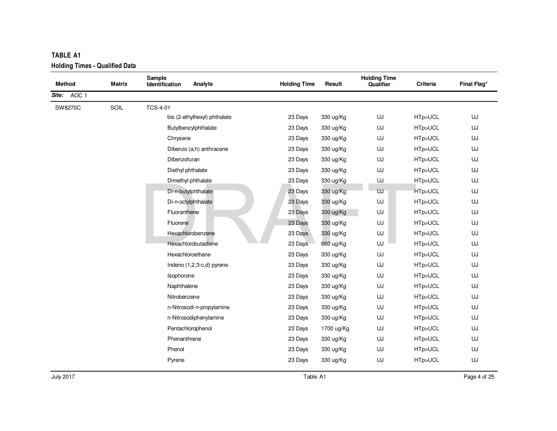| <b>TABLE A1</b><br><b>Holding Times - Qualified Data</b> |        |                                     |                     |            |                                  |          |             |
|----------------------------------------------------------|--------|-------------------------------------|---------------------|------------|----------------------------------|----------|-------------|
| <b>Method</b>                                            | Matrix | Sample<br>Identification<br>Analyte | <b>Holding Time</b> | Result     | <b>Holding Time</b><br>Qualifier | Criteria | Final Flag* |
| Site: AOC 1                                              |        |                                     |                     |            |                                  |          |             |
| SW8270C                                                  | SOIL   | <b>TCS-4-01</b>                     |                     |            |                                  |          |             |
|                                                          |        | bis (2-ethylhexyl) phthalate        | 23 Days             | 330 ug/Kg  | UJ                               | HTp>UCL  | UJ          |
|                                                          |        | Butylbenzylphthalate                | 23 Days             | 330 ug/Kg  | UJ                               | HTp>UCL  | UJ          |
|                                                          |        | Chrysene                            | 23 Days             | 330 ug/Kg  | UJ                               | HTp>UCL  | UJ          |
|                                                          |        | Dibenzo (a,h) anthracene            | 23 Days             | 330 ug/Kg  | UJ                               | HTp>UCL  | UJ          |
|                                                          |        | Dibenzofuran                        | 23 Days             | 330 ug/Kg  | UJ                               | HTp>UCL  | UJ          |
|                                                          |        | Diethyl phthalate                   | 23 Days             | 330 ug/Kg  | UJ                               | HTp>UCL  | UJ          |
|                                                          |        | Dimethyl phthalate                  | 23 Days             | 330 ug/Kg  | UJ                               | HTp>UCL  | UJ          |
|                                                          |        | Di-n-butylphthalate                 | 23 Days             | 330 ug/Kg  | UJ                               | HTp>UCL  | UJ          |
|                                                          |        | Di-n-octylphthalate                 | 23 Days             | 330 ug/Kg  | UJ                               | HTp>UCL  | UJ          |
|                                                          |        | Fluoranthene                        | 23 Days             | 330 ug/Kg  | UJ                               | HTp>UCL  | UJ          |
|                                                          |        | Fluorene                            | 23 Days             | 330 ug/Kg  | UJ                               | HTp>UCL  | UJ          |
|                                                          |        | Hexachlorobenzene                   | 23 Days             | 330 ug/Kg  | UJ                               | HTp>UCL  | UJ          |
|                                                          |        | Hexachlorobutadiene                 | 23 Days             | 660 ug/Kg  | UJ                               | HTp>UCL  | UJ          |
|                                                          |        | Hexachloroethane                    | 23 Days             | 330 ug/Kg  | UJ                               | HTp>UCL  | UJ          |
|                                                          |        | Indeno (1,2,3-c,d) pyrene           | 23 Days             | 330 ug/Kg  | UJ                               | HTp>UCL  | UJ          |
|                                                          |        | Isophorone                          | 23 Days             | 330 ug/Kg  | UJ                               | HTp>UCL  | UJ          |
|                                                          |        | Naphthalene                         | 23 Days             | 330 ug/Kg  | UJ                               | HTp>UCL  | UJ          |
|                                                          |        | Nitrobenzene                        | 23 Days             | 330 ug/Kg  | UJ                               | HTp>UCL  | UJ          |
|                                                          |        | n-Nitrosodi-n-propylamine           | 23 Days             | 330 ug/Kg  | UJ                               | HTp>UCL  | UJ          |
|                                                          |        | n-Nitrosodiphenylamine              | 23 Days             | 330 ug/Kg  | UJ                               | HTp>UCL  | UJ          |
|                                                          |        | Pentachlorophenol                   | 23 Days             | 1700 ug/Kg | UJ                               | HTp>UCL  | UJ          |
|                                                          |        | Phenanthrene                        | 23 Days             | 330 ug/Kg  | UJ                               | HTp>UCL  | UJ          |
|                                                          |        | Phenol                              | 23 Days             | 330 ug/Kg  | UJ                               | HTp>UCL  | UJ          |
|                                                          |        | Pyrene                              | 23 Days             | 330 ug/Kg  | UJ                               | HTp>UCL  | UJ          |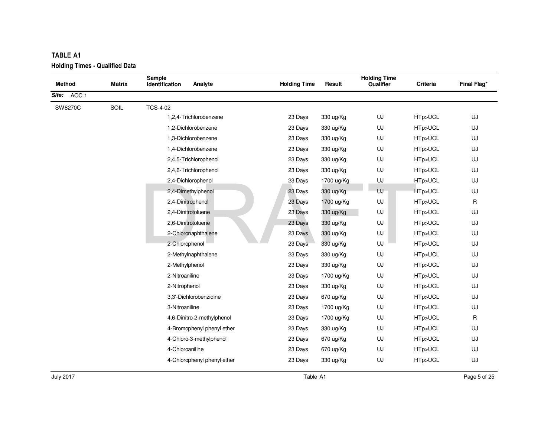| TABLE A1<br><b>Holding Times - Qualified Data</b> |        |                             |         |                     |            |                                  |          |             |
|---------------------------------------------------|--------|-----------------------------|---------|---------------------|------------|----------------------------------|----------|-------------|
| <b>Method</b>                                     | Matrix | Sample<br>Identification    | Analyte | <b>Holding Time</b> | Result     | <b>Holding Time</b><br>Qualifier | Criteria | Final Flag* |
| Site: AOC 1                                       |        |                             |         |                     |            |                                  |          |             |
| SW8270C                                           | SOIL   | <b>TCS-4-02</b>             |         |                     |            |                                  |          |             |
|                                                   |        | 1,2,4-Trichlorobenzene      |         | 23 Days             | 330 ug/Kg  | UJ                               | HTp>UCL  | UJ          |
|                                                   |        | 1,2-Dichlorobenzene         |         | 23 Days             | 330 ug/Kg  | UJ                               | HTp>UCL  | UJ          |
|                                                   |        | 1,3-Dichlorobenzene         |         | 23 Days             | 330 ug/Kg  | UJ                               | HTp>UCL  | UJ          |
|                                                   |        | 1,4-Dichlorobenzene         |         | 23 Days             | 330 ug/Kg  | UJ                               | HTp>UCL  | UJ          |
|                                                   |        | 2,4,5-Trichlorophenol       |         | 23 Days             | 330 ug/Kg  | UJ                               | HTp>UCL  | UJ          |
|                                                   |        | 2,4,6-Trichlorophenol       |         | 23 Days             | 330 ug/Kg  | UJ                               | HTp>UCL  | UJ          |
|                                                   |        | 2,4-Dichlorophenol          |         | 23 Days             | 1700 ug/Kg | UJ                               | HTp>UCL  | UJ          |
|                                                   |        | 2,4-Dimethylphenol          |         | 23 Days             | 330 ug/Kg  | UJ                               | HTp>UCL  | UJ          |
|                                                   |        | 2,4-Dinitrophenol           |         | 23 Days             | 1700 ug/Kg | UJ                               | HTp>UCL  | R           |
|                                                   |        | 2,4-Dinitrotoluene          |         | 23 Days             | 330 ug/Kg  | UJ                               | HTp>UCL  | UJ          |
|                                                   |        | 2,6-Dinitrotoluene          |         | 23 Days             | 330 ug/Kg  | UJ                               | HTp>UCL  | UJ          |
|                                                   |        | 2-Chloronaphthalene         |         | 23 Days             | 330 ug/Kg  | UJ                               | HTp>UCL  | UJ          |
|                                                   |        | 2-Chlorophenol              |         | 23 Days             | 330 ug/Kg  | UJ                               | HTp>UCL  | UJ          |
|                                                   |        | 2-Methylnaphthalene         |         | 23 Days             | 330 ug/Kg  | UJ                               | HTp>UCL  | UJ          |
|                                                   |        | 2-Methylphenol              |         | 23 Days             | 330 ug/Kg  | UJ                               | HTp>UCL  | UJ          |
|                                                   |        | 2-Nitroaniline              |         | 23 Days             | 1700 ug/Kg | UJ                               | HTp>UCL  | UJ          |
|                                                   |        | 2-Nitrophenol               |         | 23 Days             | 330 ug/Kg  | UJ                               | HTp>UCL  | UJ          |
|                                                   |        | 3,3'-Dichlorobenzidine      |         | 23 Days             | 670 ug/Kg  | UJ                               | HTp>UCL  | UJ          |
|                                                   |        | 3-Nitroaniline              |         | 23 Days             | 1700 ug/Kg | UJ                               | HTp>UCL  | UJ          |
|                                                   |        | 4,6-Dinitro-2-methylphenol  |         | 23 Days             | 1700 ug/Kg | UJ                               | HTp>UCL  | R           |
|                                                   |        | 4-Bromophenyl phenyl ether  |         | 23 Days             | 330 ug/Kg  | UJ                               | HTp>UCL  | UJ          |
|                                                   |        | 4-Chloro-3-methylphenol     |         | 23 Days             | 670 ug/Kg  | UJ                               | HTp>UCL  | UJ          |
|                                                   |        | 4-Chloroaniline             |         | 23 Days             | 670 ug/Kg  | UJ                               | HTp>UCL  | UJ          |
|                                                   |        | 4-Chlorophenyl phenyl ether |         | 23 Days             | 330 ug/Kg  | UJ                               | HTp>UCL  | UJ          |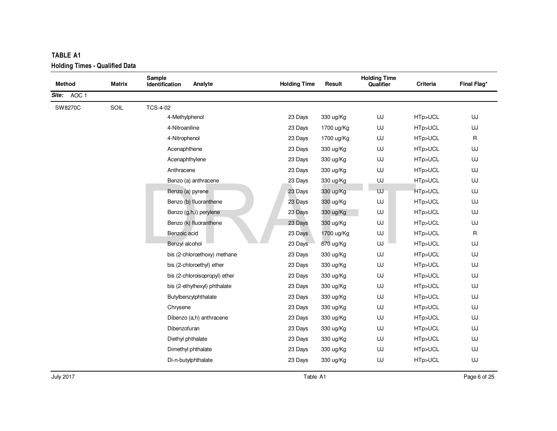| TABLE A1                                               |        |                                     |                     |            |                                  |          |              |
|--------------------------------------------------------|--------|-------------------------------------|---------------------|------------|----------------------------------|----------|--------------|
| <b>Holding Times - Qualified Data</b><br><b>Method</b> | Matrix | Sample<br>Analyte<br>Identification | <b>Holding Time</b> | Result     | <b>Holding Time</b><br>Qualifier | Criteria | Final Flag*  |
| Site: AOC 1                                            |        |                                     |                     |            |                                  |          |              |
| SW8270C                                                | SOIL   | <b>TCS-4-02</b>                     |                     |            |                                  |          |              |
|                                                        |        | 4-Methylphenol                      | 23 Days             | 330 ug/Kg  | UJ                               | HTp>UCL  | UJ           |
|                                                        |        | 4-Nitroaniline                      | 23 Days             | 1700 ug/Kg | UJ                               | HTp>UCL  | UJ           |
|                                                        |        | 4-Nitrophenol                       | 23 Days             | 1700 ug/Kg | UJ                               | HTp>UCL  | $\mathsf R$  |
|                                                        |        | Acenaphthene                        | 23 Days             | 330 ug/Kg  | UJ                               | HTp>UCL  | UJ           |
|                                                        |        | Acenaphthylene                      | 23 Days             | 330 ug/Kg  | UJ                               | HTp>UCL  | UJ           |
|                                                        |        | Anthracene                          | 23 Days             | 330 ug/Kg  | UJ                               | HTp>UCL  | UJ           |
|                                                        |        | Benzo (a) anthracene                | 23 Days             | 330 ug/Kg  | UJ                               | HTp>UCL  | UJ           |
|                                                        |        | Benzo (a) pyrene                    | 23 Days             | 330 ug/Kg  | UJ                               | HTp>UCL  | UJ           |
|                                                        |        | Benzo (b) fluoranthene              | 23 Days             | 330 ug/Kg  | UJ                               | HTp>UCL  | UJ           |
|                                                        |        | Benzo (g,h,i) perylene              | 23 Days             | 330 ug/Kg  | UJ                               | HTp>UCL  | UJ           |
|                                                        |        | Benzo (k) fluoranthene              | 23 Days             | 330 ug/Kg  | UJ                               | HTp>UCL  | UJ           |
|                                                        |        | Benzoic acid                        | 23 Days             | 1700 ug/Kg | UJ                               | HTp>UCL  | $\mathsf{R}$ |
|                                                        |        | Benzyl alcohol                      | 23 Days             | 670 ug/Kg  | UJ                               | HTp>UCL  | UJ           |
|                                                        |        | bis (2-chloroethoxy) methane        | 23 Days             | 330 ug/Kg  | UJ                               | HTp>UCL  | UJ           |
|                                                        |        | bis (2-chloroethyl) ether           | 23 Days             | 330 ug/Kg  | UJ                               | HTp>UCL  | UJ           |
|                                                        |        | bis (2-chloroisopropyl) ether       | 23 Days             | 330 ug/Kg  | UJ                               | HTp>UCL  | UJ           |
|                                                        |        | bis (2-ethylhexyl) phthalate        | 23 Days             | 330 ug/Kg  | UJ                               | HTp>UCL  | UJ           |
|                                                        |        | Butylbenzylphthalate                | 23 Days             | 330 ug/Kg  | UJ                               | HTp>UCL  | UJ           |
|                                                        |        | Chrysene                            | 23 Days             | 330 ug/Kg  | UJ                               | HTp>UCL  | UJ           |
|                                                        |        | Dibenzo (a,h) anthracene            | 23 Days             | 330 ug/Kg  | UJ                               | HTp>UCL  | UJ           |
|                                                        |        | Dibenzofuran                        | 23 Days             | 330 ug/Kg  | UJ                               | HTp>UCL  | UJ           |
|                                                        |        | Diethyl phthalate                   | 23 Days             | 330 ug/Kg  | UJ                               | HTp>UCL  | UJ           |
|                                                        |        | Dimethyl phthalate                  | 23 Days             | 330 ug/Kg  | UJ                               | HTp>UCL  | UJ           |
|                                                        |        | Di-n-butylphthalate                 | 23 Days             | 330 ug/Kg  | UJ                               | HTp>UCL  | UJ           |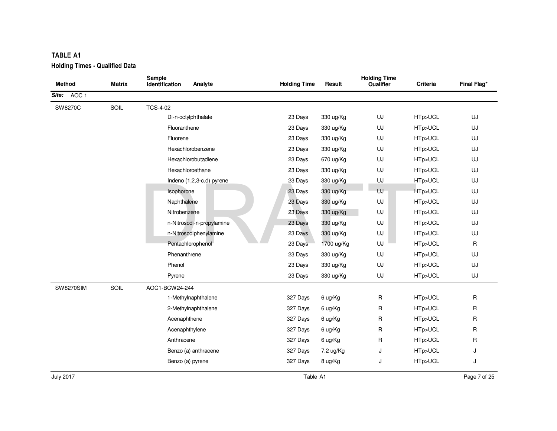| <b>TABLE A1</b>                       |        |                                     |                     |            |                                  |          |             |
|---------------------------------------|--------|-------------------------------------|---------------------|------------|----------------------------------|----------|-------------|
| <b>Holding Times - Qualified Data</b> |        |                                     |                     |            |                                  |          |             |
| <b>Method</b>                         | Matrix | Sample<br>Analyte<br>Identification | <b>Holding Time</b> | Result     | <b>Holding Time</b><br>Qualifier | Criteria | Final Flag* |
| AOC <sub>1</sub>                      |        |                                     |                     |            |                                  |          |             |
| Site:                                 |        |                                     |                     |            |                                  |          |             |
| SW8270C                               | SOIL   | <b>TCS-4-02</b>                     |                     |            |                                  |          |             |
|                                       |        | Di-n-octylphthalate                 | 23 Days             | 330 ug/Kg  | UJ                               | HTp>UCL  | UJ          |
|                                       |        | Fluoranthene                        | 23 Days             | 330 ug/Kg  | UJ                               | HTp>UCL  | UJ          |
|                                       |        | Fluorene                            | 23 Days             | 330 ug/Kg  | UJ                               | HTp>UCL  | UJ          |
|                                       |        | Hexachlorobenzene                   | 23 Days             | 330 ug/Kg  | UJ                               | HTp>UCL  | UJ          |
|                                       |        | Hexachlorobutadiene                 | 23 Days             | 670 ug/Kg  | UJ                               | HTp>UCL  | UJ          |
|                                       |        | Hexachloroethane                    | 23 Days             | 330 ug/Kg  | UJ                               | HTp>UCL  | UJ          |
|                                       |        | Indeno (1,2,3-c,d) pyrene           | 23 Days             | 330 ug/Kg  | UJ                               | HTp>UCL  | UJ          |
|                                       |        | Isophorone                          | 23 Days             | 330 ug/Kg  | UJ                               | HTp>UCL  | UJ          |
|                                       |        | Naphthalene                         | 23 Days             | 330 ug/Kg  | UJ                               | HTp>UCL  | UJ          |
|                                       |        | Nitrobenzene                        | 23 Days             | 330 ug/Kg  | UJ                               | HTp>UCL  | UJ          |
|                                       |        | n-Nitrosodi-n-propylamine           | 23 Days             | 330 ug/Kg  | UJ                               | HTp>UCL  | UJ          |
|                                       |        | n-Nitrosodiphenylamine              | 23 Days             | 330 ug/Kg  | UJ                               | HTp>UCL  | UJ          |
|                                       |        | Pentachlorophenol                   | 23 Days             | 1700 ug/Kg | UJ                               | HTp>UCL  | R           |
|                                       |        | Phenanthrene                        | 23 Days             | 330 ug/Kg  | UJ                               | HTp>UCL  | UJ          |
|                                       |        | Phenol                              | 23 Days             | 330 ug/Kg  | UJ                               | HTp>UCL  | UJ          |
|                                       |        | Pyrene                              | 23 Days             | 330 ug/Kg  | UJ                               | HTp>UCL  | UJ          |
| <b>SW8270SIM</b>                      | SOIL   | AOC1-BCW24-244                      |                     |            |                                  |          |             |
|                                       |        | 1-Methylnaphthalene                 | 327 Days            | 6 ug/Kg    | R                                | HTp>UCL  | R           |
|                                       |        | 2-Methylnaphthalene                 | 327 Days            | 6 ug/Kg    | R                                | HTp>UCL  | R           |
|                                       |        | Acenaphthene                        | 327 Days            | 6 ug/Kg    | R                                | HTp>UCL  | R           |
|                                       |        | Acenaphthylene                      | 327 Days            | 6 ug/Kg    | R                                | HTp>UCL  | R           |
|                                       |        | Anthracene                          | 327 Days            | 6 ug/Kg    | R                                | HTp>UCL  | R           |
|                                       |        | Benzo (a) anthracene                | 327 Days            | 7.2 ug/Kg  | J                                | HTp>UCL  | J           |
|                                       |        | Benzo (a) pyrene                    | 327 Days            | 8 ug/Kg    | J                                | HTp>UCL  | J           |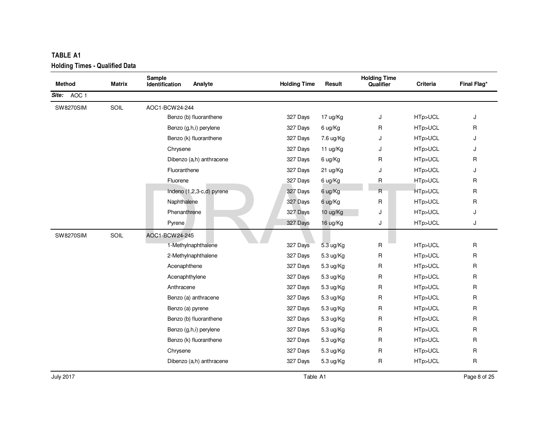| <b>Holding Times - Qualified Data</b> |        |                                     |                     |           |                                  |          |              |  |  |
|---------------------------------------|--------|-------------------------------------|---------------------|-----------|----------------------------------|----------|--------------|--|--|
| <b>Method</b>                         | Matrix | Sample<br>Identification<br>Analyte | <b>Holding Time</b> | Result    | <b>Holding Time</b><br>Qualifier | Criteria | Final Flag*  |  |  |
| Site: AOC 1                           |        |                                     |                     |           |                                  |          |              |  |  |
| <b>SW8270SIM</b>                      | SOIL   | AOC1-BCW24-244                      |                     |           |                                  |          |              |  |  |
|                                       |        | Benzo (b) fluoranthene              | 327 Days            | 17 ug/Kg  | J                                | HTp>UCL  | J            |  |  |
|                                       |        | Benzo (g,h,i) perylene              | 327 Days            | 6 ug/Kg   | R                                | HTp>UCL  | R            |  |  |
|                                       |        | Benzo (k) fluoranthene              | 327 Days            | 7.6 ug/Kg | J                                | HTp>UCL  | J            |  |  |
|                                       |        | Chrysene                            | 327 Days            | 11 ug/Kg  | J                                | HTp>UCL  | J            |  |  |
|                                       |        | Dibenzo (a,h) anthracene            | 327 Days            | 6 ug/Kg   | R                                | HTp>UCL  | R            |  |  |
|                                       |        | Fluoranthene                        | 327 Days            | 21 ug/Kg  | J                                | HTp>UCL  | J            |  |  |
|                                       |        | Fluorene                            | 327 Days            | 6 ug/Kg   | R                                | HTp>UCL  | $\mathsf{R}$ |  |  |
|                                       |        | Indeno (1,2,3-c,d) pyrene           | 327 Days            | 6 ug/Kg   | R                                | HTp>UCL  | R            |  |  |
|                                       |        | Naphthalene                         | 327 Days            | 6 ug/Kg   | R                                | HTp>UCL  | R            |  |  |
|                                       |        | Phenanthrene                        | 327 Days            | 10 ug/Kg  | J                                | HTp>UCL  | J            |  |  |
|                                       |        | Pyrene                              | 327 Days            | 16 ug/Kg  | J                                | HTp>UCL  | J            |  |  |
| <b>SW8270SIM</b>                      | SOIL   | AOC1-BCW24-245                      |                     |           |                                  |          |              |  |  |
|                                       |        | 1-Methylnaphthalene                 | 327 Days            | 5.3 ug/Kg | R                                | HTp>UCL  | R            |  |  |
|                                       |        | 2-Methylnaphthalene                 | 327 Days            | 5.3 ug/Kg | R                                | HTp>UCL  | R            |  |  |
|                                       |        | Acenaphthene                        | 327 Days            | 5.3 ug/Kg | R                                | HTp>UCL  | R            |  |  |
|                                       |        | Acenaphthylene                      | 327 Days            | 5.3 ug/Kg | R                                | HTp>UCL  | $\mathsf{R}$ |  |  |
|                                       |        | Anthracene                          | 327 Days            | 5.3 ug/Kg | R                                | HTp>UCL  | R            |  |  |
|                                       |        | Benzo (a) anthracene                | 327 Days            | 5.3 ug/Kg | R                                | HTp>UCL  | R            |  |  |
|                                       |        | Benzo (a) pyrene                    | 327 Days            | 5.3 ug/Kg | R                                | HTp>UCL  | R            |  |  |
|                                       |        | Benzo (b) fluoranthene              | 327 Days            | 5.3 ug/Kg | R                                | HTp>UCL  | $\mathsf{R}$ |  |  |
|                                       |        | Benzo (g,h,i) perylene              | 327 Days            | 5.3 ug/Kg | R                                | HTp>UCL  | R            |  |  |
|                                       |        | Benzo (k) fluoranthene              | 327 Days            | 5.3 ug/Kg | R                                | HTp>UCL  | R            |  |  |
|                                       |        | Chrysene                            | 327 Days            | 5.3 ug/Kg | R                                | HTp>UCL  | R            |  |  |
|                                       |        | Dibenzo (a,h) anthracene            | 327 Days            | 5.3 ug/Kg | R                                | HTp>UCL  | $\mathsf{R}$ |  |  |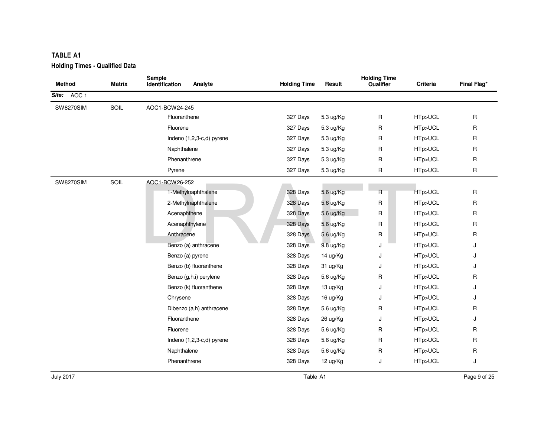| <b>TABLE A1</b>                       |        |                                     |                     |           |                                  |          |              |  |  |  |
|---------------------------------------|--------|-------------------------------------|---------------------|-----------|----------------------------------|----------|--------------|--|--|--|
| <b>Holding Times - Qualified Data</b> |        |                                     |                     |           |                                  |          |              |  |  |  |
| <b>Method</b>                         | Matrix | Sample<br>Identification<br>Analyte | <b>Holding Time</b> | Result    | <b>Holding Time</b><br>Qualifier | Criteria | Final Flag*  |  |  |  |
| Site: AOC 1                           |        |                                     |                     |           |                                  |          |              |  |  |  |
| <b>SW8270SIM</b>                      | SOIL   | AOC1-BCW24-245                      |                     |           |                                  |          |              |  |  |  |
|                                       |        | Fluoranthene                        | 327 Days            | 5.3 ug/Kg | R                                | HTp>UCL  | R            |  |  |  |
|                                       |        | Fluorene                            | 327 Days            | 5.3 ug/Kg | R                                | HTp>UCL  | R            |  |  |  |
|                                       |        | Indeno (1,2,3-c,d) pyrene           | 327 Days            | 5.3 ug/Kg | R                                | HTp>UCL  | $\mathsf{R}$ |  |  |  |
|                                       |        | Naphthalene                         | 327 Days            | 5.3 ug/Kg | R                                | HTp>UCL  | R            |  |  |  |
|                                       |        | Phenanthrene                        | 327 Days            | 5.3 ug/Kg | R                                | HTp>UCL  | R            |  |  |  |
|                                       |        | Pyrene                              | 327 Days            | 5.3 ug/Kg | R                                | HTp>UCL  | R            |  |  |  |
| <b>SW8270SIM</b>                      | SOIL   | AOC1-BCW26-252                      |                     |           |                                  |          |              |  |  |  |
|                                       |        | 1-Methylnaphthalene                 | 328 Days            | 5.6 ug/Kg | R                                | HTp>UCL  | $\mathsf{R}$ |  |  |  |
|                                       |        | 2-Methylnaphthalene                 | 328 Days            | 5.6 ug/Kg | R                                | HTp>UCL  | R            |  |  |  |
|                                       |        | Acenaphthene                        | 328 Days            | 5.6 ug/Kg | R                                | HTp>UCL  | $\mathsf{R}$ |  |  |  |
|                                       |        | Acenaphthylene                      | 328 Days            | 5.6 ug/Kg | R                                | HTp>UCL  | $\mathsf{R}$ |  |  |  |
|                                       |        | Anthracene                          | 328 Days            | 5.6 ug/Kg | R                                | HTp>UCL  | $\mathsf R$  |  |  |  |
|                                       |        | Benzo (a) anthracene                | 328 Days            | 9.8 ug/Kg | J                                | HTp>UCL  | J            |  |  |  |
|                                       |        | Benzo (a) pyrene                    | 328 Days            | 14 ug/Kg  | J                                | HTp>UCL  | J            |  |  |  |
|                                       |        | Benzo (b) fluoranthene              | 328 Days            | 31 ug/Kg  | J                                | HTp>UCL  | J            |  |  |  |
|                                       |        | Benzo (g,h,i) perylene              | 328 Days            | 5.6 ug/Kg | R                                | HTp>UCL  | R            |  |  |  |
|                                       |        | Benzo (k) fluoranthene              | 328 Days            | 13 ug/Kg  | J                                | HTp>UCL  | J            |  |  |  |
|                                       |        | Chrysene                            | 328 Days            | 16 ug/Kg  | J                                | HTp>UCL  | J            |  |  |  |
|                                       |        | Dibenzo (a,h) anthracene            | 328 Days            | 5.6 ug/Kg | R                                | HTp>UCL  | R            |  |  |  |
|                                       |        | Fluoranthene                        | 328 Days            | 26 ug/Kg  | J                                | HTp>UCL  | J            |  |  |  |
|                                       |        | Fluorene                            | 328 Days            | 5.6 ug/Kg | R                                | HTp>UCL  | R            |  |  |  |
|                                       |        | Indeno (1,2,3-c,d) pyrene           | 328 Days            | 5.6 ug/Kg | R                                | HTp>UCL  | R            |  |  |  |
|                                       |        | Naphthalene                         | 328 Days            | 5.6 ug/Kg | R                                | HTp>UCL  | R            |  |  |  |
|                                       |        | Phenanthrene                        | 328 Days            | 12 ug/Kg  | J                                | HTp>UCL  | J            |  |  |  |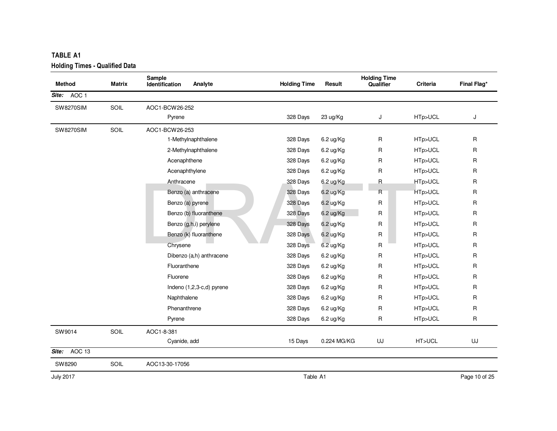| <b>Method</b>    | Matrix | Sample<br>Analyte<br>Identification | <b>Holding Time</b> | Result      | <b>Holding Time</b><br>Qualifier | Criteria | Final Flag*  |
|------------------|--------|-------------------------------------|---------------------|-------------|----------------------------------|----------|--------------|
| AOC 1<br>Site:   |        |                                     |                     |             |                                  |          |              |
|                  | SOIL   | AOC1-BCW26-252                      |                     |             |                                  |          |              |
| <b>SW8270SIM</b> |        | Pyrene                              | 328 Days            | 23 ug/Kg    | J                                | HTp>UCL  | J            |
|                  |        |                                     |                     |             |                                  |          |              |
| <b>SW8270SIM</b> | SOIL   | AOC1-BCW26-253                      |                     |             |                                  |          |              |
|                  |        | 1-Methylnaphthalene                 | 328 Days            | 6.2 ug/Kg   | R                                | HTp>UCL  | R            |
|                  |        | 2-Methylnaphthalene                 | 328 Days            | 6.2 ug/Kg   | R                                | HTp>UCL  | $\mathsf{R}$ |
|                  |        | Acenaphthene                        | 328 Days            | 6.2 ug/Kg   | R                                | HTp>UCL  | $\mathsf{R}$ |
|                  |        | Acenaphthylene                      | 328 Days            | 6.2 ug/Kg   | R                                | HTp>UCL  | R            |
|                  |        | Anthracene                          | 328 Days            | 6.2 ug/Kg   | R                                | HTp>UCL  | $\mathsf{R}$ |
|                  |        | Benzo (a) anthracene                | 328 Days            | 6.2 ug/Kg   | $\mathsf{R}$                     | HTp>UCL  | R            |
|                  |        | Benzo (a) pyrene                    | 328 Days            | 6.2 ug/Kg   | R.                               | HTp>UCL  | R            |
|                  |        | Benzo (b) fluoranthene              | 328 Days            | 6.2 ug/Kg   | $\mathsf{R}$                     | HTp>UCL  | $\mathsf{R}$ |
|                  |        | Benzo (g,h,i) perylene              | 328 Days            | 6.2 ug/Kg   | R.                               | HTp>UCL  | R            |
|                  |        | Benzo (k) fluoranthene              | 328 Days            | 6.2 ug/Kg   | R                                | HTp>UCL  | $\mathsf{R}$ |
|                  |        | Chrysene                            | 328 Days            | 6.2 ug/Kg   | R                                | HTp>UCL  | R            |
|                  |        | Dibenzo (a,h) anthracene            | 328 Days            | 6.2 ug/Kg   | $\mathsf{R}$                     | HTp>UCL  | $\mathsf{R}$ |
|                  |        | Fluoranthene                        | 328 Days            | 6.2 ug/Kg   | R                                | HTp>UCL  | R            |
|                  |        | Fluorene                            | 328 Days            | 6.2 ug/Kg   | R                                | HTp>UCL  | R            |
|                  |        | Indeno (1,2,3-c,d) pyrene           | 328 Days            | 6.2 ug/Kg   | R                                | HTp>UCL  | $\mathsf{R}$ |
|                  |        | Naphthalene                         | 328 Days            | 6.2 ug/Kg   | R                                | HTp>UCL  | R            |
|                  |        | Phenanthrene                        | 328 Days            | 6.2 ug/Kg   | R                                | HTp>UCL  | $\mathsf{R}$ |
|                  |        | Pyrene                              | 328 Days            | 6.2 ug/Kg   | R                                | HTp>UCL  | R            |
| SW9014           | SOIL   | AOC1-8-381                          |                     |             |                                  |          |              |
|                  |        | Cyanide, add                        | 15 Days             | 0.224 MG/KG | UJ                               | HT>UCL   | UJ           |
| Site: AOC 13     |        |                                     |                     |             |                                  |          |              |
| SW8290           | SOIL   | AOC13-30-17056                      |                     |             |                                  |          |              |

July 2017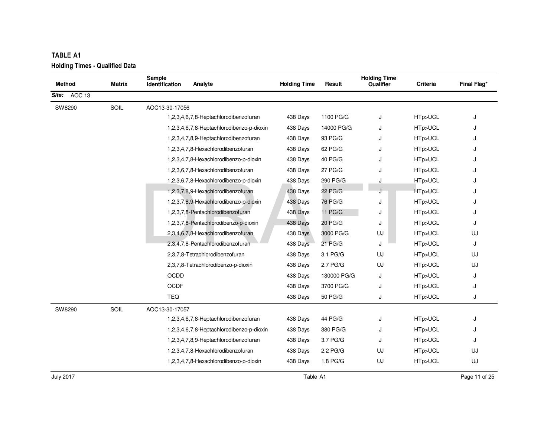| <b>TABLE A1</b> |                                       |                                 |                                           |                     |             |                                  |          |             |  |  |  |
|-----------------|---------------------------------------|---------------------------------|-------------------------------------------|---------------------|-------------|----------------------------------|----------|-------------|--|--|--|
|                 | <b>Holding Times - Qualified Data</b> |                                 |                                           |                     |             |                                  |          |             |  |  |  |
| <b>Method</b>   | Matrix                                | Sample<br><b>Identification</b> | Analyte                                   | <b>Holding Time</b> | Result      | <b>Holding Time</b><br>Qualifier | Criteria | Final Flag* |  |  |  |
| AOC 13<br>Site: |                                       |                                 |                                           |                     |             |                                  |          |             |  |  |  |
| SW8290          | SOIL                                  | AOC13-30-17056                  |                                           |                     |             |                                  |          |             |  |  |  |
|                 |                                       |                                 | 1,2,3,4,6,7,8-Heptachlorodibenzofuran     | 438 Days            | 1100 PG/G   | J                                | HTp>UCL  | J           |  |  |  |
|                 |                                       |                                 | 1,2,3,4,6,7,8-Heptachlorodibenzo-p-dioxin | 438 Days            | 14000 PG/G  | J                                | HTp>UCL  |             |  |  |  |
|                 |                                       |                                 | 1,2,3,4,7,8,9-Heptachlorodibenzofuran     | 438 Days            | 93 PG/G     | J                                | HTp>UCL  | J           |  |  |  |
|                 |                                       |                                 | 1,2,3,4,7,8-Hexachlorodibenzofuran        | 438 Days            | 62 PG/G     | J                                | HTp>UCL  | J           |  |  |  |
|                 |                                       |                                 | 1,2,3,4,7,8-Hexachlorodibenzo-p-dioxin    | 438 Days            | 40 PG/G     | J                                | HTp>UCL  |             |  |  |  |
|                 |                                       |                                 | 1,2,3,6,7,8-Hexachlorodibenzofuran        | 438 Days            | 27 PG/G     | J                                | HTp>UCL  | J           |  |  |  |
|                 |                                       |                                 | 1,2,3,6,7,8-Hexachlorodibenzo-p-dioxin    | 438 Days            | 290 PG/G    | J                                | HTp>UCL  | J           |  |  |  |
|                 |                                       |                                 | 1,2,3,7,8,9-Hexachlorodibenzofuran        | 438 Days            | 22 PG/G     | J                                | HTp>UCL  | J           |  |  |  |
|                 |                                       |                                 | 1,2,3,7,8,9-Hexachlorodibenzo-p-dioxin    | 438 Days            | 76 PG/G     | J                                | HTp>UCL  |             |  |  |  |
|                 |                                       |                                 | 1,2,3,7,8-Pentachlorodibenzofuran         | 438 Days            | 11 PG/G     | J                                | HTp>UCL  | J           |  |  |  |
|                 |                                       |                                 | 1,2,3,7,8-Pentachlorodibenzo-p-dioxin     | 438 Days            | 20 PG/G     | J                                | HTp>UCL  | J           |  |  |  |
|                 |                                       |                                 | 2,3,4,6,7,8-Hexachlorodibenzofuran        | 438 Days            | 3000 PG/G   | UJ                               | HTp>UCL  | UJ          |  |  |  |
|                 |                                       |                                 | 2,3,4,7,8-Pentachlorodibenzofuran         | 438 Days            | 21 PG/G     | J                                | HTp>UCL  | J           |  |  |  |
|                 |                                       |                                 | 2,3,7,8-Tetrachlorodibenzofuran           | 438 Days            | 3.1 PG/G    | UJ                               | HTp>UCL  | UJ          |  |  |  |
|                 |                                       |                                 | 2,3,7,8-Tetrachlorodibenzo-p-dioxin       | 438 Days            | 2.7 PG/G    | UJ                               | HTp>UCL  | UJ          |  |  |  |
|                 |                                       | <b>OCDD</b>                     |                                           | 438 Days            | 130000 PG/G | J                                | HTp>UCL  | J           |  |  |  |
|                 |                                       | <b>OCDF</b>                     |                                           | 438 Days            | 3700 PG/G   | J                                | HTp>UCL  | J           |  |  |  |
|                 |                                       | <b>TEQ</b>                      |                                           | 438 Days            | 50 PG/G     | J                                | HTp>UCL  | J           |  |  |  |
| SW8290          | SOIL                                  | AOC13-30-17057                  |                                           |                     |             |                                  |          |             |  |  |  |
|                 |                                       |                                 | 1,2,3,4,6,7,8-Heptachlorodibenzofuran     | 438 Days            | 44 PG/G     | J                                | HTp>UCL  | J           |  |  |  |
|                 |                                       |                                 | 1,2,3,4,6,7,8-Heptachlorodibenzo-p-dioxin | 438 Days            | 380 PG/G    | J                                | HTp>UCL  | J           |  |  |  |
|                 |                                       |                                 | 1,2,3,4,7,8,9-Heptachlorodibenzofuran     | 438 Days            | 3.7 PG/G    | J                                | HTp>UCL  | J           |  |  |  |
|                 |                                       |                                 | 1,2,3,4,7,8-Hexachlorodibenzofuran        | 438 Days            | 2.2 PG/G    | UJ                               | HTp>UCL  | UJ          |  |  |  |
|                 |                                       |                                 | 1,2,3,4,7,8-Hexachlorodibenzo-p-dioxin    | 438 Days            | 1.8 PG/G    | UJ                               | HTp>UCL  | UJ          |  |  |  |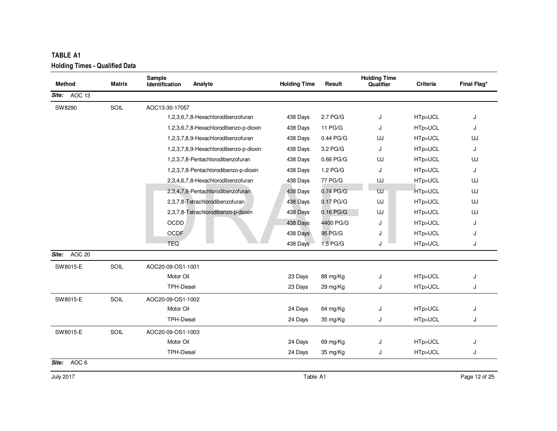| <b>Method</b>   | <b>Matrix</b> | Sample<br>Identification | Analyte                                | <b>Holding Time</b> | Result              | <b>Holding Time</b><br>Qualifier | Criteria | Final Flag* |
|-----------------|---------------|--------------------------|----------------------------------------|---------------------|---------------------|----------------------------------|----------|-------------|
| AOC 13<br>Site: |               |                          |                                        |                     |                     |                                  |          |             |
| SW8290          | SOIL          | AOC13-30-17057           |                                        |                     |                     |                                  |          |             |
|                 |               |                          | 1,2,3,6,7,8-Hexachlorodibenzofuran     | 438 Days            | 2.7 <sub>PG/G</sub> | J                                | HTp>UCL  | J           |
|                 |               |                          | 1,2,3,6,7,8-Hexachlorodibenzo-p-dioxin | 438 Days            | 11 PG/G             | J                                | HTp>UCL  | J           |
|                 |               |                          | 1,2,3,7,8,9-Hexachlorodibenzofuran     | 438 Days            | 0.44 PG/G           | UJ                               | HTp>UCL  | UJ          |
|                 |               |                          | 1,2,3,7,8,9-Hexachlorodibenzo-p-dioxin | 438 Days            | 3.2 PG/G            | J                                | HTp>UCL  | J           |
|                 |               |                          | 1,2,3,7,8-Pentachlorodibenzofuran      | 438 Days            | 0.66 PG/G           | UJ                               | HTp>UCL  | UJ          |
|                 |               |                          | 1,2,3,7,8-Pentachlorodibenzo-p-dioxin  | 438 Days            | 1.2 PG/G            | J                                | HTp>UCL  | J           |
|                 |               |                          | 2,3,4,6,7,8-Hexachlorodibenzofuran     | 438 Days            | 77 PG/G             | UJ                               | HTp>UCL  | UJ          |
|                 |               |                          | 2,3,4,7,8-Pentachlorodibenzofuran      | 438 Days            | 0.74 PG/G           | UJ                               | HTp>UCL  | UJ          |
|                 |               |                          | 2,3,7,8-Tetrachlorodibenzofuran        | 438 Days            | 0.17 PG/G           | UJ                               | HTp>UCL  | UJ          |
|                 |               |                          | 2,3,7,8-Tetrachlorodibenzo-p-dioxin    | 438 Days            | $0.16$ PG/G         | UJ                               | HTp>UCL  | UJ          |
|                 |               | <b>OCDD</b>              |                                        | 438 Days            | 4400 PG/G           | J                                | HTp>UCL  | J           |
|                 |               | <b>OCDF</b>              |                                        | 438 Days            | 95 PG/G             | J                                | HTp>UCL  | J           |
|                 |               | <b>TEQ</b>               |                                        | 438 Days            | 1.5 PG/G            | J                                | HTp>UCL  | J           |
| AOC 20<br>Site: |               |                          |                                        |                     |                     |                                  |          |             |
| SW8015-E        | SOIL          | AOC20-09-OS1-1001        |                                        |                     |                     |                                  |          |             |
|                 |               | Motor Oil                |                                        | 23 Days             | 88 mg/Kg            | J                                | HTp>UCL  | J           |
|                 |               | <b>TPH-Diesel</b>        |                                        | 23 Days             | 29 mg/Kg            | J                                | HTp>UCL  | J           |
| SW8015-E        | SOIL          | AOC20-09-OS1-1002        |                                        |                     |                     |                                  |          |             |
|                 |               | Motor Oil                |                                        | 24 Days             | 64 mg/Kg            | J                                | HTp>UCL  | J           |
|                 |               | <b>TPH-Diesel</b>        |                                        | 24 Days             | 35 mg/Kg            | J                                | HTp>UCL  | J           |
| SW8015-E        | SOIL          | AOC20-09-OS1-1003        |                                        |                     |                     |                                  |          |             |
|                 |               | Motor Oil                |                                        | 24 Days             | 69 mg/Kg            | J                                | HTp>UCL  | J           |
|                 |               | <b>TPH-Diesel</b>        |                                        | 24 Days             | 35 mg/Kg            | J                                | HTp>UCL  | J           |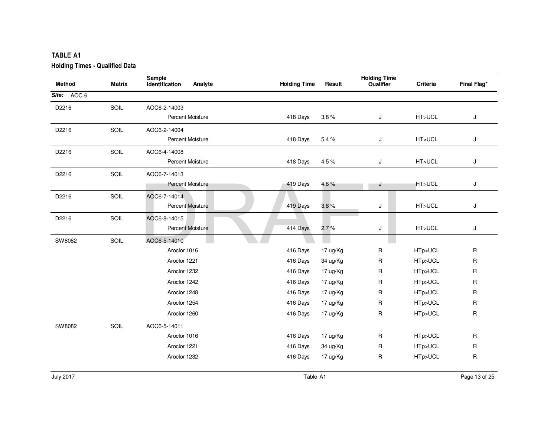| <b>TABLE A1</b>                       |        |                                     |                     |          |                                  |          |             |
|---------------------------------------|--------|-------------------------------------|---------------------|----------|----------------------------------|----------|-------------|
| <b>Holding Times - Qualified Data</b> |        |                                     |                     |          |                                  |          |             |
| <b>Method</b>                         | Matrix | Sample<br>Analyte<br>Identification | <b>Holding Time</b> | Result   | <b>Holding Time</b><br>Qualifier | Criteria | Final Flag* |
| Site: AOC 6                           |        |                                     |                     |          |                                  |          |             |
| D2216                                 | SOIL   | AOC6-2-14003                        |                     |          |                                  |          |             |
|                                       |        | Percent Moisture                    | 418 Days            | 3.8%     | J                                | HT>UCL   | J           |
| D2216                                 | SOIL   | AOC6-2-14004                        |                     |          |                                  |          |             |
|                                       |        | <b>Percent Moisture</b>             | 418 Days            | 5.4%     | J                                | HT>UCL   | J           |
| D2216                                 | SOIL   | AOC6-4-14008                        |                     |          |                                  |          |             |
|                                       |        | <b>Percent Moisture</b>             | 418 Days            | 4.5%     | J                                | HT>UCL   | J           |
| D2216                                 | SOIL   | AOC6-7-14013                        |                     |          |                                  |          |             |
|                                       |        | <b>Percent Moisture</b>             | 419 Days            | 4.8%     | J                                | HT>UCL   | J           |
| D2216                                 | SOIL   | AOC6-7-14014                        |                     |          |                                  |          |             |
|                                       |        | Percent Moisture                    | 419 Days            | 3.8%     | J                                | HT>UCL   | J           |
| D2216                                 | SOIL   | AOC6-8-14015                        |                     |          |                                  |          |             |
|                                       |        | Percent Moisture                    | 414 Days            | 2.7%     | J                                | HT>UCL   | J           |
| SW8082                                | SOIL   | AOC6-5-14010                        |                     |          |                                  |          |             |
|                                       |        | Aroclor 1016                        | 416 Days            | 17 ug/Kg | R                                | HTp>UCL  | R           |
|                                       |        | Aroclor 1221                        | 416 Days            | 34 ug/Kg | R                                | HTp>UCL  | R           |
|                                       |        | Aroclor 1232                        | 416 Days            | 17 ug/Kg | R                                | HTp>UCL  | R           |
|                                       |        | Aroclor 1242                        | 416 Days            | 17 ug/Kg | R                                | HTp>UCL  | R           |
|                                       |        | Aroclor 1248                        | 416 Days            | 17 ug/Kg | R                                | HTp>UCL  | R           |
|                                       |        | Aroclor 1254                        | 416 Days            | 17 ug/Kg | R                                | HTp>UCL  | R           |
|                                       |        | Aroclor 1260                        | 416 Days            | 17 ug/Kg | R                                | HTp>UCL  | R           |
| SW8082                                | SOIL   | AOC6-5-14011                        |                     |          |                                  |          |             |
|                                       |        | Aroclor 1016                        | 416 Days            | 17 ug/Kg | R                                | HTp>UCL  | R           |
|                                       |        | Aroclor 1221                        | 416 Days            | 34 ug/Kg | R                                | HTp>UCL  | R           |
|                                       |        | Aroclor 1232                        | 416 Days            | 17 ug/Kg | R                                | HTp>UCL  | R           |
|                                       |        |                                     |                     |          |                                  |          |             |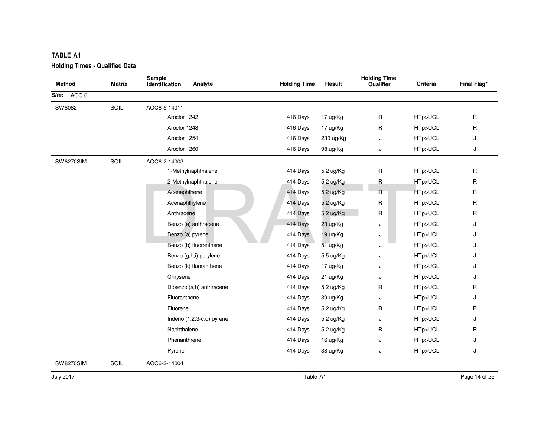| <b>Method</b>    | Matrix | Sample<br>Analyte<br>Identification | <b>Holding Time</b> | Result    | <b>Holding Time</b><br>Qualifier | Criteria | Final Flag*  |
|------------------|--------|-------------------------------------|---------------------|-----------|----------------------------------|----------|--------------|
| Site: AOC 6      |        |                                     |                     |           |                                  |          |              |
| SW8082           | SOIL   | AOC6-5-14011                        |                     |           |                                  |          |              |
|                  |        | Aroclor 1242                        | 416 Days            | 17 ug/Kg  | R                                | HTp>UCL  | R            |
|                  |        | Aroclor 1248                        | 416 Days            | 17 ug/Kg  | R                                | HTp>UCL  | $\mathsf{R}$ |
|                  |        | Aroclor 1254                        | 416 Days            | 230 ug/Kg | J                                | HTp>UCL  | J            |
|                  |        | Aroclor 1260                        | 416 Days            | 98 ug/Kg  | J                                | HTp>UCL  | J            |
| <b>SW8270SIM</b> | SOIL   | AOC6-2-14003                        |                     |           |                                  |          |              |
|                  |        | 1-Methylnaphthalene                 | 414 Days            | 5.2 ug/Kg | R                                | HTp>UCL  | R            |
|                  |        | 2-Methylnaphthalene                 | 414 Days            | 5.2 ug/Kg | $\mathsf R$                      | HTp>UCL  | $\mathsf{R}$ |
|                  |        | Acenaphthene                        | 414 Days            | 5.2 ug/Kg | R                                | HTp>UCL  | R            |
|                  |        | Acenaphthylene                      | 414 Days            | 5.2 ug/Kg | R                                | HTp>UCL  | $\mathsf{R}$ |
|                  |        | Anthracene                          | 414 Days            | 5.2 ug/Kg | R                                | HTp>UCL  | $\mathsf{R}$ |
|                  |        | Benzo (a) anthracene                | 414 Days            | 23 ug/Kg  | J                                | HTp>UCL  | J            |
|                  |        | Benzo (a) pyrene                    | 414 Days            | 19 ug/Kg  | J                                | HTp>UCL  | J            |
|                  |        | Benzo (b) fluoranthene              | 414 Days            | 51 ug/Kg  | J                                | HTp>UCL  | J            |
|                  |        | Benzo (g,h,i) perylene              | 414 Days            | 5.5 ug/Kg | J                                | HTp>UCL  | J            |
|                  |        | Benzo (k) fluoranthene              | 414 Days            | 17 ug/Kg  | J                                | HTp>UCL  | J            |
|                  |        | Chrysene                            | 414 Days            | 21 ug/Kg  | J                                | HTp>UCL  | J            |
|                  |        | Dibenzo (a,h) anthracene            | 414 Days            | 5.2 ug/Kg | R                                | HTp>UCL  | R            |
|                  |        | Fluoranthene                        | 414 Days            | 39 ug/Kg  | J                                | HTp>UCL  | J            |
|                  |        | Fluorene                            | 414 Days            | 5.2 ug/Kg | R                                | HTp>UCL  | R            |
|                  |        | Indeno (1,2,3-c,d) pyrene           | 414 Days            | 5.2 ug/Kg | J                                | HTp>UCL  | J            |
|                  |        | Naphthalene                         | 414 Days            | 5.2 ug/Kg | R                                | HTp>UCL  | R            |
|                  |        | Phenanthrene                        | 414 Days            | 16 ug/Kg  | J                                | HTp>UCL  | J            |
|                  |        | Pyrene                              | 414 Days            | 38 ug/Kg  | J                                | HTp>UCL  | J            |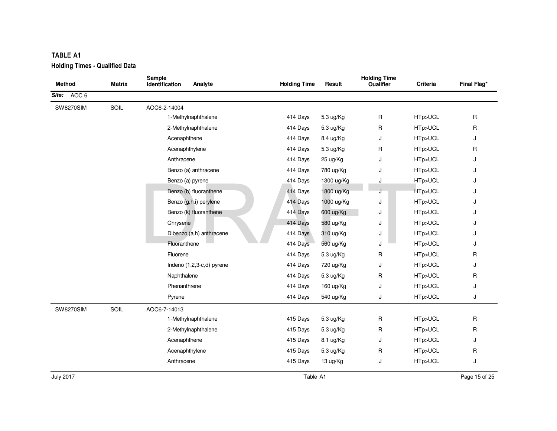| <b>TABLE A1</b>                       |               |                                     |                     |            |                                  |          |                    |
|---------------------------------------|---------------|-------------------------------------|---------------------|------------|----------------------------------|----------|--------------------|
| <b>Holding Times - Qualified Data</b> |               |                                     |                     |            |                                  |          |                    |
| <b>Method</b>                         | <b>Matrix</b> | Sample<br>Analyte<br>Identification | <b>Holding Time</b> | Result     | <b>Holding Time</b><br>Qualifier | Criteria | <b>Final Flag*</b> |
| AOC 6<br>Site:                        |               |                                     |                     |            |                                  |          |                    |
| <b>SW8270SIM</b>                      | SOIL          | AOC6-2-14004                        |                     |            |                                  |          |                    |
|                                       |               | 1-Methylnaphthalene                 | 414 Days            | 5.3 ug/Kg  | $\mathsf{R}$                     | HTp>UCL  | R                  |
|                                       |               | 2-Methylnaphthalene                 | 414 Days            | 5.3 ug/Kg  | R                                | HTp>UCL  | R                  |
|                                       |               | Acenaphthene                        | 414 Days            | 8.4 ug/Kg  | J                                | HTp>UCL  | J                  |
|                                       |               | Acenaphthylene                      | 414 Days            | 5.3 ug/Kg  | R                                | HTp>UCL  | R                  |
|                                       |               | Anthracene                          | 414 Days            | 25 ug/Kg   | J                                | HTp>UCL  | J                  |
|                                       |               | Benzo (a) anthracene                | 414 Days            | 780 ug/Kg  | J                                | HTp>UCL  | J                  |
|                                       |               | Benzo (a) pyrene                    | 414 Days            | 1300 ug/Kg | J                                | HTp>UCL  | J                  |
|                                       |               | Benzo (b) fluoranthene              | 414 Days            | 1800 ug/Kg |                                  | HTp>UCL  | J                  |
|                                       |               | Benzo (g,h,i) perylene              | 414 Days            | 1000 ug/Kg | J                                | HTp>UCL  | J                  |
|                                       |               | Benzo (k) fluoranthene              | 414 Days            | 600 ug/Kg  | J                                | HTp>UCL  | J                  |
|                                       |               | Chrysene                            | 414 Days            | 580 ug/Kg  | J                                | HTp>UCL  | J                  |
|                                       |               | Dibenzo (a,h) anthracene            | 414 Days            | 310 ug/Kg  | J                                | HTp>UCL  | J                  |
|                                       |               | Fluoranthene                        | 414 Days            | 560 ug/Kg  | J                                | HTp>UCL  | J                  |
|                                       |               | Fluorene                            | 414 Days            | 5.3 ug/Kg  | R                                | HTp>UCL  | R                  |
|                                       |               | Indeno (1,2,3-c,d) pyrene           | 414 Days            | 720 ug/Kg  | J                                | HTp>UCL  | J                  |
|                                       |               | Naphthalene                         | 414 Days            | 5.3 ug/Kg  | $\mathsf{R}$                     | HTp>UCL  | R                  |
|                                       |               | Phenanthrene                        | 414 Days            | 160 ug/Kg  | J                                | HTp>UCL  | J                  |
|                                       |               | Pyrene                              | 414 Days            | 540 ug/Kg  | J                                | HTp>UCL  | J                  |
| <b>SW8270SIM</b>                      | SOIL          | AOC6-7-14013                        |                     |            |                                  |          |                    |
|                                       |               | 1-Methylnaphthalene                 | 415 Days            | 5.3 ug/Kg  | $\mathsf{R}$                     | HTp>UCL  | R                  |
|                                       |               | 2-Methylnaphthalene                 | 415 Days            | 5.3 ug/Kg  | R                                | HTp>UCL  | R                  |
|                                       |               | Acenaphthene                        | 415 Days            | 8.1 ug/Kg  | J                                | HTp>UCL  | J                  |
|                                       |               | Acenaphthylene                      | 415 Days            | 5.3 ug/Kg  | R                                | HTp>UCL  | R                  |
|                                       |               | Anthracene                          | 415 Days            | 13 ug/Kg   | J                                | HTp>UCL  | J                  |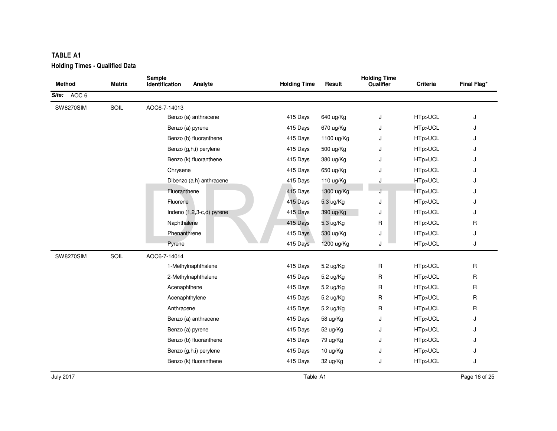| <b>TABLE A1</b><br><b>Holding Times - Qualified Data</b> |        |                                     |                     |            |                                  |                 |             |
|----------------------------------------------------------|--------|-------------------------------------|---------------------|------------|----------------------------------|-----------------|-------------|
| <b>Method</b>                                            | Matrix | Sample<br>Identification<br>Analyte | <b>Holding Time</b> | Result     | <b>Holding Time</b><br>Qualifier | <b>Criteria</b> | Final Flag* |
| Site: AOC 6                                              |        |                                     |                     |            |                                  |                 |             |
| <b>SW8270SIM</b>                                         | SOIL   | AOC6-7-14013                        |                     |            |                                  |                 |             |
|                                                          |        | Benzo (a) anthracene                | 415 Days            | 640 ug/Kg  | J                                | HTp>UCL         | J           |
|                                                          |        | Benzo (a) pyrene                    | 415 Days            | 670 ug/Kg  | J                                | HTp>UCL         | J           |
|                                                          |        | Benzo (b) fluoranthene              | 415 Days            | 1100 ug/Kg | J                                | HTp>UCL         | J           |
|                                                          |        | Benzo (g,h,i) perylene              | 415 Days            | 500 ug/Kg  | J                                | HTp>UCL         | J           |
|                                                          |        | Benzo (k) fluoranthene              | 415 Days            | 380 ug/Kg  | J                                | HTp>UCL         | J           |
|                                                          |        | Chrysene                            | 415 Days            | 650 ug/Kg  | J                                | HTp>UCL         | J           |
|                                                          |        | Dibenzo (a,h) anthracene            | 415 Days            | 110 ug/Kg  | J                                | HTp>UCL         | J           |
|                                                          |        | Fluoranthene                        | 415 Days            | 1300 ug/Kg |                                  | HTp>UCL         | J           |
|                                                          |        | Fluorene                            | 415 Days            | 5.3 ug/Kg  | J                                | HTp>UCL         | J           |
|                                                          |        | Indeno (1,2,3-c,d) pyrene           | 415 Days            | 390 ug/Kg  | J                                | HTp>UCL         | J           |
|                                                          |        | Naphthalene                         | 415 Days            | 5.3 ug/Kg  | R                                | HTp>UCL         | R           |
|                                                          |        | Phenanthrene                        | 415 Days            | 530 ug/Kg  | J                                | HTp>UCL         | J           |
|                                                          |        | Pyrene                              | 415 Days            | 1200 ug/Kg | J                                | HTp>UCL         | J           |
| <b>SW8270SIM</b>                                         | SOIL   | AOC6-7-14014                        |                     |            |                                  |                 |             |
|                                                          |        | 1-Methylnaphthalene                 | 415 Days            | 5.2 ug/Kg  | $\mathsf{R}$                     | HTp>UCL         | R           |
|                                                          |        | 2-Methylnaphthalene                 | 415 Days            | 5.2 ug/Kg  | $\mathsf{R}$                     | HTp>UCL         | R           |
|                                                          |        | Acenaphthene                        | 415 Days            | 5.2 ug/Kg  | R                                | HTp>UCL         | R           |
|                                                          |        | Acenaphthylene                      | 415 Days            | 5.2 ug/Kg  | R                                | HTp>UCL         | R           |
|                                                          |        | Anthracene                          | 415 Days            | 5.2 ug/Kg  | R                                | HTp>UCL         | R           |
|                                                          |        | Benzo (a) anthracene                | 415 Days            | 58 ug/Kg   | J                                | HTp>UCL         | J           |
|                                                          |        | Benzo (a) pyrene                    | 415 Days            | 52 ug/Kg   | J                                | HTp>UCL         | J           |
|                                                          |        | Benzo (b) fluoranthene              | 415 Days            | 79 ug/Kg   | J                                | HTp>UCL         | J           |
|                                                          |        | Benzo (g,h,i) perylene              | 415 Days            | 10 ug/Kg   | J                                | HTp>UCL         | J           |
|                                                          |        | Benzo (k) fluoranthene              | 415 Days            | 32 ug/Kg   | J                                | HTp>UCL         | J           |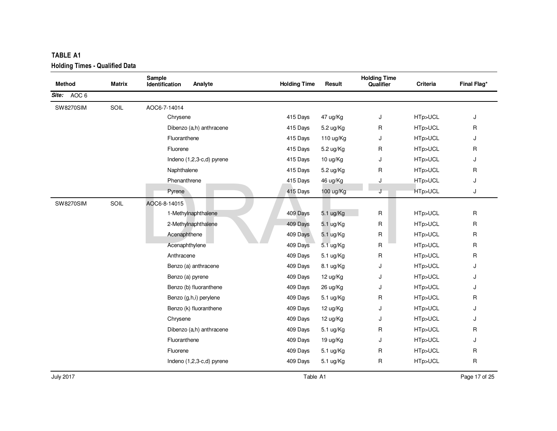| <b>Method</b>    | Matrix | Sample<br>Identification<br>Analyte | <b>Holding Time</b> | Result    | <b>Holding Time</b><br>Qualifier | <b>Criteria</b> | Final Flag*  |
|------------------|--------|-------------------------------------|---------------------|-----------|----------------------------------|-----------------|--------------|
| Site: AOC 6      |        |                                     |                     |           |                                  |                 |              |
|                  |        |                                     |                     |           |                                  |                 |              |
| <b>SW8270SIM</b> | SOIL   | AOC6-7-14014                        |                     |           |                                  |                 |              |
|                  |        | Chrysene                            | 415 Days            | 47 ug/Kg  | J                                | HTp>UCL         | J            |
|                  |        | Dibenzo (a,h) anthracene            | 415 Days            | 5.2 ug/Kg | R                                | HTp>UCL         | R            |
|                  |        | Fluoranthene                        | 415 Days            | 110 ug/Kg | J                                | HTp>UCL         | J            |
|                  |        | Fluorene                            | 415 Days            | 5.2 ug/Kg | R                                | HTp>UCL         | R            |
|                  |        | Indeno (1,2,3-c,d) pyrene           | 415 Days            | 10 ug/Kg  | J                                | HTp>UCL         | J            |
|                  |        | Naphthalene                         | 415 Days            | 5.2 ug/Kg | R                                | HTp>UCL         | R            |
|                  |        | Phenanthrene                        | 415 Days            | 46 ug/Kg  | J                                | HTp>UCL         | J            |
|                  |        | Pyrene                              | 415 Days            | 100 ug/Kg | J                                | HTp>UCL         | J            |
| <b>SW8270SIM</b> | SOIL   | AOC6-8-14015                        |                     |           |                                  |                 |              |
|                  |        | 1-Methylnaphthalene                 | 409 Days            | 5.1 ug/Kg | R                                | HTp>UCL         | R            |
|                  |        | 2-Methylnaphthalene                 | 409 Days            | 5.1 ug/Kg | R                                | HTp>UCL         | $\mathsf{R}$ |
|                  |        | Acenaphthene                        | 409 Days            | 5.1 ug/Kg | R                                | HTp>UCL         | $\mathsf{R}$ |
|                  |        | Acenaphthylene                      | 409 Days            | 5.1 ug/Kg | R                                | HTp>UCL         | R            |
|                  |        | Anthracene                          | 409 Days            | 5.1 ug/Kg | R                                | HTp>UCL         | R            |
|                  |        | Benzo (a) anthracene                | 409 Days            | 8.1 ug/Kg | J                                | HTp>UCL         | J            |
|                  |        | Benzo (a) pyrene                    | 409 Days            | 12 ug/Kg  | J                                | HTp>UCL         | J            |
|                  |        | Benzo (b) fluoranthene              | 409 Days            | 26 ug/Kg  | J                                | HTp>UCL         | J            |
|                  |        | Benzo (g,h,i) perylene              | 409 Days            | 5.1 ug/Kg | R                                | HTp>UCL         | R            |
|                  |        | Benzo (k) fluoranthene              | 409 Days            | 12 ug/Kg  | J                                | HTp>UCL         | J            |
|                  |        | Chrysene                            | 409 Days            | 12 ug/Kg  | J                                | HTp>UCL         | J            |
|                  |        | Dibenzo (a,h) anthracene            | 409 Days            | 5.1 ug/Kg | R                                | HTp>UCL         | R            |
|                  |        | Fluoranthene                        | 409 Days            | 19 ug/Kg  | J                                | HTp>UCL         | J            |
|                  |        | Fluorene                            | 409 Days            | 5.1 ug/Kg | R                                | HTp>UCL         | R            |
|                  |        | Indeno (1,2,3-c,d) pyrene           | 409 Days            | 5.1 ug/Kg | R                                | HTp>UCL         | $\mathsf{R}$ |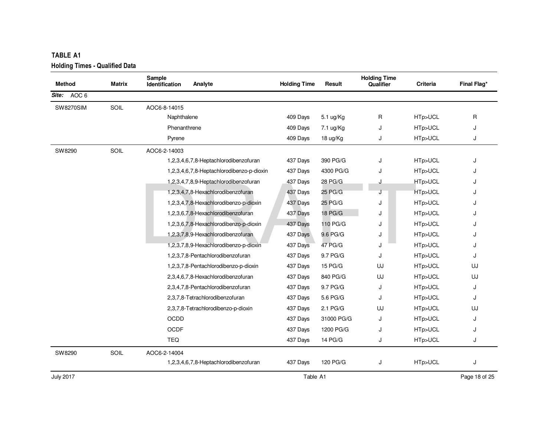| <b>TABLE A1</b><br><b>Holding Times - Qualified Data</b> |               |                                            |                     |            |                                  |          |               |
|----------------------------------------------------------|---------------|--------------------------------------------|---------------------|------------|----------------------------------|----------|---------------|
| <b>Method</b>                                            | <b>Matrix</b> | Sample<br><b>Identification</b><br>Analyte | <b>Holding Time</b> | Result     | <b>Holding Time</b><br>Qualifier | Criteria | Final Flag*   |
| AOC <sub>6</sub><br>Site:                                |               |                                            |                     |            |                                  |          |               |
| <b>SW8270SIM</b>                                         | SOIL          | AOC6-8-14015                               |                     |            |                                  |          |               |
|                                                          |               | Naphthalene                                | 409 Days            | 5.1 ug/Kg  | R                                | HTp>UCL  | $\mathsf{R}$  |
|                                                          |               | Phenanthrene                               | 409 Days            | 7.1 ug/Kg  | J                                | HTp>UCL  | J             |
|                                                          |               | Pyrene                                     | 409 Days            | 18 ug/Kg   | J                                | HTp>UCL  | J             |
| SW8290                                                   | SOIL          | AOC6-2-14003                               |                     |            |                                  |          |               |
|                                                          |               | 1,2,3,4,6,7,8-Heptachlorodibenzofuran      | 437 Days            | 390 PG/G   | J                                | HTp>UCL  | J             |
|                                                          |               | 1,2,3,4,6,7,8-Heptachlorodibenzo-p-dioxin  | 437 Days            | 4300 PG/G  | J                                | HTp>UCL  |               |
|                                                          |               | 1,2,3,4,7,8,9-Heptachlorodibenzofuran      | 437 Days            | 28 PG/G    | J                                | HTp>UCL  | J.            |
|                                                          |               | 1,2,3,4,7,8-Hexachlorodibenzofuran         | 437 Days            | 25 PG/G    |                                  | HTp>UCL  | J             |
|                                                          |               | 1,2,3,4,7,8-Hexachlorodibenzo-p-dioxin     | 437 Days            | 25 PG/G    | J                                | HTp>UCL  | J             |
|                                                          |               | 1,2,3,6,7,8-Hexachlorodibenzofuran         | 437 Days            | 18 PG/G    | J                                | HTp>UCL  | J             |
|                                                          |               | 1,2,3,6,7,8-Hexachlorodibenzo-p-dioxin     | 437 Days            | 110 PG/G   | J                                | HTp>UCL  |               |
|                                                          |               | 1,2,3,7,8,9-Hexachlorodibenzofuran         | 437 Days            | 9.6 PG/G   | J                                | HTp>UCL  | J             |
|                                                          |               | 1,2,3,7,8,9-Hexachlorodibenzo-p-dioxin     | 437 Days            | 47 PG/G    | J                                | HTp>UCL  | J             |
|                                                          |               | 1,2,3,7,8-Pentachlorodibenzofuran          | 437 Days            | 9.7 PG/G   | J                                | HTp>UCL  | J             |
|                                                          |               | 1,2,3,7,8-Pentachlorodibenzo-p-dioxin      | 437 Days            | 15 PG/G    | UJ                               | HTp>UCL  | UJ            |
|                                                          |               | 2,3,4,6,7,8-Hexachlorodibenzofuran         | 437 Days            | 840 PG/G   | UJ                               | HTp>UCL  | UJ            |
|                                                          |               | 2,3,4,7,8-Pentachlorodibenzofuran          | 437 Days            | 9.7 PG/G   | J                                | HTp>UCL  | J             |
|                                                          |               | 2,3,7,8-Tetrachlorodibenzofuran            | 437 Days            | 5.6 PG/G   | J                                | HTp>UCL  | J             |
|                                                          |               | 2,3,7,8-Tetrachlorodibenzo-p-dioxin        | 437 Days            | 2.1 PG/G   | UJ                               | HTp>UCL  | UJ            |
|                                                          |               | OCDD                                       | 437 Days            | 31000 PG/G | J                                | HTp>UCL  | J             |
|                                                          |               | <b>OCDF</b>                                | 437 Days            | 1200 PG/G  | J                                | HTp>UCL  | J             |
|                                                          |               | <b>TEQ</b>                                 | 437 Days            | 14 PG/G    | J                                | HTp>UCL  | J             |
| SW8290                                                   | SOIL          | AOC6-2-14004                               |                     |            |                                  |          |               |
|                                                          |               | 1,2,3,4,6,7,8-Heptachlorodibenzofuran      | 437 Days            | 120 PG/G   | J                                | HTp>UCL  | J             |
| <b>July 2017</b>                                         |               |                                            | Table A1            |            |                                  |          | Page 18 of 25 |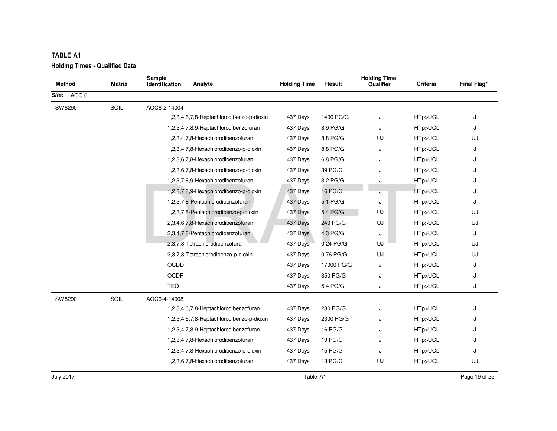| <b>TABLE A1</b>                       |        |                          |                                           |                     |            |                                  |          |             |
|---------------------------------------|--------|--------------------------|-------------------------------------------|---------------------|------------|----------------------------------|----------|-------------|
| <b>Holding Times - Qualified Data</b> |        |                          |                                           |                     |            |                                  |          |             |
| <b>Method</b>                         | Matrix | Sample<br>Identification | Analyte                                   | <b>Holding Time</b> | Result     | <b>Holding Time</b><br>Qualifier | Criteria | Final Flag* |
| AOC 6<br>Site:                        |        |                          |                                           |                     |            |                                  |          |             |
| SW8290                                | SOIL   | AOC6-2-14004             |                                           |                     |            |                                  |          |             |
|                                       |        |                          | 1,2,3,4,6,7,8-Heptachlorodibenzo-p-dioxin | 437 Days            | 1400 PG/G  | J                                | HTp>UCL  | J           |
|                                       |        |                          | 1,2,3,4,7,8,9-Heptachlorodibenzofuran     | 437 Days            | 8.9 PG/G   | J                                | HTp>UCL  | J           |
|                                       |        |                          | 1,2,3,4,7,8-Hexachlorodibenzofuran        | 437 Days            | 8.8 PG/G   | UJ                               | HTp>UCL  | UJ          |
|                                       |        |                          | 1,2,3,4,7,8-Hexachlorodibenzo-p-dioxin    | 437 Days            | 8.8 PG/G   | J                                | HTp>UCL  | J           |
|                                       |        |                          | 1,2,3,6,7,8-Hexachlorodibenzofuran        | 437 Days            | 6.8 PG/G   | J                                | HTp>UCL  | J           |
|                                       |        |                          | 1,2,3,6,7,8-Hexachlorodibenzo-p-dioxin    | 437 Days            | 39 PG/G    | J                                | HTp>UCL  | J           |
|                                       |        |                          | 1,2,3,7,8,9-Hexachlorodibenzofuran        | 437 Days            | 3.2 PG/G   | J                                | HTp>UCL  | J           |
|                                       |        |                          | 1,2,3,7,8,9-Hexachlorodibenzo-p-dioxin    | 437 Days            | 16 PG/G    | J                                | HTp>UCL  | J           |
|                                       |        |                          | 1,2,3,7,8-Pentachlorodibenzofuran         | 437 Days            | 5.1 PG/G   | J                                | HTp>UCL  | J           |
|                                       |        |                          | 1,2,3,7,8-Pentachlorodibenzo-p-dioxin     | 437 Days            | 5.4 PG/G   | UJ                               | HTp>UCL  | UJ          |
|                                       |        |                          | 2,3,4,6,7,8-Hexachlorodibenzofuran        | 437 Days            | 240 PG/G   | UJ                               | HTp>UCL  | UJ          |
|                                       |        |                          | 2,3,4,7,8-Pentachlorodibenzofuran         | 437 Days            | 4.3 PG/G   | J                                | HTp>UCL  | J           |
|                                       |        |                          | 2,3,7,8-Tetrachlorodibenzofuran           | 437 Days            | 0.24 PG/G  | UJ                               | HTp>UCL  | UJ          |
|                                       |        |                          | 2,3,7,8-Tetrachlorodibenzo-p-dioxin       | 437 Days            | 0.76 PG/G  | UJ                               | HTp>UCL  | UJ          |
|                                       |        | <b>OCDD</b>              |                                           | 437 Days            | 17000 PG/G | J                                | HTp>UCL  | J           |
|                                       |        | <b>OCDF</b>              |                                           | 437 Days            | 350 PG/G   | J                                | HTp>UCL  | J           |
|                                       |        | TEQ                      |                                           | 437 Days            | 5.4 PG/G   | J                                | HTp>UCL  | J           |
| SW8290                                | SOIL   | AOC6-4-14008             |                                           |                     |            |                                  |          |             |
|                                       |        |                          | 1,2,3,4,6,7,8-Heptachlorodibenzofuran     | 437 Days            | 230 PG/G   | J                                | HTp>UCL  | J           |
|                                       |        |                          | 1,2,3,4,6,7,8-Heptachlorodibenzo-p-dioxin | 437 Days            | 2300 PG/G  | J                                | HTp>UCL  | J           |
|                                       |        |                          | 1,2,3,4,7,8,9-Heptachlorodibenzofuran     | 437 Days            | 16 PG/G    | J                                | HTp>UCL  |             |
|                                       |        |                          | 1,2,3,4,7,8-Hexachlorodibenzofuran        | 437 Days            | 19 PG/G    | J                                | HTp>UCL  | J           |
|                                       |        |                          | 1,2,3,4,7,8-Hexachlorodibenzo-p-dioxin    | 437 Days            | 15 PG/G    | J                                | HTp>UCL  | J           |
|                                       |        |                          | 1,2,3,6,7,8-Hexachlorodibenzofuran        | 437 Days            | 13 PG/G    | UJ                               | HTp>UCL  | UJ          |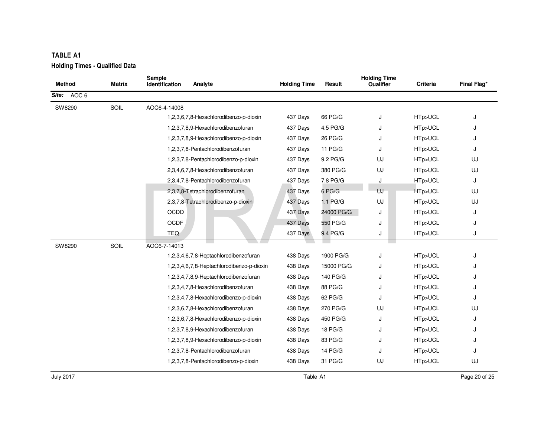July 2017

|               |               | Sample                                    |                     |            | <b>Holding Time</b> |          |             |
|---------------|---------------|-------------------------------------------|---------------------|------------|---------------------|----------|-------------|
| <b>Method</b> | <b>Matrix</b> | Identification<br>Analyte                 | <b>Holding Time</b> | Result     | Qualifier           | Criteria | Final Flag* |
| Site: AOC 6   |               |                                           |                     |            |                     |          |             |
| SW8290        | SOIL          | AOC6-4-14008                              |                     |            |                     |          |             |
|               |               | 1,2,3,6,7,8-Hexachlorodibenzo-p-dioxin    | 437 Days            | 66 PG/G    | J                   | HTp>UCL  | J           |
|               |               | 1,2,3,7,8,9-Hexachlorodibenzofuran        | 437 Days            | 4.5 PG/G   | J                   | HTp>UCL  | J           |
|               |               | 1,2,3,7,8,9-Hexachlorodibenzo-p-dioxin    | 437 Days            | 26 PG/G    | J                   | HTp>UCL  | J           |
|               |               | 1,2,3,7,8-Pentachlorodibenzofuran         | 437 Days            | 11 PG/G    | J                   | HTp>UCL  | J           |
|               |               | 1,2,3,7,8-Pentachlorodibenzo-p-dioxin     | 437 Days            | 9.2 PG/G   | UJ                  | HTp>UCL  | UJ          |
|               |               | 2,3,4,6,7,8-Hexachlorodibenzofuran        | 437 Days            | 380 PG/G   | UJ                  | HTp>UCL  | UJ          |
|               |               | 2,3,4,7,8-Pentachlorodibenzofuran         | 437 Days            | 7.8 PG/G   | J                   | HTp>UCL  | J           |
|               |               | 2,3,7,8-Tetrachlorodibenzofuran           | 437 Days            | 6 PG/G     | UJ                  | HTp>UCL  | UJ          |
|               |               | 2,3,7,8-Tetrachlorodibenzo-p-dioxin       | 437 Days            | 1.1 PG/G   | UJ                  | HTp>UCL  | UJ          |
|               |               | OCDD                                      | 437 Days            | 24000 PG/G | J                   | HTp>UCL  | J           |
|               |               | <b>OCDF</b>                               | 437 Days            | 550 PG/G   | J                   | HTp>UCL  | J           |
|               |               | TEQ                                       | 437 Days            | 9.4 PG/G   | J                   | HTp>UCL  | J           |
| SW8290        | SOIL          | AOC6-7-14013                              |                     |            |                     |          |             |
|               |               | 1,2,3,4,6,7,8-Heptachlorodibenzofuran     | 438 Days            | 1900 PG/G  | J                   | HTp>UCL  | J           |
|               |               | 1,2,3,4,6,7,8-Heptachlorodibenzo-p-dioxin | 438 Days            | 15000 PG/G | J                   | HTp>UCL  | J           |
|               |               | 1,2,3,4,7,8,9-Heptachlorodibenzofuran     | 438 Days            | 140 PG/G   |                     | HTp>UCL  | J           |
|               |               | 1,2,3,4,7,8-Hexachlorodibenzofuran        | 438 Days            | 88 PG/G    | J                   | HTp>UCL  | J           |
|               |               | 1,2,3,4,7,8-Hexachlorodibenzo-p-dioxin    | 438 Days            | 62 PG/G    | J                   | HTp>UCL  | J           |
|               |               | 1,2,3,6,7,8-Hexachlorodibenzofuran        | 438 Days            | 270 PG/G   | UJ                  | HTp>UCL  | UJ          |
|               |               | 1,2,3,6,7,8-Hexachlorodibenzo-p-dioxin    | 438 Days            | 450 PG/G   | J                   | HTp>UCL  | J           |
|               |               | 1,2,3,7,8,9-Hexachlorodibenzofuran        | 438 Days            | 18 PG/G    | J                   | HTp>UCL  | J           |
|               |               | 1,2,3,7,8,9-Hexachlorodibenzo-p-dioxin    | 438 Days            | 83 PG/G    | J                   | HTp>UCL  | J           |
|               |               | 1,2,3,7,8-Pentachlorodibenzofuran         | 438 Days            | 14 PG/G    | J                   | HTp>UCL  | J           |
|               |               | 1,2,3,7,8-Pentachlorodibenzo-p-dioxin     | 438 Days            | 31 PG/G    | UJ                  | HTp>UCL  | UJ          |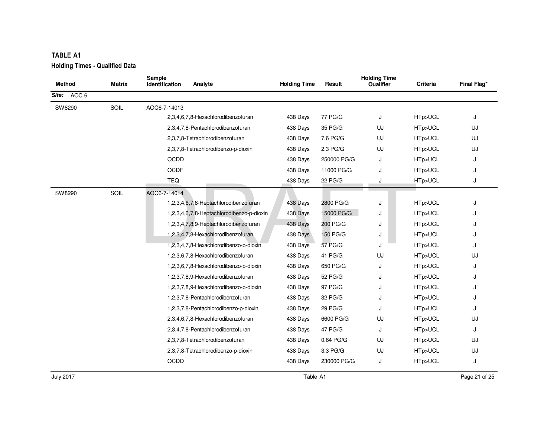| <b>TABLE A1</b><br><b>Holding Times - Qualified Data</b> |        |                                           |                     |             |                                  |          |             |
|----------------------------------------------------------|--------|-------------------------------------------|---------------------|-------------|----------------------------------|----------|-------------|
| <b>Method</b>                                            | Matrix | Sample<br>Analyte<br>Identification       | <b>Holding Time</b> | Result      | <b>Holding Time</b><br>Qualifier | Criteria | Final Flag* |
| AOC 6<br>Site:                                           |        |                                           |                     |             |                                  |          |             |
| SW8290                                                   | SOIL   | AOC6-7-14013                              |                     |             |                                  |          |             |
|                                                          |        | 2,3,4,6,7,8-Hexachlorodibenzofuran        | 438 Days            | 77 PG/G     | J                                | HTp>UCL  | J           |
|                                                          |        | 2,3,4,7,8-Pentachlorodibenzofuran         | 438 Days            | 35 PG/G     | UJ                               | HTp>UCL  | UJ          |
|                                                          |        | 2,3,7,8-Tetrachlorodibenzofuran           | 438 Days            | 7.6 PG/G    | UJ                               | HTp>UCL  | UJ          |
|                                                          |        | 2,3,7,8-Tetrachlorodibenzo-p-dioxin       | 438 Days            | 2.3 PG/G    | UJ                               | HTp>UCL  | UJ          |
|                                                          |        | OCDD                                      | 438 Days            | 250000 PG/G | J                                | HTp>UCL  | J           |
|                                                          |        | <b>OCDF</b>                               | 438 Days            | 11000 PG/G  | J                                | HTp>UCL  | J           |
|                                                          |        | <b>TEQ</b>                                | 438 Days            | 22 PG/G     | J                                | HTp>UCL  | J           |
| SW8290                                                   | SOIL   | AOC6-7-14014                              |                     |             |                                  |          |             |
|                                                          |        | 1,2,3,4,6,7,8-Heptachlorodibenzofuran     | 438 Days            | 2800 PG/G   | J                                | HTp>UCL  | J           |
|                                                          |        | 1,2,3,4,6,7,8-Heptachlorodibenzo-p-dioxin | 438 Days            | 15000 PG/G  | J                                | HTp>UCL  | J           |
|                                                          |        | 1,2,3,4,7,8,9-Heptachlorodibenzofuran     | 438 Days            | 200 PG/G    | J                                | HTp>UCL  | J           |
|                                                          |        | 1,2,3,4,7,8-Hexachlorodibenzofuran        | 438 Days            | 150 PG/G    | J                                | HTp>UCL  | J           |
|                                                          |        | 1,2,3,4,7,8-Hexachlorodibenzo-p-dioxin    | 438 Days            | 57 PG/G     | J                                | HTp>UCL  | J           |
|                                                          |        | 1,2,3,6,7,8-Hexachlorodibenzofuran        | 438 Days            | 41 PG/G     | UJ                               | HTp>UCL  | UJ          |
|                                                          |        | 1,2,3,6,7,8-Hexachlorodibenzo-p-dioxin    | 438 Days            | 650 PG/G    | J                                | HTp>UCL  | J           |
|                                                          |        | 1,2,3,7,8,9-Hexachlorodibenzofuran        | 438 Days            | 52 PG/G     | J                                | HTp>UCL  | J           |
|                                                          |        | 1,2,3,7,8,9-Hexachlorodibenzo-p-dioxin    | 438 Days            | 97 PG/G     | J                                | HTp>UCL  | J           |
|                                                          |        | 1,2,3,7,8-Pentachlorodibenzofuran         | 438 Days            | 32 PG/G     | J                                | HTp>UCL  | J           |
|                                                          |        | 1,2,3,7,8-Pentachlorodibenzo-p-dioxin     | 438 Days            | 29 PG/G     | J                                | HTp>UCL  | J           |
|                                                          |        | 2,3,4,6,7,8-Hexachlorodibenzofuran        | 438 Days            | 6600 PG/G   | UJ                               | HTp>UCL  | UJ          |
|                                                          |        | 2,3,4,7,8-Pentachlorodibenzofuran         | 438 Days            | 47 PG/G     | J                                | HTp>UCL  | J           |
|                                                          |        | 2,3,7,8-Tetrachlorodibenzofuran           | 438 Days            | 0.64 PG/G   | UJ                               | HTp>UCL  | UJ          |
|                                                          |        | 2,3,7,8-Tetrachlorodibenzo-p-dioxin       | 438 Days            | 3.3 PG/G    | UJ                               | HTp>UCL  | UJ          |
|                                                          |        | OCDD                                      | 438 Days            | 230000 PG/G | J                                | HTp>UCL  | J           |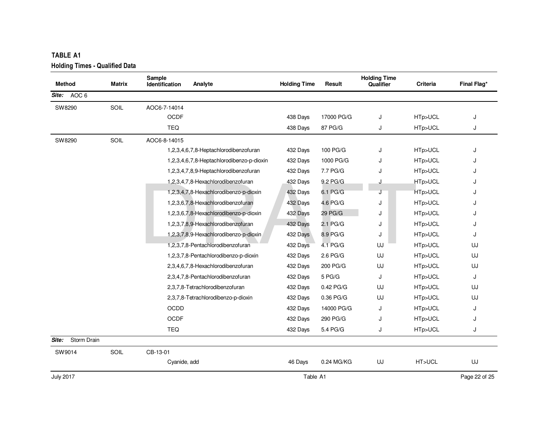| <b>TABLE A1</b>                       |               |                                           |                     |            |                                  |          |               |
|---------------------------------------|---------------|-------------------------------------------|---------------------|------------|----------------------------------|----------|---------------|
| <b>Holding Times - Qualified Data</b> |               |                                           |                     |            |                                  |          |               |
| <b>Method</b>                         | <b>Matrix</b> | Sample<br>Analyte<br>Identification       | <b>Holding Time</b> | Result     | <b>Holding Time</b><br>Qualifier | Criteria | Final Flag*   |
| AOC <sub>6</sub><br>Site:             |               |                                           |                     |            |                                  |          |               |
| SW8290                                | SOIL          | AOC6-7-14014                              |                     |            |                                  |          |               |
|                                       |               | <b>OCDF</b>                               | 438 Days            | 17000 PG/G | J                                | HTp>UCL  | J             |
|                                       |               | <b>TEQ</b>                                | 438 Days            | 87 PG/G    | J                                | HTp>UCL  | J             |
| SW8290                                | SOIL          | AOC6-8-14015                              |                     |            |                                  |          |               |
|                                       |               | 1,2,3,4,6,7,8-Heptachlorodibenzofuran     | 432 Days            | 100 PG/G   | J                                | HTp>UCL  | J             |
|                                       |               | 1,2,3,4,6,7,8-Heptachlorodibenzo-p-dioxin | 432 Days            | 1000 PG/G  | J                                | HTp>UCL  | J             |
|                                       |               | 1,2,3,4,7,8,9-Heptachlorodibenzofuran     | 432 Days            | 7.7 PG/G   | J                                | HTp>UCL  |               |
|                                       |               | 1,2,3,4,7,8-Hexachlorodibenzofuran        | 432 Days            | 9.2 PG/G   | J                                | HTp>UCL  | J             |
|                                       |               | 1,2,3,4,7,8-Hexachlorodibenzo-p-dioxin    | 432 Days            | 6.1 PG/G   |                                  | HTp>UCL  | J             |
|                                       |               | 1,2,3,6,7,8-Hexachlorodibenzofuran        | 432 Days            | 4.6 PG/G   | J                                | HTp>UCL  | J             |
|                                       |               | 1,2,3,6,7,8-Hexachlorodibenzo-p-dioxin    | 432 Days            | 29 PG/G    | J                                | HTp>UCL  | J             |
|                                       |               | 1,2,3,7,8,9-Hexachlorodibenzofuran        | 432 Days            | 2.1 PG/G   | J                                | HTp>UCL  | J             |
|                                       |               | 1,2,3,7,8,9-Hexachlorodibenzo-p-dioxin    | 432 Days            | 8.9 PG/G   | J                                | HTp>UCL  | J             |
|                                       |               | 1,2,3,7,8-Pentachlorodibenzofuran         | 432 Days            | 4.1 PG/G   | UJ                               | HTp>UCL  | UJ            |
|                                       |               | 1,2,3,7,8-Pentachlorodibenzo-p-dioxin     | 432 Days            | 2.6 PG/G   | UJ                               | HTp>UCL  | UJ            |
|                                       |               | 2,3,4,6,7,8-Hexachlorodibenzofuran        | 432 Days            | 200 PG/G   | UJ                               | HTp>UCL  | UJ            |
|                                       |               | 2,3,4,7,8-Pentachlorodibenzofuran         | 432 Days            | 5 PG/G     | J                                | HTp>UCL  | J             |
|                                       |               | 2,3,7,8-Tetrachlorodibenzofuran           | 432 Days            | 0.42 PG/G  | UJ                               | HTp>UCL  | UJ            |
|                                       |               | 2,3,7,8-Tetrachlorodibenzo-p-dioxin       | 432 Days            | 0.36 PG/G  | UJ                               | HTp>UCL  | UJ            |
|                                       |               | <b>OCDD</b>                               | 432 Days            | 14000 PG/G | J                                | HTp>UCL  | J             |
|                                       |               | <b>OCDF</b>                               | 432 Days            | 290 PG/G   | J                                | HTp>UCL  | J             |
|                                       |               | <b>TEQ</b>                                | 432 Days            | 5.4 PG/G   | J                                | HTp>UCL  | J             |
| Site:<br>Storm Drain                  |               |                                           |                     |            |                                  |          |               |
| SW9014                                | SOIL          | CB-13-01                                  |                     |            |                                  |          |               |
|                                       |               | Cyanide, add                              | 46 Days             | 0.24 MG/KG | UJ                               | HT>UCL   | UJ            |
| <b>July 2017</b>                      |               |                                           | Table A1            |            |                                  |          | Page 22 of 25 |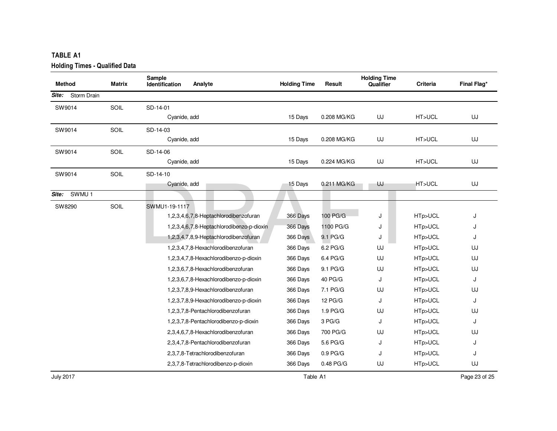| <b>TABLE A1</b>                       |        |                                            |                     |             |                                  |          |             |
|---------------------------------------|--------|--------------------------------------------|---------------------|-------------|----------------------------------|----------|-------------|
| <b>Holding Times - Qualified Data</b> |        |                                            |                     |             |                                  |          |             |
| <b>Method</b>                         | Matrix | Sample<br>Analyte<br><b>Identification</b> | <b>Holding Time</b> | Result      | <b>Holding Time</b><br>Qualifier | Criteria | Final Flag* |
| Storm Drain<br>Site:                  |        |                                            |                     |             |                                  |          |             |
| SW9014                                | SOIL   | SD-14-01                                   |                     |             |                                  |          |             |
|                                       |        | Cyanide, add                               | 15 Days             | 0.208 MG/KG | UJ                               | HT>UCL   | UJ          |
| SW9014                                | SOIL   | SD-14-03                                   |                     |             |                                  |          |             |
|                                       |        | Cyanide, add                               | 15 Days             | 0.208 MG/KG | UJ                               | HT>UCL   | UJ          |
| SW9014                                | SOIL   | SD-14-06                                   |                     |             |                                  |          |             |
|                                       |        | Cyanide, add                               | 15 Days             | 0.224 MG/KG | UJ                               | HT>UCL   | UJ          |
| SW9014                                | SOIL   | SD-14-10                                   |                     |             |                                  |          |             |
|                                       |        | Cyanide, add                               | 15 Days             | 0.211 MG/KG | UJ                               | HT>UCL   | UJ          |
| Site: SWMU 1                          |        |                                            |                     |             |                                  |          |             |
| SW8290                                | SOIL   | SWMU1-19-1117                              |                     |             |                                  |          |             |
|                                       |        | 1,2,3,4,6,7,8-Heptachlorodibenzofuran      | 366 Days            | 100 PG/G    | J                                | HTp>UCL  | J           |
|                                       |        | 1,2,3,4,6,7,8-Heptachlorodibenzo-p-dioxin  | 366 Days            | 1100 PG/G   | J                                | HTp>UCL  | J           |
|                                       |        | 1,2,3,4,7,8,9-Heptachlorodibenzofuran      | 366 Days            | 9.1 PG/G    | J                                | HTp>UCL  | J           |
|                                       |        | 1,2,3,4,7,8-Hexachlorodibenzofuran         | 366 Days            | 6.2 PG/G    | UJ                               | HTp>UCL  | UJ          |
|                                       |        | 1,2,3,4,7,8-Hexachlorodibenzo-p-dioxin     | 366 Days            | 6.4 PG/G    | UJ                               | HTp>UCL  | UJ          |
|                                       |        | 1,2,3,6,7,8-Hexachlorodibenzofuran         | 366 Days            | 9.1 PG/G    | UJ                               | HTp>UCL  | UJ          |
|                                       |        | 1,2,3,6,7,8-Hexachlorodibenzo-p-dioxin     | 366 Days            | 40 PG/G     | J                                | HTp>UCL  | J           |
|                                       |        | 1,2,3,7,8,9-Hexachlorodibenzofuran         | 366 Days            | 7.1 PG/G    | UJ                               | HTp>UCL  | UJ          |
|                                       |        | 1,2,3,7,8,9-Hexachlorodibenzo-p-dioxin     | 366 Days            | 12 PG/G     | J                                | HTp>UCL  | J           |
|                                       |        | 1,2,3,7,8-Pentachlorodibenzofuran          | 366 Days            | 1.9 PG/G    | UJ                               | HTp>UCL  | UJ          |
|                                       |        | 1,2,3,7,8-Pentachlorodibenzo-p-dioxin      | 366 Days            | 3 PG/G      | J                                | HTp>UCL  | J           |
|                                       |        | 2,3,4,6,7,8-Hexachlorodibenzofuran         | 366 Days            | 700 PG/G    | UJ                               | HTp>UCL  | UJ          |
|                                       |        | 2,3,4,7,8-Pentachlorodibenzofuran          | 366 Days            | 5.6 PG/G    | J                                | HTp>UCL  | J           |
|                                       |        | 2,3,7,8-Tetrachlorodibenzofuran            | 366 Days            | 0.9 PG/G    | J                                | HTp>UCL  | J           |
|                                       |        | 2,3,7,8-Tetrachlorodibenzo-p-dioxin        | 366 Days            | 0.48 PG/G   | UJ                               | HTp>UCL  | UJ          |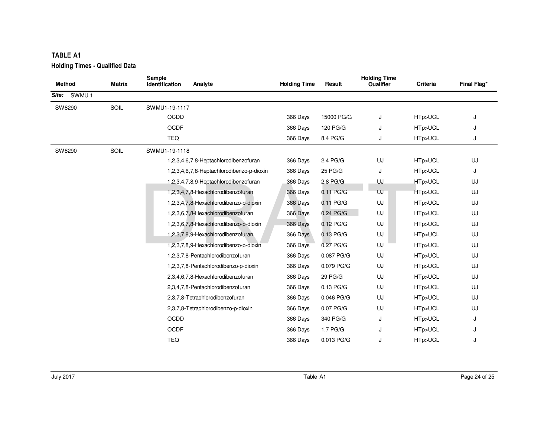| TABLE A1<br><b>Holding Times - Qualified Data</b> |               |                                 |                                           |                     |             |                                  |          |             |
|---------------------------------------------------|---------------|---------------------------------|-------------------------------------------|---------------------|-------------|----------------------------------|----------|-------------|
| <b>Method</b>                                     | <b>Matrix</b> | Sample<br><b>Identification</b> | Analyte                                   | <b>Holding Time</b> | Result      | <b>Holding Time</b><br>Qualifier | Criteria | Final Flag* |
| SWMU <sub>1</sub><br>Site:                        |               |                                 |                                           |                     |             |                                  |          |             |
| SW8290                                            | SOIL          | SWMU1-19-1117                   |                                           |                     |             |                                  |          |             |
|                                                   |               | OCDD                            |                                           | 366 Days            | 15000 PG/G  | J                                | HTp>UCL  | J           |
|                                                   |               | OCDF                            |                                           | 366 Days            | 120 PG/G    | J                                | HTp>UCL  | J           |
|                                                   |               | <b>TEQ</b>                      |                                           | 366 Days            | 8.4 PG/G    | J                                | HTp>UCL  | J           |
| SW8290                                            | SOIL          | SWMU1-19-1118                   |                                           |                     |             |                                  |          |             |
|                                                   |               |                                 | 1,2,3,4,6,7,8-Heptachlorodibenzofuran     | 366 Days            | 2.4 PG/G    | UJ                               | HTp>UCL  | UJ          |
|                                                   |               |                                 | 1,2,3,4,6,7,8-Heptachlorodibenzo-p-dioxin | 366 Days            | 25 PG/G     | J                                | HTp>UCL  | J           |
|                                                   |               |                                 | 1,2,3,4,7,8,9-Heptachlorodibenzofuran     | 366 Days            | 2.8 PG/G    | UJ                               | HTp>UCL  | UJ          |
|                                                   |               |                                 | 1,2,3,4,7,8-Hexachlorodibenzofuran        | 366 Days            | $0.11$ PG/G | UJ                               | HTp>UCL  | UJ          |
|                                                   |               |                                 | 1,2,3,4,7,8-Hexachlorodibenzo-p-dioxin    | 366 Days            | 0.11 PG/G   | UJ                               | HTp>UCL  | UJ          |
|                                                   |               |                                 | 1,2,3,6,7,8-Hexachlorodibenzofuran        | 366 Days            | 0.24 PG/G   | UJ                               | HTp>UCL  | UJ          |
|                                                   |               |                                 | 1,2,3,6,7,8-Hexachlorodibenzo-p-dioxin    | 366 Days            | $0.12$ PG/G | UJ                               | HTp>UCL  | UJ          |
|                                                   |               |                                 | 1,2,3,7,8,9-Hexachlorodibenzofuran        | 366 Days            | $0.13$ PG/G | UJ                               | HTp>UCL  | UJ          |
|                                                   |               |                                 | 1,2,3,7,8,9-Hexachlorodibenzo-p-dioxin    | 366 Days            | 0.27 PG/G   | UJ                               | HTp>UCL  | UJ          |
|                                                   |               |                                 | 1,2,3,7,8-Pentachlorodibenzofuran         | 366 Days            | 0.087 PG/G  | UJ                               | HTp>UCL  | UJ          |
|                                                   |               |                                 | 1,2,3,7,8-Pentachlorodibenzo-p-dioxin     | 366 Days            | 0.079 PG/G  | UJ                               | HTp>UCL  | UJ          |
|                                                   |               |                                 | 2,3,4,6,7,8-Hexachlorodibenzofuran        | 366 Days            | 29 PG/G     | UJ                               | HTp>UCL  | UJ          |
|                                                   |               |                                 | 2,3,4,7,8-Pentachlorodibenzofuran         | 366 Days            | $0.13$ PG/G | UJ                               | HTp>UCL  | UJ          |
|                                                   |               |                                 | 2,3,7,8-Tetrachlorodibenzofuran           | 366 Days            | 0.046 PG/G  | UJ                               | HTp>UCL  | UJ          |
|                                                   |               |                                 | 2,3,7,8-Tetrachlorodibenzo-p-dioxin       | 366 Days            | 0.07 PG/G   | UJ                               | HTp>UCL  | UJ          |
|                                                   |               | OCDD                            |                                           | 366 Days            | 340 PG/G    | J                                | HTp>UCL  | J           |
|                                                   |               | OCDF                            |                                           | 366 Days            | 1.7 PG/G    | J                                | HTp>UCL  | J           |
|                                                   |               | <b>TEQ</b>                      |                                           | 366 Days            | 0.013 PG/G  | J                                | HTp>UCL  | J           |
|                                                   |               |                                 |                                           |                     |             |                                  |          |             |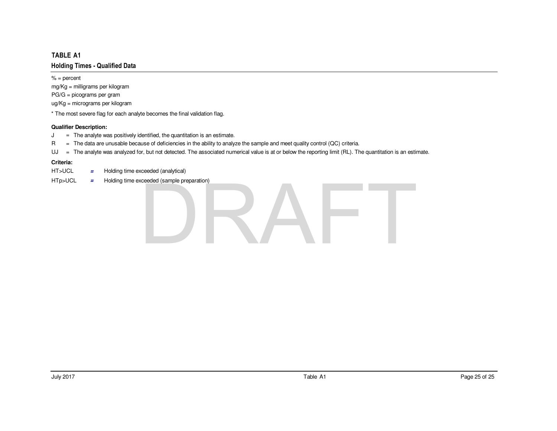$% =$  percent mg/Kg = milligrams per kilogramPG/G = picograms per gramug/Kg = micrograms per kilogram

\* The most severe flag for each analyte becomes the final validation flag.

## **Qualifier Description:**

- The analyte was positively identified, the quantitation is an estimate.  $J =$
- R<sup>=</sup> The data are unusable because of deficiencies in the ability to analyze the sample and meet quality control (QC) criteria.
- UJ <sup>=</sup> The analyte was analyzed for, but not detected. The associated numerical value is at or below the reporting limit (RL). The quantitation is an estimate.

- HT>UCL**<sup>=</sup>** Holding time exceeded (analytical)
- HTp>UCL Holding time exceeded (sample preparation) **<sup>=</sup>**

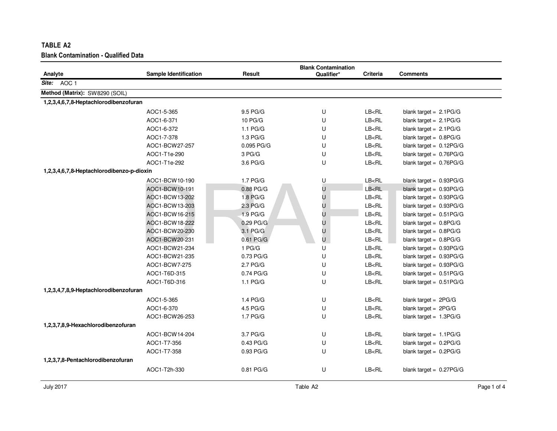| TABLE A2                                    |                              |                   |                            |                                                                   |                           |
|---------------------------------------------|------------------------------|-------------------|----------------------------|-------------------------------------------------------------------|---------------------------|
| <b>Blank Contamination - Qualified Data</b> |                              |                   |                            |                                                                   |                           |
|                                             |                              |                   | <b>Blank Contamination</b> |                                                                   |                           |
| Analyte                                     | <b>Sample Identification</b> | Result            | Qualifier*                 | Criteria                                                          | <b>Comments</b>           |
| Site: AOC 1                                 |                              |                   |                            |                                                                   |                           |
| Method (Matrix): SW8290 (SOIL)              |                              |                   |                            |                                                                   |                           |
| 1,2,3,4,6,7,8-Heptachlorodibenzofuran       |                              |                   |                            |                                                                   |                           |
|                                             | AOC1-5-365                   | 9.5 PG/G          | U                          | LB <rl< td=""><td>blank target = <math>2.1PG/G</math></td></rl<>  | blank target = $2.1PG/G$  |
|                                             | AOC1-6-371                   | 10 PG/G           | U                          | LB < RL                                                           | blank target = $2.1PG/G$  |
|                                             | AOC1-6-372                   | 1.1 PG/G          | U                          | LB < RL                                                           | blank target = $2.1PG/G$  |
|                                             | AOC1-7-378                   | 1.3 PG/G          | U                          | LB < RL                                                           | blank target = $0.8PG/G$  |
|                                             | AOC1-BCW27-257               | 0.095 PG/G        | U                          | LB < RL                                                           | blank target = $0.12PG/G$ |
|                                             | AOC1-T1e-290                 | 3 PG/G            | U                          | LB < R <sub>L</sub>                                               | blank target = $0.76PG/G$ |
|                                             | AOC1-T1e-292                 | 3.6 PG/G          | U                          | LB < RL                                                           | blank target = $0.76PG/G$ |
| 1,2,3,4,6,7,8-Heptachlorodibenzo-p-dioxin   |                              |                   |                            |                                                                   |                           |
|                                             | AOC1-BCW10-190               | 1.7 PG/G          | U                          | LB < RL                                                           | blank target = 0.93PG/G   |
|                                             | AOC1-BCW10-191               | 0.88 PG/G         | U                          | LB < RL                                                           | blank target = 0.93PG/G   |
|                                             | AOC1-BCW13-202               | 1.8 PG/G          | U                          | LB <rl< td=""><td>blank target = <math>0.93PG/G</math></td></rl<> | blank target = $0.93PG/G$ |
|                                             | AOC1-BCW13-203               | 2.3 PG/G          | U                          | LB < R <sub>L</sub>                                               | blank target = $0.93PG/G$ |
|                                             | AOC1-BCW16-215               | $1.9$ PG/G        | U                          | LB < RL                                                           | blank target = $0.51PG/G$ |
|                                             | AOC1-BCW18-222               | 0.29 PG/G         | U                          | LB < RL                                                           | blank target = $0.8PG/G$  |
|                                             | AOC1-BCW20-230               | 3.1 PG/G          | U                          | LB <rl< td=""><td>blank target = <math>0.8PG/G</math></td></rl<>  | blank target = $0.8PG/G$  |
|                                             | AOC1-BCW20-231               | 0.61 PG/G         | U                          | LB < R <sub>L</sub>                                               | blank target = $0.8PG/G$  |
|                                             | AOC1-BCW21-234               | 1 <sub>PG/G</sub> | U                          | LB < RL                                                           | blank target = $0.93PG/G$ |
|                                             | AOC1-BCW21-235               | 0.73 PG/G         | U                          | LB < RL                                                           | blank target = $0.93PG/G$ |
|                                             | AOC1-BCW7-275                | 2.7 PG/G          | U                          | LB < RL                                                           | blank target = $0.93PG/G$ |
|                                             | AOC1-T6D-315                 | 0.74 PG/G         | U                          | LB < RL                                                           | blank target = $0.51PG/G$ |
|                                             | AOC1-T6D-316                 | 1.1 PG/G          | U                          | LB <rl< td=""><td>blank target = <math>0.51PG/G</math></td></rl<> | blank target = $0.51PG/G$ |
| 1,2,3,4,7,8,9-Heptachlorodibenzofuran       |                              |                   |                            |                                                                   |                           |
|                                             | AOC1-5-365                   | 1.4 PG/G          | U                          | LB < RL                                                           | blank target = $2PG/G$    |
|                                             | AOC1-6-370                   | 4.5 PG/G          | U                          | LB < RL                                                           | blank target = $2PG/G$    |
|                                             | AOC1-BCW26-253               | 1.7 PG/G          | U                          | LB < RL                                                           | blank target = $1.3PG/G$  |
| 1,2,3,7,8,9-Hexachlorodibenzofuran          |                              |                   |                            |                                                                   |                           |
|                                             | AOC1-BCW14-204               | 3.7 PG/G          | U                          | LB <rl< td=""><td>blank target = <math>1.1PG/G</math></td></rl<>  | blank target = $1.1PG/G$  |
|                                             | AOC1-T7-356                  | $0.43$ PG/G       | U                          | LB <rl< td=""><td>blank target = <math>0.2PG/G</math></td></rl<>  | blank target = $0.2PG/G$  |
|                                             | AOC1-T7-358                  | 0.93 PG/G         | U                          | LB < RL                                                           | blank target = $0.2PG/G$  |
| 1,2,3,7,8-Pentachlorodibenzofuran           |                              |                   |                            |                                                                   |                           |
|                                             | AOC1-T2h-330                 | 0.81 PG/G         | U                          | LB < RL                                                           | blank target = $0.27PG/G$ |
|                                             |                              |                   |                            |                                                                   |                           |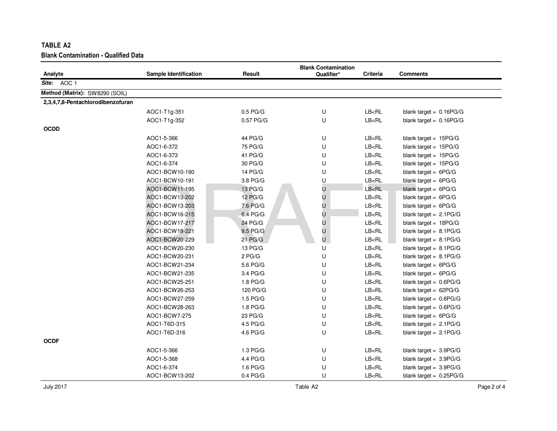| TABLE A2                                    |                       |            |                            |                                                                   |                           |  |  |  |
|---------------------------------------------|-----------------------|------------|----------------------------|-------------------------------------------------------------------|---------------------------|--|--|--|
| <b>Blank Contamination - Qualified Data</b> |                       |            |                            |                                                                   |                           |  |  |  |
|                                             |                       |            | <b>Blank Contamination</b> |                                                                   |                           |  |  |  |
| Analyte                                     | Sample Identification | Result     | Qualifier*                 | <b>Criteria</b>                                                   | <b>Comments</b>           |  |  |  |
| Site: AOC 1                                 |                       |            |                            |                                                                   |                           |  |  |  |
| Method (Matrix): SW8290 (SOIL)              |                       |            |                            |                                                                   |                           |  |  |  |
| 2,3,4,7,8-Pentachlorodibenzofuran           |                       |            |                            |                                                                   |                           |  |  |  |
|                                             | AOC1-T1g-351          | $0.5$ PG/G | U                          | LB <rl< td=""><td>blank target = <math>0.16PG/G</math></td></rl<> | blank target = $0.16PG/G$ |  |  |  |
|                                             | AOC1-T1g-352          | 0.57 PG/G  | U                          | LB < RL                                                           | blank target = $0.16PG/G$ |  |  |  |
| <b>OCDD</b>                                 |                       |            |                            |                                                                   |                           |  |  |  |
|                                             | AOC1-5-366            | 44 PG/G    | U                          | LB <rl< td=""><td>blank target = <math>15PG/G</math></td></rl<>   | blank target = $15PG/G$   |  |  |  |
|                                             | AOC1-6-372            | 75 PG/G    | U                          | LB < RL                                                           | blank target = $15PG/G$   |  |  |  |
|                                             | AOC1-6-373            | 41 PG/G    | U                          | LB < RL                                                           | blank target = $15PG/G$   |  |  |  |
|                                             | AOC1-6-374            | 30 PG/G    | U                          | LB < RL                                                           | blank target = 15PG/G     |  |  |  |
|                                             | AOC1-BCW10-190        | 14 PG/G    | U                          | LB < RL                                                           | blank target = $6PG/G$    |  |  |  |
|                                             | AOC1-BCW10-191        | 3.8 PG/G   | U                          | LB <rl< td=""><td>blank target = <math>6PG/G</math></td></rl<>    | blank target = $6PG/G$    |  |  |  |
|                                             | AOC1-BCW11-195        | 13 PG/G    | U                          | LB < RL                                                           | blank target = $6PG/G$    |  |  |  |
|                                             | AOC1-BCW13-202        | 12 PG/G    | U                          | LB < RL                                                           | blank target = $6PG/G$    |  |  |  |
|                                             | AOC1-BCW13-203        | 7.6 PG/G   | U                          | LB < RL                                                           | blank target = $6PG/G$    |  |  |  |
|                                             | AOC1-BCW16-215        | 6.4 PG/G   | U                          | LB < RL                                                           | blank target = $2.1PG/G$  |  |  |  |
|                                             | AOC1-BCW17-217        | 24 PG/G    | U                          | LB < RL                                                           | blank target = $18PG/G$   |  |  |  |
|                                             | AOC1-BCW18-221        | 9.5 PG/G   | U                          | LB <rl< td=""><td>blank target = <math>8.1PG/G</math></td></rl<>  | blank target = $8.1PG/G$  |  |  |  |
|                                             | AOC1-BCW20-229        | 21 PG/G    | U                          | LB < RL                                                           | blank target = $8.1PG/G$  |  |  |  |
|                                             | AOC1-BCW20-230        | 13 PG/G    | U                          | LB < RL                                                           | blank target = $8.1PG/G$  |  |  |  |
|                                             | AOC1-BCW20-231        | $2$ PG/G   | U                          | LB < RL                                                           | blank target = $8.1PG/G$  |  |  |  |
|                                             | AOC1-BCW21-234        | 5.6 PG/G   | U                          | LB < R <sub>L</sub>                                               | blank target = $6PG/G$    |  |  |  |
|                                             | AOC1-BCW21-235        | 3.4 PG/G   | U                          | LB <rl< td=""><td>blank target = <math>6PG/G</math></td></rl<>    | blank target = $6PG/G$    |  |  |  |
|                                             | AOC1-BCW25-251        | 1.8 PG/G   | U                          | LB < RL                                                           | blank target = $0.6PG/G$  |  |  |  |
|                                             | AOC1-BCW26-253        | 120 PG/G   | U                          | LB > RL                                                           | blank target = $62PG/G$   |  |  |  |
|                                             | AOC1-BCW27-259        | 1.5 PG/G   | U                          | LB < RL                                                           | blank target = $0.6PG/G$  |  |  |  |
|                                             | AOC1-BCW28-263        | 1.8 PG/G   | U                          | LB < RL                                                           | blank target = $0.6PG/G$  |  |  |  |
|                                             | AOC1-BCW7-275         | 23 PG/G    | U                          | LB < RL                                                           | blank target = $6PG/G$    |  |  |  |
|                                             | AOC1-T6D-315          | 4.5 PG/G   | U                          | LB <rl< td=""><td>blank target = <math>2.1PG/G</math></td></rl<>  | blank target = $2.1PG/G$  |  |  |  |
|                                             | AOC1-T6D-316          | 4.6 PG/G   | U                          | LB <rl< td=""><td>blank target = <math>2.1PG/G</math></td></rl<>  | blank target = $2.1PG/G$  |  |  |  |
| <b>OCDF</b>                                 |                       |            |                            |                                                                   |                           |  |  |  |
|                                             | AOC1-5-366            | 1.3 PG/G   | U                          | LB <rl< td=""><td>blank target = <math>3.9PG/G</math></td></rl<>  | blank target = $3.9PG/G$  |  |  |  |
|                                             | AOC1-5-368            | 4.4 PG/G   | U                          | LB < RL                                                           | blank target = $3.9PG/G$  |  |  |  |
|                                             | AOC1-6-374            | 1.6 PG/G   | U                          | LB <rl< td=""><td>blank target = <math>3.9PG/G</math></td></rl<>  | blank target = $3.9PG/G$  |  |  |  |
|                                             | AOC1-BCW13-202        | $0.4$ PG/G | U                          | LB < RL                                                           | blank target = $0.25PG/G$ |  |  |  |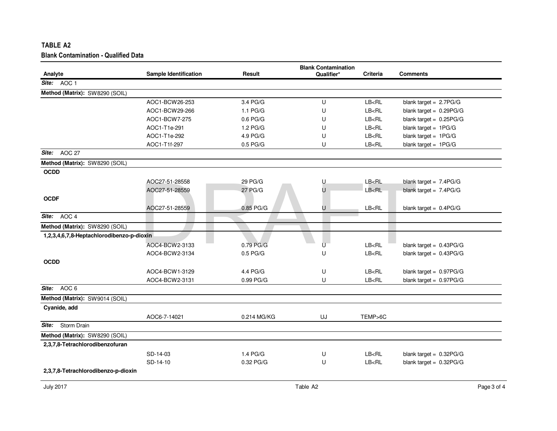| <b>Blank Contamination</b>                |                              |             |            |                                                                  |                           |  |  |
|-------------------------------------------|------------------------------|-------------|------------|------------------------------------------------------------------|---------------------------|--|--|
| Analyte                                   | <b>Sample Identification</b> | Result      | Qualifier* | Criteria                                                         | <b>Comments</b>           |  |  |
| Site: AOC 1                               |                              |             |            |                                                                  |                           |  |  |
| Method (Matrix): SW8290 (SOIL)            |                              |             |            |                                                                  |                           |  |  |
|                                           | AOC1-BCW26-253               | 3.4 PG/G    | U          | LB <rl< td=""><td>blank target = <math>2.7PG/G</math></td></rl<> | blank target = $2.7PG/G$  |  |  |
|                                           | AOC1-BCW29-266               | 1.1 PG/G    | U          | LB < RL                                                          | blank target = $0.29PG/G$ |  |  |
|                                           | AOC1-BCW7-275                | $0.6$ PG/G  | U          | LB < RL                                                          | blank target = $0.25PG/G$ |  |  |
|                                           | AOC1-T1e-291                 | 1.2 PG/G    | U          | LB < RL                                                          | blank target = $1PG/G$    |  |  |
|                                           | AOC1-T1e-292                 | 4.9 PG/G    | U          | LB < RL                                                          | blank target = $1PG/G$    |  |  |
|                                           | AOC1-T1f-297                 | $0.5$ PG/G  | U          | LB < RL                                                          | blank target = $1PG/G$    |  |  |
| AOC 27<br>Site:                           |                              |             |            |                                                                  |                           |  |  |
| Method (Matrix): SW8290 (SOIL)            |                              |             |            |                                                                  |                           |  |  |
| <b>OCDD</b>                               |                              |             |            |                                                                  |                           |  |  |
|                                           | AOC27-51-28558               | 29 PG/G     | U          | LB <rl< td=""><td>blank target = <math>7.4PG/G</math></td></rl<> | blank target = $7.4PG/G$  |  |  |
|                                           | AOC27-51-28559               | 27 PG/G     | U          | LB < RL                                                          | blank target = $7.4PG/G$  |  |  |
| <b>OCDF</b>                               |                              |             |            |                                                                  |                           |  |  |
|                                           | AOC27-51-28559               | 0.85 PG/G   | U          | LB < RL                                                          | blank target = $0.4PG/G$  |  |  |
| AOC 4<br>Site:                            |                              |             |            |                                                                  |                           |  |  |
| Method (Matrix): SW8290 (SOIL)            |                              |             |            |                                                                  |                           |  |  |
| 1,2,3,4,6,7,8-Heptachlorodibenzo-p-dioxin |                              |             |            |                                                                  |                           |  |  |
|                                           | AOC4-BCW2-3133               | 0.79 PG/G   | U          | LB < RL                                                          | blank target = $0.43PG/G$ |  |  |
|                                           | AOC4-BCW2-3134               | $0.5$ PG/G  | U          | LB < RL                                                          | blank target = $0.43PG/G$ |  |  |
| <b>OCDD</b>                               |                              |             |            |                                                                  |                           |  |  |
|                                           | AOC4-BCW1-3129               | 4.4 PG/G    | U          | LB < RL                                                          | blank target = $0.97PG/G$ |  |  |
|                                           | AOC4-BCW2-3131               | 0.99 PG/G   | U          | LB < RL                                                          | blank target = $0.97PG/G$ |  |  |
| AOC <sub>6</sub><br>Site:                 |                              |             |            |                                                                  |                           |  |  |
| Method (Matrix): SW9014 (SOIL)            |                              |             |            |                                                                  |                           |  |  |
| Cyanide, add                              |                              |             |            |                                                                  |                           |  |  |
|                                           | AOC6-7-14021                 | 0.214 MG/KG | UJ         | TEMP>6C                                                          |                           |  |  |
| Site:<br>Storm Drain                      |                              |             |            |                                                                  |                           |  |  |
| Method (Matrix): SW8290 (SOIL)            |                              |             |            |                                                                  |                           |  |  |
| 2,3,7,8-Tetrachlorodibenzofuran           |                              |             |            |                                                                  |                           |  |  |
|                                           | SD-14-03                     | 1.4 PG/G    | U          | LB < RL                                                          | blank target = $0.32PG/G$ |  |  |
|                                           |                              |             |            |                                                                  |                           |  |  |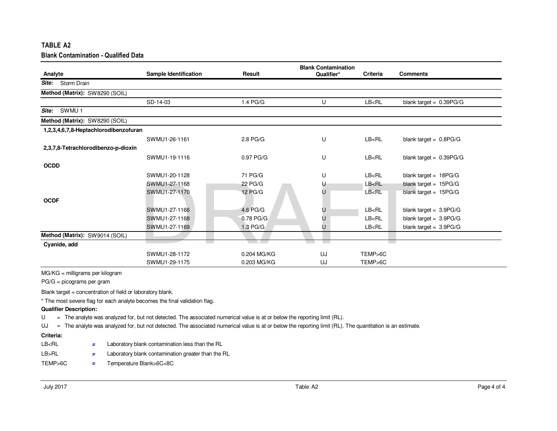|             | TABLE A2                                    |                              |                   |                                          |          |                           |
|-------------|---------------------------------------------|------------------------------|-------------------|------------------------------------------|----------|---------------------------|
|             | <b>Blank Contamination - Qualified Data</b> |                              |                   |                                          |          |                           |
| Analyte     |                                             | <b>Sample Identification</b> | Result            | <b>Blank Contamination</b><br>Qualifier* | Criteria | <b>Comments</b>           |
| Site:       | Storm Drain                                 |                              |                   |                                          |          |                           |
|             | Method (Matrix): SW8290 (SOIL)              |                              |                   |                                          |          |                           |
|             |                                             | SD-14-03                     | 1.4 PG/G          | U                                        | LB < RL  | blank target = $0.39PG/G$ |
| Site:       | SWMU <sub>1</sub>                           |                              |                   |                                          |          |                           |
|             | Method (Matrix): SW8290 (SOIL)              |                              |                   |                                          |          |                           |
|             | 1,2,3,4,6,7,8-Heptachlorodibenzofuran       |                              |                   |                                          |          |                           |
|             |                                             | SWMU1-26-1161                | 2.8 PG/G          | U                                        | LB < RL  | blank target = $0.8PG/G$  |
|             | 2,3,7,8-Tetrachlorodibenzo-p-dioxin         |                              |                   |                                          |          |                           |
|             |                                             | SWMU1-19-1116                | 0.97 PG/G         | U                                        | LB < RL  | blank target = $0.39PG/G$ |
| <b>OCDD</b> |                                             |                              |                   |                                          |          |                           |
|             |                                             | SWMU1-20-1128                | 71 PG/G           | U                                        | LB < RL  | blank target = $18PG/G$   |
|             |                                             | SWMU1-27-1168                | 22 PG/G           | U                                        | LB < RL  | blank target = $15PG/G$   |
|             |                                             | SWMU1-27-1170                | 12 PG/G           | U                                        | LB < RL  | blank target = $15PG/G$   |
| <b>OCDF</b> |                                             |                              |                   |                                          |          |                           |
|             |                                             | SWMU1-27-1166                | 4.6 PG/G          | U                                        | LB < RL  | blank target = $3.9PG/G$  |
|             |                                             | SWMU1-27-1168                | 0.78 PG/G         | U                                        | LB < RL  | blank target = $3.9PG/G$  |
|             |                                             | SWMU1-27-1169                | 1.3 PG/G          | U                                        | LB < RL  | blank target = $3.9PG/G$  |
|             | Method (Matrix): SW9014 (SOIL)              |                              |                   |                                          |          |                           |
|             | Cyanide, add                                |                              | <b>CONTRACTOR</b> | <b>Contract</b><br><b>COLLA</b>          |          |                           |
|             |                                             | SWMU1-28-1172                | 0.204 MG/KG       | UJ                                       | TEMP>6C  |                           |
|             |                                             | SWMU1-29-1175                | 0.203 MG/KG       | UJ                                       | TEMP>6C  |                           |

MG/KG = milligrams per kilogram

PG/G = picograms per gram

Blank target = concentration of field or laboratory blank.

\* The most severe flag for each analyte becomes the final validation flag.

## **Qualifier Description:**

U = The analyte was analyzed for, but not detected. The associated numerical value is at or below the reporting limit (RL). U

UJ <sup>=</sup> The analyte was analyzed for, but not detected. The associated numerical value is at or below the reporting limit (RL). The quantitation is an estimate.

## **Criteria:**

| LB <rl< th=""><th>Laboratory blank contamination less than the RL</th></rl<> | Laboratory blank contamination less than the RL    |
|------------------------------------------------------------------------------|----------------------------------------------------|
| LB>RL                                                                        | Laboratory blank contamination greater than the RL |

TEMP>6C**<sup>=</sup>** Temperature Blank>6C<8C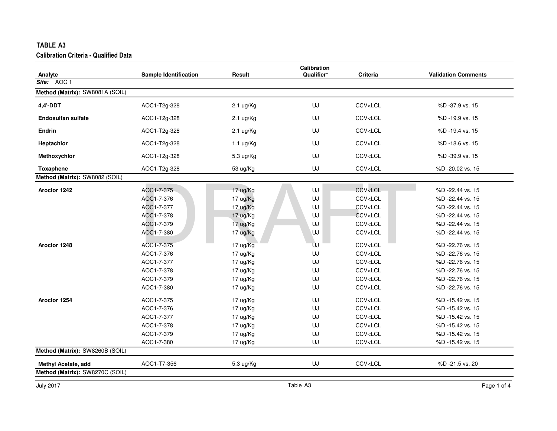|                                 |                              |                     | Calibration |                                                  |                            |
|---------------------------------|------------------------------|---------------------|-------------|--------------------------------------------------|----------------------------|
| Analyte                         | <b>Sample Identification</b> | Result              | Qualifier*  | Criteria                                         | <b>Validation Comments</b> |
| Site: AOC 1                     |                              |                     |             |                                                  |                            |
| Method (Matrix): SW8081A (SOIL) |                              |                     |             |                                                  |                            |
| 4,4'-DDT                        | AOC1-T2g-328                 | $2.1 \text{ ug/Kg}$ | UJ          | CCV <lcl< td=""><td>%D-37.9 vs. 15</td></lcl<>   | %D-37.9 vs. 15             |
| <b>Endosulfan sulfate</b>       | AOC1-T2g-328                 | $2.1 \text{ ug/Kg}$ | UJ          | CCV <lcl< td=""><td>%D-19.9 vs. 15</td></lcl<>   | %D-19.9 vs. 15             |
| <b>Endrin</b>                   | AOC1-T2g-328                 | $2.1 \text{ ug/Kg}$ | UJ          | CCV <lcl< td=""><td>%D-19.4 vs. 15</td></lcl<>   | %D-19.4 vs. 15             |
| Heptachlor                      | AOC1-T2g-328                 | $1.1 \text{ ug/Kg}$ | UJ          | CCV <lcl< td=""><td>%D-18.6 vs. 15</td></lcl<>   | %D-18.6 vs. 15             |
| Methoxychlor                    | AOC1-T2g-328                 | 5.3 ug/Kg           | UJ          | CCV <lcl< td=""><td>%D-39.9 vs. 15</td></lcl<>   | %D-39.9 vs. 15             |
| Toxaphene                       | AOC1-T2g-328                 | 53 ug/Kg            | UJ          | CCV <lcl< td=""><td>%D -20.02 vs. 15</td></lcl<> | %D -20.02 vs. 15           |
| Method (Matrix): SW8082 (SOIL)  |                              |                     |             |                                                  |                            |
| Aroclor 1242                    | AOC1-7-375                   | 17 ug/Kg            | UJ          | CCV <lcl< td=""><td>%D-22.44 vs. 15</td></lcl<>  | %D-22.44 vs. 15            |
|                                 | AOC1-7-376                   | 17 ug/Kg            | UJ          | CCV <lcl< td=""><td>%D-22.44 vs. 15</td></lcl<>  | %D-22.44 vs. 15            |
|                                 | AOC1-7-377                   | 17 ug/Kg            | UJ          | CCV <lcl< td=""><td>%D-22.44 vs. 15</td></lcl<>  | %D-22.44 vs. 15            |
|                                 | AOC1-7-378                   | 17 ug/Kg            | UJ          | CCV <lcl< td=""><td>%D -22.44 vs. 15</td></lcl<> | %D -22.44 vs. 15           |
|                                 | AOC1-7-379                   | 17 ug/Kg            | UJ          | CCV <lcl< td=""><td>%D -22.44 vs. 15</td></lcl<> | %D -22.44 vs. 15           |
|                                 | AOC1-7-380                   | 17 ug/Kg            | UJ          | CCV <lcl< td=""><td>%D -22.44 vs. 15</td></lcl<> | %D -22.44 vs. 15           |
| Aroclor 1248                    | AOC1-7-375                   | 17 ug/Kg            | ÚJ          | CCV <lcl< td=""><td>%D -22.76 vs. 15</td></lcl<> | %D -22.76 vs. 15           |
|                                 | AOC1-7-376                   | 17 ug/Kg            | UJ          | CCV <lcl< td=""><td>%D-22.76 vs. 15</td></lcl<>  | %D-22.76 vs. 15            |
|                                 | AOC1-7-377                   | 17 ug/Kg            | UJ          | CCV <lcl< td=""><td>%D-22.76 vs. 15</td></lcl<>  | %D-22.76 vs. 15            |
|                                 | AOC1-7-378                   | 17 ug/Kg            | UJ          | CCV <lcl< td=""><td>%D-22.76 vs. 15</td></lcl<>  | %D-22.76 vs. 15            |
|                                 | AOC1-7-379                   | 17 ug/Kg            | UJ          | CCV <lcl< td=""><td>%D-22.76 vs. 15</td></lcl<>  | %D-22.76 vs. 15            |
|                                 | AOC1-7-380                   | 17 ug/Kg            | UJ          | CCV <lcl< td=""><td>%D -22.76 vs. 15</td></lcl<> | %D -22.76 vs. 15           |
| Aroclor 1254                    | AOC1-7-375                   | 17 ug/Kg            | UJ          | CCV <lcl< td=""><td>%D -15.42 vs. 15</td></lcl<> | %D -15.42 vs. 15           |
|                                 | AOC1-7-376                   | 17 ug/Kg            | UJ          | CCV <lcl< td=""><td>%D -15.42 vs. 15</td></lcl<> | %D -15.42 vs. 15           |
|                                 | AOC1-7-377                   | 17 ug/Kg            | UJ          | CCV <lcl< td=""><td>%D -15.42 vs. 15</td></lcl<> | %D -15.42 vs. 15           |
|                                 | AOC1-7-378                   | 17 ug/Kg            | UJ          | CCV <lcl< td=""><td>%D -15.42 vs. 15</td></lcl<> | %D -15.42 vs. 15           |
|                                 | AOC1-7-379                   | 17 ug/Kg            | UJ          | CCV <lcl< td=""><td>%D -15.42 vs. 15</td></lcl<> | %D -15.42 vs. 15           |
|                                 | AOC1-7-380                   | 17 ug/Kg            | UJ          | CCV <lcl< td=""><td>%D -15.42 vs. 15</td></lcl<> | %D -15.42 vs. 15           |
| Method (Matrix): SW8260B (SOIL) |                              |                     |             |                                                  |                            |
| <b>Methyl Acetate, add</b>      | AOC1-T7-356                  | 5.3 ug/Kg           | UJ          | CCV <lcl< td=""><td>%D -21.5 vs. 20</td></lcl<>  | %D -21.5 vs. 20            |
| Method (Matrix): SW8270C (SOIL) |                              |                     |             |                                                  |                            |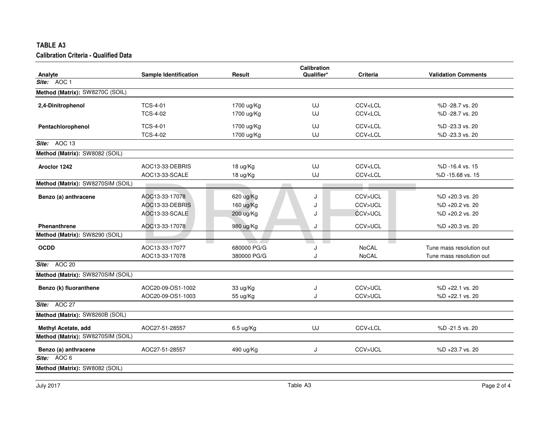|                                   |                                   |               | <b>Calibration</b> |                                                 |                            |
|-----------------------------------|-----------------------------------|---------------|--------------------|-------------------------------------------------|----------------------------|
| Analyte                           | <b>Sample Identification</b>      | <b>Result</b> | Qualifier*         | <b>Criteria</b>                                 | <b>Validation Comments</b> |
| Site: AOC 1                       |                                   |               |                    |                                                 |                            |
| Method (Matrix): SW8270C (SOIL)   |                                   |               |                    |                                                 |                            |
| 2,4-Dinitrophenol                 | <b>TCS-4-01</b>                   | 1700 ug/Kg    | UJ                 | CCV <lcl< td=""><td>%D-28.7 vs. 20</td></lcl<>  | %D-28.7 vs. 20             |
|                                   | <b>TCS-4-02</b>                   | 1700 ug/Kg    | UJ                 | CCV <lcl< td=""><td>%D-28.7 vs. 20</td></lcl<>  | %D-28.7 vs. 20             |
| Pentachlorophenol                 | <b>TCS-4-01</b>                   | 1700 ug/Kg    | UJ                 | CCV <lcl< td=""><td>%D-23.3 vs. 20</td></lcl<>  | %D-23.3 vs. 20             |
|                                   | <b>TCS-4-02</b>                   | 1700 ug/Kg    | UJ                 | CCV <lcl< td=""><td>%D-23.3 vs. 20</td></lcl<>  | %D-23.3 vs. 20             |
| Site: AOC 13                      |                                   |               |                    |                                                 |                            |
| Method (Matrix): SW8082 (SOIL)    |                                   |               |                    |                                                 |                            |
| Aroclor 1242                      | AOC13-33-DEBRIS                   | 18 ug/Kg      | UJ                 | CCV <lcl< td=""><td>%D-16.4 vs. 15</td></lcl<>  | %D-16.4 vs. 15             |
|                                   | AOC13-33-SCALE                    | 18 ug/Kg      | UJ                 | CCV <lcl< td=""><td>%D-15.68 vs. 15</td></lcl<> | %D-15.68 vs. 15            |
| Method (Matrix): SW8270SIM (SOIL) |                                   |               |                    |                                                 |                            |
| Benzo (a) anthracene              | AOC13-33-17078                    | 620 ug/Kg     | J                  | CCV>UCL                                         | %D +20.3 vs. 20            |
|                                   | AOC13-33-DEBRIS                   | 160 ug/Kg     | J                  | CCV>UCL                                         | %D +20.2 vs. 20            |
|                                   | AOC13-33-SCALE                    | 200 ug/Kg     | J                  | CCV>UCL                                         | %D +20.2 vs. 20            |
| Phenanthrene                      | AOC13-33-17078                    | 980 ug/Kg     | J                  | CCV>UCL                                         | $%D + 20.3$ vs. 20         |
| Method (Matrix): SW8290 (SOIL)    |                                   |               |                    |                                                 |                            |
| <b>OCDD</b>                       | <b>Contract</b><br>AOC13-33-17077 | 680000 PG/G   | a sa n<br>J        | <b>Contract</b><br><b>NoCAL</b>                 | Tune mass resolution out   |
|                                   | AOC13-33-17078                    | 380000 PG/G   | J                  | <b>NoCAL</b>                                    | Tune mass resolution out   |
| Site: $AOC$ 20                    |                                   |               |                    |                                                 |                            |
| Method (Matrix): SW8270SIM (SOIL) |                                   |               |                    |                                                 |                            |
| Benzo (k) fluoranthene            | AOC20-09-OS1-1002                 | 33 ug/Kg      | J                  | CCV>UCL                                         | %D +22.1 vs. 20            |
|                                   | AOC20-09-OS1-1003                 | 55 ug/Kg      | J                  | CCV>UCL                                         | %D +22.1 vs. 20            |
| Site: AOC 27                      |                                   |               |                    |                                                 |                            |
| Method (Matrix): SW8260B (SOIL)   |                                   |               |                    |                                                 |                            |
| Methyl Acetate, add               | AOC27-51-28557                    | 6.5 ug/Kg     | UJ                 | CCV <lcl< td=""><td>%D-21.5 vs. 20</td></lcl<>  | %D-21.5 vs. 20             |
| Method (Matrix): SW8270SIM (SOIL) |                                   |               |                    |                                                 |                            |
| Benzo (a) anthracene              | AOC27-51-28557                    | 490 ug/Kg     | J                  | CCV>UCL                                         | %D +23.7 vs. 20            |
| Site: AOC 6                       |                                   |               |                    |                                                 |                            |
| Method (Matrix): SW8082 (SOIL)    |                                   |               |                    |                                                 |                            |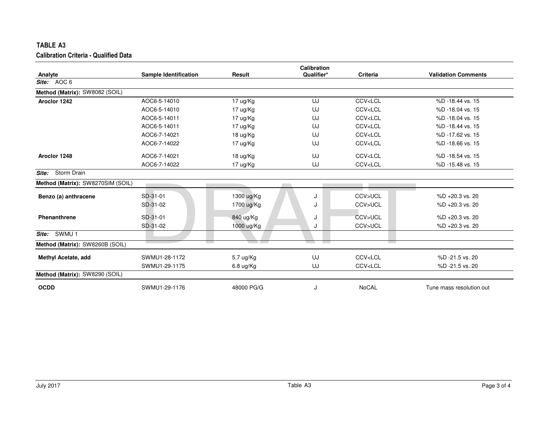| TABLE A3                                     |                              |               |                     |                                                  |                            |
|----------------------------------------------|------------------------------|---------------|---------------------|--------------------------------------------------|----------------------------|
| <b>Calibration Criteria - Qualified Data</b> |                              |               |                     |                                                  |                            |
|                                              |                              |               | Calibration         |                                                  |                            |
| Analyte                                      | <b>Sample Identification</b> | <b>Result</b> | Qualifier*          | <b>Criteria</b>                                  | <b>Validation Comments</b> |
| Site: AOC 6                                  |                              |               |                     |                                                  |                            |
| Method (Matrix): SW8082 (SOIL)               |                              |               |                     |                                                  |                            |
| Aroclor 1242                                 | AOC6-5-14010                 | 17 ug/Kg      | UJ                  | CCV <lcl< td=""><td>%D-18.44 vs. 15</td></lcl<>  | %D-18.44 vs. 15            |
|                                              | AOC6-5-14010                 | 17 ug/Kg      | UJ                  | CCV <lcl< td=""><td>%D-18.04 vs. 15</td></lcl<>  | %D-18.04 vs. 15            |
|                                              | AOC6-5-14011                 | 17 ug/Kg      | UJ                  | CCV <lcl< td=""><td>%D-18.04 vs. 15</td></lcl<>  | %D-18.04 vs. 15            |
|                                              | AOC6-5-14011                 | 17 ug/Kg      | UJ                  | CCV <lcl< td=""><td>%D -18.44 vs. 15</td></lcl<> | %D -18.44 vs. 15           |
|                                              | AOC6-7-14021                 | 18 ug/Kg      | UJ                  | CCV <lcl< td=""><td>%D-17.62 vs. 15</td></lcl<>  | %D-17.62 vs. 15            |
|                                              | AOC6-7-14022                 | 17 ug/Kg      | UJ                  | CCV <lcl< td=""><td>%D-18.66 vs. 15</td></lcl<>  | %D-18.66 vs. 15            |
| Aroclor 1248                                 | AOC6-7-14021                 | 18 ug/Kg      | UJ                  | CCV <lcl< td=""><td>%D -18.54 vs. 15</td></lcl<> | %D -18.54 vs. 15           |
|                                              | AOC6-7-14022                 | 17 ug/Kg      | UJ                  | CCV <lcl< td=""><td>%D-15.48 vs. 15</td></lcl<>  | %D-15.48 vs. 15            |
| Storm Drain<br>Site:                         |                              |               |                     |                                                  |                            |
| Method (Matrix): SW8270SIM (SOIL)            |                              |               |                     |                                                  |                            |
| Benzo (a) anthracene                         | SD-31-01                     | 1300 ug/Kg    | J                   | CCV>UCL                                          | %D +20.3 vs. 20            |
|                                              | SD-31-02                     | 1700 ug/Kg    | J                   | CCV>UCL                                          | %D +20.3 vs. 20            |
| Phenanthrene                                 | SD-31-01                     | 840 ug/Kg     | J                   | CCV>UCL                                          | $%D + 20.3$ vs. 20         |
|                                              | SD-31-02                     | 1000 ug/Kg    | J                   | CCV>UCL                                          | %D +20.3 vs. 20            |
| SWMU <sub>1</sub><br>Site:                   |                              |               |                     |                                                  |                            |
| Method (Matrix): SW8260B (SOIL)              |                              | $\sim$ $\sim$ | <b>The Contract</b> | <b>Contract</b>                                  |                            |
| <b>Methyl Acetate, add</b>                   | SWMU1-28-1172                | 5.7 ug/Kg     | UJ                  | CCV <lcl< td=""><td>%D-21.5 vs. 20</td></lcl<>   | %D-21.5 vs. 20             |
|                                              | SWMU1-29-1175                | 6.8 ug/Kg     | UJ                  | CCV <lcl< td=""><td>%D-21.5 vs. 20</td></lcl<>   | %D-21.5 vs. 20             |
| Method (Matrix): SW8290 (SOIL)               |                              |               |                     |                                                  |                            |
| <b>OCDD</b>                                  | SWMU1-29-1176                | 48000 PG/G    | J                   | <b>NoCAL</b>                                     | Tune mass resolution out   |
|                                              |                              |               |                     |                                                  |                            |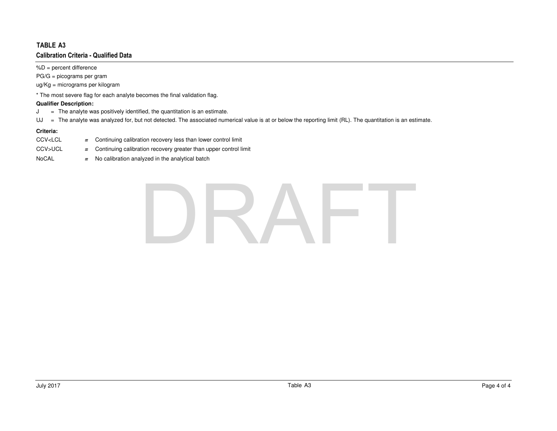$%D =$  percent difference

PG/G = picograms per gram

ug/Kg = micrograms per kilogram

\* The most severe flag for each analyte becomes the final validation flag.

## **Qualifier Description:**

- The analyte was positively identified, the quantitation is an estimate.  $J =$
- UJ <sup>=</sup> The analyte was analyzed for, but not detected. The associated numerical value is at or below the reporting limit (RL). The quantitation is an estimate.

- CCV<LCL = Continuing calibration recovery less than lower control limit
- Continuing calibration recovery greater than upper control limit CCV>UCL**<sup>=</sup>**
- NoCAL **<sup>=</sup>** $=$  No calibration analyzed in the analytical batch

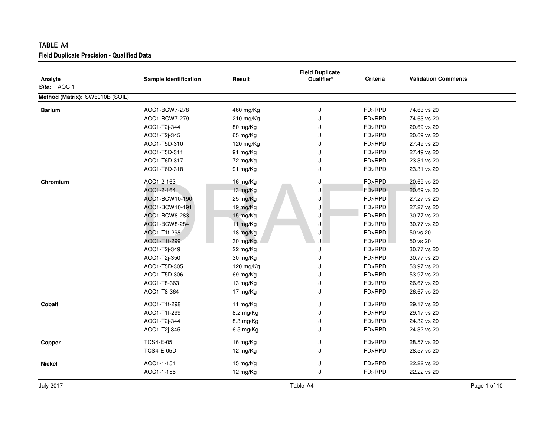| TABLE A4                                          |                       |             |                                      |          |                            |
|---------------------------------------------------|-----------------------|-------------|--------------------------------------|----------|----------------------------|
| <b>Field Duplicate Precision - Qualified Data</b> |                       |             |                                      |          |                            |
| Analyte                                           | Sample Identification | Result      | <b>Field Duplicate</b><br>Qualifier* | Criteria | <b>Validation Comments</b> |
| Site: AOC 1                                       |                       |             |                                      |          |                            |
| Method (Matrix): SW6010B (SOIL)                   |                       |             |                                      |          |                            |
| <b>Barium</b>                                     | AOC1-BCW7-278         | 460 mg/Kg   | J                                    | FD>RPD   | 74.63 vs 20                |
|                                                   | AOC1-BCW7-279         | 210 mg/Kg   | J                                    | FD>RPD   | 74.63 vs 20                |
|                                                   | AOC1-T2j-344          | 80 mg/Kg    | J                                    | FD>RPD   | 20.69 vs 20                |
|                                                   | AOC1-T2j-345          | 65 mg/Kg    | J                                    | FD>RPD   | 20.69 vs 20                |
|                                                   | AOC1-T5D-310          | 120 mg/Kg   | J                                    | FD>RPD   | 27.49 vs 20                |
|                                                   | AOC1-T5D-311          | 91 mg/Kg    | J                                    | FD>RPD   | 27.49 vs 20                |
|                                                   | AOC1-T6D-317          | 72 mg/Kg    | J                                    | FD>RPD   | 23.31 vs 20                |
|                                                   | AOC1-T6D-318          | 91 mg/Kg    | J                                    | FD>RPD   | 23.31 vs 20                |
| Chromium                                          | AOC1-2-163            | 16 mg/Kg    | J                                    | FD>RPD   | 20.69 vs 20                |
|                                                   | AOC1-2-164            | 13 mg/Kg    | J                                    | FD>RPD   | 20.69 vs 20                |
|                                                   | AOC1-BCW10-190        | 25 mg/Kg    | J                                    | FD>RPD   | 27.27 vs 20                |
|                                                   | AOC1-BCW10-191        | 19 mg/Kg    | J                                    | FD>RPD   | 27.27 vs 20                |
|                                                   | AOC1-BCW8-283         | 15 mg/Kg    | J                                    | FD>RPD   | 30.77 vs 20                |
|                                                   | AOC1-BCW8-284         | 11 mg/Kg    | J                                    | FD>RPD   | 30.77 vs 20                |
|                                                   | AOC1-T1f-298          | 18 mg/Kg    | J                                    | FD>RPD   | 50 vs 20                   |
|                                                   | AOC1-T1f-299          | 30 mg/Kg    |                                      | FD>RPD   | 50 vs 20                   |
|                                                   | AOC1-T2j-349          | 22 mg/Kg    | J                                    | FD>RPD   | 30.77 vs 20                |
|                                                   | AOC1-T2j-350          | 30 mg/Kg    | J                                    | FD>RPD   | 30.77 vs 20                |
|                                                   | AOC1-T5D-305          | 120 mg/Kg   | J                                    | FD>RPD   | 53.97 vs 20                |
|                                                   | AOC1-T5D-306          | 69 mg/Kg    | J                                    | FD>RPD   | 53.97 vs 20                |
|                                                   | AOC1-T8-363           | 13 mg/Kg    | J                                    | FD>RPD   | 26.67 vs 20                |
|                                                   | AOC1-T8-364           | 17 mg/Kg    | J                                    | FD>RPD   | 26.67 vs 20                |
| Cobalt                                            | AOC1-T1f-298          | 11 mg/ $Kg$ | J                                    | FD>RPD   | 29.17 vs 20                |
|                                                   | AOC1-T1f-299          | 8.2 mg/Kg   | J                                    | FD>RPD   | 29.17 vs 20                |
|                                                   | AOC1-T2j-344          | 8.3 mg/Kg   | J                                    | FD>RPD   | 24.32 vs 20                |
|                                                   | AOC1-T2j-345          | 6.5 mg/Kg   | J                                    | FD>RPD   | 24.32 vs 20                |
| Copper                                            | <b>TCS4-E-05</b>      | 16 mg/Kg    | J                                    | FD>RPD   | 28.57 vs 20                |
|                                                   | <b>TCS4-E-05D</b>     | 12 mg/Kg    | J                                    | FD>RPD   | 28.57 vs 20                |
| <b>Nickel</b>                                     | AOC1-1-154            | 15 mg/Kg    | J                                    | FD>RPD   | 22.22 vs 20                |
|                                                   | AOC1-1-155            | 12 mg/Kg    | J                                    | FD>RPD   | 22.22 vs 20                |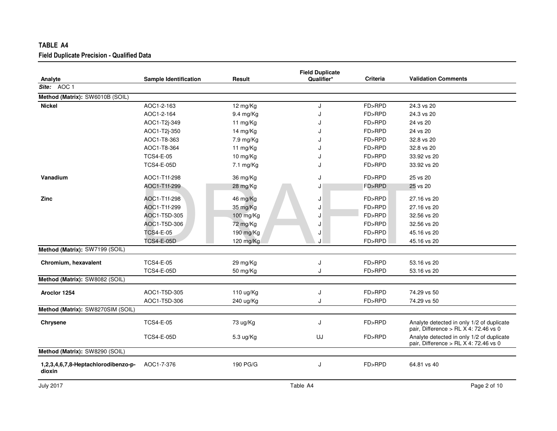| TABLE A4                                          |                       |                |                                      |                 |                                                                                    |
|---------------------------------------------------|-----------------------|----------------|--------------------------------------|-----------------|------------------------------------------------------------------------------------|
| <b>Field Duplicate Precision - Qualified Data</b> |                       |                |                                      |                 |                                                                                    |
| Analyte                                           | Sample Identification | Result         | <b>Field Duplicate</b><br>Qualifier* | <b>Criteria</b> | <b>Validation Comments</b>                                                         |
| Site: AOC 1                                       |                       |                |                                      |                 |                                                                                    |
| Method (Matrix): SW6010B (SOIL)                   |                       |                |                                      |                 |                                                                                    |
| <b>Nickel</b>                                     | AOC1-2-163            | 12 mg/Kg       | J                                    | FD>RPD          | 24.3 vs 20                                                                         |
|                                                   | AOC1-2-164            | $9.4$ mg/Kg    | J                                    | FD>RPD          | 24.3 vs 20                                                                         |
|                                                   | AOC1-T2j-349          | 11 mg/Kg       | J                                    | FD>RPD          | 24 vs 20                                                                           |
|                                                   | AOC1-T2j-350          | 14 mg/Kg       | J                                    | FD>RPD          | 24 vs 20                                                                           |
|                                                   | AOC1-T8-363           | 7.9 mg/Kg      | J                                    | FD>RPD          | 32.8 vs 20                                                                         |
|                                                   | AOC1-T8-364           | 11 mg/Kg       | J                                    | FD>RPD          | 32.8 vs 20                                                                         |
|                                                   | <b>TCS4-E-05</b>      | 10 mg/Kg       |                                      | FD>RPD          | 33.92 vs 20                                                                        |
|                                                   | <b>TCS4-E-05D</b>     | 7.1 mg/Kg      |                                      | FD>RPD          | 33.92 vs 20                                                                        |
| Vanadium                                          | AOC1-T1f-298          | 36 mg/Kg       | J                                    | FD>RPD          | 25 vs 20                                                                           |
|                                                   | AOC1-T1f-299          | 28 mg/Kg       | J                                    | FD>RPD          | 25 vs 20                                                                           |
| <b>Zinc</b>                                       | AOC1-T1f-298          | 46 mg/Kg       | J                                    | FD>RPD          | 27.16 vs 20                                                                        |
|                                                   | AOC1-T1f-299          | 35 mg/Kg       | J                                    | FD>RPD          | 27.16 vs 20                                                                        |
|                                                   | AOC1-T5D-305          | $100$ mg/ $Kg$ | J                                    | FD>RPD          | 32.56 vs 20                                                                        |
|                                                   | AOC1-T5D-306          | 72 mg/Kg       | J                                    | FD>RPD          | 32.56 vs 20                                                                        |
|                                                   | <b>TCS4-E-05</b>      | 190 mg/Kg      | J                                    | FD>RPD          | 45.16 vs 20                                                                        |
|                                                   | <b>TCS4-E-05D</b>     | 120 mg/Kg      | J                                    | FD>RPD          | 45.16 vs 20                                                                        |
| Method (Matrix): SW7199 (SOIL)                    |                       |                |                                      |                 |                                                                                    |
| Chromium, hexavalent                              | <b>TCS4-E-05</b>      | 29 mg/Kg       | J                                    | FD>RPD          | 53.16 vs 20                                                                        |
|                                                   | <b>TCS4-E-05D</b>     | 50 mg/Kg       | J                                    | FD>RPD          | 53.16 vs 20                                                                        |
| Method (Matrix): SW8082 (SOIL)                    |                       |                |                                      |                 |                                                                                    |
| Aroclor 1254                                      | AOC1-T5D-305          | 110 ug/Kg      | J                                    | FD>RPD          | 74.29 vs 50                                                                        |
|                                                   | AOC1-T5D-306          | 240 ug/Kg      | J                                    | FD>RPD          | 74.29 vs 50                                                                        |
| Method (Matrix): SW8270SIM (SOIL)                 |                       |                |                                      |                 |                                                                                    |
| Chrysene                                          | <b>TCS4-E-05</b>      | 73 ug/Kg       | J                                    | FD>RPD          | Analyte detected in only 1/2 of duplicate<br>pair, Difference > RL X 4: 72.46 vs 0 |
|                                                   | <b>TCS4-E-05D</b>     | 5.3 ug/Kg      | UJ                                   | FD>RPD          | Analyte detected in only 1/2 of duplicate<br>pair, Difference > RL X 4: 72.46 vs 0 |
| Method (Matrix): SW8290 (SOIL)                    |                       |                |                                      |                 |                                                                                    |
| 1,2,3,4,6,7,8-Heptachlorodibenzo-p-<br>dioxin     | AOC1-7-376            | 190 PG/G       | J                                    | FD>RPD          | 64.81 vs 40                                                                        |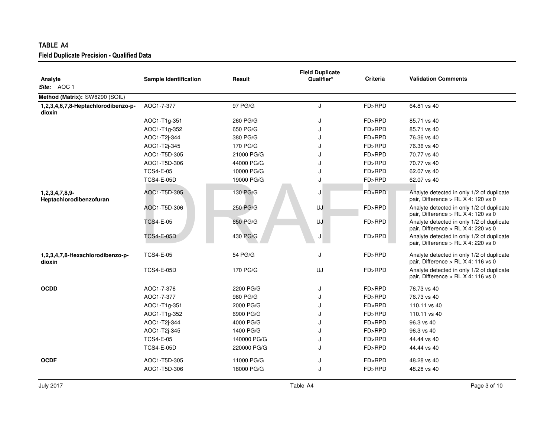| TABLE A4                                          |                              |             |                                      |          |                                                                                  |
|---------------------------------------------------|------------------------------|-------------|--------------------------------------|----------|----------------------------------------------------------------------------------|
| <b>Field Duplicate Precision - Qualified Data</b> |                              |             |                                      |          |                                                                                  |
| Analyte                                           | <b>Sample Identification</b> | Result      | <b>Field Duplicate</b><br>Qualifier* | Criteria | <b>Validation Comments</b>                                                       |
| Site: AOC 1                                       |                              |             |                                      |          |                                                                                  |
| Method (Matrix): SW8290 (SOIL)                    |                              |             |                                      |          |                                                                                  |
| 1,2,3,4,6,7,8-Heptachlorodibenzo-p-<br>dioxin     | AOC1-7-377                   | 97 PG/G     | J                                    | FD>RPD   | 64.81 vs 40                                                                      |
|                                                   | AOC1-T1g-351                 | 260 PG/G    | J                                    | FD>RPD   | 85.71 vs 40                                                                      |
|                                                   | AOC1-T1g-352                 | 650 PG/G    | J                                    | FD>RPD   | 85.71 vs 40                                                                      |
|                                                   | AOC1-T2j-344                 | 380 PG/G    | J                                    | FD>RPD   | 76.36 vs 40                                                                      |
|                                                   | AOC1-T2j-345                 | 170 PG/G    | J                                    | FD>RPD   | 76.36 vs 40                                                                      |
|                                                   | AOC1-T5D-305                 | 21000 PG/G  | J                                    | FD>RPD   | 70.77 vs 40                                                                      |
|                                                   | AOC1-T5D-306                 | 44000 PG/G  | J                                    | FD>RPD   | 70.77 vs 40                                                                      |
|                                                   | <b>TCS4-E-05</b>             | 10000 PG/G  | J                                    | FD>RPD   | 62.07 vs 40                                                                      |
|                                                   | <b>TCS4-E-05D</b>            | 19000 PG/G  | J                                    | FD>RPD   | 62.07 vs 40                                                                      |
| 1,2,3,4,7,8,9-<br>Heptachlorodibenzofuran         | AOC1-T5D-305                 | 130 PG/G    | J                                    | FD>RPD   | Analyte detected in only 1/2 of duplicate<br>pair, Difference > RL X 4: 120 vs 0 |
|                                                   | AOC1-T5D-306                 | 250 PG/G    | UJ                                   | FD>RPD   | Analyte detected in only 1/2 of duplicate<br>pair, Difference > RL X 4: 120 vs 0 |
|                                                   | <b>TCS4-E-05</b>             | 650 PG/G    | UJ                                   | FD>RPD   | Analyte detected in only 1/2 of duplicate<br>pair, Difference > RL X 4: 220 vs 0 |
|                                                   | TCS4-E-05D                   | 430 PG/G    | J                                    | FD>RPD   | Analyte detected in only 1/2 of duplicate<br>pair, Difference > RL X 4: 220 vs 0 |
| 1,2,3,4,7,8-Hexachlorodibenzo-p-<br>dioxin        | <b>TCS4-E-05</b>             | 54 PG/G     | J                                    | FD>RPD   | Analyte detected in only 1/2 of duplicate<br>pair, Difference > RL X 4: 116 vs 0 |
|                                                   | <b>TCS4-E-05D</b>            | 170 PG/G    | UJ                                   | FD>RPD   | Analyte detected in only 1/2 of duplicate<br>pair, Difference > RL X 4: 116 vs 0 |
| <b>OCDD</b>                                       | AOC1-7-376                   | 2200 PG/G   | J                                    | FD>RPD   | 76.73 vs 40                                                                      |
|                                                   | AOC1-7-377                   | 980 PG/G    | J                                    | FD>RPD   | 76.73 vs 40                                                                      |
|                                                   | AOC1-T1g-351                 | 2000 PG/G   | J                                    | FD>RPD   | 110.11 vs 40                                                                     |
|                                                   | AOC1-T1g-352                 | 6900 PG/G   | J                                    | FD>RPD   | 110.11 vs 40                                                                     |
|                                                   | AOC1-T2j-344                 | 4000 PG/G   | J                                    | FD>RPD   | 96.3 vs 40                                                                       |
|                                                   | AOC1-T2j-345                 | 1400 PG/G   | J                                    | FD>RPD   | 96.3 vs 40                                                                       |
|                                                   | <b>TCS4-E-05</b>             | 140000 PG/G | J                                    | FD>RPD   | 44.44 vs 40                                                                      |
|                                                   | <b>TCS4-E-05D</b>            | 220000 PG/G | J                                    | FD>RPD   | 44.44 vs 40                                                                      |
| <b>OCDF</b>                                       | AOC1-T5D-305                 | 11000 PG/G  | J                                    | FD>RPD   | 48.28 vs 40                                                                      |
|                                                   | AOC1-T5D-306                 | 18000 PG/G  | J                                    | FD>RPD   | 48.28 vs 40                                                                      |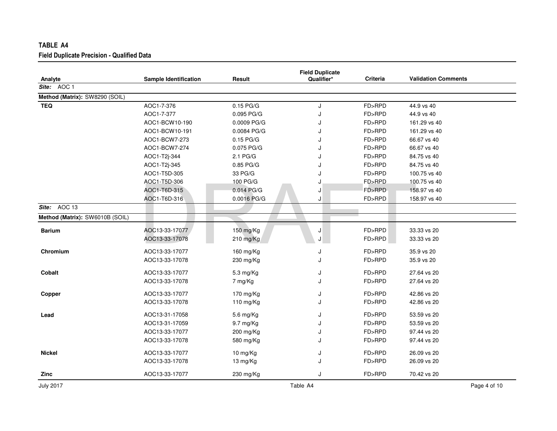| TABLE A4                                          |                              |             |                                      |                 |                            |
|---------------------------------------------------|------------------------------|-------------|--------------------------------------|-----------------|----------------------------|
| <b>Field Duplicate Precision - Qualified Data</b> |                              |             |                                      |                 |                            |
| Analyte                                           | <b>Sample Identification</b> | Result      | <b>Field Duplicate</b><br>Qualifier* | <b>Criteria</b> | <b>Validation Comments</b> |
| Site: AOC 1                                       |                              |             |                                      |                 |                            |
| Method (Matrix): SW8290 (SOIL)                    |                              |             |                                      |                 |                            |
| <b>TEQ</b>                                        | AOC1-7-376                   | $0.15$ PG/G | J                                    | FD>RPD          | 44.9 vs 40                 |
|                                                   | AOC1-7-377                   | 0.095 PG/G  | J                                    | FD>RPD          | 44.9 vs 40                 |
|                                                   | AOC1-BCW10-190               | 0.0009 PG/G |                                      | FD>RPD          | 161.29 vs 40               |
|                                                   | AOC1-BCW10-191               | 0.0084 PG/G |                                      | FD>RPD          | 161.29 vs 40               |
|                                                   | AOC1-BCW7-273                | $0.15$ PG/G |                                      | FD>RPD          | 66.67 vs 40                |
|                                                   | AOC1-BCW7-274                | 0.075 PG/G  |                                      | FD>RPD          | 66.67 vs 40                |
|                                                   | AOC1-T2j-344                 | 2.1 PG/G    |                                      | FD>RPD          | 84.75 vs 40                |
|                                                   | AOC1-T2j-345                 | 0.85 PG/G   |                                      | FD>RPD          | 84.75 vs 40                |
|                                                   | AOC1-T5D-305                 | 33 PG/G     |                                      | FD>RPD          | 100.75 vs 40               |
|                                                   | AOC1-T5D-306                 | 100 PG/G    |                                      | FD>RPD          | 100.75 vs 40               |
|                                                   | AOC1-T6D-315                 | 0.014 PG/G  | J                                    | FD>RPD          | 158.97 vs 40               |
|                                                   | AOC1-T6D-316                 | 0.0016 PG/G | J                                    | FD>RPD          | 158.97 vs 40               |
| AOC 13<br>Site:                                   |                              |             |                                      |                 |                            |
| Method (Matrix): SW6010B (SOIL)                   |                              |             |                                      |                 |                            |
| <b>Barium</b>                                     | AOC13-33-17077               | 150 mg/Kg   | J                                    | FD>RPD          | 33.33 vs 20                |
|                                                   | AOC13-33-17078               | 210 mg/Kg   | J                                    | FD>RPD          | 33.33 vs 20                |
| Chromium                                          | AOC13-33-17077               | 160 mg/Kg   | J                                    | FD>RPD          | 35.9 vs 20                 |
|                                                   | AOC13-33-17078               | 230 mg/Kg   | J                                    | FD>RPD          | 35.9 vs 20                 |
| Cobalt                                            | AOC13-33-17077               | 5.3 mg/Kg   | J                                    | FD>RPD          | 27.64 vs 20                |
|                                                   | AOC13-33-17078               | 7 mg/Kg     |                                      | FD>RPD          | 27.64 vs 20                |
| Copper                                            | AOC13-33-17077               | 170 mg/Kg   | J                                    | FD>RPD          | 42.86 vs 20                |
|                                                   | AOC13-33-17078               | 110 mg/Kg   |                                      | FD>RPD          | 42.86 vs 20                |
| Lead                                              | AOC13-31-17058               | 5.6 mg/Kg   | J                                    | FD>RPD          | 53.59 vs 20                |
|                                                   | AOC13-31-17059               | 9.7 mg/Kg   |                                      | FD>RPD          | 53.59 vs 20                |
|                                                   | AOC13-33-17077               | 200 mg/Kg   | J                                    | FD>RPD          | 97.44 vs 20                |
|                                                   | AOC13-33-17078               | 580 mg/Kg   |                                      | FD>RPD          | 97.44 vs 20                |
| <b>Nickel</b>                                     | AOC13-33-17077               | 10 mg/Kg    | J                                    | FD>RPD          | 26.09 vs 20                |
|                                                   | AOC13-33-17078               | 13 mg/Kg    | J                                    | FD>RPD          | 26.09 vs 20                |
| Zinc                                              | AOC13-33-17077               | 230 mg/Kg   | J                                    | FD>RPD          | 70.42 vs 20                |

July 2017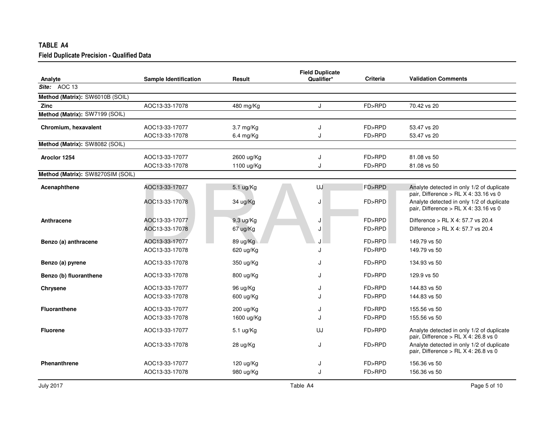| TABLE A4                                          |                       |                     |                                      |                 |                                                                                      |
|---------------------------------------------------|-----------------------|---------------------|--------------------------------------|-----------------|--------------------------------------------------------------------------------------|
| <b>Field Duplicate Precision - Qualified Data</b> |                       |                     |                                      |                 |                                                                                      |
| Analyte                                           | Sample Identification | Result              | <b>Field Duplicate</b><br>Qualifier* | <b>Criteria</b> | <b>Validation Comments</b>                                                           |
| Site: AOC 13                                      |                       |                     |                                      |                 |                                                                                      |
| Method (Matrix): SW6010B (SOIL)                   |                       |                     |                                      |                 |                                                                                      |
| <b>Zinc</b>                                       | AOC13-33-17078        | 480 mg/Kg           | J                                    | FD>RPD          | 70.42 vs 20                                                                          |
| Method (Matrix): SW7199 (SOIL)                    |                       |                     |                                      |                 |                                                                                      |
| Chromium, hexavalent                              | AOC13-33-17077        | 3.7 mg/Kg           | J                                    | FD>RPD          | 53.47 vs 20                                                                          |
|                                                   | AOC13-33-17078        | $6.4$ mg/Kg         | J                                    | FD>RPD          | 53.47 vs 20                                                                          |
| Method (Matrix): SW8082 (SOIL)                    |                       |                     |                                      |                 |                                                                                      |
| Aroclor 1254                                      | AOC13-33-17077        | 2600 ug/Kg          | J                                    | FD>RPD          | 81.08 vs 50                                                                          |
|                                                   | AOC13-33-17078        | 1100 ug/Kg          | J                                    | FD>RPD          | 81.08 vs 50                                                                          |
| Method (Matrix): SW8270SIM (SOIL)                 |                       |                     |                                      |                 |                                                                                      |
| Acenaphthene                                      | AOC13-33-17077        | 5.1 ug/Kg           | UJ                                   | FD>RPD          | Analyte detected in only 1/2 of duplicate<br>pair, Difference $>$ RL X 4: 33.16 vs 0 |
|                                                   | AOC13-33-17078        | 34 ug/Kg            | J                                    | FD>RPD          | Analyte detected in only 1/2 of duplicate<br>pair, Difference > RL X 4: 33.16 vs 0   |
| Anthracene                                        | AOC13-33-17077        | 9.3 ug/Kg           | J                                    | FD>RPD          | Difference > RL X 4: 57.7 vs 20.4                                                    |
|                                                   | AOC13-33-17078        | 67 ug/Kg            | J                                    | FD>RPD          | Difference > RL X 4: 57.7 vs 20.4                                                    |
| Benzo (a) anthracene                              | AOC13-33-17077        | 89 ug/Kg            |                                      | FD>RPD          | 149.79 vs 50                                                                         |
|                                                   | AOC13-33-17078        | 620 ug/Kg           | J                                    | FD>RPD          | 149.79 vs 50                                                                         |
| Benzo (a) pyrene                                  | AOC13-33-17078        | 350 ug/Kg           | J                                    | FD>RPD          | 134.93 vs 50                                                                         |
| Benzo (b) fluoranthene                            | AOC13-33-17078        | 800 ug/Kg           | J                                    | FD>RPD          | 129.9 vs 50                                                                          |
| <b>Chrysene</b>                                   | AOC13-33-17077        | 96 ug/Kg            | J                                    | FD>RPD          | 144.83 vs 50                                                                         |
|                                                   | AOC13-33-17078        | 600 ug/Kg           | J                                    | FD>RPD          | 144.83 vs 50                                                                         |
| <b>Fluoranthene</b>                               | AOC13-33-17077        | $200 \text{ ug/Kg}$ | J                                    | FD>RPD          | 155.56 vs 50                                                                         |
|                                                   | AOC13-33-17078        | 1600 ug/Kg          | J                                    | FD>RPD          | 155.56 vs 50                                                                         |
| <b>Fluorene</b>                                   | AOC13-33-17077        | 5.1 ug/Kg           | UJ                                   | FD>RPD          | Analyte detected in only 1/2 of duplicate<br>pair, Difference > RL X 4: 26.8 vs 0    |
|                                                   | AOC13-33-17078        | 28 ug/Kg            | J                                    | FD>RPD          | Analyte detected in only 1/2 of duplicate<br>pair, Difference > RL X 4: 26.8 vs 0    |
| <b>Phenanthrene</b>                               | AOC13-33-17077        | 120 $\mu$ g/Kg      | J                                    | FD>RPD          | 156.36 vs 50                                                                         |
|                                                   | AOC13-33-17078        | 980 ug/Kg           | J                                    | FD>RPD          | 156.36 vs 50                                                                         |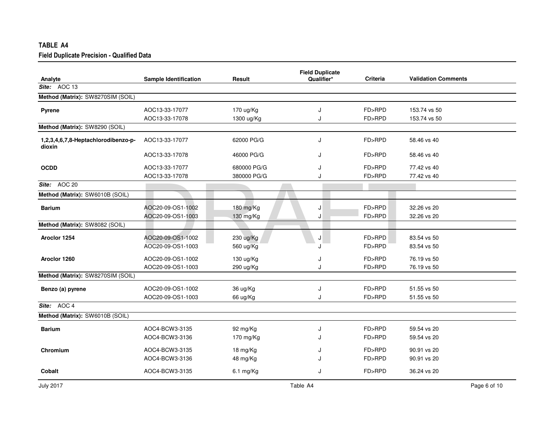| TABLE A4                                          |                              |             |                                      |                 |                            |  |
|---------------------------------------------------|------------------------------|-------------|--------------------------------------|-----------------|----------------------------|--|
| <b>Field Duplicate Precision - Qualified Data</b> |                              |             |                                      |                 |                            |  |
| Analyte                                           | <b>Sample Identification</b> | Result      | <b>Field Duplicate</b><br>Qualifier* | <b>Criteria</b> | <b>Validation Comments</b> |  |
| Site: AOC 13                                      |                              |             |                                      |                 |                            |  |
| Method (Matrix): SW8270SIM (SOIL)                 |                              |             |                                      |                 |                            |  |
| <b>Pyrene</b>                                     | AOC13-33-17077               | 170 ug/Kg   | J                                    | FD>RPD          | 153.74 vs 50               |  |
|                                                   | AOC13-33-17078               | 1300 ug/Kg  | J                                    | FD>RPD          | 153.74 vs 50               |  |
| Method (Matrix): SW8290 (SOIL)                    |                              |             |                                      |                 |                            |  |
| 1,2,3,4,6,7,8-Heptachlorodibenzo-p-<br>dioxin     | AOC13-33-17077               | 62000 PG/G  | J                                    | FD>RPD          | 58.46 vs 40                |  |
|                                                   | AOC13-33-17078               | 46000 PG/G  | J                                    | FD>RPD          | 58.46 vs 40                |  |
| <b>OCDD</b>                                       | AOC13-33-17077               | 680000 PG/G | J                                    | FD>RPD          | 77.42 vs 40                |  |
|                                                   | AOC13-33-17078               | 380000 PG/G | J                                    | FD>RPD          | 77.42 vs 40                |  |
| Site: AOC 20                                      |                              |             |                                      |                 |                            |  |
| Method (Matrix): SW6010B (SOIL)                   |                              |             |                                      |                 |                            |  |
| <b>Barium</b>                                     | AOC20-09-OS1-1002            | 180 mg/Kg   | J                                    | FD>RPD          | 32.26 vs 20                |  |
|                                                   | AOC20-09-OS1-1003            | 130 mg/Kg   | J                                    | FD>RPD          | 32.26 vs 20                |  |
| Method (Matrix): SW8082 (SOIL)                    |                              |             |                                      |                 |                            |  |
| Aroclor 1254                                      | AOC20-09-OS1-1002            | 230 ug/Kg   | J                                    | FD>RPD          | 83.54 vs 50                |  |
|                                                   | AOC20-09-OS1-1003            | 560 ug/Kg   | J                                    | FD>RPD          | 83.54 vs 50                |  |
| Aroclor 1260                                      | AOC20-09-OS1-1002            | 130 ug/Kg   | J                                    | FD>RPD          | 76.19 vs 50                |  |
|                                                   | AOC20-09-OS1-1003            | 290 ug/Kg   | J                                    | FD>RPD          | 76.19 vs 50                |  |
| Method (Matrix): SW8270SIM (SOIL)                 |                              |             |                                      |                 |                            |  |
| Benzo (a) pyrene                                  | AOC20-09-OS1-1002            | 36 ug/Kg    | J                                    | FD>RPD          | 51.55 vs 50                |  |
|                                                   | AOC20-09-OS1-1003            | 66 ug/Kg    | J                                    | FD>RPD          | 51.55 vs 50                |  |
| Site: AOC 4                                       |                              |             |                                      |                 |                            |  |
| Method (Matrix): SW6010B (SOIL)                   |                              |             |                                      |                 |                            |  |
| <b>Barium</b>                                     | AOC4-BCW3-3135               | 92 mg/Kg    | J                                    | FD>RPD          | 59.54 vs 20                |  |
|                                                   | AOC4-BCW3-3136               | 170 mg/Kg   | J                                    | FD>RPD          | 59.54 vs 20                |  |
| Chromium                                          | AOC4-BCW3-3135               | 18 mg/Kg    | J                                    | FD>RPD          | 90.91 vs 20                |  |
|                                                   | AOC4-BCW3-3136               | 48 mg/Kg    | J.                                   | FD>RPD          | 90.91 vs 20                |  |
| Cobalt                                            | AOC4-BCW3-3135               | 6.1 mg/Kg   | J                                    | FD>RPD          | 36.24 vs 20                |  |
|                                                   |                              |             |                                      |                 |                            |  |

July 2017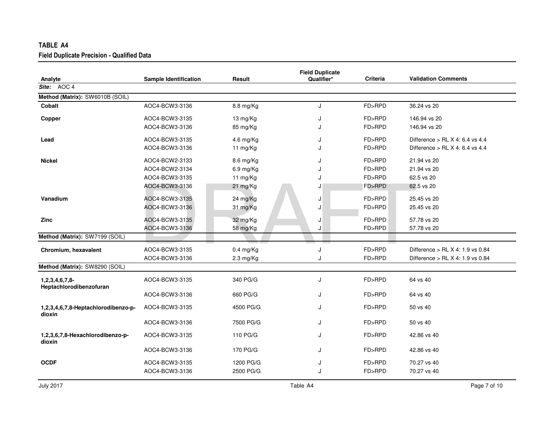| TABLE A4                                          |                              |                     |                                      |                 |                                    |
|---------------------------------------------------|------------------------------|---------------------|--------------------------------------|-----------------|------------------------------------|
| <b>Field Duplicate Precision - Qualified Data</b> |                              |                     |                                      |                 |                                    |
| Analyte                                           | <b>Sample Identification</b> | Result              | <b>Field Duplicate</b><br>Qualifier* | <b>Criteria</b> | <b>Validation Comments</b>         |
| Site: $AOC$ 4                                     |                              |                     |                                      |                 |                                    |
| Method (Matrix): SW6010B (SOIL)                   |                              |                     |                                      |                 |                                    |
| Cobalt                                            | AOC4-BCW3-3136               | 8.8 mg/Kg           | J                                    | FD>RPD          | 36.24 vs 20                        |
| Copper                                            | AOC4-BCW3-3135               | 13 mg/Kg            | J                                    | FD>RPD          | 146.94 vs 20                       |
|                                                   | AOC4-BCW3-3136               | 85 mg/Kg            | J                                    | FD>RPD          | 146.94 vs 20                       |
| Lead                                              | AOC4-BCW3-3135               | 4.6 mg/Kg           | J                                    | FD>RPD          | Difference $>$ RL X 4: 6.4 vs 4.4  |
|                                                   | AOC4-BCW3-3136               | 11 mg/Kg            | ۱.                                   | FD>RPD          | Difference > RL $X$ 4: 6.4 vs 4.4  |
| Nickel                                            | AOC4-BCW2-3133               | 8.6 mg/Kg           | J                                    | FD>RPD          | 21.94 vs 20                        |
|                                                   | AOC4-BCW2-3134               | 6.9 mg/Kg           | J                                    | FD>RPD          | 21.94 vs 20                        |
|                                                   | AOC4-BCW3-3135               | 11 mg/Kg            | J                                    | FD>RPD          | 62.5 vs 20                         |
|                                                   | AOC4-BCW3-3136               | 21 mg/Kg            | J                                    | FD>RPD          | 62.5 vs 20                         |
| Vanadium                                          | AOC4-BCW3-3135               | 24 mg/Kg            | J                                    | FD>RPD          | 25.45 vs 20                        |
|                                                   | AOC4-BCW3-3136               | 31 mg/Kg            | J                                    | FD>RPD          | 25.45 vs 20                        |
| Zinc                                              | AOC4-BCW3-3135               | 32 mg/Kg            | J                                    | FD>RPD          | 57.78 vs 20                        |
|                                                   | AOC4-BCW3-3136               | 58 mg/Kg            | J                                    | FD>RPD          | 57.78 vs 20                        |
| Method (Matrix): SW7199 (SOIL)                    |                              |                     |                                      |                 |                                    |
| Chromium, hexavalent                              | AOC4-BCW3-3135               | $0.4$ mg/Kg         | J                                    | FD>RPD          | Difference > RL $X$ 4: 1.9 vs 0.84 |
|                                                   | AOC4-BCW3-3136               | $2.3 \text{ mg/Kg}$ | J                                    | FD>RPD          | Difference > RL X 4: 1.9 vs 0.84   |
| Method (Matrix): SW8290 (SOIL)                    |                              |                     |                                      |                 |                                    |
| 1,2,3,4,6,7,8-<br>Heptachlorodibenzofuran         | AOC4-BCW3-3135               | 340 PG/G            | J                                    | FD>RPD          | 64 vs 40                           |
|                                                   | AOC4-BCW3-3136               | 660 PG/G            | J                                    | FD>RPD          | 64 vs 40                           |
| 1,2,3,4,6,7,8-Heptachlorodibenzo-p-<br>dioxin     | AOC4-BCW3-3135               | 4500 PG/G           | J                                    | FD>RPD          | 50 vs 40                           |
|                                                   | AOC4-BCW3-3136               | 7500 PG/G           | J                                    | FD>RPD          | 50 vs 40                           |
| 1,2,3,6,7,8-Hexachlorodibenzo-p-<br>dioxin        | AOC4-BCW3-3135               | 110 PG/G            | J                                    | FD>RPD          | 42.86 vs 40                        |
|                                                   | AOC4-BCW3-3136               | 170 PG/G            | J                                    | FD>RPD          | 42.86 vs 40                        |
| <b>OCDF</b>                                       | AOC4-BCW3-3135               | 1200 PG/G           | J                                    | FD>RPD          | 70.27 vs 40                        |
|                                                   | AOC4-BCW3-3136               | 2500 PG/G           | J                                    | FD>RPD          | 70.27 vs 40                        |
|                                                   |                              |                     |                                      |                 |                                    |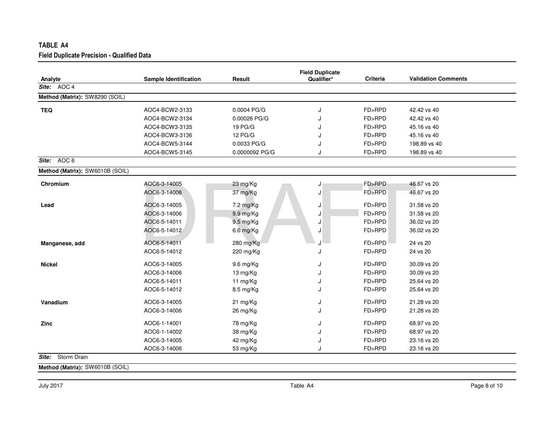| Analyte                         | <b>Sample Identification</b> | Result               | <b>Field Duplicate</b><br>Qualifier* | Criteria | <b>Validation Comments</b> |
|---------------------------------|------------------------------|----------------------|--------------------------------------|----------|----------------------------|
| Site: AOC 4                     |                              |                      |                                      |          |                            |
| Method (Matrix): SW8290 (SOIL)  |                              |                      |                                      |          |                            |
| <b>TEQ</b>                      | AOC4-BCW2-3133               | 0.0004 PG/G          | J                                    | FD>RPD   | 42.42 vs 40                |
|                                 | AOC4-BCW2-3134               | 0.00026 PG/G         | J                                    | FD>RPD   | 42.42 vs 40                |
|                                 | AOC4-BCW3-3135               | 19 PG/G              |                                      | FD>RPD   | 45.16 vs 40                |
|                                 | AOC4-BCW3-3136               | 12 PG/G              |                                      | FD>RPD   | 45.16 vs 40                |
|                                 | AOC4-BCW5-3144               | 0.0033 PG/G          | J                                    | FD>RPD   | 198.89 vs 40               |
|                                 | AOC4-BCW5-3145               | 0.0000092 PG/G       | J                                    | FD>RPD   | 198.89 vs 40               |
| AOC 6<br>Site:                  |                              |                      |                                      |          |                            |
| Method (Matrix): SW6010B (SOIL) |                              |                      |                                      |          |                            |
| Chromium                        | AOC6-3-14005                 | 23 mg/Kg             | J                                    | FD>RPD   | 46.67 vs 20                |
|                                 | AOC6-3-14006                 | 37 mg/Kg             | J                                    | FD>RPD   | 46.67 vs 20                |
| Lead                            | AOC6-3-14005                 | 7.2 mg/Kg            | J                                    | FD>RPD   | 31.58 vs 20                |
|                                 | AOC6-3-14006                 | 9.9 mg/Kg            | J                                    | FD>RPD   | 31.58 vs 20                |
|                                 | AOC6-5-14011                 | 9.5 mg/Kg            | J                                    | FD>RPD   | 36.02 vs 20                |
|                                 | AOC6-5-14012                 | 6.6 mg/Kg            | J                                    | FD>RPD   | 36.02 vs 20                |
| Manganese, add                  | AOC6-5-14011                 | 280 mg/Kg            | ۱.                                   | FD>RPD   | 24 vs 20                   |
|                                 | AOC6-5-14012                 | 220 mg/Kg            | J                                    | FD>RPD   | 24 vs 20                   |
| <b>Nickel</b>                   | AOC6-3-14005                 | 9.6 mg/Kg            | J                                    | FD>RPD   | 30.09 vs 20                |
|                                 | AOC6-3-14006                 | 13 mg/Kg             | J                                    | FD>RPD   | 30.09 vs 20                |
|                                 | AOC6-5-14011                 | 11 mg/Kg             | J                                    | FD>RPD   | 25.64 vs 20                |
|                                 | AOC6-5-14012                 | 8.5 mg/Kg            | J                                    | FD>RPD   | 25.64 vs 20                |
| Vanadium                        | AOC6-3-14005                 | 21 mg/Kg             | J                                    | FD>RPD   | 21.28 vs 20                |
|                                 | AOC6-3-14006                 | 26 mg/Kg             | J                                    | FD>RPD   | 21.28 vs 20                |
|                                 |                              |                      |                                      | FD>RPD   |                            |
| Zinc                            | AOC6-1-14001<br>AOC6-1-14002 | 78 mg/Kg             | J                                    | FD>RPD   | 68.97 vs 20                |
|                                 | AOC6-3-14005                 | 38 mg/Kg             | J                                    | FD>RPD   | 68.97 vs 20<br>23.16 vs 20 |
|                                 | AOC6-3-14006                 | 42 mg/Kg<br>53 mg/Kg | J<br>J                               | FD>RPD   | 23.16 vs 20                |

**Method (Matrix):** SW6010B (SOIL)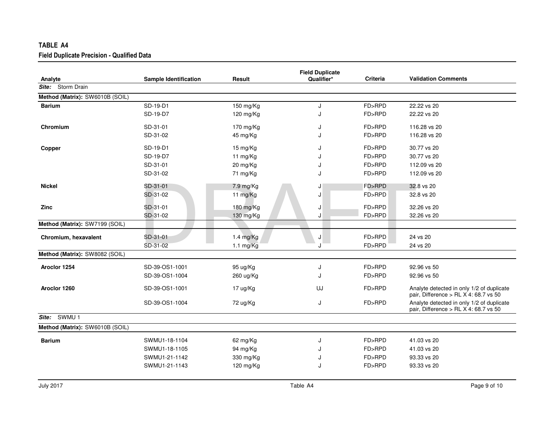| TABLE A4                                          |                              |                     |                                      |          |                                                                                      |
|---------------------------------------------------|------------------------------|---------------------|--------------------------------------|----------|--------------------------------------------------------------------------------------|
| <b>Field Duplicate Precision - Qualified Data</b> |                              |                     |                                      |          |                                                                                      |
| Analyte                                           | <b>Sample Identification</b> | Result              | <b>Field Duplicate</b><br>Qualifier* | Criteria | <b>Validation Comments</b>                                                           |
| Site: Storm Drain                                 |                              |                     |                                      |          |                                                                                      |
| Method (Matrix): SW6010B (SOIL)                   |                              |                     |                                      |          |                                                                                      |
| <b>Barium</b>                                     | SD-19-D1                     | 150 mg/Kg           | J                                    | FD>RPD   | 22.22 vs 20                                                                          |
|                                                   | SD-19-D7                     | 120 mg/ $Kg$        | J                                    | FD>RPD   | 22.22 vs 20                                                                          |
| Chromium                                          | SD-31-01                     | 170 mg/Kg           | J                                    | FD>RPD   | 116.28 vs 20                                                                         |
|                                                   | SD-31-02                     | 45 mg/Kg            | J                                    | FD>RPD   | 116.28 vs 20                                                                         |
| Copper                                            | SD-19-D1                     | 15 mg/Kg            | J                                    | FD>RPD   | 30.77 vs 20                                                                          |
|                                                   | SD-19-D7                     | 11 mg/Kg            | J                                    | FD>RPD   | 30.77 vs 20                                                                          |
|                                                   | SD-31-01                     | 20 mg/Kg            | J                                    | FD>RPD   | 112.09 vs 20                                                                         |
|                                                   | SD-31-02                     | 71 mg/Kg            | J                                    | FD>RPD   | 112.09 vs 20                                                                         |
| <b>Nickel</b>                                     | SD-31-01                     | 7.9 mg/Kg           | J                                    | FD>RPD   | 32.8 vs 20                                                                           |
|                                                   | SD-31-02                     | 11 mg/Kg            | J                                    | FD>RPD   | 32.8 vs 20                                                                           |
| Zinc                                              | SD-31-01                     | 180 mg/Kg           | J                                    | FD>RPD   | 32.26 vs 20                                                                          |
|                                                   | SD-31-02                     | 130 mg/Kg           | J                                    | FD>RPD   | 32.26 vs 20                                                                          |
| Method (Matrix): SW7199 (SOIL)                    |                              |                     |                                      |          |                                                                                      |
| Chromium, hexavalent                              | SD-31-01                     | $1.4$ mg/Kg         | J                                    | FD>RPD   | 24 vs 20                                                                             |
|                                                   | SD-31-02                     | $1.1 \text{ mg/Kg}$ | J                                    | FD>RPD   | 24 vs 20                                                                             |
| Method (Matrix): SW8082 (SOIL)                    |                              |                     |                                      |          |                                                                                      |
| Aroclor 1254                                      | SD-39-OS1-1001               | 95 ug/Kg            | J                                    | FD>RPD   | 92.96 vs 50                                                                          |
|                                                   | SD-39-OS1-1004               | 260 ug/Kg           | J                                    | FD>RPD   | 92.96 vs 50                                                                          |
| Aroclor 1260                                      | SD-39-OS1-1001               | 17 ug/Kg            | UJ                                   | FD>RPD   | Analyte detected in only 1/2 of duplicate<br>pair, Difference > RL X 4: 68.7 vs 50   |
|                                                   | SD-39-OS1-1004               | 72 ug/Kg            | J                                    | FD>RPD   | Analyte detected in only 1/2 of duplicate<br>pair, Difference > RL $X$ 4: 68.7 vs 50 |
| SWMU <sub>1</sub><br>Site:                        |                              |                     |                                      |          |                                                                                      |
| Method (Matrix): SW6010B (SOIL)                   |                              |                     |                                      |          |                                                                                      |
| <b>Barium</b>                                     | SWMU1-18-1104                | 62 mg/Kg            | J                                    | FD>RPD   | 41.03 vs 20                                                                          |
|                                                   | SWMU1-18-1105                | 94 mg/Kg            | J                                    | FD>RPD   | 41.03 vs 20                                                                          |
|                                                   | SWMU1-21-1142                | 330 mg/Kg           | J                                    | FD>RPD   | 93.33 vs 20                                                                          |
|                                                   | SWMU1-21-1143                | 120 mg/Kg           | J                                    | FD>RPD   | 93.33 vs 20                                                                          |
|                                                   |                              |                     |                                      |          |                                                                                      |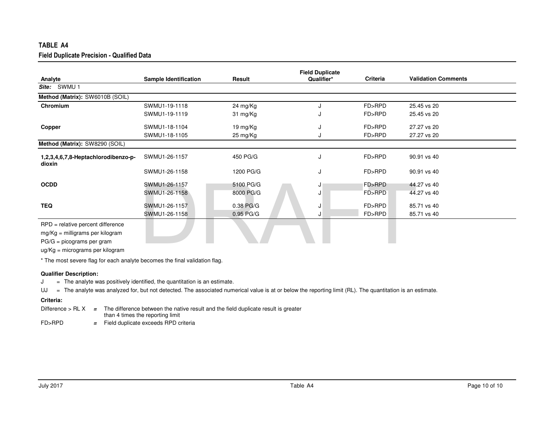| TABLE A4                                                                                                                                 |                                |                          |                                      |                  |                            |  |
|------------------------------------------------------------------------------------------------------------------------------------------|--------------------------------|--------------------------|--------------------------------------|------------------|----------------------------|--|
| Field Duplicate Precision - Qualified Data                                                                                               |                                |                          |                                      |                  |                            |  |
| Analyte                                                                                                                                  | <b>Sample Identification</b>   | Result                   | <b>Field Duplicate</b><br>Qualifier* | <b>Criteria</b>  | <b>Validation Comments</b> |  |
| SWMU 1<br>Site:                                                                                                                          |                                |                          |                                      |                  |                            |  |
| Method (Matrix): SW6010B (SOIL)                                                                                                          |                                |                          |                                      |                  |                            |  |
| Chromium                                                                                                                                 | SWMU1-19-1118<br>SWMU1-19-1119 | 24 mg/Kg<br>31 mg/Kg     | J<br>J                               | FD>RPD<br>FD>RPD | 25.45 vs 20<br>25.45 vs 20 |  |
| Copper                                                                                                                                   | SWMU1-18-1104<br>SWMU1-18-1105 | 19 mg/Kg<br>25 mg/Kg     | J<br>J                               | FD>RPD<br>FD>RPD | 27.27 vs 20<br>27.27 vs 20 |  |
| Method (Matrix): SW8290 (SOIL)                                                                                                           |                                |                          |                                      |                  |                            |  |
| 1,2,3,4,6,7,8-Heptachlorodibenzo-p-<br>dioxin                                                                                            | SWMU1-26-1157                  | 450 PG/G                 | J                                    | FD>RPD           | 90.91 vs 40                |  |
|                                                                                                                                          | SWMU1-26-1158                  | 1200 PG/G                | J                                    | FD>RPD           | 90.91 vs 40                |  |
| <b>OCDD</b>                                                                                                                              | SWMU1-26-1157<br>SWMU1-26-1158 | 5100 PG/G<br>8000 PG/G   | J<br>J                               | FD>RPD<br>FD>RPD | 44.27 vs 40<br>44.27 vs 40 |  |
| <b>TEQ</b>                                                                                                                               | SWMU1-26-1157<br>SWMU1-26-1158 | 0.38 PG/G<br>$0.95$ PG/G | J<br>J                               | FD>RPD<br>FD>RPD | 85.71 vs 40<br>85.71 vs 40 |  |
| RPD = relative percent difference<br>$mg/Kg =$ milligrams per kilogram<br>$PG/G = picograms per gram$<br>ug/Kg = micrograms per kilogram |                                |                          |                                      |                  |                            |  |

\* The most severe flag for each analyte becomes the final validation flag.

## **Qualifier Description:**

 <sup>=</sup> The analyte was positively identified, the quantitation is an estimate. J

UJ <sup>=</sup> The analyte was analyzed for, but not detected. The associated numerical value is at or below the reporting limit (RL). The quantitation is an estimate.

|        | Difference $>$ RL X $=$ The difference between the native result and the field duplicate result is greater |  |  |  |
|--------|------------------------------------------------------------------------------------------------------------|--|--|--|
|        | than 4 times the reporting limit                                                                           |  |  |  |
| FD>RPD | $=$ Field duplicate exceeds RPD criteria                                                                   |  |  |  |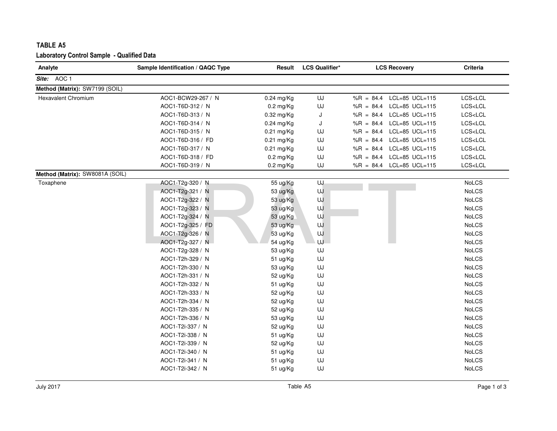| Analyte                         | Sample Identification / QAQC Type | Result       | <b>LCS Qualifier*</b> | <b>LCS Recovery</b>           | Criteria                |
|---------------------------------|-----------------------------------|--------------|-----------------------|-------------------------------|-------------------------|
| Site: AOC 1                     |                                   |              |                       |                               |                         |
| Method (Matrix): SW7199 (SOIL)  |                                   |              |                       |                               |                         |
| <b>Hexavalent Chromium</b>      | AOC1-BCW29-267 / N                | 0.24 mg/Kg   | UJ                    | LCL=85 UCL=115<br>$%R = 84.4$ | LCS <lcl< td=""></lcl<> |
|                                 | AOC1-T6D-312 / N                  | $0.2$ mg/Kg  | UJ                    | $%R = 84.4$<br>LCL=85 UCL=115 | LCS <lcl< td=""></lcl<> |
|                                 | AOC1-T6D-313 / N                  | $0.32$ mg/Kg | J                     | %R = 84.4 LCL=85 UCL=115      | LCS < LCL               |
|                                 | AOC1-T6D-314 / N                  | $0.24$ mg/Kg | J                     | %R = 84.4 LCL=85 UCL=115      | LCS <lcl< td=""></lcl<> |
|                                 | AOC1-T6D-315 / N                  | $0.21$ mg/Kg | UJ                    | LCL=85 UCL=115<br>$%R = 84.4$ | LCS <lcl< td=""></lcl<> |
|                                 | AOC1-T6D-316 / FD                 | $0.21$ mg/Kg | UJ                    | LCL=85 UCL=115<br>$%R = 84.4$ | LCS <lcl< td=""></lcl<> |
|                                 | AOC1-T6D-317 / N                  | 0.21 mg/Kg   | UJ                    | $%R = 84.4$<br>LCL=85 UCL=115 | LCS <lcl< td=""></lcl<> |
|                                 | AOC1-T6D-318 / FD                 | $0.2$ mg/Kg  | UJ                    | LCL=85 UCL=115<br>$%R = 84.4$ | LCS <lcl< td=""></lcl<> |
|                                 | AOC1-T6D-319 / N                  | $0.2$ mg/Kg  | UJ                    | %R = 84.4 LCL=85 UCL=115      | LCS <lcl< td=""></lcl<> |
| Method (Matrix): SW8081A (SOIL) |                                   |              |                       |                               |                         |
| Toxaphene                       | AOC1-T2g-320 / N                  | 55 ug/Kg     | UJ                    |                               | <b>NoLCS</b>            |
|                                 | AOC1-T2g-321 / N                  | 53 ug/Kg     | UJ                    |                               | NoLCS                   |
|                                 | AOC1-T2g-322 / N                  | 53 ug/Kg     | UJ                    |                               | <b>NoLCS</b>            |
|                                 | AOC1-T2g-323 / N                  | 53 ug/Kg     | UJ                    |                               | <b>NoLCS</b>            |
|                                 | AOC1-T2g-324 / N                  | 53 ug/Kg     | UJ                    |                               | <b>NoLCS</b>            |
|                                 | AOC1-T2g-325 / FD                 | 53 ug/Kg     | UJ                    |                               | <b>NoLCS</b>            |
|                                 | AOC1-T2g-326 / N                  | 53 ug/Kg     | UJ                    |                               | NoLCS                   |
|                                 | AOC1-T2g-327 / N                  | 54 ug/Kg     | UJ                    |                               | <b>NoLCS</b>            |
|                                 | AOC1-T2g-328 / N                  | 53 ug/Kg     | UJ                    |                               | <b>NoLCS</b>            |
|                                 | AOC1-T2h-329 / N                  | 51 ug/Kg     | UJ                    |                               | <b>NoLCS</b>            |
|                                 | AOC1-T2h-330 / N                  | 53 ug/Kg     | UJ                    |                               | NoLCS                   |
|                                 | AOC1-T2h-331 / N                  | 52 ug/Kg     | UJ                    |                               | <b>NoLCS</b>            |
|                                 | AOC1-T2h-332 / N                  | 51 ug/Kg     | UJ                    |                               | <b>NoLCS</b>            |
|                                 | AOC1-T2h-333 / N                  | 52 ug/Kg     | UJ                    |                               | <b>NoLCS</b>            |
|                                 | AOC1-T2h-334 / N                  | 52 ug/Kg     | UJ                    |                               | <b>NoLCS</b>            |
|                                 | AOC1-T2h-335 / N                  | 52 ug/Kg     | UJ                    |                               | <b>NoLCS</b>            |
|                                 | AOC1-T2h-336 / N                  | 53 ug/Kg     | UJ                    |                               | <b>NoLCS</b>            |
|                                 | AOC1-T2i-337 / N                  | 52 ug/Kg     | UJ                    |                               | <b>NoLCS</b>            |
|                                 | AOC1-T2i-338 / N                  | 51 ug/Kg     | UJ                    |                               | <b>NoLCS</b>            |
|                                 | AOC1-T2i-339 / N                  | 52 ug/Kg     | UJ                    |                               | NoLCS                   |
|                                 | AOC1-T2i-340 / N                  | 51 ug/Kg     | UJ                    |                               | <b>NoLCS</b>            |
|                                 | AOC1-T2i-341 / N                  | 51 ug/Kg     | UJ                    |                               | <b>NoLCS</b>            |
|                                 | AOC1-T2i-342 / N                  | 51 ug/Kg     | UJ                    |                               | <b>NoLCS</b>            |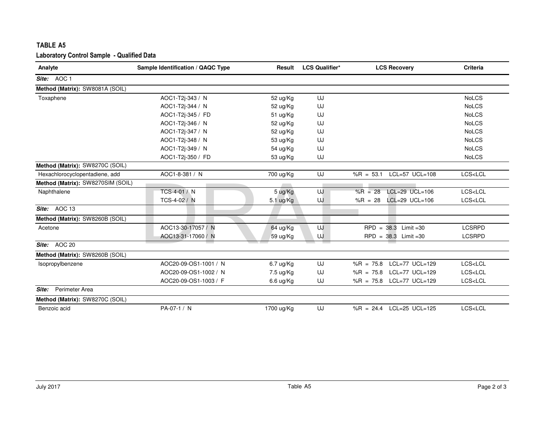| TABLE A5                                          |                                   |                     |                       |                                 |                         |
|---------------------------------------------------|-----------------------------------|---------------------|-----------------------|---------------------------------|-------------------------|
| <b>Laboratory Control Sample - Qualified Data</b> |                                   |                     |                       |                                 |                         |
| Analyte                                           | Sample Identification / QAQC Type | Result              | <b>LCS Qualifier*</b> | <b>LCS Recovery</b>             | <b>Criteria</b>         |
| Site: AOC 1                                       |                                   |                     |                       |                                 |                         |
| Method (Matrix): SW8081A (SOIL)                   |                                   |                     |                       |                                 |                         |
| Toxaphene                                         | AOC1-T2j-343 / N                  | 52 ug/Kg            | UJ                    |                                 | <b>NoLCS</b>            |
|                                                   | AOC1-T2j-344 / N                  | 52 ug/Kg            | UJ                    |                                 | <b>NoLCS</b>            |
|                                                   | AOC1-T2i-345 / FD                 | 51 ug/Kg            | UJ                    |                                 | <b>NoLCS</b>            |
|                                                   | AOC1-T2j-346 / N                  | 52 ug/Kg            | UJ                    |                                 | <b>NoLCS</b>            |
|                                                   | AOC1-T2j-347 / N                  | 52 ug/Kg            | UJ                    |                                 | <b>NoLCS</b>            |
|                                                   | AOC1-T2j-348 / N                  | 53 ug/Kg            | UJ                    |                                 | <b>NoLCS</b>            |
|                                                   | AOC1-T2j-349 / N                  | 54 ug/Kg            | UJ                    |                                 | <b>NoLCS</b>            |
|                                                   | AOC1-T2j-350 / FD                 | 53 ug/Kg            | UJ                    |                                 | <b>NoLCS</b>            |
| Method (Matrix): SW8270C (SOIL)                   |                                   |                     |                       |                                 |                         |
| Hexachlorocyclopentadiene, add                    | AOC1-8-381 / N                    | 700 ug/Kg           | UJ                    | $LCL=57$ UCL=108<br>$%R = 53.1$ | LCS <lcl< td=""></lcl<> |
| Method (Matrix): SW8270SIM (SOIL)                 |                                   |                     |                       |                                 |                         |
| Naphthalene                                       | TCS-4-01 / N                      | 5 ug/Kg             | UJ                    | LCL=29 UCL=106<br>$%R = 28$     | LCS <lcl< td=""></lcl<> |
|                                                   | TCS-4-02 / N                      | $5.1 \text{ ug/Kg}$ | UJ                    | LCL=29 UCL=106<br>$%R = 28$     | LCS <lcl< td=""></lcl<> |
| Site: AOC 13                                      |                                   |                     |                       |                                 |                         |
| Method (Matrix): SW8260B (SOIL)                   |                                   |                     |                       |                                 |                         |
| Acetone                                           | AOC13-30-17057 / N                | 64 ug/Kg            | UJ                    | $RPD = 38.3$ Limit = 30         | <b>LCSRPD</b>           |
|                                                   | AOC13-31-17060 / N                | 59 ug/Kg            | UJ                    | $RPD = 38.3$ Limit = 30         | <b>LCSRPD</b>           |
| Site: AOC 20                                      |                                   |                     |                       |                                 |                         |
| Method (Matrix): SW8260B (SOIL)                   |                                   |                     |                       |                                 |                         |
| Isopropylbenzene                                  | AOC20-09-OS1-1001 / N             | $6.7$ ug/Kg         | UJ                    | $LCL=77$ UCL=129<br>$%R = 75.8$ | LCS <lcl< td=""></lcl<> |
|                                                   | AOC20-09-OS1-1002 / N             | 7.5 ug/Kg           | UJ                    | LCL=77 UCL=129<br>$%R = 75.8$   | LCS <lcl< td=""></lcl<> |
|                                                   | AOC20-09-OS1-1003 / F             | 6.6 ug/Kg           | UJ                    | $%R = 75.8$<br>$LCL=77$ UCL=129 | LCS < LCL               |
| Perimeter Area<br>Site:                           |                                   |                     |                       |                                 |                         |
| Method (Matrix): SW8270C (SOIL)                   |                                   |                     |                       |                                 |                         |
| Benzoic acid                                      | PA-07-1 / N                       | 1700 ug/Kg          | UJ                    | %R = 24.4 LCL=25 UCL=125        | LCS <lcl< td=""></lcl<> |
|                                                   |                                   |                     |                       |                                 |                         |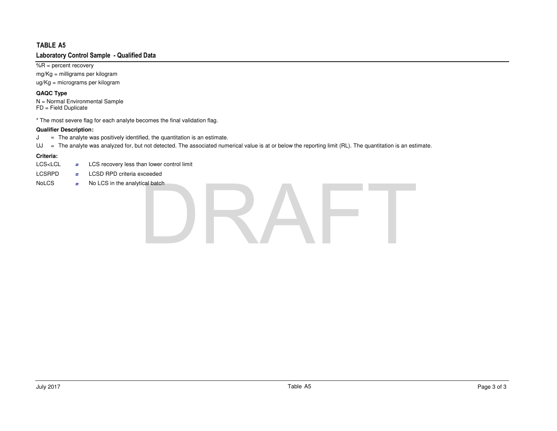$\sqrt%$ R = percent recovery

 mg/Kg = milligrams per kilogramug/Kg = micrograms per kilogram

## **QAQC Type**

N = Normal Environmental Sample FD = Field Duplicate

\* The most severe flag for each analyte becomes the final validation flag.

## **Qualifier Description:**

 <sup>=</sup> The analyte was positively identified, the quantitation is an estimate. J

UJ <sup>=</sup> The analyte was analyzed for, but not detected. The associated numerical value is at or below the reporting limit (RL). The quantitation is an estimate.

- LCS<LCL  $=$  LCS recovery less than lower control limit
- LCSRPD**<sup>=</sup>** LCSD RPD criteria exceeded
- NoLCS**<sup>=</sup>** No LCS in the analytical batch

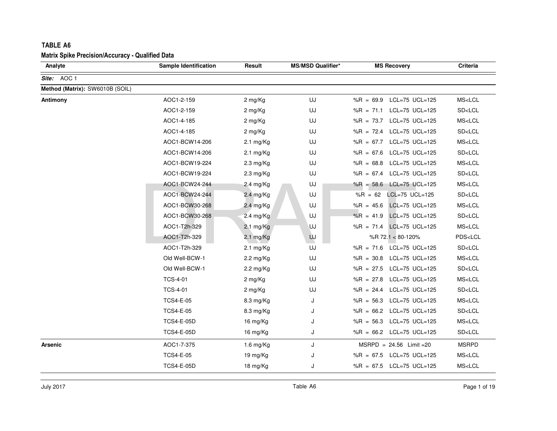| <b>Matrix Spike Precision/Accuracy - Qualified Data</b> |                              |                     |                          |                               |                         |
|---------------------------------------------------------|------------------------------|---------------------|--------------------------|-------------------------------|-------------------------|
| Analyte                                                 | <b>Sample Identification</b> | Result              | <b>MS/MSD Qualifier*</b> | <b>MS Recovery</b>            | Criteria                |
| Site: AOC 1                                             |                              |                     |                          |                               |                         |
| Method (Matrix): SW6010B (SOIL)                         |                              |                     |                          |                               |                         |
| Antimony                                                | AOC1-2-159                   | 2 mg/Kg             | UJ                       | $%R = 69.9$<br>LCL=75 UCL=125 | MS <lcl< td=""></lcl<>  |
|                                                         | AOC1-2-159                   | 2 mg/Kg             | UJ                       | LCL=75 UCL=125<br>%R = $71.1$ | SD <lcl< td=""></lcl<>  |
|                                                         | AOC1-4-185                   | 2 mg/Kg             | UJ                       | %R = 73.7 LCL=75 UCL=125      | MS <lcl< td=""></lcl<>  |
|                                                         | AOC1-4-185                   | 2 mg/Kg             | UJ                       | %R = $72.4$ LCL=75 UCL=125    | SD <lcl< td=""></lcl<>  |
|                                                         | AOC1-BCW14-206               | $2.1 \text{ mg/Kg}$ | UJ                       | %R = 67.7 LCL=75 UCL=125      | MS <lcl< td=""></lcl<>  |
|                                                         | AOC1-BCW14-206               | $2.1 \text{ mg/Kg}$ | UJ                       | $%R = 67.6$<br>LCL=75 UCL=125 | SD <lcl< td=""></lcl<>  |
|                                                         | AOC1-BCW19-224               | $2.3 \text{ mg/Kg}$ | UJ                       | %R = 68.8 LCL=75 UCL=125      | MS <lcl< td=""></lcl<>  |
|                                                         | AOC1-BCW19-224               | $2.3 \text{ mg/Kg}$ | UJ                       | %R = 67.4 LCL=75 UCL=125      | SD <lcl< td=""></lcl<>  |
|                                                         | AOC1-BCW24-244               | 2.4 mg/Kg           | UJ                       | %R = 58.6 LCL=75 UCL=125      | MS <lcl< td=""></lcl<>  |
|                                                         | AOC1-BCW24-244               | 2.4 mg/Kg           | UJ                       | LCL=75 UCL=125<br>%R = $62$   | SD <lcl< td=""></lcl<>  |
|                                                         | AOC1-BCW30-268               | 2.4 mg/ $Kg$        | UJ                       | $%R = 45.6$<br>LCL=75 UCL=125 | MS <lcl< td=""></lcl<>  |
|                                                         | AOC1-BCW30-268               | 2.4 mg/Kg           | UJ                       | $%R = 41.9$<br>LCL=75 UCL=125 | SD <lcl< td=""></lcl<>  |
|                                                         | AOC1-T2h-329                 | $2.1 \text{ mg/Kg}$ | UJ                       | %R = 71.4 LCL=75 UCL=125      | MS <lcl< td=""></lcl<>  |
|                                                         | AOC1-T2h-329                 | $2.1 \text{ mg/Kg}$ | UJ                       | %R 72.1 < 80-120%             | PDS <lcl< td=""></lcl<> |
|                                                         | AOC1-T2h-329                 | $2.1 \text{ mg/Kg}$ | UJ                       | %R = 71.6 LCL=75 UCL=125      | SD <lcl< td=""></lcl<>  |
|                                                         | Old Well-BCW-1               | 2.2 mg/Kg           | UJ                       | LCL=75 UCL=125<br>$%R = 30.8$ | MS <lcl< td=""></lcl<>  |
|                                                         | Old Well-BCW-1               | $2.2 \text{ mg/Kg}$ | UJ                       | %R = $27.5$ LCL=75 UCL=125    | SD <lcl< td=""></lcl<>  |
|                                                         | <b>TCS-4-01</b>              | 2 mg/Kg             | UJ                       | LCL=75 UCL=125<br>$%R = 27.8$ | MS <lcl< td=""></lcl<>  |
|                                                         | <b>TCS-4-01</b>              | 2 mg/Kg             | UJ                       | %R = 24.4 LCL=75 UCL=125      | SD <lcl< td=""></lcl<>  |
|                                                         | <b>TCS4-E-05</b>             | 8.3 mg/Kg           | J                        | $%R = 56.3$<br>LCL=75 UCL=125 | MS <lcl< td=""></lcl<>  |
|                                                         | <b>TCS4-E-05</b>             | 8.3 mg/Kg           | J                        | %R = 66.2 LCL=75 UCL=125      | SD <lcl< td=""></lcl<>  |
|                                                         | <b>TCS4-E-05D</b>            | 16 mg/Kg            | J                        | %R = 56.3 LCL=75 UCL=125      | MS <lcl< td=""></lcl<>  |
|                                                         | <b>TCS4-E-05D</b>            | 16 mg/Kg            | J                        | %R = 66.2 LCL=75 UCL=125      | SD <lcl< td=""></lcl<>  |
| Arsenic                                                 | AOC1-7-375                   | 1.6 mg/Kg           | J                        | MSRPD = 24.56 Limit = 20      | <b>MSRPD</b>            |
|                                                         | <b>TCS4-E-05</b>             | 19 mg/Kg            | J                        | %R = $67.5$ LCL=75 UCL=125    | MS <lcl< td=""></lcl<>  |
|                                                         | <b>TCS4-E-05D</b>            | 18 mg/Kg            | J                        | %R = $67.5$ LCL=75 UCL=125    | MS <lcl< td=""></lcl<>  |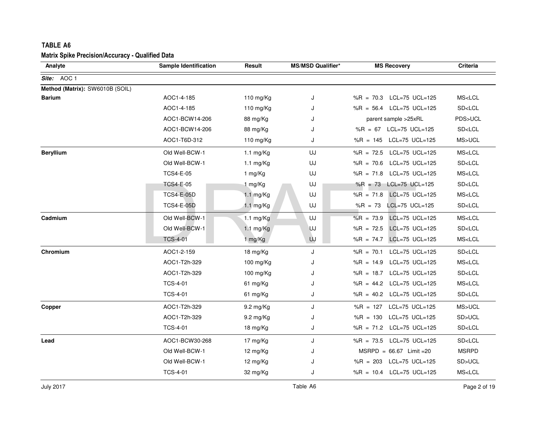| <b>TABLE A6</b>                                         |                              |                     |                          |                               |                        |
|---------------------------------------------------------|------------------------------|---------------------|--------------------------|-------------------------------|------------------------|
| <b>Matrix Spike Precision/Accuracy - Qualified Data</b> |                              |                     |                          |                               |                        |
| Analyte                                                 | <b>Sample Identification</b> | Result              | <b>MS/MSD Qualifier*</b> | <b>MS Recovery</b>            | <b>Criteria</b>        |
| Site: AOC 1                                             |                              |                     |                          |                               |                        |
| Method (Matrix): SW6010B (SOIL)                         |                              |                     |                          |                               |                        |
| <b>Barium</b>                                           | AOC1-4-185                   | 110 mg/Kg           | J                        | %R = 70.3 LCL=75 UCL=125      | MS <lcl< td=""></lcl<> |
|                                                         | AOC1-4-185                   | 110 $mg/Kg$         | J                        | %R = $56.4$ LCL=75 UCL=125    | SD <lcl< td=""></lcl<> |
|                                                         | AOC1-BCW14-206               | 88 mg/Kg            | J                        | parent sample >25xRL          | PDS>UCL                |
|                                                         | AOC1-BCW14-206               | 88 mg/Kg            | J                        | %R = 67 LCL=75 UCL=125        | SD <lcl< td=""></lcl<> |
|                                                         | AOC1-T6D-312                 | 110 mg/Kg           | J                        | %R = 145 LCL=75 UCL=125       | MS>UCL                 |
| <b>Beryllium</b>                                        | Old Well-BCW-1               | $1.1 \text{ mg/Kg}$ | UJ                       | %R = 72.5 LCL=75 UCL=125      | MS <lcl< td=""></lcl<> |
|                                                         | Old Well-BCW-1               | 1.1 $mg/Kg$         | UJ                       | LCL=75 UCL=125<br>$%R = 70.6$ | SD <lcl< td=""></lcl<> |
|                                                         | <b>TCS4-E-05</b>             | 1 mg/Kg             | UJ                       | %R = $71.8$ LCL=75 UCL=125    | MS <lcl< td=""></lcl<> |
|                                                         | <b>TCS4-E-05</b>             | 1 mg/Kg             | UJ                       | %R = 73 LCL=75 UCL=125        | SD <lcl< td=""></lcl<> |
|                                                         | <b>TCS4-E-05D</b>            | $1.1$ mg/Kg         | UJ                       | $%R = 71.8$<br>LCL=75 UCL=125 | MS <lcl< td=""></lcl<> |
|                                                         | <b>TCS4-E-05D</b>            | 1.1 mg/Kg           | UJ                       | $%R = 73$<br>LCL=75 UCL=125   | SD <lcl< td=""></lcl<> |
| Cadmium                                                 | Old Well-BCW-1               | $1.1 \text{ mg/Kg}$ | UJ                       | $%R = 73.9$<br>LCL=75 UCL=125 | MS <lcl< td=""></lcl<> |
|                                                         | Old Well-BCW-1               | 1.1 $mg/Kg$         | <b>UJ</b>                | $%R = 72.5$<br>LCL=75 UCL=125 | SD <lcl< td=""></lcl<> |
|                                                         | <b>TCS-4-01</b>              | 1 mg/Kg             | UJ                       | %R = $74.7$<br>LCL=75 UCL=125 | MS <lcl< td=""></lcl<> |
| Chromium                                                | AOC1-2-159                   | 18 mg/Kg            | J                        | LCL=75 UCL=125<br>$%R = 70.1$ | SD <lcl< td=""></lcl<> |
|                                                         | AOC1-T2h-329                 | 100 mg/ $Kg$        | J                        | LCL=75 UCL=125<br>$%R = 14.9$ | MS <lcl< td=""></lcl<> |
|                                                         | AOC1-T2h-329                 | 100 mg/Kg           | J                        | %R = 18.7 LCL=75 UCL=125      | SD <lcl< td=""></lcl<> |
|                                                         | <b>TCS-4-01</b>              | 61 mg/Kg            | J                        | %R = 44.2 LCL=75 UCL=125      | MS <lcl< td=""></lcl<> |
|                                                         | <b>TCS-4-01</b>              | 61 mg/Kg            | J                        | %R = $40.2$ LCL=75 UCL=125    | SD <lcl< td=""></lcl<> |
| Copper                                                  | AOC1-T2h-329                 | 9.2 mg/Kg           | J                        | %R = 127 LCL=75 UCL=125       | MS>UCL                 |
|                                                         | AOC1-T2h-329                 | $9.2 \text{ mg/Kg}$ | J                        | %R = 130 LCL=75 UCL=125       | SD>UCL                 |
|                                                         | <b>TCS-4-01</b>              | 18 mg/Kg            | J                        | %R = 71.2 LCL=75 UCL=125      | SD <lcl< td=""></lcl<> |
| Lead                                                    | AOC1-BCW30-268               | 17 mg/Kg            | J                        | %R = 73.5 LCL=75 UCL=125      | SD <lcl< td=""></lcl<> |
|                                                         | Old Well-BCW-1               | 12 $mg/Kg$          | J                        | $MSRPD = 66.67$ Limit = 20    | <b>MSRPD</b>           |
|                                                         | Old Well-BCW-1               | 12 mg/Kg            |                          | %R = $203$ LCL=75 UCL=125     | SD>UCL                 |
|                                                         | <b>TCS-4-01</b>              | 32 mg/Kg            | J                        | %R = 10.4 LCL=75 UCL=125      | MS <lcl< td=""></lcl<> |
|                                                         |                              |                     |                          |                               |                        |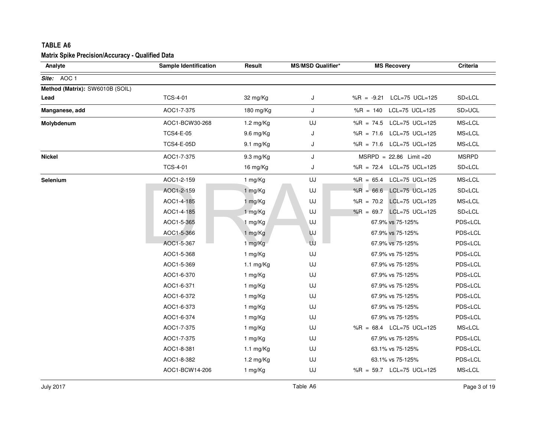| Analyte                         | <b>Sample Identification</b> | Result              | <b>MS/MSD Qualifier*</b> | <b>MS Recovery</b>            | Criteria                |
|---------------------------------|------------------------------|---------------------|--------------------------|-------------------------------|-------------------------|
|                                 |                              |                     |                          |                               |                         |
| Site: AOC 1                     |                              |                     |                          |                               |                         |
| Method (Matrix): SW6010B (SOIL) |                              |                     |                          |                               |                         |
| Lead                            | <b>TCS-4-01</b>              | 32 mg/Kg            | J                        | %R = -9.21 LCL=75 UCL=125     | SD <lcl< td=""></lcl<>  |
| Manganese, add                  | AOC1-7-375                   | 180 mg/Kg           | J                        | %R = 140 LCL=75 UCL=125       | SD>UCL                  |
| Molybdenum                      | AOC1-BCW30-268               | 1.2 mg/Kg           | UJ                       | %R = 74.5 LCL=75 UCL=125      | MS <lcl< td=""></lcl<>  |
|                                 | <b>TCS4-E-05</b>             | 9.6 mg/Kg           | J                        | %R = 71.6 LCL=75 UCL=125      | MS <lcl< td=""></lcl<>  |
|                                 | <b>TCS4-E-05D</b>            | 9.1 mg/Kg           | J                        | %R = $71.6$ LCL=75 UCL=125    | MS <lcl< td=""></lcl<>  |
| <b>Nickel</b>                   | AOC1-7-375                   | 9.3 mg/Kg           | J                        | $MSRPD = 22.86$ Limit = 20    | <b>MSRPD</b>            |
|                                 | <b>TCS-4-01</b>              | 16 mg/Kg            | J                        | %R = 72.4 LCL=75 UCL=125      | SD <lcl< td=""></lcl<>  |
| Selenium                        | AOC1-2-159                   | 1 mg/Kg             | UJ                       | %R = $65.4$ LCL=75 UCL=125    | MS <lcl< td=""></lcl<>  |
|                                 | AOC1-2-159                   | 1 mg/Kg             | UJ                       | %R = $66.6$ LCL=75 UCL=125    | SD <lcl< td=""></lcl<>  |
|                                 | AOC1-4-185                   | 1 mg/Kg             | UJ                       | LCL=75 UCL=125<br>$%R = 70.2$ | MS < LCL                |
|                                 | AOC1-4-185                   | 1 mg/Kg             | UJ                       | %R = 69.7 LCL=75 UCL=125      | SD <lcl< td=""></lcl<>  |
|                                 | AOC1-5-365                   | 1 mg/Kg             | UJ                       | 67.9% vs 75-125%              | PDS <lcl< td=""></lcl<> |
|                                 | AOC1-5-366                   | 1 mg/Kg             | UJ                       | 67.9% vs 75-125%              | PDS <lcl< td=""></lcl<> |
|                                 | AOC1-5-367                   | 1 mg/Kg             | UJ                       | 67.9% vs 75-125%              | PDS <lcl< td=""></lcl<> |
|                                 | AOC1-5-368                   | 1 mg/Kg             | UJ                       | 67.9% vs 75-125%              | PDS <lcl< td=""></lcl<> |
|                                 | AOC1-5-369                   | 1.1 $mg/Kg$         | UJ                       | 67.9% vs 75-125%              | PDS <lcl< td=""></lcl<> |
|                                 | AOC1-6-370                   | 1 mg/Kg             | UJ                       | 67.9% vs 75-125%              | PDS <lcl< td=""></lcl<> |
|                                 | AOC1-6-371                   | 1 mg/Kg             | UJ                       | 67.9% vs 75-125%              | PDS <lcl< td=""></lcl<> |
|                                 | AOC1-6-372                   | 1 mg/Kg             | UJ                       | 67.9% vs 75-125%              | PDS <lcl< td=""></lcl<> |
|                                 | AOC1-6-373                   | 1 mg/Kg             | UJ                       | 67.9% vs 75-125%              | PDS <lcl< td=""></lcl<> |
|                                 | AOC1-6-374                   | 1 mg/Kg             | UJ                       | 67.9% vs 75-125%              | PDS <lcl< td=""></lcl<> |
|                                 | AOC1-7-375                   | 1 mg/Kg             | UJ                       | %R = 68.4 LCL=75 UCL=125      | MS <lcl< td=""></lcl<>  |
|                                 | AOC1-7-375                   | 1 mg/Kg             | UJ                       | 67.9% vs 75-125%              | PDS <lcl< td=""></lcl<> |
|                                 | AOC1-8-381                   | $1.1 \text{ mg/Kg}$ | UJ                       | 63.1% vs 75-125%              | PDS <lcl< td=""></lcl<> |
|                                 | AOC1-8-382                   | 1.2 mg/Kg           | UJ                       | 63.1% vs 75-125%              | PDS <lcl< td=""></lcl<> |
|                                 | AOC1-BCW14-206               | 1 mg/Kg             | UJ                       | %R = 59.7 LCL=75 UCL=125      | MS <lcl< td=""></lcl<>  |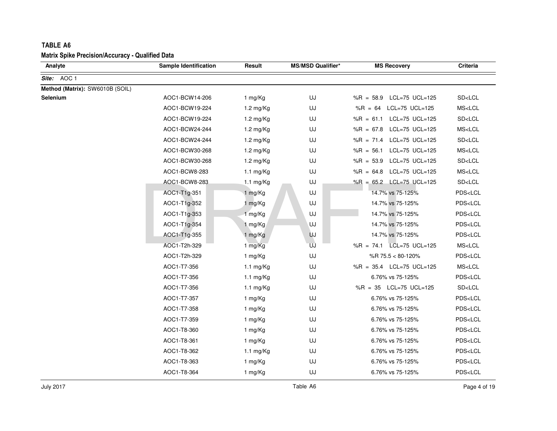| <b>TABLE A6</b><br><b>Matrix Spike Precision/Accuracy - Qualified Data</b> |                              |                     |                          |                               |                         |
|----------------------------------------------------------------------------|------------------------------|---------------------|--------------------------|-------------------------------|-------------------------|
| Analyte                                                                    | <b>Sample Identification</b> | Result              | <b>MS/MSD Qualifier*</b> | <b>MS Recovery</b>            | Criteria                |
| Site: AOC 1                                                                |                              |                     |                          |                               |                         |
| Method (Matrix): SW6010B (SOIL)                                            |                              |                     |                          |                               |                         |
| Selenium                                                                   | AOC1-BCW14-206               | 1 mg/Kg             | UJ                       | $%R = 58.9$<br>LCL=75 UCL=125 | SD <lcl< td=""></lcl<>  |
|                                                                            | AOC1-BCW19-224               | 1.2 mg/Kg           | UJ                       | %R = 64 LCL=75 UCL=125        | MS <lcl< td=""></lcl<>  |
|                                                                            | AOC1-BCW19-224               | 1.2 mg/Kg           | UJ                       | %R = $61.1$ LCL=75 UCL=125    | SD <lcl< td=""></lcl<>  |
|                                                                            | AOC1-BCW24-244               | 1.2 mg/Kg           | UJ                       | %R = 67.8 LCL=75 UCL=125      | MS <lcl< td=""></lcl<>  |
|                                                                            | AOC1-BCW24-244               | 1.2 mg/Kg           | UJ                       | %R = 71.4 LCL=75 UCL=125      | SD < LCL                |
|                                                                            | AOC1-BCW30-268               | 1.2 mg/Kg           | UJ                       | $%R = 56.1$<br>LCL=75 UCL=125 | MS <lcl< td=""></lcl<>  |
|                                                                            | AOC1-BCW30-268               | 1.2 mg/Kg           | UJ                       | LCL=75 UCL=125<br>$%R = 53.9$ | SD <lcl< td=""></lcl<>  |
|                                                                            | AOC1-BCW8-283                | $1.1 \text{ mg/Kg}$ | UJ                       | %R = 64.8 LCL=75 UCL=125      | MS <lcl< td=""></lcl<>  |
|                                                                            | AOC1-BCW8-283                | $1.1 \text{ mg/Kg}$ | UJ                       | %R = 65.2 LCL=75 UCL=125      | SD <lcl< td=""></lcl<>  |
|                                                                            | AOC1-T1g-351                 | 1 mg/Kg             | UJ                       | 14.7% vs 75-125%              | PDS <lcl< td=""></lcl<> |
|                                                                            | AOC1-T1g-352                 | 1 mg/Kg             | UJ                       | 14.7% vs 75-125%              | PDS <lcl< td=""></lcl<> |
|                                                                            | AOC1-T1g-353                 | 1 mg/Kg             | UJ                       | 14.7% vs 75-125%              | PDS <lcl< td=""></lcl<> |
|                                                                            | AOC1-T1g-354                 | 1 mg/Kg             | UJ                       | 14.7% vs 75-125%              | PDS <lcl< td=""></lcl<> |
|                                                                            | AOC1-T1g-355                 | 1 mg/Kg             | <b>UJ</b>                | 14.7% vs 75-125%              | PDS <lcl< td=""></lcl<> |
|                                                                            | AOC1-T2h-329                 | 1 mg/Kg             | UJ                       | %R = 74.1 LCL=75 UCL=125      | MS < LCL                |
|                                                                            | AOC1-T2h-329                 | 1 mg/Kg             | UJ                       | %R 75.5 < 80-120%             | PDS <lcl< td=""></lcl<> |
|                                                                            | AOC1-T7-356                  | 1.1 $mg/Kg$         | UJ                       | %R = 35.4 LCL=75 UCL=125      | MS <lcl< td=""></lcl<>  |
|                                                                            | AOC1-T7-356                  | $1.1 \text{ mg/Kg}$ | UJ                       | 6.76% vs 75-125%              | PDS <lcl< td=""></lcl<> |
|                                                                            | AOC1-T7-356                  | 1.1 $mg/Kg$         | UJ                       | %R = $35$ LCL=75 UCL=125      | SD <lcl< td=""></lcl<>  |
|                                                                            | AOC1-T7-357                  | 1 mg/Kg             | UJ                       | 6.76% vs 75-125%              | PDS <lcl< td=""></lcl<> |
|                                                                            | AOC1-T7-358                  | 1 mg/Kg             | UJ                       | 6.76% vs 75-125%              | PDS <lcl< td=""></lcl<> |
|                                                                            | AOC1-T7-359                  | 1 mg/Kg             | UJ                       | 6.76% vs 75-125%              | PDS <lcl< td=""></lcl<> |
|                                                                            | AOC1-T8-360                  | 1 mg/Kg             | UJ                       | 6.76% vs 75-125%              | PDS <lcl< td=""></lcl<> |
|                                                                            | AOC1-T8-361                  | 1 mg/Kg             | UJ                       | 6.76% vs 75-125%              | PDS <lcl< td=""></lcl<> |
|                                                                            | AOC1-T8-362                  | 1.1 $mg/Kg$         | UJ                       | 6.76% vs 75-125%              | PDS <lcl< td=""></lcl<> |
|                                                                            | AOC1-T8-363                  | 1 mg/Kg             | UJ                       | 6.76% vs 75-125%              | PDS <lcl< td=""></lcl<> |
|                                                                            | AOC1-T8-364                  | 1 mg/Kg             | UJ                       | 6.76% vs 75-125%              | PDS <lcl< td=""></lcl<> |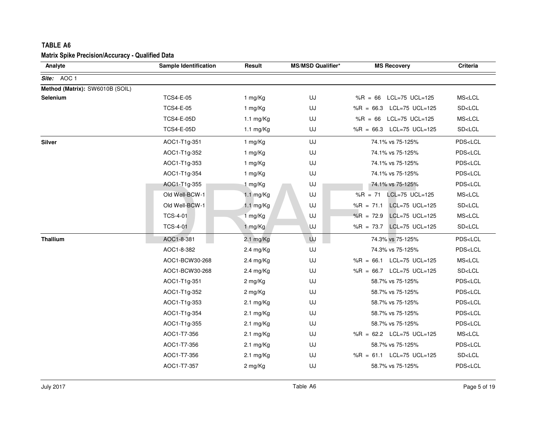| Analyte                         | Sample Identification | Result              | <b>MS/MSD Qualifier*</b> | <b>MS Recovery</b>            | Criteria                |
|---------------------------------|-----------------------|---------------------|--------------------------|-------------------------------|-------------------------|
| Site: AOC 1                     |                       |                     |                          |                               |                         |
| Method (Matrix): SW6010B (SOIL) |                       |                     |                          |                               |                         |
| Selenium                        | <b>TCS4-E-05</b>      | 1 mg/Kg             | UJ                       | LCL=75 UCL=125<br>$%R = 66$   | MS <lcl< td=""></lcl<>  |
|                                 | <b>TCS4-E-05</b>      | 1 mg/Kg             | UJ                       | %R = 66.3 LCL=75 UCL=125      | SD < LCL                |
|                                 | <b>TCS4-E-05D</b>     | $1.1 \text{ mg/Kg}$ | UJ                       | %R = 66 LCL=75 UCL=125        | MS <lcl< td=""></lcl<>  |
|                                 | <b>TCS4-E-05D</b>     | $1.1 \text{ mg/Kg}$ | UJ                       | %R = 66.3 LCL=75 UCL=125      | SD < LCL                |
| <b>Silver</b>                   | AOC1-T1g-351          | 1 mg/Kg             | UJ                       | 74.1% vs 75-125%              | PDS <lcl< td=""></lcl<> |
|                                 | AOC1-T1g-352          | 1 mg/Kg             | UJ                       | 74.1% vs 75-125%              | PDS <lcl< td=""></lcl<> |
|                                 | AOC1-T1g-353          | 1 mg/Kg             | UJ                       | 74.1% vs 75-125%              | PDS <lcl< td=""></lcl<> |
|                                 | AOC1-T1g-354          | 1 mg/Kg             | UJ                       | 74.1% vs 75-125%              | PDS <lcl< td=""></lcl<> |
|                                 | AOC1-T1g-355          | 1 mg/Kg             | UJ                       | 74.1% vs 75-125%              | PDS <lcl< td=""></lcl<> |
|                                 | Old Well-BCW-1        | 1.1 mg/Kg           | UJ                       | $%R = 71$<br>LCL=75 UCL=125   | MS <lcl< td=""></lcl<>  |
|                                 | Old Well-BCW-1        | 1.1 mg/Kg           | UJ                       | %R = 71.1 LCL=75 UCL=125      | SD <lcl< td=""></lcl<>  |
|                                 | <b>TCS-4-01</b>       | 1 mg/Kg             | UJ                       | LCL=75 UCL=125<br>$%R = 72.9$ | MS <lcl< td=""></lcl<>  |
|                                 | <b>TCS-4-01</b>       | 1 mg/Kg             | IJ                       | LCL=75 UCL=125<br>%R = $73.7$ | SD <lcl< td=""></lcl<>  |
| <b>Thallium</b>                 | AOC1-8-381            | 2.1 mg/Kg           | UJ                       | 74.3% vs 75-125%              | PDS <lcl< td=""></lcl<> |
|                                 | AOC1-8-382            | 2.4 mg/Kg           | UJ                       | 74.3% vs 75-125%              | PDS <lcl< td=""></lcl<> |
|                                 | AOC1-BCW30-268        | 2.4 mg/Kg           | UJ                       | %R = 66.1 LCL=75 UCL=125      | MS <lcl< td=""></lcl<>  |
|                                 | AOC1-BCW30-268        | 2.4 mg/Kg           | UJ                       | %R = 66.7 LCL=75 UCL=125      | SD <lcl< td=""></lcl<>  |
|                                 | AOC1-T1g-351          | 2 mg/Kg             | UJ                       | 58.7% vs 75-125%              | PDS <lcl< td=""></lcl<> |
|                                 | AOC1-T1g-352          | 2 mg/Kg             | UJ                       | 58.7% vs 75-125%              | PDS <lcl< td=""></lcl<> |
|                                 | AOC1-T1g-353          | $2.1 \text{ mg/Kg}$ | UJ                       | 58.7% vs 75-125%              | PDS <lcl< td=""></lcl<> |
|                                 | AOC1-T1g-354          | $2.1 \text{ mg/Kg}$ | UJ                       | 58.7% vs 75-125%              | PDS <lcl< td=""></lcl<> |
|                                 | AOC1-T1g-355          | $2.1 \text{ mg/Kg}$ | UJ                       | 58.7% vs 75-125%              | PDS <lcl< td=""></lcl<> |
|                                 | AOC1-T7-356           | $2.1 \text{ mg/Kg}$ | UJ                       | %R = 62.2 LCL=75 UCL=125      | MS <lcl< td=""></lcl<>  |
|                                 | AOC1-T7-356           | $2.1 \text{ mg/Kg}$ | UJ                       | 58.7% vs 75-125%              | PDS <lcl< td=""></lcl<> |
|                                 | AOC1-T7-356           | $2.1 \text{ mg/Kg}$ | UJ                       | %R = 61.1 LCL=75 UCL=125      | SD <lcl< td=""></lcl<>  |
|                                 | AOC1-T7-357           | 2 mg/Kg             | UJ                       | 58.7% vs 75-125%              | PDS <lcl< td=""></lcl<> |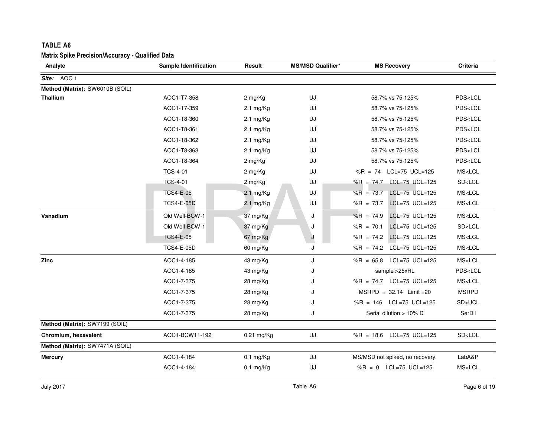| Analyte                         | Sample Identification | Result              | <b>MS/MSD Qualifier*</b> | <b>MS Recovery</b>                          | Criteria                |
|---------------------------------|-----------------------|---------------------|--------------------------|---------------------------------------------|-------------------------|
| Site: AOC 1                     |                       |                     |                          |                                             |                         |
| Method (Matrix): SW6010B (SOIL) |                       |                     |                          |                                             |                         |
| <b>Thallium</b>                 | AOC1-T7-358           | 2 mg/Kg             | UJ                       | 58.7% vs 75-125%                            | PDS <lcl< td=""></lcl<> |
|                                 | AOC1-T7-359           | $2.1 \text{ mg/Kg}$ | UJ                       | 58.7% vs 75-125%                            | PDS <lcl< td=""></lcl<> |
|                                 | AOC1-T8-360           | 2.1 $mg/Kg$         | UJ                       | 58.7% vs 75-125%                            | PDS <lcl< td=""></lcl<> |
|                                 | AOC1-T8-361           | $2.1 \text{ mg/Kg}$ | UJ                       | 58.7% vs 75-125%                            | PDS <lcl< td=""></lcl<> |
|                                 | AOC1-T8-362           | $2.1 \text{ mg/Kg}$ | UJ                       | 58.7% vs 75-125%                            | PDS <lcl< td=""></lcl<> |
|                                 | AOC1-T8-363           | $2.1 \text{ mg/Kg}$ | UJ                       | 58.7% vs 75-125%                            | PDS <lcl< td=""></lcl<> |
|                                 | AOC1-T8-364           | 2 mg/Kg             | UJ                       | 58.7% vs 75-125%                            | PDS <lcl< td=""></lcl<> |
|                                 | <b>TCS-4-01</b>       | 2 mg/Kg             | UJ                       | %R = $74$ LCL=75 UCL=125                    | MS <lcl< td=""></lcl<>  |
|                                 | <b>TCS-4-01</b>       | 2 mg/Kg             | UJ                       | %R = 74.7 LCL=75 UCL=125                    | SD <lcl< td=""></lcl<>  |
|                                 | <b>TCS4-E-05</b>      | $2.1$ mg/Kg         | UJ                       | $%R = 73.7$<br>LCL=75 UCL=125               | MS <lcl< td=""></lcl<>  |
|                                 | <b>TCS4-E-05D</b>     | 2.1 mg/Kg           | UJ                       | LCL=75 UCL=125<br>%R = $73.7$               | MS <lcl< td=""></lcl<>  |
| Vanadium                        | Old Well-BCW-1        | 37 mg/Kg            | J                        | $%R = 74.9$<br>$LCL = 75 \text{ UCL} = 125$ | MS <lcl< td=""></lcl<>  |
|                                 | Old Well-BCW-1        | 37 mg/Kg            | J                        | $%R = 70.1$<br>LCL=75 UCL=125               | SD <lcl< td=""></lcl<>  |
|                                 | <b>TCS4-E-05</b>      | 67 mg/Kg            | J                        | %R = 74.2 LCL=75 UCL=125                    | MS <lcl< td=""></lcl<>  |
|                                 | <b>TCS4-E-05D</b>     | 60 mg/Kg            | J                        | %R = 74.2 LCL=75 UCL=125                    | MS < LCL                |
| <b>Zinc</b>                     | AOC1-4-185            | 43 mg/Kg            | J                        | %R = $65.8$ LCL=75 UCL=125                  | MS <lcl< td=""></lcl<>  |
|                                 | AOC1-4-185            | 43 mg/Kg            | J                        | sample >25xRL                               | PDS <lcl< td=""></lcl<> |
|                                 | AOC1-7-375            | $28 \text{ mg/Kg}$  | J                        | %R = 74.7 LCL=75 UCL=125                    | MS <lcl< td=""></lcl<>  |
|                                 | AOC1-7-375            | $28 \text{ mg/Kg}$  | J                        | $MSRPD = 32.14$ Limit = 20                  | <b>MSRPD</b>            |
|                                 | AOC1-7-375            | 28 mg/Kg            | J                        | %R = 146 LCL=75 UCL=125                     | SD>UCL                  |
|                                 | AOC1-7-375            | 28 mg/Kg            | J                        | Serial dilution > 10% D                     | SerDil                  |
| Method (Matrix): SW7199 (SOIL)  |                       |                     |                          |                                             |                         |
| Chromium, hexavalent            | AOC1-BCW11-192        | 0.21 mg/Kg          | UJ                       | %R = 18.6 LCL=75 UCL=125                    | SD <lcl< td=""></lcl<>  |
| Method (Matrix): SW7471A (SOIL) |                       |                     |                          |                                             |                         |
| <b>Mercury</b>                  | AOC1-4-184            | $0.1$ mg/Kg         | UJ                       | MS/MSD not spiked, no recovery.             | LabA&P                  |
|                                 | AOC1-4-184            | $0.1$ mg/Kg         | UJ                       | %R = 0 LCL=75 UCL=125                       | MS <lcl< td=""></lcl<>  |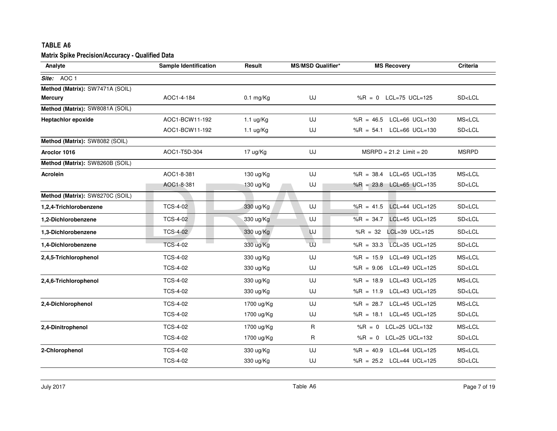| <b>Matrix Spike Precision/Accuracy - Qualified Data</b><br><b>Criteria</b><br>Analyte<br>Sample Identification<br>Result<br><b>MS/MSD Qualifier*</b><br><b>MS Recovery</b><br>AOC1-4-184<br>UJ<br>%R = 0 LCL=75 UCL=125<br>SD <lcl<br><math>0.1</math> mg/Kg<br/>MS<lcl<br>AOC1-BCW11-192<br/>UJ<br/><math>%R = 46.5</math><br/><math>LCL=66</math> <math>UCL=130</math><br/><math>1.1</math> ug/Kg<br/>UJ<br/>AOC1-BCW11-192<br/><math>%R = 54.1</math><br/>LCL=66 UCL=130<br/>SD<lcl<br><math>1.1 \text{ ug/Kg}</math><br/>UJ<br/>AOC1-T5D-304<br/><math>MSRPD = 21.2</math> Limit = 20<br/><b>MSRPD</b><br/>17 ug/Kg<br/><math>LCL=65</math> <math>UCL=135</math><br/>MS<lcl<br>AOC1-8-381<br/>130 ug/Kg<br/>UJ<br/><math>%R = 38.4</math><br/>AOC1-8-381<br/>UJ<br/>%R = 23.8 LCL=65 UCL=135<br/>SD<lcl<br>130 ug/Kg<br/><b>TCS-4-02</b><br/>330 ug/Kg<br/>UJ<br/><math>LCL=44</math> <math>UCL=125</math><br/>SD<lcl<br><math>%R = 41.5</math><br/>UJ<br/><b>TCS-4-02</b><br/><math>%R = 34.7</math><br/><math>LCL=45</math> <math>UCL=125</math><br/>SD<lcl<br>330 ug/Kg<br/><b>TCS-4-02</b><br/>330 ug/Kg<br/>UJ<br/><math>%R = 32</math><br/>LCL=39 UCL=125<br/>SD<lcl<br>UJ<br/><b>TCS-4-02</b><br/>LCL=35 UCL=125<br/>SD<lcl<br>330 ug/Kg<br/><math>%R = 33.3</math><br/><b>TCS-4-02</b><br/>UJ<br/><math>LCL=49</math> <math>UCL=125</math><br/>MS<lcl<br>330 ug/Kg<br/><math>%R = 15.9</math><br/><b>TCS-4-02</b><br/>UJ<br/>SD<lcl<br>330 ug/Kg<br/><math>%R = 9.06</math><br/>LCL=49 UCL=125<br/>MS<lcl<br><b>TCS-4-02</b><br/>UJ<br/>LCL=43 UCL=125<br/>330 ug/Kg<br/><math>%R = 18.9</math><br/><b>TCS-4-02</b><br/>UJ<br/>%R = 11.9 LCL=43 UCL=125<br/>SD<lcl<br>330 ug/Kg<br/><b>TCS-4-02</b><br/>1700 ug/Kg<br/>UJ<br/>LCL=45 UCL=125<br/>MS<lcl<br><math>%R = 28.7</math><br/><b>TCS-4-02</b><br/>UJ<br/><math>%R = 18.1</math><br/><math>LCL=45</math> <math>UCL=125</math><br/>SD<lcl<br>1700 ug/Kg<br/>MS<lcl<br><b>TCS-4-02</b><br/>R<br/><math>LCL=25</math> UCL=132<br/>1700 ug/Kg<br/><math>%R = 0</math><br/><b>TCS-4-02</b><br/>R<br/>LCL=25 UCL=132<br/>SD<lcl<br>1700 ug/Kg<br/><math>%R = 0</math><br/>MS<lcl<br><b>TCS-4-02</b><br/>UJ<br/>%R = <math>40.9</math> LCL=44 UCL=125<br/>330 ug/Kg</lcl<br></lcl<br></lcl<br></lcl<br></lcl<br></lcl<br></lcl<br></lcl<br></lcl<br></lcl<br></lcl<br></lcl<br></lcl<br></lcl<br></lcl<br></lcl<br></lcl<br></lcl<br> | TABLE A6                        |                 |           |    |                          |                        |
|---------------------------------------------------------------------------------------------------------------------------------------------------------------------------------------------------------------------------------------------------------------------------------------------------------------------------------------------------------------------------------------------------------------------------------------------------------------------------------------------------------------------------------------------------------------------------------------------------------------------------------------------------------------------------------------------------------------------------------------------------------------------------------------------------------------------------------------------------------------------------------------------------------------------------------------------------------------------------------------------------------------------------------------------------------------------------------------------------------------------------------------------------------------------------------------------------------------------------------------------------------------------------------------------------------------------------------------------------------------------------------------------------------------------------------------------------------------------------------------------------------------------------------------------------------------------------------------------------------------------------------------------------------------------------------------------------------------------------------------------------------------------------------------------------------------------------------------------------------------------------------------------------------------------------------------------------------------------------------------------------------------------------------------------------------------------------------------------------------------------------------------------------------------------------------------------------------------------------------------------------------------------------------------------------------------------------------------------------------------------------------------------------|---------------------------------|-----------------|-----------|----|--------------------------|------------------------|
|                                                                                                                                                                                                                                                                                                                                                                                                                                                                                                                                                                                                                                                                                                                                                                                                                                                                                                                                                                                                                                                                                                                                                                                                                                                                                                                                                                                                                                                                                                                                                                                                                                                                                                                                                                                                                                                                                                                                                                                                                                                                                                                                                                                                                                                                                                                                                                                                   |                                 |                 |           |    |                          |                        |
|                                                                                                                                                                                                                                                                                                                                                                                                                                                                                                                                                                                                                                                                                                                                                                                                                                                                                                                                                                                                                                                                                                                                                                                                                                                                                                                                                                                                                                                                                                                                                                                                                                                                                                                                                                                                                                                                                                                                                                                                                                                                                                                                                                                                                                                                                                                                                                                                   |                                 |                 |           |    |                          |                        |
|                                                                                                                                                                                                                                                                                                                                                                                                                                                                                                                                                                                                                                                                                                                                                                                                                                                                                                                                                                                                                                                                                                                                                                                                                                                                                                                                                                                                                                                                                                                                                                                                                                                                                                                                                                                                                                                                                                                                                                                                                                                                                                                                                                                                                                                                                                                                                                                                   | Site: AOC 1                     |                 |           |    |                          |                        |
|                                                                                                                                                                                                                                                                                                                                                                                                                                                                                                                                                                                                                                                                                                                                                                                                                                                                                                                                                                                                                                                                                                                                                                                                                                                                                                                                                                                                                                                                                                                                                                                                                                                                                                                                                                                                                                                                                                                                                                                                                                                                                                                                                                                                                                                                                                                                                                                                   | Method (Matrix): SW7471A (SOIL) |                 |           |    |                          |                        |
|                                                                                                                                                                                                                                                                                                                                                                                                                                                                                                                                                                                                                                                                                                                                                                                                                                                                                                                                                                                                                                                                                                                                                                                                                                                                                                                                                                                                                                                                                                                                                                                                                                                                                                                                                                                                                                                                                                                                                                                                                                                                                                                                                                                                                                                                                                                                                                                                   | <b>Mercury</b>                  |                 |           |    |                          |                        |
|                                                                                                                                                                                                                                                                                                                                                                                                                                                                                                                                                                                                                                                                                                                                                                                                                                                                                                                                                                                                                                                                                                                                                                                                                                                                                                                                                                                                                                                                                                                                                                                                                                                                                                                                                                                                                                                                                                                                                                                                                                                                                                                                                                                                                                                                                                                                                                                                   | Method (Matrix): SW8081A (SOIL) |                 |           |    |                          |                        |
|                                                                                                                                                                                                                                                                                                                                                                                                                                                                                                                                                                                                                                                                                                                                                                                                                                                                                                                                                                                                                                                                                                                                                                                                                                                                                                                                                                                                                                                                                                                                                                                                                                                                                                                                                                                                                                                                                                                                                                                                                                                                                                                                                                                                                                                                                                                                                                                                   | <b>Heptachlor epoxide</b>       |                 |           |    |                          |                        |
|                                                                                                                                                                                                                                                                                                                                                                                                                                                                                                                                                                                                                                                                                                                                                                                                                                                                                                                                                                                                                                                                                                                                                                                                                                                                                                                                                                                                                                                                                                                                                                                                                                                                                                                                                                                                                                                                                                                                                                                                                                                                                                                                                                                                                                                                                                                                                                                                   |                                 |                 |           |    |                          |                        |
|                                                                                                                                                                                                                                                                                                                                                                                                                                                                                                                                                                                                                                                                                                                                                                                                                                                                                                                                                                                                                                                                                                                                                                                                                                                                                                                                                                                                                                                                                                                                                                                                                                                                                                                                                                                                                                                                                                                                                                                                                                                                                                                                                                                                                                                                                                                                                                                                   | Method (Matrix): SW8082 (SOIL)  |                 |           |    |                          |                        |
|                                                                                                                                                                                                                                                                                                                                                                                                                                                                                                                                                                                                                                                                                                                                                                                                                                                                                                                                                                                                                                                                                                                                                                                                                                                                                                                                                                                                                                                                                                                                                                                                                                                                                                                                                                                                                                                                                                                                                                                                                                                                                                                                                                                                                                                                                                                                                                                                   | Aroclor 1016                    |                 |           |    |                          |                        |
|                                                                                                                                                                                                                                                                                                                                                                                                                                                                                                                                                                                                                                                                                                                                                                                                                                                                                                                                                                                                                                                                                                                                                                                                                                                                                                                                                                                                                                                                                                                                                                                                                                                                                                                                                                                                                                                                                                                                                                                                                                                                                                                                                                                                                                                                                                                                                                                                   | Method (Matrix): SW8260B (SOIL) |                 |           |    |                          |                        |
|                                                                                                                                                                                                                                                                                                                                                                                                                                                                                                                                                                                                                                                                                                                                                                                                                                                                                                                                                                                                                                                                                                                                                                                                                                                                                                                                                                                                                                                                                                                                                                                                                                                                                                                                                                                                                                                                                                                                                                                                                                                                                                                                                                                                                                                                                                                                                                                                   | <b>Acrolein</b>                 |                 |           |    |                          |                        |
|                                                                                                                                                                                                                                                                                                                                                                                                                                                                                                                                                                                                                                                                                                                                                                                                                                                                                                                                                                                                                                                                                                                                                                                                                                                                                                                                                                                                                                                                                                                                                                                                                                                                                                                                                                                                                                                                                                                                                                                                                                                                                                                                                                                                                                                                                                                                                                                                   |                                 |                 |           |    |                          |                        |
|                                                                                                                                                                                                                                                                                                                                                                                                                                                                                                                                                                                                                                                                                                                                                                                                                                                                                                                                                                                                                                                                                                                                                                                                                                                                                                                                                                                                                                                                                                                                                                                                                                                                                                                                                                                                                                                                                                                                                                                                                                                                                                                                                                                                                                                                                                                                                                                                   | Method (Matrix): SW8270C (SOIL) |                 |           |    |                          |                        |
|                                                                                                                                                                                                                                                                                                                                                                                                                                                                                                                                                                                                                                                                                                                                                                                                                                                                                                                                                                                                                                                                                                                                                                                                                                                                                                                                                                                                                                                                                                                                                                                                                                                                                                                                                                                                                                                                                                                                                                                                                                                                                                                                                                                                                                                                                                                                                                                                   | 1,2,4-Trichlorobenzene          |                 |           |    |                          |                        |
|                                                                                                                                                                                                                                                                                                                                                                                                                                                                                                                                                                                                                                                                                                                                                                                                                                                                                                                                                                                                                                                                                                                                                                                                                                                                                                                                                                                                                                                                                                                                                                                                                                                                                                                                                                                                                                                                                                                                                                                                                                                                                                                                                                                                                                                                                                                                                                                                   | 1,2-Dichlorobenzene             |                 |           |    |                          |                        |
|                                                                                                                                                                                                                                                                                                                                                                                                                                                                                                                                                                                                                                                                                                                                                                                                                                                                                                                                                                                                                                                                                                                                                                                                                                                                                                                                                                                                                                                                                                                                                                                                                                                                                                                                                                                                                                                                                                                                                                                                                                                                                                                                                                                                                                                                                                                                                                                                   | 1,3-Dichlorobenzene             |                 |           |    |                          |                        |
|                                                                                                                                                                                                                                                                                                                                                                                                                                                                                                                                                                                                                                                                                                                                                                                                                                                                                                                                                                                                                                                                                                                                                                                                                                                                                                                                                                                                                                                                                                                                                                                                                                                                                                                                                                                                                                                                                                                                                                                                                                                                                                                                                                                                                                                                                                                                                                                                   | 1,4-Dichlorobenzene             |                 |           |    |                          |                        |
|                                                                                                                                                                                                                                                                                                                                                                                                                                                                                                                                                                                                                                                                                                                                                                                                                                                                                                                                                                                                                                                                                                                                                                                                                                                                                                                                                                                                                                                                                                                                                                                                                                                                                                                                                                                                                                                                                                                                                                                                                                                                                                                                                                                                                                                                                                                                                                                                   | 2,4,5-Trichlorophenol           |                 |           |    |                          |                        |
|                                                                                                                                                                                                                                                                                                                                                                                                                                                                                                                                                                                                                                                                                                                                                                                                                                                                                                                                                                                                                                                                                                                                                                                                                                                                                                                                                                                                                                                                                                                                                                                                                                                                                                                                                                                                                                                                                                                                                                                                                                                                                                                                                                                                                                                                                                                                                                                                   |                                 |                 |           |    |                          |                        |
|                                                                                                                                                                                                                                                                                                                                                                                                                                                                                                                                                                                                                                                                                                                                                                                                                                                                                                                                                                                                                                                                                                                                                                                                                                                                                                                                                                                                                                                                                                                                                                                                                                                                                                                                                                                                                                                                                                                                                                                                                                                                                                                                                                                                                                                                                                                                                                                                   | 2,4,6-Trichlorophenol           |                 |           |    |                          |                        |
|                                                                                                                                                                                                                                                                                                                                                                                                                                                                                                                                                                                                                                                                                                                                                                                                                                                                                                                                                                                                                                                                                                                                                                                                                                                                                                                                                                                                                                                                                                                                                                                                                                                                                                                                                                                                                                                                                                                                                                                                                                                                                                                                                                                                                                                                                                                                                                                                   |                                 |                 |           |    |                          |                        |
|                                                                                                                                                                                                                                                                                                                                                                                                                                                                                                                                                                                                                                                                                                                                                                                                                                                                                                                                                                                                                                                                                                                                                                                                                                                                                                                                                                                                                                                                                                                                                                                                                                                                                                                                                                                                                                                                                                                                                                                                                                                                                                                                                                                                                                                                                                                                                                                                   | 2,4-Dichlorophenol              |                 |           |    |                          |                        |
|                                                                                                                                                                                                                                                                                                                                                                                                                                                                                                                                                                                                                                                                                                                                                                                                                                                                                                                                                                                                                                                                                                                                                                                                                                                                                                                                                                                                                                                                                                                                                                                                                                                                                                                                                                                                                                                                                                                                                                                                                                                                                                                                                                                                                                                                                                                                                                                                   |                                 |                 |           |    |                          |                        |
|                                                                                                                                                                                                                                                                                                                                                                                                                                                                                                                                                                                                                                                                                                                                                                                                                                                                                                                                                                                                                                                                                                                                                                                                                                                                                                                                                                                                                                                                                                                                                                                                                                                                                                                                                                                                                                                                                                                                                                                                                                                                                                                                                                                                                                                                                                                                                                                                   | 2,4-Dinitrophenol               |                 |           |    |                          |                        |
|                                                                                                                                                                                                                                                                                                                                                                                                                                                                                                                                                                                                                                                                                                                                                                                                                                                                                                                                                                                                                                                                                                                                                                                                                                                                                                                                                                                                                                                                                                                                                                                                                                                                                                                                                                                                                                                                                                                                                                                                                                                                                                                                                                                                                                                                                                                                                                                                   |                                 |                 |           |    |                          |                        |
|                                                                                                                                                                                                                                                                                                                                                                                                                                                                                                                                                                                                                                                                                                                                                                                                                                                                                                                                                                                                                                                                                                                                                                                                                                                                                                                                                                                                                                                                                                                                                                                                                                                                                                                                                                                                                                                                                                                                                                                                                                                                                                                                                                                                                                                                                                                                                                                                   | 2-Chlorophenol                  |                 |           |    |                          |                        |
|                                                                                                                                                                                                                                                                                                                                                                                                                                                                                                                                                                                                                                                                                                                                                                                                                                                                                                                                                                                                                                                                                                                                                                                                                                                                                                                                                                                                                                                                                                                                                                                                                                                                                                                                                                                                                                                                                                                                                                                                                                                                                                                                                                                                                                                                                                                                                                                                   |                                 | <b>TCS-4-02</b> | 330 ug/Kg | UJ | %R = 25.2 LCL=44 UCL=125 | SD <lcl< td=""></lcl<> |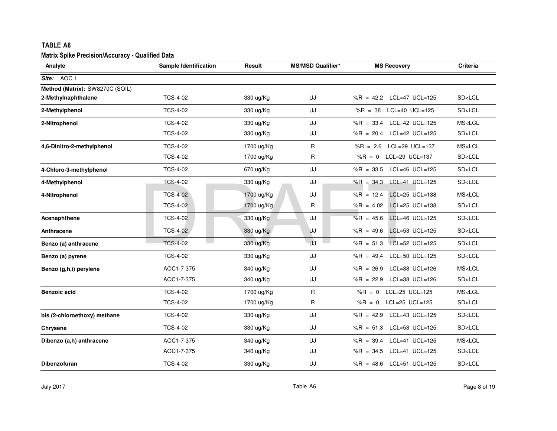| TABLE A6                                                |                       |            |                          |                                             |                        |
|---------------------------------------------------------|-----------------------|------------|--------------------------|---------------------------------------------|------------------------|
| <b>Matrix Spike Precision/Accuracy - Qualified Data</b> |                       |            |                          |                                             |                        |
| Analyte                                                 | Sample Identification | Result     | <b>MS/MSD Qualifier*</b> | <b>MS Recovery</b>                          | Criteria               |
| Site: AOC 1                                             |                       |            |                          |                                             |                        |
| Method (Matrix): SW8270C (SOIL)                         |                       |            |                          |                                             |                        |
| 2-Methylnaphthalene                                     | <b>TCS-4-02</b>       | 330 ug/Kg  | UJ                       | %R = 42.2 LCL=47 UCL=125                    | SD <lcl< td=""></lcl<> |
| 2-Methylphenol                                          | <b>TCS-4-02</b>       | 330 ug/Kg  | UJ                       | %R = $38$ LCL=40 UCL=125                    | SD <lcl< td=""></lcl<> |
| 2-Nitrophenol                                           | <b>TCS-4-02</b>       | 330 ug/Kg  | UJ                       | $%R = 33.4$<br>LCL=42 UCL=125               | MS <lcl< td=""></lcl<> |
|                                                         | <b>TCS-4-02</b>       | 330 ug/Kg  | UJ                       | %R = 20.4 LCL=42 UCL=125                    | SD <lcl< td=""></lcl<> |
| 4,6-Dinitro-2-methylphenol                              | <b>TCS-4-02</b>       | 1700 ug/Kg | R                        | $%R = 2.6$<br>LCL=29 UCL=137                | MS <lcl< td=""></lcl<> |
|                                                         | <b>TCS-4-02</b>       | 1700 ug/Kg | R                        | LCL=29 UCL=137<br>$%R = 0$                  | SD <lcl< td=""></lcl<> |
| 4-Chloro-3-methylphenol                                 | <b>TCS-4-02</b>       | 670 ug/Kg  | UJ                       | %R = $33.5$ LCL=46 UCL=125                  | SD <lcl< td=""></lcl<> |
| 4-Methylphenol                                          | <b>TCS-4-02</b>       | 330 ug/Kg  | UJ                       | %R = 34.3 LCL=41 UCL=125                    | SD <lcl< td=""></lcl<> |
| 4-Nitrophenol                                           | <b>TCS-4-02</b>       | 1700 ug/Kg | UJ                       | $LCL = 25 \text{ UCL} = 138$<br>$%R = 12.4$ | MS <lcl< td=""></lcl<> |
|                                                         | <b>TCS-4-02</b>       | 1700 ug/Kg | R                        | %R = 4.02 LCL=25 UCL=138                    | SD <lcl< td=""></lcl<> |
| Acenaphthene                                            | <b>TCS-4-02</b>       | 330 ug/Kg  | UJ                       | $LCL=46$ $UCL=125$<br>$%R = 45.6$           | SD <lcl< td=""></lcl<> |
| Anthracene                                              | <b>TCS-4-02</b>       | 330 ug/Kg  | UJ                       | LCL=53 UCL=125<br>$%R = 49.6$               | SD <lcl< td=""></lcl<> |
| Benzo (a) anthracene                                    | <b>TCS-4-02</b>       | 330 ug/Kg  | UJ                       | $%R = 51.3$<br>LCL=52 UCL=125               | SD <lcl< td=""></lcl<> |
| Benzo (a) pyrene                                        | <b>TCS-4-02</b>       | 330 ug/Kg  | UJ                       | %R = 49.4 LCL=50 UCL=125                    | SD <lcl< td=""></lcl<> |
| Benzo (g,h,i) perylene                                  | AOC1-7-375            | 340 ug/Kg  | UJ                       | $%R = 26.9$<br>LCL=38 UCL=126               | MS <lcl< td=""></lcl<> |
|                                                         | AOC1-7-375            | 340 ug/Kg  | UJ                       | $%R = 22.9$<br>LCL=38 UCL=126               | SD <lcl< td=""></lcl<> |
| <b>Benzoic acid</b>                                     | <b>TCS-4-02</b>       | 1700 ug/Kg | R                        | LCL=25 UCL=125<br>$%R = 0$                  | MS <lcl< td=""></lcl<> |
|                                                         | <b>TCS-4-02</b>       | 1700 ug/Kg | R                        | %R = 0 LCL=25 UCL=125                       | SD <lcl< td=""></lcl<> |
| bis (2-chloroethoxy) methane                            | <b>TCS-4-02</b>       | 330 ug/Kg  | UJ                       | %R = 42.9 LCL=43 UCL=125                    | SD <lcl< td=""></lcl<> |
| <b>Chrysene</b>                                         | <b>TCS-4-02</b>       | 330 ug/Kg  | UJ                       | %R = $51.3$ LCL=53 UCL=125                  | SD <lcl< td=""></lcl<> |
| Dibenzo (a,h) anthracene                                | AOC1-7-375            | 340 ug/Kg  | UJ                       | $LCL=41$ $UCL=125$<br>$%R = 39.4$           | MS <lcl< td=""></lcl<> |
|                                                         | AOC1-7-375            | 340 ug/Kg  | UJ                       | %R = 34.5 LCL=41 UCL=125                    | SD <lcl< td=""></lcl<> |
| <b>Dibenzofuran</b>                                     | <b>TCS-4-02</b>       | 330 ug/Kg  | UJ                       | %R = 48.6 LCL=51 UCL=125                    | SD <lcl< td=""></lcl<> |
|                                                         |                       |            |                          |                                             |                        |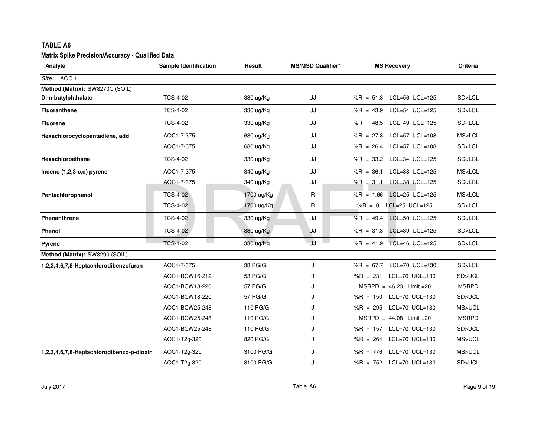| TABLE A6                                         |                              |            |                          |                                             |                        |
|--------------------------------------------------|------------------------------|------------|--------------------------|---------------------------------------------|------------------------|
| Matrix Spike Precision/Accuracy - Qualified Data |                              |            |                          |                                             |                        |
| Analyte                                          | <b>Sample Identification</b> | Result     | <b>MS/MSD Qualifier*</b> | <b>MS Recovery</b>                          | Criteria               |
| Site: AOC 1                                      |                              |            |                          |                                             |                        |
| Method (Matrix): SW8270C (SOIL)                  |                              |            |                          |                                             |                        |
| Di-n-butylphthalate                              | <b>TCS-4-02</b>              | 330 ug/Kg  | UJ                       | %R = 51.3 LCL=56 UCL=125                    | SD <lcl< td=""></lcl<> |
| <b>Fluoranthene</b>                              | <b>TCS-4-02</b>              | 330 ug/Kg  | UJ                       | %R = 43.9 LCL=54 UCL=125                    | SD <lcl< td=""></lcl<> |
| <b>Fluorene</b>                                  | <b>TCS-4-02</b>              | 330 ug/Kg  | UJ                       | %R = $48.5$ LCL=49 UCL=125                  | SD <lcl< td=""></lcl<> |
| Hexachlorocyclopentadiene, add                   | AOC1-7-375                   | 680 ug/Kg  | UJ                       | %R = $27.8$ LCL=57 UCL=108                  | MS <lcl< td=""></lcl<> |
|                                                  | AOC1-7-375                   | 680 ug/Kg  | UJ                       | LCL=57 UCL=108<br>$%R = 26.4$               | SD <lcl< td=""></lcl<> |
| Hexachloroethane                                 | <b>TCS-4-02</b>              | 330 ug/Kg  | UJ                       | %R = 33.2 LCL=34 UCL=125                    | SD <lcl< td=""></lcl<> |
| Indeno (1,2,3-c,d) pyrene                        | AOC1-7-375                   | 340 ug/Kg  | UJ                       | $%R = 36.1$<br>$LCL = 38 \text{ UCL} = 125$ | MS <lcl< td=""></lcl<> |
|                                                  | AOC1-7-375                   | 340 ug/Kg  | UJ                       | %R = 31.1 LCL=38 UCL=125                    | SD <lcl< td=""></lcl<> |
| Pentachlorophenol                                | <b>TCS-4-02</b>              | 1700 ug/Kg | R                        | LCL=25 UCL=125<br>$%R = 1.66$               | MS <lcl< td=""></lcl<> |
|                                                  | <b>TCS-4-02</b>              | 1700 ug/Kg | R                        | LCL=25 UCL=125<br>$%R = 0$                  | SD <lcl< td=""></lcl<> |
| Phenanthrene                                     | <b>TCS-4-02</b>              | 330 ug/Kg  | UJ                       | LCL=50 UCL=125<br>$%R = 49.4$               | SD <lcl< td=""></lcl<> |
| <b>Phenol</b>                                    | <b>TCS-4-02</b>              | 330 ug/Kg  | <b>UJ</b>                | LCL=39 UCL=125<br>$%R = 31.3$               | SD <lcl< td=""></lcl<> |
| Pyrene                                           | <b>TCS-4-02</b>              | 330 ug/Kg  | UJ                       | %R = 41.9 LCL=46 UCL=125                    | SD <lcl< td=""></lcl<> |
| Method (Matrix): SW8290 (SOIL)                   |                              |            |                          |                                             |                        |
| 1,2,3,4,6,7,8-Heptachlorodibenzofuran            | AOC1-7-375                   | 38 PG/G    | J                        | %R = $67.7$ LCL=70 UCL=130                  | SD <lcl< td=""></lcl<> |
|                                                  | AOC1-BCW16-212               | 53 PG/G    | ۱.                       | $%R = 231$<br>$LCL = 70$ $UCL = 130$        | SD>UCL                 |
|                                                  | AOC1-BCW18-220               | 57 PG/G    | J                        | $MSRPD = 46.23$ Limit = 20                  | <b>MSRPD</b>           |
|                                                  | AOC1-BCW18-220               | 57 PG/G    | ا.                       | %R = $150$ LCL=70 UCL=130                   | SD>UCL                 |
|                                                  | AOC1-BCW25-248               | 110 PG/G   |                          | $%R = 295$<br>LCL=70 UCL=130                | MS>UCL                 |
|                                                  | AOC1-BCW25-248               | 110 PG/G   | J                        | $MSRPD = 44.08$ Limit =20                   | <b>MSRPD</b>           |
|                                                  | AOC1-BCW25-248               | 110 PG/G   | ۱.                       | %R = $157$ LCL=70 UCL=130                   | SD>UCL                 |
|                                                  | AOC1-T2g-320                 | 820 PG/G   | J                        | %R = 264 LCL=70 UCL=130                     | MS>UCL                 |
| 1,2,3,4,6,7,8-Heptachlorodibenzo-p-dioxin        | AOC1-T2g-320                 | 3100 PG/G  | J                        | $LCL=70$ UCL=130<br>$%R = 776$              | MS>UCL                 |
|                                                  | AOC1-T2g-320                 | 3100 PG/G  | J                        | %R = 752 LCL=70 UCL=130                     | SD>UCL                 |
|                                                  |                              |            |                          |                                             |                        |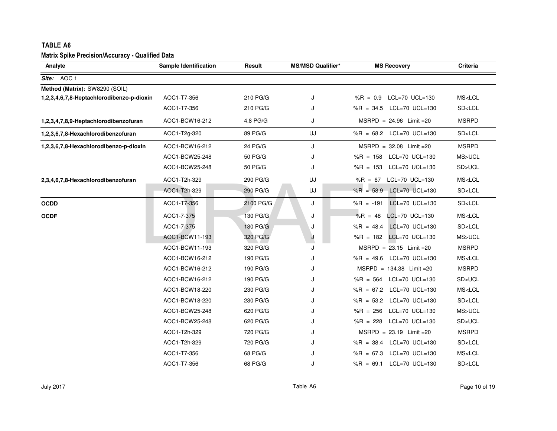| Analyte                                   | <b>Sample Identification</b> | Result    | <b>MS/MSD Qualifier*</b> | <b>MS Recovery</b>                    | Criteria               |
|-------------------------------------------|------------------------------|-----------|--------------------------|---------------------------------------|------------------------|
| Site: AOC 1                               |                              |           |                          |                                       |                        |
| Method (Matrix): SW8290 (SOIL)            |                              |           |                          |                                       |                        |
| 1,2,3,4,6,7,8-Heptachlorodibenzo-p-dioxin | AOC1-T7-356                  | 210 PG/G  | J                        | %R = 0.9 LCL=70 UCL=130               | MS <lcl< td=""></lcl<> |
|                                           | AOC1-T7-356                  | 210 PG/G  | J                        | %R = $34.5$ LCL=70 UCL=130            | SD <lcl< td=""></lcl<> |
| 1,2,3,4,7,8,9-Heptachlorodibenzofuran     | AOC1-BCW16-212               | 4.8 PG/G  | J                        | $MSRPD = 24.96$ Limit = 20            | <b>MSRPD</b>           |
| 1,2,3,6,7,8-Hexachlorodibenzofuran        | AOC1-T2g-320                 | 89 PG/G   | UJ                       | %R = $68.2$ LCL=70 UCL=130            | SD <lcl< td=""></lcl<> |
| 1,2,3,6,7,8-Hexachlorodibenzo-p-dioxin    | AOC1-BCW16-212               | 24 PG/G   | J                        | $MSRPD = 32.08$ Limit = 20            | <b>MSRPD</b>           |
|                                           | AOC1-BCW25-248               | 50 PG/G   | J                        | %R = $158$ LCL=70 UCL=130             | MS>UCL                 |
|                                           | AOC1-BCW25-248               | 50 PG/G   | J                        | %R = 153 LCL=70 UCL=130               | SD>UCL                 |
| 2,3,4,6,7,8-Hexachlorodibenzofuran        | AOC1-T2h-329                 | 290 PG/G  | UJ                       | %R = 67 LCL=70 UCL=130                | MS <lcl< td=""></lcl<> |
|                                           | AOC1-T2h-329                 | 290 PG/G  | UJ                       | %R = $58.9$ LCL=70 UCL=130            | SD <lcl< td=""></lcl<> |
| <b>OCDD</b>                               | AOC1-T7-356                  | 2100 PG/G | J                        | $%R = -191$<br>$LCL = 70$ $UCL = 130$ | SD <lcl< td=""></lcl<> |
| <b>OCDF</b>                               | AOC1-7-375                   | 130 PG/G  | J                        | $%R = 48$<br>LCL=70 UCL=130           | MS <lcl< td=""></lcl<> |
|                                           | AOC1-7-375                   | 130 PG/G  | J                        | LCL=70 UCL=130<br>$%R = 48.4$         | SD <lcl< td=""></lcl<> |
|                                           | AOC1-BCW11-193               | 320 PG/G  | J                        | %R = 182 LCL=70 UCL=130               | MS>UCL                 |
|                                           | AOC1-BCW11-193               | 320 PG/G  | J                        | $MSRPD = 23.15$ Limit = 20            | <b>MSRPD</b>           |
|                                           | AOC1-BCW16-212               | 190 PG/G  | J                        | %R = $49.6$ LCL=70 UCL=130            | MS <lcl< td=""></lcl<> |
|                                           | AOC1-BCW16-212               | 190 PG/G  | J                        | $MSRPD = 134.38$ Limit = 20           | <b>MSRPD</b>           |
|                                           | AOC1-BCW16-212               | 190 PG/G  | J                        | %R = 564 LCL=70 UCL=130               | SD>UCL                 |
|                                           | AOC1-BCW18-220               | 230 PG/G  | J                        | %R = $67.2$ LCL=70 UCL=130            | MS <lcl< td=""></lcl<> |
|                                           | AOC1-BCW18-220               | 230 PG/G  | J                        | %R = 53.2 LCL=70 UCL=130              | SD <lcl< td=""></lcl<> |
|                                           | AOC1-BCW25-248               | 620 PG/G  | J                        | %R = $256$ LCL=70 UCL=130             | MS>UCL                 |
|                                           | AOC1-BCW25-248               | 620 PG/G  | J                        | %R = 228 LCL=70 UCL=130               | SD>UCL                 |
|                                           | AOC1-T2h-329                 | 720 PG/G  | J                        | $MSRPD = 23.19$ Limit = 20            | <b>MSRPD</b>           |
|                                           | AOC1-T2h-329                 | 720 PG/G  | J                        | %R = $38.4$ LCL=70 UCL=130            | SD <lcl< td=""></lcl<> |
|                                           | AOC1-T7-356                  | 68 PG/G   | J                        | %R = $67.3$ LCL=70 UCL=130            | MS <lcl< td=""></lcl<> |
|                                           | AOC1-T7-356                  | 68 PG/G   | J                        | %R = $69.1$ LCL=70 UCL=130            | SD <lcl< td=""></lcl<> |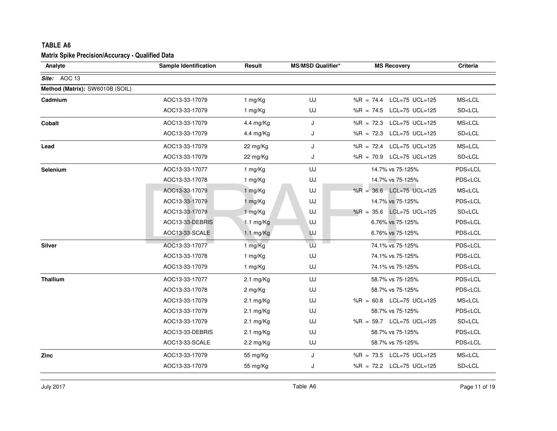| <b>TABLE A6</b><br>Matrix Spike Precision/Accuracy - Qualified Data |                              |                     |                          |                                 |                         |
|---------------------------------------------------------------------|------------------------------|---------------------|--------------------------|---------------------------------|-------------------------|
| Analyte                                                             | <b>Sample Identification</b> | Result              | <b>MS/MSD Qualifier*</b> | <b>MS Recovery</b>              | Criteria                |
| Site: AOC 13                                                        |                              |                     |                          |                                 |                         |
| Method (Matrix): SW6010B (SOIL)                                     |                              |                     |                          |                                 |                         |
| Cadmium                                                             | AOC13-33-17079               | 1 mg/Kg             | UJ                       | $%R = 74.4$<br>$LCL=75$ UCL=125 | MS <lcl< td=""></lcl<>  |
|                                                                     | AOC13-33-17079               | 1 mg/Kg             | UJ                       | %R = 74.5 LCL=75 UCL=125        | SD <lcl< td=""></lcl<>  |
| Cobalt                                                              | AOC13-33-17079               | 4.4 mg/Kg           | J                        | LCL=75 UCL=125<br>$%R = 72.3$   | MS <lcl< td=""></lcl<>  |
|                                                                     | AOC13-33-17079               | 4.4 mg/ $Kg$        | J                        | %R = 72.3 LCL=75 UCL=125        | SD <lcl< td=""></lcl<>  |
| Lead                                                                | AOC13-33-17079               | 22 mg/Kg            | J                        | %R = 72.4 LCL=75 UCL=125        | MS <lcl< td=""></lcl<>  |
|                                                                     | AOC13-33-17079               | 22 mg/Kg            | J                        | $%R = 70.9$<br>LCL=75 UCL=125   | SD <lcl< td=""></lcl<>  |
| <b>Selenium</b>                                                     | AOC13-33-17077               | 1 mg/Kg             | UJ                       | 14.7% vs 75-125%                | PDS <lcl< td=""></lcl<> |
|                                                                     | AOC13-33-17078               | 1 mg/Kg             | UJ                       | 14.7% vs 75-125%                | PDS <lcl< td=""></lcl<> |
|                                                                     | AOC13-33-17079               | 1 mg/Kg             | UJ                       | %R = $36.6$ LCL=75 UCL=125      | MS <lcl< td=""></lcl<>  |
|                                                                     | AOC13-33-17079               | 1 mg/Kg             | UJ                       | 14.7% vs 75-125%                | PDS <lcl< td=""></lcl<> |
|                                                                     | AOC13-33-17079               | 1 mg/Kg             | UJ                       | %R = $35.6$ LCL=75 UCL=125      | SD <lcl< td=""></lcl<>  |
|                                                                     | AOC13-33-DEBRIS              | 1.1 $mg/Kg$         | UJ                       | 6.76% vs 75-125%                | PDS <lcl< td=""></lcl<> |
|                                                                     | AOC13-33-SCALE               | $1.1$ mg/Kg         | UJ                       | 6.76% vs 75-125%                | PDS <lcl< td=""></lcl<> |
| Silver                                                              | AOC13-33-17077               | 1 mg/Kg             | UJ                       | 74.1% vs 75-125%                | PDS <lcl< td=""></lcl<> |
|                                                                     | AOC13-33-17078               | 1 mg/Kg             | UJ                       | 74.1% vs 75-125%                | PDS <lcl< td=""></lcl<> |
|                                                                     | AOC13-33-17079               | 1 mg/Kg             | UJ                       | 74.1% vs 75-125%                | PDS <lcl< td=""></lcl<> |
| <b>Thallium</b>                                                     | AOC13-33-17077               | $2.1 \text{ mg/Kg}$ | UJ                       | 58.7% vs 75-125%                | PDS <lcl< td=""></lcl<> |
|                                                                     | AOC13-33-17078               | 2 mg/Kg             | UJ                       | 58.7% vs 75-125%                | PDS <lcl< td=""></lcl<> |
|                                                                     | AOC13-33-17079               | $2.1 \text{ mg/Kg}$ | UJ                       | %R = $60.8$ LCL=75 UCL=125      | MS <lcl< td=""></lcl<>  |
|                                                                     | AOC13-33-17079               | $2.1 \text{ mg/Kg}$ | UJ                       | 58.7% vs 75-125%                | PDS <lcl< td=""></lcl<> |
|                                                                     | AOC13-33-17079               | $2.1 \text{ mg/Kg}$ | UJ                       | %R = $59.7$ LCL=75 UCL=125      | SD <lcl< td=""></lcl<>  |
|                                                                     | AOC13-33-DEBRIS              | $2.1 \text{ mg/Kg}$ | UJ                       | 58.7% vs 75-125%                | PDS <lcl< td=""></lcl<> |
|                                                                     | AOC13-33-SCALE               | $2.2 \text{ mg/Kg}$ | UJ                       | 58.7% vs 75-125%                | PDS <lcl< td=""></lcl<> |
| Zinc                                                                | AOC13-33-17079               | 55 mg/Kg            | J                        | %R = $73.5$ LCL=75 UCL=125      | MS <lcl< td=""></lcl<>  |
|                                                                     | AOC13-33-17079               | 55 mg/Kg            | J                        | %R = 72.2 LCL=75 UCL=125        | SD <lcl< td=""></lcl<>  |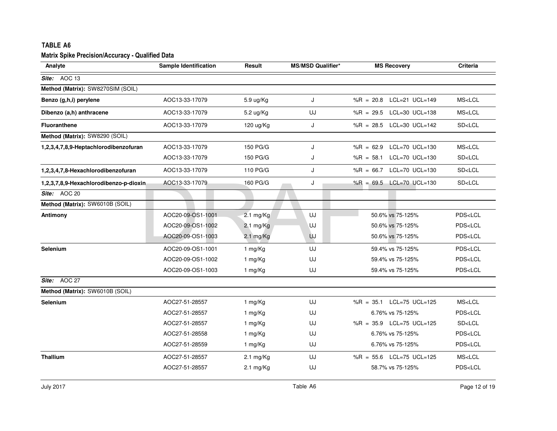| <b>TABLE A6</b>                                         |                              |                     |                          |                                             |                         |
|---------------------------------------------------------|------------------------------|---------------------|--------------------------|---------------------------------------------|-------------------------|
| <b>Matrix Spike Precision/Accuracy - Qualified Data</b> |                              |                     |                          |                                             |                         |
| Analyte                                                 | <b>Sample Identification</b> | Result              | <b>MS/MSD Qualifier*</b> | <b>MS Recovery</b>                          | Criteria                |
| Site: AOC 13                                            |                              |                     |                          |                                             |                         |
| Method (Matrix): SW8270SIM (SOIL)                       |                              |                     |                          |                                             |                         |
| Benzo (g,h,i) perylene                                  | AOC13-33-17079               | $5.9 \text{ ug/Kg}$ | J                        | %R = $20.8$ LCL=21 UCL=149                  | MS <lcl< td=""></lcl<>  |
| Dibenzo (a,h) anthracene                                | AOC13-33-17079               | 5.2 ug/Kg           | UJ                       | %R = 29.5 LCL=30 UCL=138                    | MS <lcl< td=""></lcl<>  |
| <b>Fluoranthene</b>                                     | AOC13-33-17079               | $120 \text{ ug/Kg}$ | J                        | %R = $28.5$ LCL=30 UCL=142                  | SD <lcl< td=""></lcl<>  |
| Method (Matrix): SW8290 (SOIL)                          |                              |                     |                          |                                             |                         |
| 1,2,3,4,7,8,9-Heptachlorodibenzofuran                   | AOC13-33-17079               | 150 PG/G            | J                        | LCL=70 UCL=130<br>$%R = 62.9$               | MS <lcl< td=""></lcl<>  |
|                                                         | AOC13-33-17079               | 150 PG/G            | J                        | $%R = 58.1$<br>LCL=70 UCL=130               | SD <lcl< td=""></lcl<>  |
| 1,2,3,4,7,8-Hexachlorodibenzofuran                      | AOC13-33-17079               | 110 PG/G            | J                        | %R = 66.7 LCL=70 UCL=130                    | SD <lcl< td=""></lcl<>  |
| 1,2,3,7,8,9-Hexachlorodibenzo-p-dioxin                  | AOC13-33-17079               | 160 PG/G            | J                        | %R = 69.5 LCL=70 UCL=130                    | SD <lcl< td=""></lcl<>  |
| Site: AOC 20                                            |                              |                     |                          |                                             |                         |
| Method (Matrix): SW6010B (SOIL)                         |                              |                     |                          |                                             |                         |
| Antimony                                                | AOC20-09-OS1-1001            | $2.1 \text{ mg/Kg}$ | UJ                       | 50.6% vs 75-125%                            | PDS <lcl< td=""></lcl<> |
|                                                         | AOC20-09-OS1-1002            | $2.1 \text{ mg/Kg}$ | UJ                       | 50.6% vs 75-125%                            | PDS <lcl< td=""></lcl<> |
|                                                         | AOC20-09-OS1-1003            | $2.1 \text{ mg/Kg}$ | UJ                       | 50.6% vs 75-125%                            | PDS <lcl< td=""></lcl<> |
| Selenium                                                | AOC20-09-OS1-1001            | 1 mg/Kg             | UJ                       | 59.4% vs 75-125%                            | PDS <lcl< td=""></lcl<> |
|                                                         | AOC20-09-OS1-1002            | 1 mg/Kg             | UJ                       | 59.4% vs 75-125%                            | PDS <lcl< td=""></lcl<> |
|                                                         | AOC20-09-OS1-1003            | 1 mg/Kg             | UJ                       | 59.4% vs 75-125%                            | PDS <lcl< td=""></lcl<> |
| Site: AOC 27                                            |                              |                     |                          |                                             |                         |
| Method (Matrix): SW6010B (SOIL)                         |                              |                     |                          |                                             |                         |
| Selenium                                                | AOC27-51-28557               | 1 mg/Kg             | UJ                       | $LCL = 75 \text{ UCL} = 125$<br>$%R = 35.1$ | MS <lcl< td=""></lcl<>  |
|                                                         | AOC27-51-28557               | 1 mg/Kg             | UJ                       | 6.76% vs 75-125%                            | PDS <lcl< td=""></lcl<> |
|                                                         | AOC27-51-28557               | 1 mg/Kg             | UJ                       | %R = 35.9 LCL=75 UCL=125                    | SD <lcl< td=""></lcl<>  |
|                                                         | AOC27-51-28558               | 1 mg/Kg             | UJ                       | 6.76% vs 75-125%                            | PDS <lcl< td=""></lcl<> |
|                                                         | AOC27-51-28559               | 1 mg/Kg             | UJ                       | 6.76% vs 75-125%                            | PDS <lcl< td=""></lcl<> |
| Thallium                                                | AOC27-51-28557               | $2.1 \text{ mg/Kg}$ | UJ                       | %R = $55.6$ LCL=75 UCL=125                  | MS <lcl< td=""></lcl<>  |
|                                                         | AOC27-51-28557               | $2.1 \text{ mg/Kg}$ | UJ                       | 58.7% vs 75-125%                            | PDS <lcl< td=""></lcl<> |
|                                                         |                              |                     |                          |                                             |                         |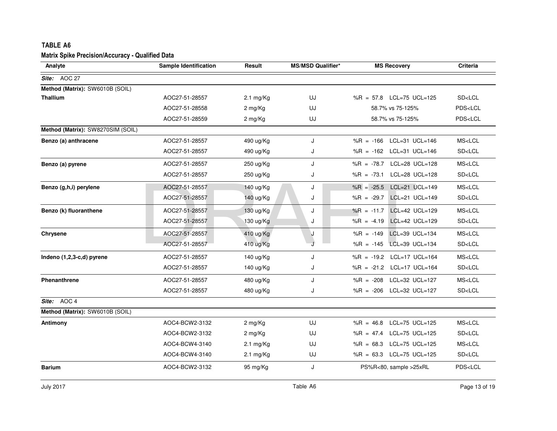| TABLE A6                                         |                              |                     |                          |                                             |                         |
|--------------------------------------------------|------------------------------|---------------------|--------------------------|---------------------------------------------|-------------------------|
| Matrix Spike Precision/Accuracy - Qualified Data |                              |                     |                          |                                             |                         |
| Analyte                                          | <b>Sample Identification</b> | Result              | <b>MS/MSD Qualifier*</b> | <b>MS Recovery</b>                          | Criteria                |
| Site: AOC 27                                     |                              |                     |                          |                                             |                         |
| Method (Matrix): SW6010B (SOIL)                  |                              |                     |                          |                                             |                         |
| <b>Thallium</b>                                  | AOC27-51-28557               | $2.1 \text{ mg/Kg}$ | UJ                       | %R = 57.8 LCL=75 UCL=125                    | SD <lcl< td=""></lcl<>  |
|                                                  | AOC27-51-28558               | 2 mg/Kg             | UJ                       | 58.7% vs 75-125%                            | PDS <lcl< td=""></lcl<> |
|                                                  | AOC27-51-28559               | 2 mg/Kg             | UJ                       | 58.7% vs 75-125%                            | PDS <lcl< td=""></lcl<> |
| Method (Matrix): SW8270SIM (SOIL)                |                              |                     |                          |                                             |                         |
| Benzo (a) anthracene                             | AOC27-51-28557               | 490 ug/Kg           | J                        | %R = $-166$ LCL=31 UCL=146                  | MS <lcl< td=""></lcl<>  |
|                                                  | AOC27-51-28557               | 490 ug/Kg           | J                        | %R = $-162$ LCL=31 UCL=146                  | SD <lcl< td=""></lcl<>  |
| Benzo (a) pyrene                                 | AOC27-51-28557               | 250 ug/Kg           | J                        | %R = -78.7 LCL=28 UCL=128                   | MS <lcl< td=""></lcl<>  |
|                                                  | AOC27-51-28557               | 250 ug/Kg           | J                        | %R = -73.1 LCL=28 UCL=128                   | SD <lcl< td=""></lcl<>  |
| Benzo (g,h,i) perylene                           | AOC27-51-28557               | 140 ug/Kg           | J                        | LCL=21 UCL=149<br>$%R = -25.5$              | MS <lcl< td=""></lcl<>  |
|                                                  | AOC27-51-28557               | 140 ug/Kg           | J                        | %R = -29.7 LCL=21 UCL=149                   | SD <lcl< td=""></lcl<>  |
| Benzo (k) fluoranthene                           | AOC27-51-28557               | 130 ug/Kg           | J                        | $LCL=42 \text{ UCL}=129$<br>$%R = -11.7$    | MS <lcl< td=""></lcl<>  |
|                                                  | AOC27-51-28557               | 130 ug/Kg           | J                        | %R = -4.19 LCL=42 UCL=129                   | SD <lcl< td=""></lcl<>  |
| Chrysene                                         | AOC27-51-28557               | 410 ug/Kg           | J                        | LCL=39 UCL=134<br>$%R = -149$               | MS <lcl< td=""></lcl<>  |
|                                                  | AOC27-51-28557               | 410 ug/Kg           |                          | %R = $-145$ LCL=39 UCL=134                  | SD <lcl< td=""></lcl<>  |
| Indeno (1,2,3-c,d) pyrene                        | AOC27-51-28557               | 140 ug/Kg           | J                        | %R = $-19.2$ LCL=17 UCL=164                 | MS <lcl< td=""></lcl<>  |
|                                                  | AOC27-51-28557               | 140 ug/Kg           | J                        | %R = -21.2 LCL=17 UCL=164                   | SD <lcl< td=""></lcl<>  |
| Phenanthrene                                     | AOC27-51-28557               | 480 ug/Kg           | J                        | %R = -208 LCL=32 UCL=127                    | MS <lcl< td=""></lcl<>  |
|                                                  | AOC27-51-28557               | 480 ug/Kg           | J                        | %R = -206 LCL=32 UCL=127                    | SD <lcl< td=""></lcl<>  |
| Site: AOC 4                                      |                              |                     |                          |                                             |                         |
| Method (Matrix): SW6010B (SOIL)                  |                              |                     |                          |                                             |                         |
| Antimony                                         | AOC4-BCW2-3132               | 2 mg/Kg             | UJ                       | $LCL = 75 \text{ UCL} = 125$<br>$%R = 46.8$ | MS <lcl< td=""></lcl<>  |
|                                                  | AOC4-BCW2-3132               | 2 mg/Kg             | UJ                       | %R = $47.4$ LCL=75 UCL=125                  | SD <lcl< td=""></lcl<>  |
|                                                  | AOC4-BCW4-3140               | $2.1 \text{ mg/Kg}$ | UJ                       | %R = 68.3 LCL=75 UCL=125                    | MS <lcl< td=""></lcl<>  |
|                                                  | AOC4-BCW4-3140               | $2.1 \text{ mg/Kg}$ | UJ                       | %R = $63.3$ LCL=75 UCL=125                  | SD <lcl< td=""></lcl<>  |
| <b>Barium</b>                                    | AOC4-BCW2-3132               | 95 mg/Kg            | J                        | PS%R<80, sample >25xRL                      | PDS <lcl< td=""></lcl<> |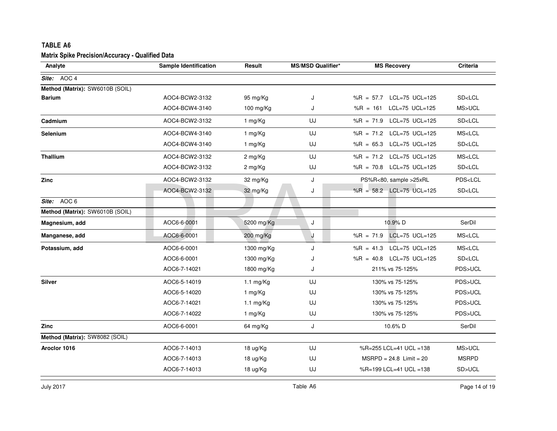| <b>TABLE A6</b>                                         |                              |                     |                          |                               |                         |
|---------------------------------------------------------|------------------------------|---------------------|--------------------------|-------------------------------|-------------------------|
| <b>Matrix Spike Precision/Accuracy - Qualified Data</b> |                              |                     |                          |                               |                         |
| Analyte                                                 | <b>Sample Identification</b> | Result              | <b>MS/MSD Qualifier*</b> | <b>MS Recovery</b>            | <b>Criteria</b>         |
| Site: AOC 4                                             |                              |                     |                          |                               |                         |
| Method (Matrix): SW6010B (SOIL)                         |                              |                     |                          |                               |                         |
| <b>Barium</b>                                           | AOC4-BCW2-3132               | 95 mg/Kg            | J                        | $%R = 57.7$<br>LCL=75 UCL=125 | SD <lcl< td=""></lcl<>  |
|                                                         | AOC4-BCW4-3140               | 100 mg/Kg           | J                        | LCL=75 UCL=125<br>$%R = 161$  | MS>UCL                  |
| Cadmium                                                 | AOC4-BCW2-3132               | 1 mg/Kg             | UJ                       | $%R = 71.9$<br>LCL=75 UCL=125 | SD <lcl< td=""></lcl<>  |
| Selenium                                                | AOC4-BCW4-3140               | 1 mg/Kg             | UJ                       | LCL=75 UCL=125<br>%R = $71.2$ | MS <lcl< td=""></lcl<>  |
|                                                         | AOC4-BCW4-3140               | 1 mg/Kg             | UJ                       | %R = 65.3 LCL=75 UCL=125      | SD <lcl< td=""></lcl<>  |
| <b>Thallium</b>                                         | AOC4-BCW2-3132               | 2 mg/Kg             | UJ                       | %R = 71.2 LCL=75 UCL=125      | MS <lcl< td=""></lcl<>  |
|                                                         | AOC4-BCW2-3132               | 2 mg/Kg             | UJ                       | %R = 70.8 LCL=75 UCL=125      | SD <lcl< td=""></lcl<>  |
| <b>Zinc</b>                                             | AOC4-BCW2-3132               | 32 mg/Kg            | J                        | PS%R<80, sample >25xRL        | PDS <lcl< td=""></lcl<> |
|                                                         | AOC4-BCW2-3132               | 32 mg/Kg            | J                        | %R = 58.2 LCL=75 UCL=125      | SD <lcl< td=""></lcl<>  |
| Site: AOC 6                                             |                              |                     |                          |                               |                         |
| Method (Matrix): SW6010B (SOIL)                         |                              |                     |                          |                               |                         |
| Magnesium, add                                          | AOC6-6-0001                  | 5200 mg/Kg          | J                        | 10.9% D                       | SerDil                  |
| Manganese, add                                          | AOC6-6-0001                  | 200 mg/Kg           | J                        | LCL=75 UCL=125<br>$%R = 71.9$ | MS <lcl< td=""></lcl<>  |
| Potassium, add                                          | AOC6-6-0001                  | 1300 mg/Kg          | J                        | LCL=75 UCL=125<br>$%R = 41.3$ | MS <lcl< td=""></lcl<>  |
|                                                         | AOC6-6-0001                  | 1300 mg/Kg          | J                        | %R = 40.8 LCL=75 UCL=125      | SD <lcl< td=""></lcl<>  |
|                                                         | AOC6-7-14021                 | 1800 mg/Kg          | J                        | 211% vs 75-125%               | PDS>UCL                 |
| Silver                                                  | AOC6-5-14019                 | $1.1 \text{ mg/Kg}$ | UJ                       | 130% vs 75-125%               | PDS>UCL                 |
|                                                         | AOC6-5-14020                 | 1 mg/Kg             | UJ                       | 130% vs 75-125%               | PDS>UCL                 |
|                                                         | AOC6-7-14021                 | 1.1 $mg/Kg$         | UJ                       | 130% vs 75-125%               | PDS>UCL                 |
|                                                         | AOC6-7-14022                 | 1 mg/Kg             | UJ                       | 130% vs 75-125%               | PDS>UCL                 |
| <b>Zinc</b>                                             | AOC6-6-0001                  | 64 mg/Kg            | J                        | 10.6% D                       | SerDil                  |
| Method (Matrix): SW8082 (SOIL)                          |                              |                     |                          |                               |                         |
| Aroclor 1016                                            | AOC6-7-14013                 | 18 ug/Kg            | UJ                       | %R=255 LCL=41 UCL =138        | MS>UCL                  |
|                                                         | AOC6-7-14013                 | 18 ug/Kg            | UJ                       | $MSRPD = 24.8$ Limit = 20     | <b>MSRPD</b>            |
|                                                         | AOC6-7-14013                 | 18 ug/Kg            | UJ                       | %R=199 LCL=41 UCL =138        | SD>UCL                  |

July 2017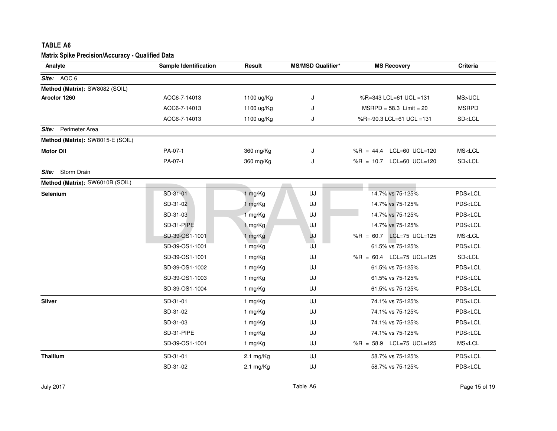| TABLE A6                                                |                              |                     |                          |                               |                                                |
|---------------------------------------------------------|------------------------------|---------------------|--------------------------|-------------------------------|------------------------------------------------|
| <b>Matrix Spike Precision/Accuracy - Qualified Data</b> |                              |                     |                          |                               |                                                |
| Analyte                                                 | <b>Sample Identification</b> | Result              | <b>MS/MSD Qualifier*</b> | <b>MS Recovery</b>            | Criteria                                       |
| Site: AOC 6                                             |                              |                     |                          |                               |                                                |
| Method (Matrix): SW8082 (SOIL)                          |                              |                     |                          |                               |                                                |
| Aroclor 1260                                            | AOC6-7-14013                 | 1100 ug/Kg          | J                        | %R=343 LCL=61 UCL =131        | MS>UCL                                         |
|                                                         | AOC6-7-14013                 | 1100 ug/Kg          | ۱.                       | $MSRPD = 58.3$ Limit = 20     | <b>MSRPD</b>                                   |
|                                                         | AOC6-7-14013                 | 1100 ug/Kg          | J                        | %R=-90.3 LCL=61 UCL =131      | SD <lcl< td=""></lcl<>                         |
| Perimeter Area<br>Site:                                 |                              |                     |                          |                               |                                                |
| Method (Matrix): SW8015-E (SOIL)                        |                              |                     |                          |                               |                                                |
| <b>Motor Oil</b>                                        | PA-07-1                      | 360 mg/Kg           | J                        | LCL=60 UCL=120<br>$%R = 44.4$ | MS <lcl< td=""></lcl<>                         |
|                                                         | PA-07-1                      | 360 mg/Kg           | J                        | %R = $10.7$ LCL=60 UCL=120    | SD <lcl< td=""></lcl<>                         |
| Storm Drain<br>Site:                                    |                              |                     |                          |                               |                                                |
| Method (Matrix): SW6010B (SOIL)                         |                              |                     |                          |                               |                                                |
| <b>Selenium</b>                                         | SD-31-01                     | 1 mg/Kg             | UJ                       | 14.7% vs 75-125%              | PDS <lcl< td=""></lcl<>                        |
|                                                         | SD-31-02                     | 1 mg/Kg             | UJ                       | 14.7% vs 75-125%              | PDS <lcl< td=""></lcl<>                        |
|                                                         | SD-31-03                     | 1 mg/Kg             | UJ                       | 14.7% vs 75-125%              | PDS <lcl< td=""></lcl<>                        |
|                                                         | SD-31-PIPE                   | 1 mg/Kg             | UJ                       | 14.7% vs 75-125%              | PDS <lcl< td=""></lcl<>                        |
|                                                         | SD-39-OS1-1001               | 1 mg/Kg             | UJ                       | %R = 60.7 LCL=75 UCL=125      | MS < LCL                                       |
|                                                         | SD-39-OS1-1001               | 1 mg/Kg             | UJ                       | 61.5% vs 75-125%              | PDS <lcl< td=""></lcl<>                        |
|                                                         | SD-39-OS1-1001               | 1 mg/Kg             | UJ                       | %R = 60.4 LCL=75 UCL=125      | SD <lcl< td=""></lcl<>                         |
|                                                         | SD-39-OS1-1002               | 1 mg/Kg             | UJ                       | 61.5% vs 75-125%              | PDS <lcl< td=""></lcl<>                        |
|                                                         | SD-39-OS1-1003               | 1 mg/Kg             | UJ                       | 61.5% vs 75-125%              | PDS <lcl< td=""></lcl<>                        |
|                                                         | SD-39-OS1-1004               | 1 mg/Kg             | UJ                       | 61.5% vs 75-125%              | PDS <lcl< td=""></lcl<>                        |
| Silver                                                  | SD-31-01                     | 1 mg/Kg             | UJ                       | 74.1% vs 75-125%              | PDS <lcl< td=""></lcl<>                        |
|                                                         | SD-31-02                     | 1 mg/Kg             | UJ                       | 74.1% vs 75-125%              | PDS <lcl< td=""></lcl<>                        |
|                                                         | SD-31-03                     | 1 mg/Kg             | UJ                       | 74.1% vs 75-125%              | PDS <lcl< td=""></lcl<>                        |
|                                                         | SD-31-PIPE                   | 1 mg/Kg             | UJ                       | 74.1% vs 75-125%              | PDS <lcl< td=""></lcl<>                        |
|                                                         | SD-39-OS1-1001               | 1 mg/Kg             | UJ                       | %R = 58.9 LCL=75 UCL=125      | $\ensuremath{\mathsf{MS}\text{-}\mathsf{LCL}}$ |
| <b>Thallium</b>                                         | SD-31-01                     | $2.1 \text{ mg/Kg}$ | UJ                       | 58.7% vs 75-125%              | PDS <lcl< td=""></lcl<>                        |
|                                                         | SD-31-02                     |                     | UJ                       | 58.7% vs 75-125%              | PDS <lcl< td=""></lcl<>                        |
|                                                         |                              | $2.1 \text{ mg/Kg}$ |                          |                               |                                                |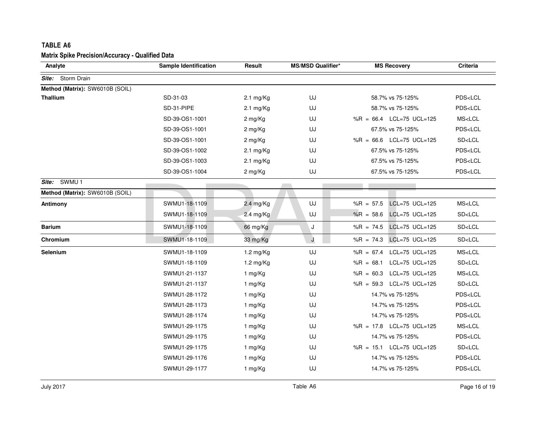| Analyte                         | <b>Sample Identification</b> | Result              | <b>MS/MSD Qualifier*</b> | <b>MS Recovery</b>                          | <b>Criteria</b>         |
|---------------------------------|------------------------------|---------------------|--------------------------|---------------------------------------------|-------------------------|
| Site: Storm Drain               |                              |                     |                          |                                             |                         |
| Method (Matrix): SW6010B (SOIL) |                              |                     |                          |                                             |                         |
| <b>Thallium</b>                 | SD-31-03                     | $2.1 \text{ mg/Kg}$ | UJ                       | 58.7% vs 75-125%                            | PDS <lcl< td=""></lcl<> |
|                                 | SD-31-PIPE                   | $2.1 \text{ mg/Kg}$ | UJ                       | 58.7% vs 75-125%                            | PDS <lcl< td=""></lcl<> |
|                                 | SD-39-OS1-1001               | 2 mg/Kg             | UJ                       | %R = $66.4$ LCL=75 UCL=125                  | MS <lcl< td=""></lcl<>  |
|                                 | SD-39-OS1-1001               | 2 mg/Kg             | UJ                       | 67.5% vs 75-125%                            | PDS <lcl< td=""></lcl<> |
|                                 | SD-39-OS1-1001               | 2 mg/Kg             | UJ                       | %R = $66.6$ LCL=75 UCL=125                  | SD <lcl< td=""></lcl<>  |
|                                 | SD-39-OS1-1002               | $2.1 \text{ mg/Kg}$ | UJ                       | 67.5% vs 75-125%                            | PDS <lcl< td=""></lcl<> |
|                                 | SD-39-OS1-1003               | $2.1 \text{ mg/Kg}$ | UJ                       | 67.5% vs 75-125%                            | PDS <lcl< td=""></lcl<> |
|                                 | SD-39-OS1-1004               | 2 mg/Kg             | UJ                       | 67.5% vs 75-125%                            | PDS <lcl< td=""></lcl<> |
| Site: SWMU 1                    |                              |                     |                          |                                             |                         |
| Method (Matrix): SW6010B (SOIL) |                              |                     |                          |                                             |                         |
| Antimony                        | SWMU1-18-1109                | 2.4 mg/Kg           | UJ                       | LCL=75 UCL=125<br>$%R = 57.5$               | MS <lcl< td=""></lcl<>  |
|                                 | SWMU1-18-1109                | $2.4 \text{ mg/Kg}$ | UJ                       | LCL=75 UCL=125<br>$%R = 58.6$               | SD <lcl< td=""></lcl<>  |
| <b>Barium</b>                   | SWMU1-18-1109                | 66 mg/Kg            | J                        | $LCL = 75 \text{ UCL} = 125$<br>$%R = 74.5$ | SD <lcl< td=""></lcl<>  |
| Chromium                        | SWMU1-18-1109                | 33 mg/Kg            | J                        | LCL=75 UCL=125<br>$%R = 74.3$               | SD <lcl< td=""></lcl<>  |
| Selenium                        | SWMU1-18-1109                | $1.2 \text{ mg/Kg}$ | UJ                       | %R = $67.4$ LCL=75 UCL=125                  | MS <lcl< td=""></lcl<>  |
|                                 | SWMU1-18-1109                | $1.2 \text{ mg/Kg}$ | UJ                       | %R = 68.1 LCL=75 UCL=125                    | SD <lcl< td=""></lcl<>  |
|                                 | SWMU1-21-1137                | 1 mg/Kg             | UJ                       | %R = 60.3 LCL=75 UCL=125                    | MS <lcl< td=""></lcl<>  |
|                                 | SWMU1-21-1137                | 1 mg/Kg             | UJ                       | %R = 59.3 LCL=75 UCL=125                    | SD <lcl< td=""></lcl<>  |
|                                 | SWMU1-28-1172                | 1 mg/Kg             | UJ                       | 14.7% vs 75-125%                            | PDS <lcl< td=""></lcl<> |
|                                 | SWMU1-28-1173                | 1 mg/Kg             | UJ                       | 14.7% vs 75-125%                            | PDS <lcl< td=""></lcl<> |
|                                 | SWMU1-28-1174                | 1 mg/Kg             | UJ                       | 14.7% vs 75-125%                            | PDS <lcl< td=""></lcl<> |
|                                 | SWMU1-29-1175                | 1 mg/Kg             | UJ                       | %R = 17.8 LCL=75 UCL=125                    | MS <lcl< td=""></lcl<>  |
|                                 | SWMU1-29-1175                | 1 mg/Kg             | UJ                       | 14.7% vs 75-125%                            | PDS <lcl< td=""></lcl<> |
|                                 | SWMU1-29-1175                | 1 mg/Kg             | UJ                       | %R = 15.1 LCL=75 UCL=125                    | SD <lcl< td=""></lcl<>  |
|                                 | SWMU1-29-1176                | 1 mg/Kg             | UJ                       | 14.7% vs 75-125%                            | PDS <lcl< td=""></lcl<> |
|                                 | SWMU1-29-1177                | 1 mg/Kg             | UJ                       | 14.7% vs 75-125%                            | PDS <lcl< td=""></lcl<> |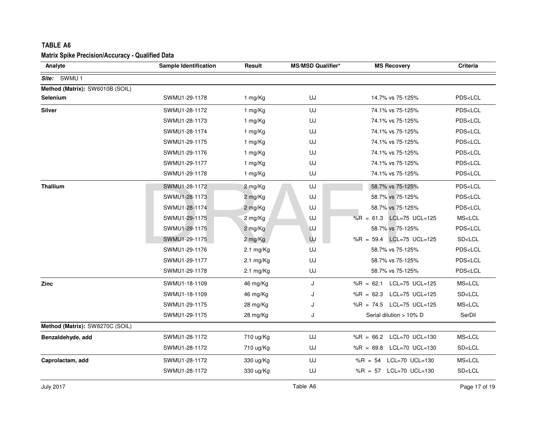| <b>TABLE A6</b>                                                    |                       |                     |                          |                            |                         |
|--------------------------------------------------------------------|-----------------------|---------------------|--------------------------|----------------------------|-------------------------|
| <b>Matrix Spike Precision/Accuracy - Qualified Data</b><br>Analyte | Sample Identification | Result              | <b>MS/MSD Qualifier*</b> | <b>MS Recovery</b>         | Criteria                |
| Site: SWMU 1                                                       |                       |                     |                          |                            |                         |
| Method (Matrix): SW6010B (SOIL)                                    |                       |                     |                          |                            |                         |
| Selenium                                                           | SWMU1-29-1178         | 1 mg/Kg             | UJ                       | 14.7% vs 75-125%           | PDS <lcl< td=""></lcl<> |
| <b>Silver</b>                                                      | SWMU1-28-1172         | 1 mg/Kg             | UJ                       | 74.1% vs 75-125%           | PDS <lcl< td=""></lcl<> |
|                                                                    | SWMU1-28-1173         | 1 mg/Kg             | UJ                       | 74.1% vs 75-125%           | PDS <lcl< td=""></lcl<> |
|                                                                    | SWMU1-28-1174         | 1 mg/Kg             | UJ                       | 74.1% vs 75-125%           | PDS <lcl< td=""></lcl<> |
|                                                                    | SWMU1-29-1175         | 1 mg/Kg             | UJ                       | 74.1% vs 75-125%           | PDS <lcl< td=""></lcl<> |
|                                                                    | SWMU1-29-1176         | 1 mg/Kg             | UJ                       | 74.1% vs 75-125%           | PDS <lcl< td=""></lcl<> |
|                                                                    | SWMU1-29-1177         | 1 mg/Kg             | UJ                       | 74.1% vs 75-125%           | PDS <lcl< td=""></lcl<> |
|                                                                    | SWMU1-29-1178         | 1 mg/Kg             | UJ                       | 74.1% vs 75-125%           | PDS <lcl< td=""></lcl<> |
| <b>Thallium</b>                                                    | SWMU1-28-1172         | 2 mg/Kg             | UJ                       | 58.7% vs 75-125%           | PDS <lcl< td=""></lcl<> |
|                                                                    | SWMU1-28-1173         | 2 mg/Kg             | UJ                       | 58.7% vs 75-125%           | PDS <lcl< td=""></lcl<> |
|                                                                    | SWMU1-28-1174         | 2 mg/Kg             | UJ                       | 58.7% vs 75-125%           | PDS <lcl< td=""></lcl<> |
|                                                                    | SWMU1-29-1175         | 2 mg/Kg             | UJ                       | %R = $61.3$ LCL=75 UCL=125 | MS <lcl< td=""></lcl<>  |
|                                                                    | SWMU1-29-1175         | 2 mg/Kg             | <b>UJ</b>                | 58.7% vs 75-125%           | PDS <lcl< td=""></lcl<> |
|                                                                    | SWMU1-29-1175         | 2 mg/Kg             | UJ                       | %R = 59.4 LCL=75 UCL=125   | SD <lcl< td=""></lcl<>  |
|                                                                    | SWMU1-29-1176         | $2.1 \text{ mg/Kg}$ | UJ                       | 58.7% vs 75-125%           | PDS <lcl< td=""></lcl<> |
|                                                                    | SWMU1-29-1177         | $2.1 \text{ mg/Kg}$ | UJ                       | 58.7% vs 75-125%           | PDS <lcl< td=""></lcl<> |
|                                                                    | SWMU1-29-1178         | $2.1 \text{ mg/Kg}$ | UJ                       | 58.7% vs 75-125%           | PDS <lcl< td=""></lcl<> |
| Zinc                                                               | SWMU1-18-1109         | 46 mg/Kg            | J                        | %R = 62.1 LCL=75 UCL=125   | MS <lcl< td=""></lcl<>  |
|                                                                    | SWMU1-18-1109         | 46 mg/Kg            | J                        | %R = $62.3$ LCL=75 UCL=125 | SD <lcl< td=""></lcl<>  |
|                                                                    | SWMU1-29-1175         | $28 \text{ mg/Kg}$  | J                        | %R = $74.5$ LCL=75 UCL=125 | MS <lcl< td=""></lcl<>  |
|                                                                    | SWMU1-29-1175         | 28 mg/Kg            | J                        | Serial dilution > 10% D    | SerDil                  |
| Method (Matrix): SW8270C (SOIL)                                    |                       |                     |                          |                            |                         |
| Benzaldehyde, add                                                  | SWMU1-28-1172         | 710 ug/Kg           | UJ                       | %R = $66.2$ LCL=70 UCL=130 | MS <lcl< td=""></lcl<>  |
|                                                                    | SWMU1-28-1172         | 710 ug/Kg           | UJ                       | %R = $69.8$ LCL=70 UCL=130 | SD <lcl< td=""></lcl<>  |
| Caprolactam, add                                                   | SWMU1-28-1172         | 330 ug/Kg           | UJ                       | %R = 54 LCL=70 UCL=130     | MS <lcl< td=""></lcl<>  |
|                                                                    | SWMU1-28-1172         | 330 ug/Kg           | UJ                       | %R = $57$ LCL=70 UCL=130   | SD <lcl< td=""></lcl<>  |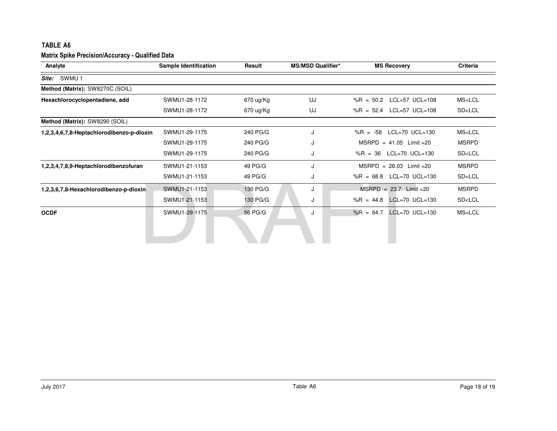| Analyte                                   | <b>Sample Identification</b> | Result      | <b>MS/MSD Qualifier*</b> | <b>MS Recovery</b>                          | Criteria               |
|-------------------------------------------|------------------------------|-------------|--------------------------|---------------------------------------------|------------------------|
| SWMU 1<br>Site:                           |                              |             |                          |                                             |                        |
| Method (Matrix): SW8270C (SOIL)           |                              |             |                          |                                             |                        |
| Hexachlorocyclopentadiene, add            | SWMU1-28-1172                | $670$ ug/Kg | UJ                       | %R = $50.2$ LCL=57 UCL=108                  | MS <lcl< td=""></lcl<> |
|                                           | SWMU1-28-1172                | 670 ug/Kg   | UJ                       | %R = 52.4 LCL=57 UCL=108                    | SD <lcl< td=""></lcl<> |
| Method (Matrix): SW8290 (SOIL)            |                              |             |                          |                                             |                        |
| 1,2,3,4,6,7,8-Heptachlorodibenzo-p-dioxin | SWMU1-29-1175                | 240 PG/G    | J                        | $LCL=70$ UCL=130<br>$%R = -58$              | MS <lcl< td=""></lcl<> |
|                                           | SWMU1-29-1175                | 240 PG/G    | J                        | $MSRPD = 41.05$ Limit = 20                  | <b>MSRPD</b>           |
|                                           | SWMU1-29-1175                | 240 PG/G    | J                        | %R = $36$ LCL=70 UCL=130                    | SD <lcl< td=""></lcl<> |
| 1,2,3,4,7,8,9-Heptachlorodibenzofuran     | SWMU1-21-1153                | 49 PG/G     | J                        | $MSRPD = 28.03$ Limit = 20                  | <b>MSRPD</b>           |
|                                           | SWMU1-21-1153                | 49 PG/G     | J                        | %R = $68.8$ LCL=70 UCL=130                  | SD <lcl< td=""></lcl<> |
| 1,2,3,6,7,8-Hexachlorodibenzo-p-dioxin    | SWMU1-21-1153                | 130 PG/G    | J                        | $MSRPD = 23.7$ Limit = 20                   | <b>MSRPD</b>           |
|                                           | SWMU1-21-1153                | 130 PG/G    | J                        | $LCL = 70 \text{ UCL} = 130$<br>$%R = 44.8$ | SD <lcl< td=""></lcl<> |
| <b>OCDF</b>                               | SWMU1-29-1175                | 56 PG/G     | J                        | $%R = 64.7$<br>$LCL = 70$ $UCL = 130$       | MS <lcl< td=""></lcl<> |
|                                           |                              |             |                          |                                             |                        |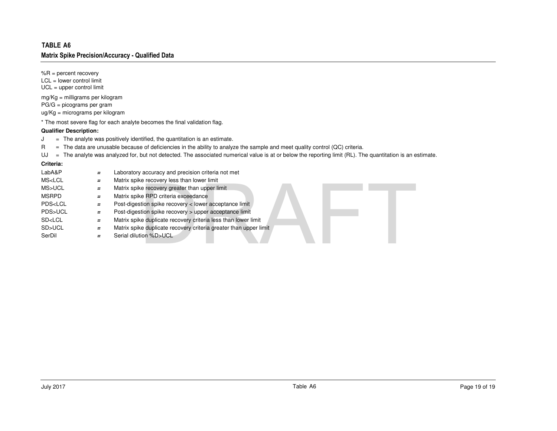### **Qualifier Description:**

- R = The data are unusable because of deficiencies in the ability to analyze the sample and meet quality control (QC) criteria.
- UJ <sup>=</sup> The analyte was analyzed for, but not detected. The associated numerical value is at or below the reporting limit (RL). The quantitation is an estimate.

### **Criteria:**

| TABLE A6                                                                                                                  |          |                                                                                                                                                                                                                                                                                                                                                                              |
|---------------------------------------------------------------------------------------------------------------------------|----------|------------------------------------------------------------------------------------------------------------------------------------------------------------------------------------------------------------------------------------------------------------------------------------------------------------------------------------------------------------------------------|
|                                                                                                                           |          | <b>Matrix Spike Precision/Accuracy - Qualified Data</b>                                                                                                                                                                                                                                                                                                                      |
| % $R =$ percent recovery<br>$LCL = lower control limit$<br>$UCL = upper control limit$                                    |          |                                                                                                                                                                                                                                                                                                                                                                              |
| $mg/Kg =$ milligrams per kilogram<br>$PG/G = picograms per gram$<br>$ug/Kg = micrograms$ per kilogram                     |          |                                                                                                                                                                                                                                                                                                                                                                              |
|                                                                                                                           |          | * The most severe flag for each analyte becomes the final validation flag.                                                                                                                                                                                                                                                                                                   |
| <b>Qualifier Description:</b>                                                                                             |          |                                                                                                                                                                                                                                                                                                                                                                              |
| J<br>R<br>UJ                                                                                                              |          | $=$ The analyte was positively identified, the quantitation is an estimate.<br>= The data are unusable because of deficiencies in the ability to analyze the sample and meet quality control (QC) criteria.<br>$=$ The analyte was analyzed for, but not detected. The associated numerical value is at or below the reporting limit (RL). The quantitation is an $\epsilon$ |
| Criteria:                                                                                                                 |          |                                                                                                                                                                                                                                                                                                                                                                              |
| LabA&P                                                                                                                    | $=$      | Laboratory accuracy and precision criteria not met                                                                                                                                                                                                                                                                                                                           |
| MS <lcl< td=""><td><math>=</math></td><td>Matrix spike recovery less than lower limit</td></lcl<>                         | $=$      | Matrix spike recovery less than lower limit                                                                                                                                                                                                                                                                                                                                  |
| MS>UCL                                                                                                                    | $=$      | Matrix spike recovery greater than upper limit                                                                                                                                                                                                                                                                                                                               |
| <b>MSRPD</b>                                                                                                              | $=$      | Matrix spike RPD criteria exceedance                                                                                                                                                                                                                                                                                                                                         |
| PDS <lcl< td=""><td><math>\equiv</math></td><td>Post-digestion spike recovery &lt; lower acceptance limit</td></lcl<>     | $\equiv$ | Post-digestion spike recovery < lower acceptance limit                                                                                                                                                                                                                                                                                                                       |
| PDS>UCL                                                                                                                   | $=$      | Post-digestion spike recovery > upper acceptance limit                                                                                                                                                                                                                                                                                                                       |
| SD <lcl< td=""><td><math>\equiv</math></td><td>Matrix spike duplicate recovery criteria less than lower limit</td></lcl<> | $\equiv$ | Matrix spike duplicate recovery criteria less than lower limit                                                                                                                                                                                                                                                                                                               |
| SD>UCL                                                                                                                    | $=$      | Matrix spike duplicate recovery criteria greater than upper limit                                                                                                                                                                                                                                                                                                            |
| SerDil                                                                                                                    | Ξ.       | Serial dilution %D>UCL                                                                                                                                                                                                                                                                                                                                                       |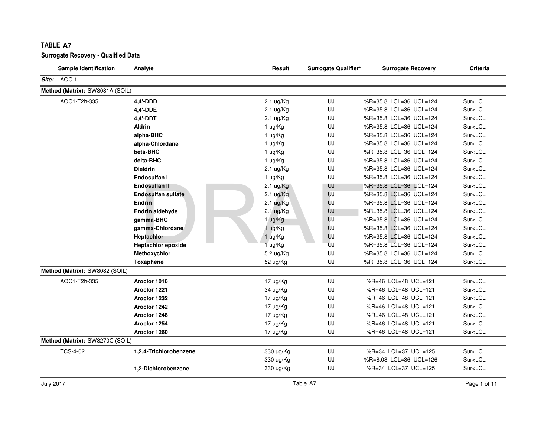| <b>Sample Identification</b>    | Analyte                   | Result              | Surrogate Qualifier* | <b>Surrogate Recovery</b> | Criteria                |
|---------------------------------|---------------------------|---------------------|----------------------|---------------------------|-------------------------|
| Site: AOC 1                     |                           |                     |                      |                           |                         |
| Method (Matrix): SW8081A (SOIL) |                           |                     |                      |                           |                         |
| AOC1-T2h-335                    | 4,4'-DDD                  | $2.1 \text{ ug/Kg}$ | UJ                   | %R=35.8 LCL=36 UCL=124    | Sur <lcl< td=""></lcl<> |
|                                 | 4,4'-DDE                  | $2.1 \text{ ug/Kg}$ | UJ                   | %R=35.8 LCL=36 UCL=124    | Sur <lcl< td=""></lcl<> |
|                                 | 4,4'-DDT                  | 2.1 ug/Kg           | UJ                   | %R=35.8 LCL=36 UCL=124    | Sur <lcl< td=""></lcl<> |
|                                 | <b>Aldrin</b>             | 1 ug/Kg             | UJ                   | %R=35.8 LCL=36 UCL=124    | Sur <lcl< td=""></lcl<> |
|                                 | alpha-BHC                 | 1 ug/Kg             | UJ                   | %R=35.8 LCL=36 UCL=124    | Sur <lcl< td=""></lcl<> |
|                                 | alpha-Chlordane           | 1 ug/Kg             | UJ                   | %R=35.8 LCL=36 UCL=124    | Sur <lcl< td=""></lcl<> |
|                                 | beta-BHC                  | 1 ug/Kg             | UJ                   | %R=35.8 LCL=36 UCL=124    | Sur <lcl< td=""></lcl<> |
|                                 | delta-BHC                 | 1 ug/Kg             | UJ                   | %R=35.8 LCL=36 UCL=124    | Sur <lcl< td=""></lcl<> |
|                                 | <b>Dieldrin</b>           | $2.1 \text{ ug/Kg}$ | UJ                   | %R=35.8 LCL=36 UCL=124    | Sur <lcl< td=""></lcl<> |
|                                 | Endosulfan I              | 1 ug/Kg             | UJ                   | %R=35.8 LCL=36 UCL=124    | Sur <lcl< td=""></lcl<> |
|                                 | <b>Endosulfan II</b>      | $2.1 \text{ ug/Kg}$ | UJ                   | %R=35.8 LCL=36 UCL=124    | Sur <lcl< td=""></lcl<> |
|                                 | <b>Endosulfan sulfate</b> | $2.1 \text{ ug/Kg}$ | UJ                   | %R=35.8 LCL=36 UCL=124    | Sur <lcl< td=""></lcl<> |
|                                 | <b>Endrin</b>             | $2.1 \text{ ug/Kg}$ | UJ                   | %R=35.8 LCL=36 UCL=124    | Sur <lcl< td=""></lcl<> |
|                                 | Endrin aldehyde           | $2.1 \text{ ug/Kg}$ | UJ                   | %R=35.8 LCL=36 UCL=124    | Sur <lcl< td=""></lcl<> |
|                                 | gamma-BHC                 | 1 ug/Kg             | UJ                   | %R=35.8 LCL=36 UCL=124    | Sur <lcl< td=""></lcl<> |
|                                 | gamma-Chlordane           | 1 ug/Kg             | UJ                   | %R=35.8 LCL=36 UCL=124    | Sur <lcl< td=""></lcl<> |
|                                 | <b>Heptachlor</b>         | 1 ug/Kg             | UJ                   | %R=35.8 LCL=36 UCL=124    | Sur <lcl< td=""></lcl<> |
|                                 | <b>Heptachlor epoxide</b> | 1 ug/Kg             | UJ                   | %R=35.8 LCL=36 UCL=124    | Sur <lcl< td=""></lcl<> |
|                                 | Methoxychlor              | 5.2 ug/Kg           | UJ                   | %R=35.8 LCL=36 UCL=124    | Sur <lcl< td=""></lcl<> |
|                                 | <b>Toxaphene</b>          | 52 ug/Kg            | UJ                   | %R=35.8 LCL=36 UCL=124    | Sur <lcl< td=""></lcl<> |
| Method (Matrix): SW8082 (SOIL)  |                           |                     |                      |                           |                         |
| AOC1-T2h-335                    | Aroclor 1016              | 17 ug/Kg            | UJ                   | %R=46 LCL=48 UCL=121      | Sur <lcl< td=""></lcl<> |
|                                 | Aroclor 1221              | 34 ug/Kg            | UJ                   | %R=46 LCL=48 UCL=121      | Sur <lcl< td=""></lcl<> |
|                                 | Aroclor 1232              | 17 ug/Kg            | UJ                   | %R=46 LCL=48 UCL=121      | Sur <lcl< td=""></lcl<> |
|                                 | Aroclor 1242              | 17 ug/Kg            | UJ                   | %R=46 LCL=48 UCL=121      | Sur <lcl< td=""></lcl<> |
|                                 | Aroclor 1248              | 17 ug/Kg            | UJ                   | %R=46 LCL=48 UCL=121      | Sur <lcl< td=""></lcl<> |
|                                 | Aroclor 1254              | 17 ug/Kg            | UJ                   | %R=46 LCL=48 UCL=121      | Sur <lcl< td=""></lcl<> |
|                                 | Aroclor 1260              | 17 ug/Kg            | UJ                   | %R=46 LCL=48 UCL=121      | Sur <lcl< td=""></lcl<> |
| Method (Matrix): SW8270C (SOIL) |                           |                     |                      |                           |                         |
| <b>TCS-4-02</b>                 | 1,2,4-Trichlorobenzene    | 330 ug/Kg           | UJ                   | %R=34 LCL=37 UCL=125      | Sur <lcl< td=""></lcl<> |
|                                 |                           | 330 ug/Kg           | UJ                   | %R=8.03 LCL=36 UCL=126    | Sur <lcl< td=""></lcl<> |
|                                 | 1,2-Dichlorobenzene       | 330 ug/Kg           | UJ                   | %R=34 LCL=37 UCL=125      | Sur <lcl< td=""></lcl<> |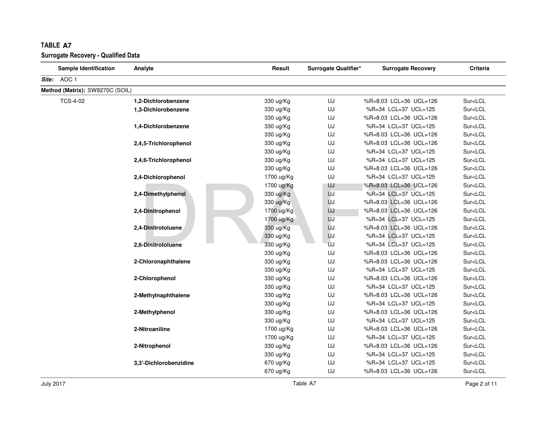| <b>Sample Identification</b>    | Analyte                | Result     | Surrogate Qualifier* | <b>Surrogate Recovery</b> | <b>Criteria</b>         |
|---------------------------------|------------------------|------------|----------------------|---------------------------|-------------------------|
| Site: AOC 1                     |                        |            |                      |                           |                         |
| Method (Matrix): SW8270C (SOIL) |                        |            |                      |                           |                         |
| <b>TCS-4-02</b>                 | 1,2-Dichlorobenzene    | 330 ug/Kg  | UJ                   | %R=8.03 LCL=36 UCL=126    | Sur <lcl< td=""></lcl<> |
|                                 | 1,3-Dichlorobenzene    | 330 ug/Kg  | UJ                   | %R=34 LCL=37 UCL=125      | Sur <lcl< td=""></lcl<> |
|                                 |                        | 330 ug/Kg  | UJ                   | %R=8.03 LCL=36 UCL=126    | Sur <lcl< td=""></lcl<> |
|                                 | 1,4-Dichlorobenzene    | 330 ug/Kg  | UJ                   | %R=34 LCL=37 UCL=125      | Sur <lcl< td=""></lcl<> |
|                                 |                        | 330 ug/Kg  | UJ                   | %R=8.03 LCL=36 UCL=126    | Sur <lcl< td=""></lcl<> |
|                                 | 2,4,5-Trichlorophenol  | 330 ug/Kg  | UJ                   | %R=8.03 LCL=36 UCL=126    | Sur <lcl< td=""></lcl<> |
|                                 |                        | 330 ug/Kg  | UJ                   | %R=34 LCL=37 UCL=125      | Sur <lcl< td=""></lcl<> |
|                                 | 2,4,6-Trichlorophenol  | 330 ug/Kg  | UJ                   | %R=34 LCL=37 UCL=125      | Sur <lcl< td=""></lcl<> |
|                                 |                        | 330 ug/Kg  | UJ                   | %R=8.03 LCL=36 UCL=126    | Sur <lcl< td=""></lcl<> |
|                                 | 2,4-Dichlorophenol     | 1700 ug/Kg | UJ                   | %R=34 LCL=37 UCL=125      | Sur <lcl< td=""></lcl<> |
|                                 |                        | 1700 ug/Kg | UJ                   | %R=8.03 LCL=36 UCL=126    | Sur <lcl< td=""></lcl<> |
|                                 | 2,4-Dimethylphenol     | 330 ug/Kg  | UJ                   | %R=34 LCL=37 UCL=125      | Sur <lcl< td=""></lcl<> |
|                                 |                        | 330 ug/Kg  | UJ                   | %R=8.03 LCL=36 UCL=126    | Sur <lcl< td=""></lcl<> |
|                                 | 2,4-Dinitrophenol      | 1700 ug/Kg | UJ                   | %R=8.03 LCL=36 UCL=126    | Sur <lcl< td=""></lcl<> |
|                                 |                        | 1700 ug/Kg | UJ                   | %R=34 LCL=37 UCL=125      | Sur <lcl< td=""></lcl<> |
|                                 | 2,4-Dinitrotoluene     | 330 ug/Kg  | UJ                   | %R=8.03 LCL=36 UCL=126    | Sur <lcl< td=""></lcl<> |
|                                 |                        | 330 ug/Kg  | UJ                   | %R=34 LCL=37 UCL=125      | Sur <lcl< td=""></lcl<> |
|                                 | 2,6-Dinitrotoluene     | 330 ug/Kg  | UJ                   | %R=34 LCL=37 UCL=125      | Sur <lcl< td=""></lcl<> |
|                                 |                        | 330 ug/Kg  | UJ                   | %R=8.03 LCL=36 UCL=126    | Sur <lcl< td=""></lcl<> |
|                                 | 2-Chloronaphthalene    | 330 ug/Kg  | UJ                   | %R=8.03 LCL=36 UCL=126    | Sur <lcl< td=""></lcl<> |
|                                 |                        | 330 ug/Kg  | UJ                   | %R=34 LCL=37 UCL=125      | Sur <lcl< td=""></lcl<> |
|                                 | 2-Chlorophenol         | 330 ug/Kg  | UJ                   | %R=8.03 LCL=36 UCL=126    | Sur <lcl< td=""></lcl<> |
|                                 |                        | 330 ug/Kg  | UJ                   | %R=34 LCL=37 UCL=125      | Sur <lcl< td=""></lcl<> |
|                                 | 2-Methylnaphthalene    | 330 ug/Kg  | UJ                   | %R=8.03 LCL=36 UCL=126    | Sur <lcl< td=""></lcl<> |
|                                 |                        | 330 ug/Kg  | UJ                   | %R=34 LCL=37 UCL=125      | Sur <lcl< td=""></lcl<> |
|                                 | 2-Methylphenol         | 330 ug/Kg  | UJ                   | %R=8.03 LCL=36 UCL=126    | Sur <lcl< td=""></lcl<> |
|                                 |                        | 330 ug/Kg  | UJ                   | %R=34 LCL=37 UCL=125      | Sur <lcl< td=""></lcl<> |
|                                 | 2-Nitroaniline         | 1700 ug/Kg | UJ                   | %R=8.03 LCL=36 UCL=126    | Sur <lcl< td=""></lcl<> |
|                                 |                        | 1700 ug/Kg | UJ                   | %R=34 LCL=37 UCL=125      | Sur <lcl< td=""></lcl<> |
|                                 | 2-Nitrophenol          | 330 ug/Kg  | UJ                   | %R=8.03 LCL=36 UCL=126    | Sur <lcl< td=""></lcl<> |
|                                 |                        | 330 ug/Kg  | UJ                   | %R=34 LCL=37 UCL=125      | Sur <lcl< td=""></lcl<> |
|                                 | 3.3'-Dichlorobenzidine | 670 ug/Kg  | UJ                   | %R=34 LCL=37 UCL=125      | Sur <lcl< td=""></lcl<> |
|                                 |                        | 670 ug/Kg  | UJ                   | %R=8.03 LCL=36 UCL=126    | Sur <lcl< td=""></lcl<> |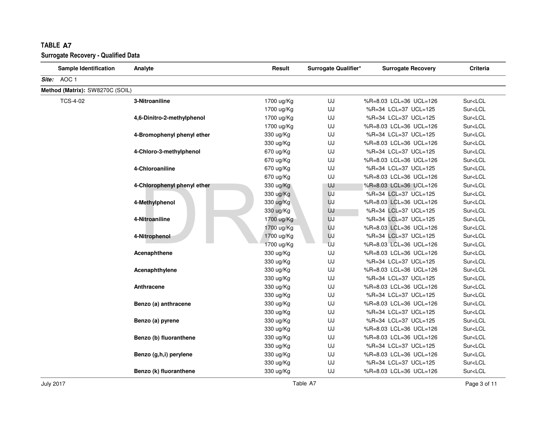| <b>Sample Identification</b>    | Analyte                     | Result     | Surrogate Qualifier* | <b>Surrogate Recovery</b> | Criteria                |
|---------------------------------|-----------------------------|------------|----------------------|---------------------------|-------------------------|
| Site: AOC 1                     |                             |            |                      |                           |                         |
| Method (Matrix): SW8270C (SOIL) |                             |            |                      |                           |                         |
| <b>TCS-4-02</b>                 | 3-Nitroaniline              | 1700 ug/Kg | UJ                   | %R=8.03 LCL=36 UCL=126    | Sur <lcl< td=""></lcl<> |
|                                 |                             | 1700 ug/Kg | UJ                   | %R=34 LCL=37 UCL=125      | Sur <lcl< td=""></lcl<> |
|                                 | 4,6-Dinitro-2-methylphenol  | 1700 ug/Kg | UJ                   | %R=34 LCL=37 UCL=125      | Sur <lcl< td=""></lcl<> |
|                                 |                             | 1700 ug/Kg | UJ                   | %R=8.03 LCL=36 UCL=126    | Sur <lcl< td=""></lcl<> |
|                                 | 4-Bromophenyl phenyl ether  | 330 ug/Kg  | UJ                   | %R=34 LCL=37 UCL=125      | Sur <lcl< td=""></lcl<> |
|                                 |                             | 330 ug/Kg  | UJ                   | %R=8.03 LCL=36 UCL=126    | Sur <lcl< td=""></lcl<> |
|                                 | 4-Chloro-3-methylphenol     | 670 ug/Kg  | UJ                   | %R=34 LCL=37 UCL=125      | Sur <lcl< td=""></lcl<> |
|                                 |                             | 670 ug/Kg  | UJ                   | %R=8.03 LCL=36 UCL=126    | Sur <lcl< td=""></lcl<> |
|                                 | 4-Chloroaniline             | 670 ug/Kg  | UJ                   | %R=34 LCL=37 UCL=125      | Sur <lcl< td=""></lcl<> |
|                                 |                             | 670 ug/Kg  | UJ                   | %R=8.03 LCL=36 UCL=126    | Sur <lcl< td=""></lcl<> |
|                                 | 4-Chlorophenyl phenyl ether | 330 ug/Kg  | UJ                   | %R=8.03 LCL=36 UCL=126    | Sur <lcl< td=""></lcl<> |
|                                 |                             | 330 ug/Kg  | UJ                   | %R=34 LCL=37 UCL=125      | Sur <lcl< td=""></lcl<> |
|                                 | 4-Methylphenol              | 330 ug/Kg  | UJ                   | %R=8.03 LCL=36 UCL=126    | Sur <lcl< td=""></lcl<> |
|                                 |                             | 330 ug/Kg  | UJ                   | %R=34 LCL=37 UCL=125      | Sur <lcl< td=""></lcl<> |
|                                 | 4-Nitroaniline              | 1700 ug/Kg | UJ                   | %R=34 LCL=37 UCL=125      | Sur <lcl< td=""></lcl<> |
|                                 |                             | 1700 ug/Kg | UJ                   | %R=8.03 LCL=36 UCL=126    | Sur <lcl< td=""></lcl<> |
|                                 | 4-Nitrophenol               | 1700 ug/Kg | UJ                   | %R=34 LCL=37 UCL=125      | Sur <lcl< td=""></lcl<> |
|                                 |                             | 1700 ug/Kg | UJ                   | %R=8.03 LCL=36 UCL=126    | Sur <lcl< td=""></lcl<> |
|                                 | Acenaphthene                | 330 ug/Kg  | UJ                   | %R=8.03 LCL=36 UCL=126    | Sur <lcl< td=""></lcl<> |
|                                 |                             | 330 ug/Kg  | UJ                   | %R=34 LCL=37 UCL=125      | Sur <lcl< td=""></lcl<> |
|                                 | Acenaphthylene              | 330 ug/Kg  | UJ                   | %R=8.03 LCL=36 UCL=126    | Sur <lcl< td=""></lcl<> |
|                                 |                             | 330 ug/Kg  | UJ                   | %R=34 LCL=37 UCL=125      | Sur <lcl< td=""></lcl<> |
|                                 | Anthracene                  | 330 ug/Kg  | UJ                   | %R=8.03 LCL=36 UCL=126    | Sur <lcl< td=""></lcl<> |
|                                 |                             | 330 ug/Kg  | UJ                   | %R=34 LCL=37 UCL=125      | Sur <lcl< td=""></lcl<> |
|                                 | Benzo (a) anthracene        | 330 ug/Kg  | UJ                   | %R=8.03 LCL=36 UCL=126    | Sur <lcl< td=""></lcl<> |
|                                 |                             | 330 ug/Kg  | UJ                   | %R=34 LCL=37 UCL=125      | Sur <lcl< td=""></lcl<> |
|                                 | Benzo (a) pyrene            | 330 ug/Kg  | UJ                   | %R=34 LCL=37 UCL=125      | Sur <lcl< td=""></lcl<> |
|                                 |                             | 330 ug/Kg  | UJ                   | %R=8.03 LCL=36 UCL=126    | Sur <lcl< td=""></lcl<> |
|                                 | Benzo (b) fluoranthene      | 330 ug/Kg  | UJ                   | %R=8.03 LCL=36 UCL=126    | Sur <lcl< td=""></lcl<> |
|                                 |                             | 330 ug/Kg  | UJ                   | %R=34 LCL=37 UCL=125      | Sur <lcl< td=""></lcl<> |
|                                 | Benzo (g,h,i) perylene      | 330 ug/Kg  | UJ                   | %R=8.03 LCL=36 UCL=126    | Sur <lcl< td=""></lcl<> |
|                                 |                             | 330 ug/Kg  | UJ                   | %R=34 LCL=37 UCL=125      | Sur <lcl< td=""></lcl<> |
|                                 | Benzo (k) fluoranthene      | 330 ug/Kg  | UJ                   | %R=8.03 LCL=36 UCL=126    | Sur <lcl< td=""></lcl<> |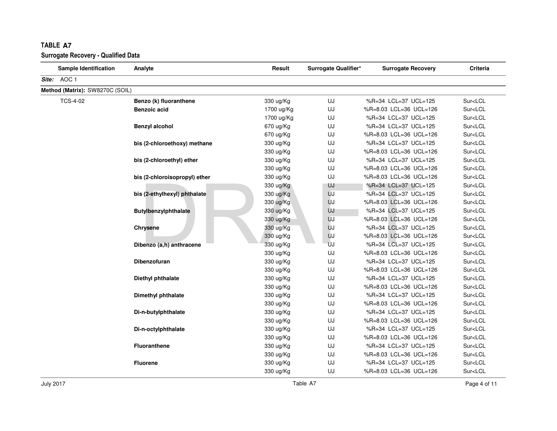| <b>Sample Identification</b>    | Analyte                          | Result     | Surrogate Qualifier* | <b>Surrogate Recovery</b> | Criteria                |
|---------------------------------|----------------------------------|------------|----------------------|---------------------------|-------------------------|
| Site: AOC 1                     |                                  |            |                      |                           |                         |
| Method (Matrix): SW8270C (SOIL) |                                  |            |                      |                           |                         |
| <b>TCS-4-02</b>                 | Benzo (k) fluoranthene           | 330 ug/Kg  | UJ                   | %R=34 LCL=37 UCL=125      | Sur <lcl< td=""></lcl<> |
|                                 | <b>Benzoic acid</b>              | 1700 ug/Kg | UJ                   | %R=8.03 LCL=36 UCL=126    | Sur <lcl< td=""></lcl<> |
|                                 |                                  | 1700 ug/Kg | UJ                   | %R=34 LCL=37 UCL=125      | Sur <lcl< td=""></lcl<> |
|                                 | <b>Benzyl alcohol</b>            | 670 ug/Kg  | UJ                   | %R=34 LCL=37 UCL=125      | Sur <lcl< td=""></lcl<> |
|                                 |                                  | 670 ug/Kg  | UJ                   | %R=8.03 LCL=36 UCL=126    | Sur <lcl< td=""></lcl<> |
|                                 | bis (2-chloroethoxy) methane     | 330 ug/Kg  | UJ                   | %R=34 LCL=37 UCL=125      | Sur <lcl< td=""></lcl<> |
|                                 |                                  | 330 ug/Kg  | UJ                   | %R=8.03 LCL=36 UCL=126    | Sur <lcl< td=""></lcl<> |
|                                 | bis (2-chloroethyl) ether        | 330 ug/Kg  | UJ                   | %R=34 LCL=37 UCL=125      | Sur <lcl< td=""></lcl<> |
|                                 |                                  | 330 ug/Kg  | UJ                   | %R=8.03 LCL=36 UCL=126    | Sur <lcl< td=""></lcl<> |
|                                 | bis (2-chloroisopropyl) ether    | 330 ug/Kg  | UJ                   | %R=8.03 LCL=36 UCL=126    | Sur <lcl< td=""></lcl<> |
|                                 |                                  | 330 ug/Kg  | UJ                   | %R=34 LCL=37 UCL=125      | Sur <lcl< td=""></lcl<> |
|                                 | bis (2-ethylhexyl) phthalate     | 330 ug/Kg  | UJ                   | %R=34 LCL=37 UCL=125      | Sur <lcl< td=""></lcl<> |
|                                 | Butylbenzylphthalate<br>Chrysene | 330 ug/Kg  | UJ                   | %R=8.03 LCL=36 UCL=126    | Sur <lcl< td=""></lcl<> |
|                                 |                                  | 330 ug/Kg  | UJ                   | %R=34 LCL=37 UCL=125      | Sur <lcl< td=""></lcl<> |
|                                 |                                  | 330 ug/Kg  | UJ                   | %R=8.03 LCL=36 UCL=126    | Sur <lcl< td=""></lcl<> |
|                                 |                                  | 330 ug/Kg  | UJ                   | %R=34 LCL=37 UCL=125      | Sur <lcl< td=""></lcl<> |
|                                 |                                  | 330 ug/Kg  | UJ                   | %R=8.03 LCL=36 UCL=126    | Sur <lcl< td=""></lcl<> |
|                                 | Dibenzo (a,h) anthracene         | 330 ug/Kg  | UJ                   | %R=34 LCL=37 UCL=125      | Sur <lcl< td=""></lcl<> |
|                                 |                                  | 330 ug/Kg  | UJ                   | %R=8.03 LCL=36 UCL=126    | Sur <lcl< td=""></lcl<> |
|                                 | <b>Dibenzofuran</b>              | 330 ug/Kg  | UJ                   | %R=34 LCL=37 UCL=125      | Sur <lcl< td=""></lcl<> |
|                                 |                                  | 330 ug/Kg  | UJ                   | %R=8.03 LCL=36 UCL=126    | Sur <lcl< td=""></lcl<> |
|                                 | Diethyl phthalate                | 330 ug/Kg  | UJ                   | %R=34 LCL=37 UCL=125      | Sur <lcl< td=""></lcl<> |
|                                 |                                  | 330 ug/Kg  | UJ                   | %R=8.03 LCL=36 UCL=126    | Sur <lcl< td=""></lcl<> |
|                                 | Dimethyl phthalate               | 330 ug/Kg  | UJ                   | %R=34 LCL=37 UCL=125      | Sur <lcl< td=""></lcl<> |
|                                 |                                  | 330 ug/Kg  | UJ                   | %R=8.03 LCL=36 UCL=126    | Sur <lcl< td=""></lcl<> |
|                                 | Di-n-butylphthalate              | 330 ug/Kg  | UJ                   | %R=34 LCL=37 UCL=125      | Sur <lcl< td=""></lcl<> |
|                                 | Di-n-octylphthalate              | 330 ug/Kg  | UJ                   | %R=8.03 LCL=36 UCL=126    | Sur <lcl< td=""></lcl<> |
|                                 |                                  | 330 ug/Kg  | UJ                   | %R=34 LCL=37 UCL=125      | Sur <lcl< td=""></lcl<> |
|                                 |                                  | 330 ug/Kg  | UJ                   | %R=8.03 LCL=36 UCL=126    | Sur <lcl< td=""></lcl<> |
|                                 | <b>Fluoranthene</b>              | 330 ug/Kg  | UJ                   | %R=34 LCL=37 UCL=125      | Sur <lcl< td=""></lcl<> |
|                                 |                                  | 330 ug/Kg  | UJ                   | %R=8.03 LCL=36 UCL=126    | Sur <lcl< td=""></lcl<> |
|                                 | <b>Fluorene</b>                  | 330 ug/Kg  | UJ                   | %R=34 LCL=37 UCL=125      | Sur <lcl< td=""></lcl<> |
|                                 |                                  | 330 ug/Kg  | UJ                   | %R=8.03 LCL=36 UCL=126    | Sur <lcl< td=""></lcl<> |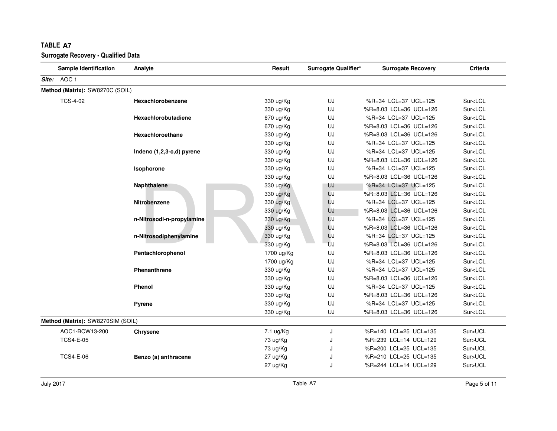| <b>Sample Identification</b>      | Analyte                   | Result     | Surrogate Qualifier* | <b>Surrogate Recovery</b> | Criteria                |
|-----------------------------------|---------------------------|------------|----------------------|---------------------------|-------------------------|
| Site: AOC 1                       |                           |            |                      |                           |                         |
| Method (Matrix): SW8270C (SOIL)   |                           |            |                      |                           |                         |
| <b>TCS-4-02</b>                   | Hexachlorobenzene         | 330 ug/Kg  | UJ                   | %R=34 LCL=37 UCL=125      | Sur <lcl< td=""></lcl<> |
|                                   |                           | 330 ug/Kg  | UJ                   | %R=8.03 LCL=36 UCL=126    | Sur <lcl< td=""></lcl<> |
|                                   | Hexachlorobutadiene       | 670 ug/Kg  | UJ                   | %R=34 LCL=37 UCL=125      | Sur <lcl< td=""></lcl<> |
|                                   |                           | 670 ug/Kg  | UJ                   | %R=8.03 LCL=36 UCL=126    | Sur <lcl< td=""></lcl<> |
|                                   | Hexachloroethane          | 330 ug/Kg  | UJ                   | %R=8.03 LCL=36 UCL=126    | Sur <lcl< td=""></lcl<> |
|                                   |                           | 330 ug/Kg  | UJ                   | %R=34 LCL=37 UCL=125      | Sur <lcl< td=""></lcl<> |
|                                   | Indeno (1,2,3-c,d) pyrene | 330 ug/Kg  | UJ                   | %R=34 LCL=37 UCL=125      | Sur <lcl< td=""></lcl<> |
|                                   |                           | 330 ug/Kg  | UJ                   | %R=8.03 LCL=36 UCL=126    | Sur <lcl< td=""></lcl<> |
|                                   | Isophorone                | 330 ug/Kg  | UJ                   | %R=34 LCL=37 UCL=125      | Sur <lcl< td=""></lcl<> |
|                                   |                           | 330 ug/Kg  | UJ                   | %R=8.03 LCL=36 UCL=126    | Sur <lcl< td=""></lcl<> |
|                                   | Naphthalene               | 330 ug/Kg  | UJ                   | %R=34 LCL=37 UCL=125      | Sur <lcl< td=""></lcl<> |
|                                   |                           | 330 ug/Kg  | UJ                   | %R=8.03 LCL=36 UCL=126    | Sur <lcl< td=""></lcl<> |
|                                   | Nitrobenzene              | 330 ug/Kg  | UJ                   | %R=34 LCL=37 UCL=125      | Sur <lcl< td=""></lcl<> |
|                                   |                           | 330 ug/Kg  | UJ                   | %R=8.03 LCL=36 UCL=126    | Sur <lcl< td=""></lcl<> |
|                                   | n-Nitrosodi-n-propylamine | 330 ug/Kg  | UJ                   | %R=34 LCL=37 UCL=125      | Sur <lcl< td=""></lcl<> |
|                                   |                           | 330 ug/Kg  | UJ                   | %R=8.03 LCL=36 UCL=126    | Sur <lcl< td=""></lcl<> |
|                                   | n-Nitrosodiphenylamine    | 330 ug/Kg  | UJ                   | %R=34 LCL=37 UCL=125      | Sur <lcl< td=""></lcl<> |
|                                   |                           | 330 ug/Kg  | UJ                   | %R=8.03 LCL=36 UCL=126    | Sur <lcl< td=""></lcl<> |
|                                   | Pentachlorophenol         | 1700 ug/Kg | UJ                   | %R=8.03 LCL=36 UCL=126    | Sur <lcl< td=""></lcl<> |
|                                   |                           | 1700 ug/Kg | UJ                   | %R=34 LCL=37 UCL=125      | Sur <lcl< td=""></lcl<> |
|                                   | <b>Phenanthrene</b>       | 330 ug/Kg  | UJ                   | %R=34 LCL=37 UCL=125      | Sur <lcl< td=""></lcl<> |
|                                   |                           | 330 ug/Kg  | UJ                   | %R=8.03 LCL=36 UCL=126    | Sur <lcl< td=""></lcl<> |
|                                   | Phenol                    | 330 ug/Kg  | UJ                   | %R=34 LCL=37 UCL=125      | Sur <lcl< td=""></lcl<> |
|                                   |                           | 330 ug/Kg  | UJ                   | %R=8.03 LCL=36 UCL=126    | Sur <lcl< td=""></lcl<> |
|                                   | Pyrene                    | 330 ug/Kg  | UJ                   | %R=34 LCL=37 UCL=125      | Sur <lcl< td=""></lcl<> |
|                                   |                           | 330 ug/Kg  | UJ                   | %R=8.03 LCL=36 UCL=126    | Sur <lcl< td=""></lcl<> |
| Method (Matrix): SW8270SIM (SOIL) |                           |            |                      |                           |                         |
| AOC1-BCW13-200                    | Chrysene                  | 7.1 ug/Kg  | J                    | %R=140 LCL=25 UCL=135     | Sur>UCL                 |
| <b>TCS4-E-05</b>                  |                           | 73 ug/Kg   | J                    | %R=239 LCL=14 UCL=129     | Sur>UCL                 |
|                                   |                           | 73 ug/Kg   | J                    | %R=200 LCL=25 UCL=135     | Sur>UCL                 |
| <b>TCS4-E-06</b>                  | Benzo (a) anthracene      | 27 ug/Kg   | J                    | %R=210 LCL=25 UCL=135     | Sur>UCL                 |
|                                   |                           | 27 ug/Kg   | J                    | %R=244 LCL=14 UCL=129     | Sur>UCL                 |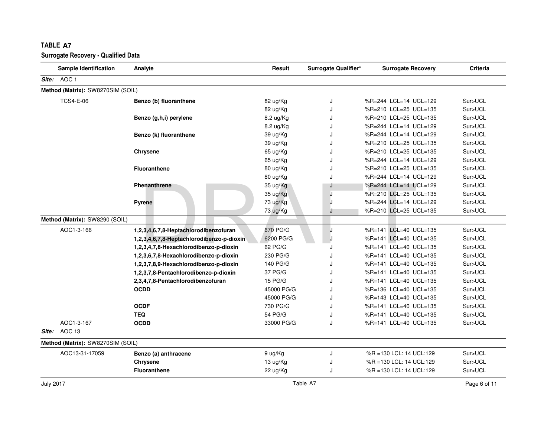| <b>Sample Identification</b>      | Analyte                                   | Result     | Surrogate Qualifier* | <b>Surrogate Recovery</b> | <b>Criteria</b> |
|-----------------------------------|-------------------------------------------|------------|----------------------|---------------------------|-----------------|
| Site: AOC 1                       |                                           |            |                      |                           |                 |
| Method (Matrix): SW8270SIM (SOIL) |                                           |            |                      |                           |                 |
| <b>TCS4-E-06</b>                  | Benzo (b) fluoranthene                    | 82 ug/Kg   | J                    | %R=244 LCL=14 UCL=129     | Sur>UCL         |
|                                   |                                           | 82 ug/Kg   | J                    | %R=210 LCL=25 UCL=135     | Sur>UCL         |
|                                   | Benzo (g,h,i) perylene                    | 8.2 ug/Kg  | J                    | %R=210 LCL=25 UCL=135     | Sur>UCL         |
|                                   |                                           | 8.2 ug/Kg  | J                    | %R=244 LCL=14 UCL=129     | Sur>UCL         |
|                                   | Benzo (k) fluoranthene                    | 39 ug/Kg   | J                    | %R=244 LCL=14 UCL=129     | Sur>UCL         |
|                                   |                                           | 39 ug/Kg   | J                    | %R=210 LCL=25 UCL=135     | Sur>UCL         |
|                                   | Chrysene                                  | 65 ug/Kg   | J                    | %R=210 LCL=25 UCL=135     | Sur>UCL         |
|                                   |                                           | 65 ug/Kg   | J                    | %R=244 LCL=14 UCL=129     | Sur>UCL         |
|                                   | <b>Fluoranthene</b>                       | 80 ug/Kg   | J                    | %R=210 LCL=25 UCL=135     | Sur>UCL         |
|                                   |                                           | 80 ug/Kg   | J                    | %R=244 LCL=14 UCL=129     | Sur>UCL         |
|                                   | Phenanthrene                              | 35 ug/Kg   | J                    | %R=244 LCL=14 UCL=129     | Sur>UCL         |
|                                   |                                           | 35 ug/Kg   | J                    | %R=210 LCL=25 UCL=135     | Sur>UCL         |
|                                   | <b>Pyrene</b>                             | 73 ug/Kg   |                      | %R=244 LCL=14 UCL=129     | Sur>UCL         |
|                                   |                                           | 73 ug/Kg   | J                    | %R=210 LCL=25 UCL=135     | Sur>UCL         |
| Method (Matrix): SW8290 (SOIL)    |                                           |            |                      |                           |                 |
| AOC1-3-166                        | 1,2,3,4,6,7,8-Heptachlorodibenzofuran     | 670 PG/G   | J                    | %R=141 LCL=40 UCL=135     | Sur>UCL         |
|                                   | 1,2,3,4,6,7,8-Heptachlorodibenzo-p-dioxin | 6200 PG/G  | J                    | %R=141 LCL=40 UCL=135     | Sur>UCL         |
|                                   | 1,2,3,4,7,8-Hexachlorodibenzo-p-dioxin    | 62 PG/G    | ۱.                   | %R=141 LCL=40 UCL=135     | Sur>UCL         |
|                                   | 1,2,3,6,7,8-Hexachlorodibenzo-p-dioxin    | 230 PG/G   | J                    | %R=141 LCL=40 UCL=135     | Sur>UCL         |
|                                   | 1,2,3,7,8,9-Hexachlorodibenzo-p-dioxin    | 140 PG/G   | J                    | %R=141 LCL=40 UCL=135     | Sur>UCL         |
|                                   | 1,2,3,7,8-Pentachlorodibenzo-p-dioxin     | 37 PG/G    | J                    | %R=141 LCL=40 UCL=135     | Sur>UCL         |
|                                   | 2,3,4,7,8-Pentachlorodibenzofuran         | 15 PG/G    | J                    | %R=141 LCL=40 UCL=135     | Sur>UCL         |
|                                   | <b>OCDD</b>                               | 45000 PG/G | J                    | %R=136 LCL=40 UCL=135     | Sur>UCL         |
|                                   |                                           | 45000 PG/G | J                    | %R=143 LCL=40 UCL=135     | Sur>UCL         |
|                                   | <b>OCDF</b>                               | 730 PG/G   | J                    | %R=141 LCL=40 UCL=135     | Sur>UCL         |
|                                   | <b>TEQ</b>                                | 54 PG/G    | J                    | %R=141 LCL=40 UCL=135     | Sur>UCL         |
| AOC1-3-167                        | <b>OCDD</b>                               | 33000 PG/G | J                    | %R=141 LCL=40 UCL=135     | Sur>UCL         |
| Site: AOC 13                      |                                           |            |                      |                           |                 |
| Method (Matrix): SW8270SIM (SOIL) |                                           |            |                      |                           |                 |
| AOC13-31-17059                    | Benzo (a) anthracene                      | 9 ug/Kg    | J                    | %R = 130 LCL: 14 UCL: 129 | Sur>UCL         |
|                                   | Chrysene                                  | 13 ug/Kg   | J                    | %R = 130 LCL: 14 UCL: 129 | Sur>UCL         |
|                                   | <b>Fluoranthene</b>                       | 22 ug/Kg   | J                    | %R = 130 LCL: 14 UCL: 129 | Sur>UCL         |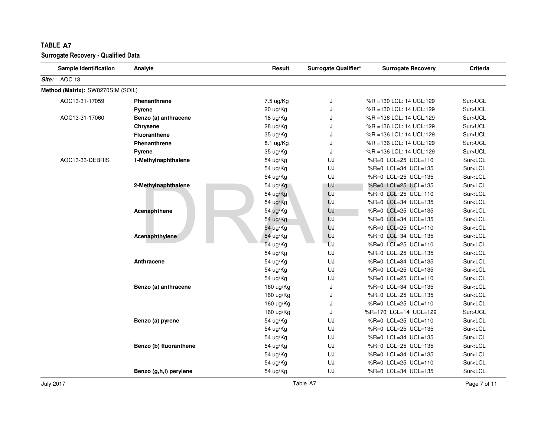| <b>Sample Identification</b>      | Analyte                | Result    | Surrogate Qualifier* | <b>Surrogate Recovery</b> | Criteria                |
|-----------------------------------|------------------------|-----------|----------------------|---------------------------|-------------------------|
| Site: AOC 13                      |                        |           |                      |                           |                         |
| Method (Matrix): SW8270SIM (SOIL) |                        |           |                      |                           |                         |
| AOC13-31-17059                    | <b>Phenanthrene</b>    | 7.5 ug/Kg | J                    | %R = 130 LCL: 14 UCL: 129 | Sur>UCL                 |
|                                   | <b>Pyrene</b>          | 20 ug/Kg  | J                    | %R =130 LCL: 14 UCL:129   | Sur>UCL                 |
| AOC13-31-17060                    | Benzo (a) anthracene   | 18 ug/Kg  | J                    | %R =136 LCL: 14 UCL:129   | Sur>UCL                 |
|                                   | Chrysene               | 28 ug/Kg  | J                    | %R =136 LCL: 14 UCL:129   | Sur>UCL                 |
|                                   | <b>Fluoranthene</b>    | 35 ug/Kg  | J                    | %R =136 LCL: 14 UCL:129   | Sur>UCL                 |
|                                   | <b>Phenanthrene</b>    | 8.1 ug/Kg | J                    | %R = 136 LCL: 14 UCL: 129 | Sur>UCL                 |
|                                   | Pyrene                 | 35 ug/Kg  | J                    | %R =136 LCL: 14 UCL:129   | Sur>UCL                 |
| AOC13-33-DEBRIS                   | 1-Methylnaphthalene    | 54 ug/Kg  | UJ                   | %R=0 LCL=25 UCL=110       | Sur <lcl< td=""></lcl<> |
|                                   |                        | 54 ug/Kg  | UJ                   | %R=0 LCL=34 UCL=135       | Sur <lcl< td=""></lcl<> |
|                                   |                        | 54 ug/Kg  | UJ                   | %R=0 LCL=25 UCL=135       | Sur <lcl< td=""></lcl<> |
|                                   | 2-Methylnaphthalene    | 54 ug/Kg  | UJ                   | %R=0 LCL=25 UCL=135       | Sur <lcl< td=""></lcl<> |
|                                   |                        | 54 ug/Kg  | UJ                   | %R=0 LCL=25 UCL=110       | Sur <lcl< td=""></lcl<> |
|                                   |                        | 54 ug/Kg  | UJ                   | %R=0 LCL=34 UCL=135       | Sur <lcl< td=""></lcl<> |
|                                   | Acenaphthene           | 54 ug/Kg  | UJ                   | %R=0 LCL=25 UCL=135       | Sur <lcl< td=""></lcl<> |
|                                   |                        | 54 ug/Kg  | UJ                   | %R=0 LCL=34 UCL=135       | Sur <lcl< td=""></lcl<> |
|                                   |                        | 54 ug/Kg  | UJ                   | %R=0 LCL=25 UCL=110       | Sur <lcl< td=""></lcl<> |
|                                   | Acenaphthylene         | 54 ug/Kg  | UJ                   | %R=0 LCL=34 UCL=135       | Sur <lcl< td=""></lcl<> |
|                                   |                        | 54 ug/Kg  | UJ                   | %R=0 LCL=25 UCL=110       | Sur <lcl< td=""></lcl<> |
|                                   |                        | 54 ug/Kg  | UJ                   | %R=0 LCL=25 UCL=135       | Sur <lcl< td=""></lcl<> |
|                                   | Anthracene             | 54 ug/Kg  | UJ                   | %R=0 LCL=34 UCL=135       | Sur <lcl< td=""></lcl<> |
|                                   |                        | 54 ug/Kg  | UJ                   | %R=0 LCL=25 UCL=135       | Sur <lcl< td=""></lcl<> |
|                                   |                        | 54 ug/Kg  | UJ                   | %R=0 LCL=25 UCL=110       | Sur <lcl< td=""></lcl<> |
|                                   | Benzo (a) anthracene   | 160 ug/Kg | J                    | %R=0 LCL=34 UCL=135       | Sur <lcl< td=""></lcl<> |
|                                   |                        | 160 ug/Kg | J                    | %R=0 LCL=25 UCL=135       | Sur <lcl< td=""></lcl<> |
|                                   |                        | 160 ug/Kg | J                    | %R=0 LCL=25 UCL=110       | Sur <lcl< td=""></lcl<> |
|                                   |                        | 160 ug/Kg | J                    | %R=170 LCL=14 UCL=129     | Sur>UCL                 |
|                                   | Benzo (a) pyrene       | 54 ug/Kg  | UJ                   | %R=0 LCL=25 UCL=110       | Sur <lcl< td=""></lcl<> |
|                                   |                        | 54 ug/Kg  | UJ                   | %R=0 LCL=25 UCL=135       | Sur <lcl< td=""></lcl<> |
|                                   |                        | 54 ug/Kg  | UJ                   | %R=0 LCL=34 UCL=135       | Sur <lcl< td=""></lcl<> |
|                                   | Benzo (b) fluoranthene | 54 ug/Kg  | UJ                   | %R=0 LCL=25 UCL=135       | Sur <lcl< td=""></lcl<> |
|                                   |                        | 54 ug/Kg  | UJ                   | %R=0 LCL=34 UCL=135       | Sur <lcl< td=""></lcl<> |
|                                   |                        | 54 ug/Kg  | UJ                   | %R=0 LCL=25 UCL=110       | Sur <lcl< td=""></lcl<> |
|                                   | Benzo (g,h,i) perylene | 54 ug/Kg  | UJ                   | %R=0 LCL=34 UCL=135       | Sur <lcl< td=""></lcl<> |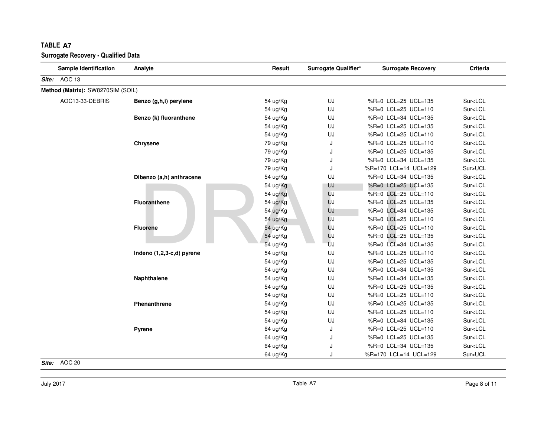|       | <b>TABLE A7</b><br><b>Surrogate Recovery - Qualified Data</b> |                           |          |                      |                           |                         |
|-------|---------------------------------------------------------------|---------------------------|----------|----------------------|---------------------------|-------------------------|
|       | <b>Sample Identification</b>                                  | Analyte                   | Result   | Surrogate Qualifier* | <b>Surrogate Recovery</b> | <b>Criteria</b>         |
| Site: | AOC 13                                                        |                           |          |                      |                           |                         |
|       | Method (Matrix): SW8270SIM (SOIL)                             |                           |          |                      |                           |                         |
|       | AOC13-33-DEBRIS                                               | Benzo (g,h,i) perylene    | 54 ug/Kg | UJ                   | %R=0 LCL=25 UCL=135       | Sur <lcl< td=""></lcl<> |
|       |                                                               |                           | 54 ug/Kg | UJ                   | %R=0 LCL=25 UCL=110       | Sur <lcl< td=""></lcl<> |
|       |                                                               | Benzo (k) fluoranthene    | 54 ug/Kg | UJ                   | %R=0 LCL=34 UCL=135       | Sur <lcl< td=""></lcl<> |
|       |                                                               |                           | 54 ug/Kg | UJ                   | %R=0 LCL=25 UCL=135       | Sur <lcl< td=""></lcl<> |
|       |                                                               |                           | 54 ug/Kg | UJ                   | %R=0 LCL=25 UCL=110       | Sur <lcl< td=""></lcl<> |
|       |                                                               | Chrysene                  | 79 ug/Kg | J                    | %R=0 LCL=25 UCL=110       | Sur <lcl< td=""></lcl<> |
|       |                                                               |                           | 79 ug/Kg | J                    | %R=0 LCL=25 UCL=135       | Sur <lcl< td=""></lcl<> |
|       |                                                               |                           | 79 ug/Kg | J                    | %R=0 LCL=34 UCL=135       | Sur <lcl< td=""></lcl<> |
|       |                                                               |                           | 79 ug/Kg | J                    | %R=170 LCL=14 UCL=129     | Sur>UCL                 |
|       |                                                               | Dibenzo (a,h) anthracene  | 54 ug/Kg | UJ                   | %R=0 LCL=34 UCL=135       | Sur <lcl< td=""></lcl<> |
|       |                                                               |                           | 54 ug/Kg | UJ                   | %R=0 LCL=25 UCL=135       | Sur <lcl< td=""></lcl<> |
|       |                                                               |                           | 54 ug/Kg | UJ                   | %R=0 LCL=25 UCL=110       | Sur <lcl< td=""></lcl<> |
|       |                                                               | <b>Fluoranthene</b>       | 54 ug/Kg | UJ                   | %R=0 LCL=25 UCL=135       | Sur <lcl< td=""></lcl<> |
|       |                                                               |                           | 54 ug/Kg | UJ                   | %R=0 LCL=34 UCL=135       | Sur <lcl< td=""></lcl<> |
|       |                                                               |                           | 54 ug/Kg | UJ                   | %R=0 LCL=25 UCL=110       | Sur <lcl< td=""></lcl<> |
|       |                                                               | <b>Fluorene</b>           | 54 ug/Kg | UJ                   | %R=0 LCL=25 UCL=110       | Sur <lcl< td=""></lcl<> |
|       |                                                               |                           | 54 ug/Kg | UJ                   | %R=0 LCL=25 UCL=135       | Sur <lcl< td=""></lcl<> |
|       |                                                               |                           | 54 ug/Kg | UJ                   | %R=0 LCL=34 UCL=135       | Sur <lcl< td=""></lcl<> |
|       |                                                               | Indeno (1,2,3-c,d) pyrene | 54 ug/Kg | UJ                   | %R=0 LCL=25 UCL=110       | Sur <lcl< td=""></lcl<> |
|       |                                                               |                           | 54 ug/Kg | UJ                   | %R=0 LCL=25 UCL=135       | Sur <lcl< td=""></lcl<> |
|       |                                                               |                           | 54 ug/Kg | UJ                   | %R=0 LCL=34 UCL=135       | Sur <lcl< td=""></lcl<> |
|       |                                                               | Naphthalene               | 54 ug/Kg | UJ                   | %R=0 LCL=34 UCL=135       | Sur <lcl< td=""></lcl<> |
|       |                                                               |                           | 54 ug/Kg | UJ                   | %R=0 LCL=25 UCL=135       | Sur <lcl< td=""></lcl<> |
|       |                                                               |                           | 54 ug/Kg | UJ                   | %R=0 LCL=25 UCL=110       | Sur <lcl< td=""></lcl<> |
|       |                                                               | Phenanthrene              | 54 ug/Kg | UJ                   | %R=0 LCL=25 UCL=135       | Sur <lcl< td=""></lcl<> |
|       |                                                               |                           | 54 ug/Kg | UJ                   | %R=0 LCL=25 UCL=110       | Sur <lcl< td=""></lcl<> |
|       |                                                               |                           | 54 ug/Kg | UJ                   | %R=0 LCL=34 UCL=135       | Sur <lcl< td=""></lcl<> |
|       |                                                               | Pyrene                    | 64 ug/Kg | J                    | %R=0 LCL=25 UCL=110       | Sur <lcl< td=""></lcl<> |
|       |                                                               |                           | 64 ug/Kg | J                    | %R=0 LCL=25 UCL=135       | Sur <lcl< td=""></lcl<> |
|       |                                                               |                           | 64 ug/Kg | J                    | %R=0 LCL=34 UCL=135       | Sur <lcl< td=""></lcl<> |
|       |                                                               |                           | 64 ug/Kg | J                    | %R=170 LCL=14 UCL=129     | Sur>UCL                 |

### **Site:** AOC 20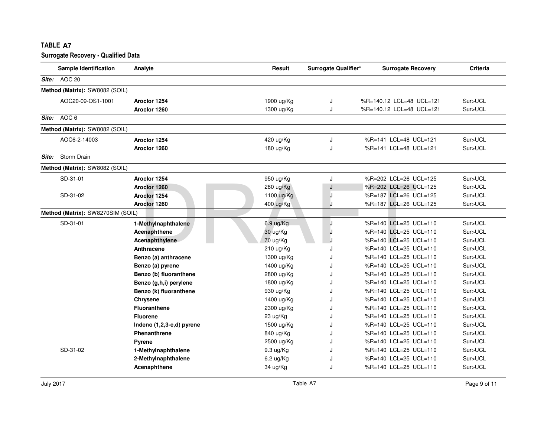|       | <b>Sample Identification</b>      | Analyte                   | Result              | Surrogate Qualifier* | <b>Surrogate Recovery</b> | <b>Criteria</b> |
|-------|-----------------------------------|---------------------------|---------------------|----------------------|---------------------------|-----------------|
|       | Site: AOC 20                      |                           |                     |                      |                           |                 |
|       | Method (Matrix): SW8082 (SOIL)    |                           |                     |                      |                           |                 |
|       | AOC20-09-OS1-1001                 | Aroclor 1254              | 1900 ug/Kg          | J                    | %R=140.12 LCL=48 UCL=121  | Sur>UCL         |
|       |                                   | Aroclor 1260              | 1300 ug/Kg          | J                    | %R=140.12 LCL=48 UCL=121  | Sur>UCL         |
|       | Site: AOC 6                       |                           |                     |                      |                           |                 |
|       | Method (Matrix): SW8082 (SOIL)    |                           |                     |                      |                           |                 |
|       | AOC6-2-14003                      | Aroclor 1254              | 420 ug/Kg           | J                    | %R=141 LCL=48 UCL=121     | Sur>UCL         |
|       |                                   | Aroclor 1260              | 180 ug/Kg           | J                    | %R=141 LCL=48 UCL=121     | Sur>UCL         |
| Site: | Storm Drain                       |                           |                     |                      |                           |                 |
|       | Method (Matrix): SW8082 (SOIL)    |                           |                     |                      |                           |                 |
|       | SD-31-01                          | Aroclor 1254              | 950 ug/Kg           | J                    | %R=202 LCL=26 UCL=125     | Sur>UCL         |
|       |                                   | Aroclor 1260              | 280 ug/Kg           | J                    | %R=202 LCL=26 UCL=125     | Sur>UCL         |
|       | SD-31-02                          | Aroclor 1254              | 1100 ug/Kg          | J                    | %R=187 LCL=26 UCL=125     | Sur>UCL         |
|       |                                   | Aroclor 1260              | 400 ug/Kg           | J                    | %R=187 LCL=26 UCL=125     | Sur>UCL         |
|       | Method (Matrix): SW8270SIM (SOIL) |                           |                     |                      |                           |                 |
|       | SD-31-01                          | 1-Methylnaphthalene       | $6.9 \text{ ug/Kg}$ | J                    | %R=140 LCL=25 UCL=110     | Sur>UCL         |
|       |                                   | Acenaphthene              | 30 ug/Kg            | J                    | %R=140 LCL=25 UCL=110     | Sur>UCL         |
|       |                                   | Acenaphthylene            | 70 ug/Kg            |                      | %R=140 LCL=25 UCL=110     | Sur>UCL         |
|       |                                   | Anthracene                | 210 ug/Kg           | J                    | %R=140 LCL=25 UCL=110     | Sur>UCL         |
|       |                                   | Benzo (a) anthracene      | 1300 ug/Kg          | J                    | %R=140 LCL=25 UCL=110     | Sur>UCL         |
|       |                                   | Benzo (a) pyrene          | 1400 ug/Kg          | J                    | %R=140 LCL=25 UCL=110     | Sur>UCL         |
|       |                                   | Benzo (b) fluoranthene    | 2800 ug/Kg          | J                    | %R=140 LCL=25 UCL=110     | Sur>UCL         |
|       |                                   | Benzo (g,h,i) perylene    | 1800 ug/Kg          | J                    | %R=140 LCL=25 UCL=110     | Sur>UCL         |
|       |                                   | Benzo (k) fluoranthene    | 930 ug/Kg           | J                    | %R=140 LCL=25 UCL=110     | Sur>UCL         |
|       |                                   | Chrysene                  | 1400 ug/Kg          | J                    | %R=140 LCL=25 UCL=110     | Sur>UCL         |
|       |                                   | <b>Fluoranthene</b>       | 2300 ug/Kg          | J                    | %R=140 LCL=25 UCL=110     | Sur>UCL         |
|       |                                   | <b>Fluorene</b>           | 23 ug/Kg            | J                    | %R=140 LCL=25 UCL=110     | Sur>UCL         |
|       |                                   | Indeno (1,2,3-c,d) pyrene | 1500 ug/Kg          | J.                   | %R=140 LCL=25 UCL=110     | Sur>UCL         |
|       |                                   | <b>Phenanthrene</b>       | 840 ug/Kg           | J                    | %R=140 LCL=25 UCL=110     | Sur>UCL         |
|       |                                   | Pyrene                    | 2500 ug/Kg          | J                    | %R=140 LCL=25 UCL=110     | Sur>UCL         |
|       | SD-31-02                          | 1-Methylnaphthalene       | 9.3 ug/Kg           | $\cdot$              | %R=140 LCL=25 UCL=110     | Sur>UCL         |
|       |                                   | 2-Methylnaphthalene       | 6.2 ug/Kg           | J                    | %R=140 LCL=25 UCL=110     | Sur>UCL         |
|       |                                   | Acenaphthene              | 34 ug/Kg            | J.                   | %R=140 LCL=25 UCL=110     | Sur>UCL         |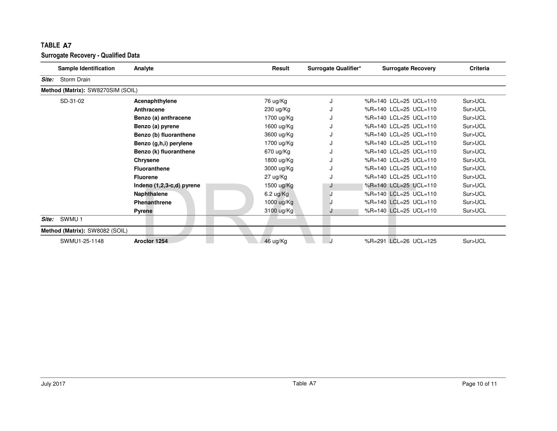|       | Sample Identification             | Analyte                     | Result      | Surrogate Qualifier* | <b>Surrogate Recovery</b> | <b>Criteria</b> |
|-------|-----------------------------------|-----------------------------|-------------|----------------------|---------------------------|-----------------|
| Site: | Storm Drain                       |                             |             |                      |                           |                 |
|       | Method (Matrix): SW8270SIM (SOIL) |                             |             |                      |                           |                 |
|       | SD-31-02                          | Acenaphthylene              | 76 ug/Kg    | J                    | %R=140 LCL=25 UCL=110     | Sur>UCL         |
|       |                                   | Anthracene                  | 230 ug/Kg   |                      | %R=140 LCL=25 UCL=110     | Sur>UCL         |
|       |                                   | Benzo (a) anthracene        | 1700 ug/Kg  |                      | %R=140 LCL=25 UCL=110     | Sur>UCL         |
|       |                                   | Benzo (a) pyrene            | 1600 ug/Kg  | J                    | %R=140 LCL=25 UCL=110     | Sur>UCL         |
|       |                                   | Benzo (b) fluoranthene      | 3600 ug/Kg  |                      | %R=140 LCL=25 UCL=110     | Sur>UCL         |
|       |                                   | Benzo (g,h,i) perylene      | 1700 ug/Kg  |                      | %R=140 LCL=25 UCL=110     | Sur>UCL         |
|       |                                   | Benzo (k) fluoranthene      | 670 ug/Kg   |                      | %R=140 LCL=25 UCL=110     | Sur>UCL         |
|       |                                   | Chrysene                    | 1800 ug/Kg  |                      | %R=140 LCL=25 UCL=110     | Sur>UCL         |
|       |                                   | <b>Fluoranthene</b>         | 3000 ug/Kg  |                      | %R=140 LCL=25 UCL=110     | Sur>UCL         |
|       |                                   | <b>Fluorene</b>             | 27 ug/Kg    |                      | %R=140 LCL=25 UCL=110     | Sur>UCL         |
|       |                                   | Indeno $(1,2,3-c,d)$ pyrene | 1500 ug/Kg  | J                    | %R=140 LCL=25 UCL=110     | Sur>UCL         |
|       |                                   | Naphthalene                 | $6.2$ ug/Kg | J.                   | %R=140 LCL=25 UCL=110     | Sur>UCL         |
|       |                                   | Phenanthrene                | 1000 ug/Kg  |                      | %R=140 LCL=25 UCL=110     | Sur>UCL         |
|       |                                   | <b>Pyrene</b>               | 3100 ug/Kg  | J                    | %R=140 LCL=25 UCL=110     | Sur>UCL         |
| Site: | SWMU <sub>1</sub>                 |                             |             |                      |                           |                 |
|       | Method (Matrix): SW8082 (SOIL)    |                             |             |                      |                           |                 |
|       | SWMU1-25-1148                     | Aroclor 1254                | 46 ug/Kg    |                      | %R=291 LCL=26 UCL=125     | Sur>UCL         |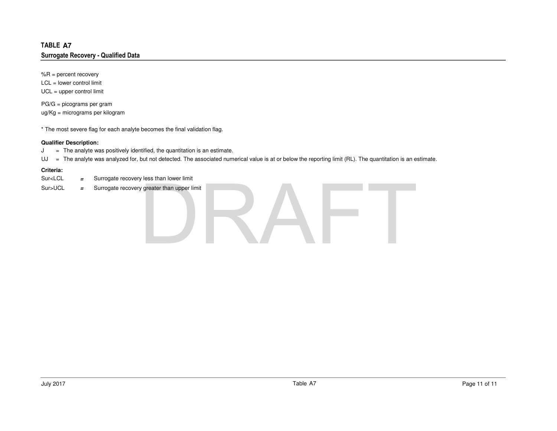%R = percent recovery LCL = lower control limitUCL = upper control limit

PG/G = picograms per gramug/Kg = micrograms per kilogram

\* The most severe flag for each analyte becomes the final validation flag.

### **Qualifier Description:**

 <sup>=</sup> The analyte was positively identified, the quantitation is an estimate. J

UJ <sup>=</sup> The analyte was analyzed for, but not detected. The associated numerical value is at or below the reporting limit (RL). The quantitation is an estimate.

### **Criteria:**

- Sur<LCL **<sup>=</sup>**Surrogate recovery less than lower limit
- Sur>UCL **<sup>=</sup>**Surrogate recovery greater than upper limit

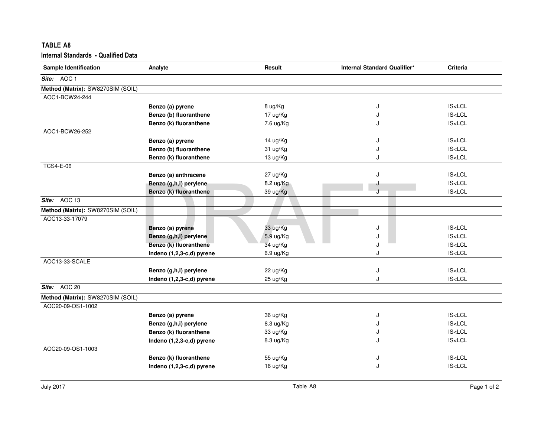| <b>TABLE A8</b>                            |                           |           |                              |                             |
|--------------------------------------------|---------------------------|-----------|------------------------------|-----------------------------|
| <b>Internal Standards - Qualified Data</b> |                           |           |                              |                             |
| Sample Identification                      | Analyte                   | Result    | Internal Standard Qualifier* | Criteria                    |
| Site: AOC 1                                |                           |           |                              |                             |
| Method (Matrix): SW8270SIM (SOIL)          |                           |           |                              |                             |
| AOC1-BCW24-244                             |                           |           |                              |                             |
|                                            | Benzo (a) pyrene          | 8 ug/Kg   | J                            | <b>IS<lcl< b=""></lcl<></b> |
|                                            | Benzo (b) fluoranthene    | 17 ug/Kg  | J                            | IS < LCL                    |
|                                            | Benzo (k) fluoranthene    | 7.6 ug/Kg | J                            | <b>IS<lcl< b=""></lcl<></b> |
| AOC1-BCW26-252                             |                           |           |                              |                             |
|                                            | Benzo (a) pyrene          | 14 ug/Kg  | J                            | <b>IS<lcl< b=""></lcl<></b> |
|                                            | Benzo (b) fluoranthene    | 31 ug/Kg  | J                            | <b>IS<lcl< b=""></lcl<></b> |
|                                            | Benzo (k) fluoranthene    | 13 ug/Kg  | J                            | IS < LCL                    |
| <b>TCS4-E-06</b>                           |                           |           |                              |                             |
|                                            | Benzo (a) anthracene      | 27 ug/Kg  | J                            | <b>IS<lcl< b=""></lcl<></b> |
|                                            | Benzo (g,h,i) perylene    | 8.2 ug/Kg |                              | IS < LCL                    |
|                                            | Benzo (k) fluoranthene    | 39 ug/Kg  |                              | <b>IS<lcl< b=""></lcl<></b> |
| Site: AOC 13                               |                           |           |                              |                             |
| Method (Matrix): SW8270SIM (SOIL)          |                           |           |                              |                             |
| AOC13-33-17079                             |                           |           |                              |                             |
|                                            | Benzo (a) pyrene          | 33 ug/Kg  | J                            | <b>IS<lcl< b=""></lcl<></b> |
|                                            | Benzo (g,h,i) perylene    | 5.9 ug/Kg |                              | <b>IS<lcl< b=""></lcl<></b> |
|                                            | Benzo (k) fluoranthene    | 34 ug/Kg  | ا.                           | <b>IS<lcl< b=""></lcl<></b> |
|                                            | Indeno (1,2,3-c,d) pyrene | 6.9 ug/Kg | J                            | IS < LCL                    |
| AOC13-33-SCALE                             |                           |           |                              |                             |
|                                            | Benzo (g,h,i) perylene    | 22 ug/Kg  | J                            | <b>IS<lcl< b=""></lcl<></b> |
|                                            | Indeno (1,2,3-c,d) pyrene | 25 ug/Kg  | J                            | <b>IS<lcl< b=""></lcl<></b> |
| Site: AOC 20                               |                           |           |                              |                             |
| Method (Matrix): SW8270SIM (SOIL)          |                           |           |                              |                             |
| AOC20-09-OS1-1002                          |                           |           |                              |                             |
|                                            | Benzo (a) pyrene          | 36 ug/Kg  | J                            | <b>IS<lcl< b=""></lcl<></b> |
|                                            | Benzo (g,h,i) perylene    | 8.3 ug/Kg | J                            | <b>IS<lcl< b=""></lcl<></b> |
|                                            | Benzo (k) fluoranthene    | 33 ug/Kg  | J                            | IS < LCL                    |
|                                            | Indeno (1,2,3-c,d) pyrene | 8.3 ug/Kg | J                            | IS < LCL                    |
| AOC20-09-OS1-1003                          |                           |           |                              |                             |
|                                            | Benzo (k) fluoranthene    | 55 ug/Kg  | J                            | <b>IS<lcl< b=""></lcl<></b> |
|                                            | Indeno (1,2,3-c,d) pyrene | 16 ug/Kg  | J                            | <b>IS<lcl< b=""></lcl<></b> |
|                                            |                           |           |                              |                             |
|                                            |                           |           |                              |                             |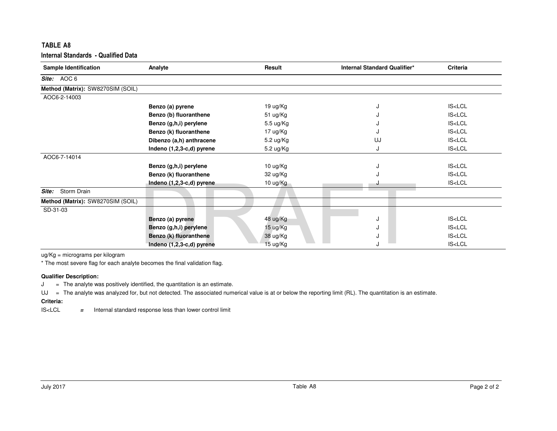| TABLE A8                                   |                           |           |                              |                             |
|--------------------------------------------|---------------------------|-----------|------------------------------|-----------------------------|
| <b>Internal Standards - Qualified Data</b> |                           |           |                              |                             |
| <b>Sample Identification</b>               | Analyte                   | Result    | Internal Standard Qualifier* | Criteria                    |
| Site: AOC 6                                |                           |           |                              |                             |
| Method (Matrix): SW8270SIM (SOIL)          |                           |           |                              |                             |
| AOC6-2-14003                               |                           |           |                              |                             |
|                                            | Benzo (a) pyrene          | 19 ug/Kg  | J                            | <b>IS<lcl< b=""></lcl<></b> |
|                                            | Benzo (b) fluoranthene    | 51 ug/Kg  |                              | <b>IS<lcl< b=""></lcl<></b> |
|                                            | Benzo (g,h,i) perylene    | 5.5 ug/Kg |                              | <b>IS<lcl< b=""></lcl<></b> |
|                                            | Benzo (k) fluoranthene    | 17 ug/Kg  |                              | <b>IS<lcl< b=""></lcl<></b> |
|                                            | Dibenzo (a,h) anthracene  | 5.2 ug/Kg | UJ                           | <b>IS<lcl< b=""></lcl<></b> |
|                                            | Indeno (1,2,3-c,d) pyrene | 5.2 ug/Kg | J                            | <b>IS<lcl< b=""></lcl<></b> |
| AOC6-7-14014                               |                           |           |                              |                             |
|                                            | Benzo (g,h,i) perylene    | 10 ug/Kg  | J                            | <b>IS<lcl< b=""></lcl<></b> |
|                                            | Benzo (k) fluoranthene    | 32 ug/Kg  |                              | <b>IS<lcl< b=""></lcl<></b> |
|                                            | Indeno (1,2,3-c,d) pyrene | 10 ug/Kg  |                              | <b>IS<lcl< b=""></lcl<></b> |
| Storm Drain<br>Site:                       |                           |           |                              |                             |
| Method (Matrix): SW8270SIM (SOIL)          |                           |           |                              |                             |
| SD-31-03                                   |                           |           |                              |                             |
|                                            | Benzo (a) pyrene          | 48 ug/Kg  | J                            | <b>IS<lcl< b=""></lcl<></b> |
|                                            | Benzo (g,h,i) perylene    | 15 ug/Kg  | J                            | <b>IS<lcl< b=""></lcl<></b> |
|                                            | Benzo (k) fluoranthene    | 38 ug/Kg  | J                            | <b>IS<lcl< b=""></lcl<></b> |
|                                            | Indeno (1,2,3-c,d) pyrene | 15 ug/Kg  | J                            | <b>IS<lcl< b=""></lcl<></b> |

ug/Kg = micrograms per kilogram

\* The most severe flag for each analyte becomes the final validation flag.

### **Qualifier Description:**

J = The analyte was positively identified, the quantitation is an estimate.

UJ <sup>=</sup> The analyte was analyzed for, but not detected. The associated numerical value is at or below the reporting limit (RL). The quantitation is an estimate.

## **Criteria:**

 IS<LCL**<sup>=</sup>** Internal standard response less than lower control limit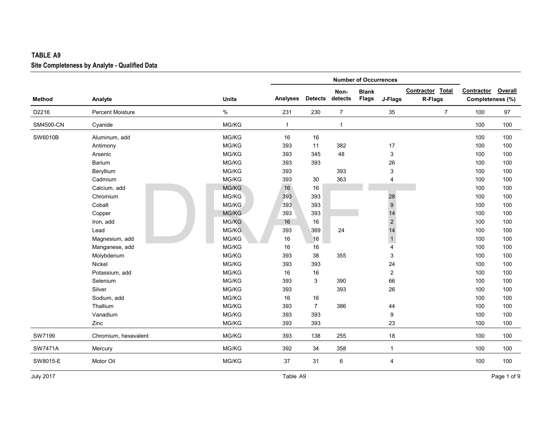|                |                         |              |              |                |                | <b>Number of Occurrences</b> |                         |                  |                  |         |
|----------------|-------------------------|--------------|--------------|----------------|----------------|------------------------------|-------------------------|------------------|------------------|---------|
|                |                         |              |              |                | Non-           | <b>Blank</b>                 |                         | Contractor Total | Contractor       | Overall |
| Method         | Analyte                 | <b>Units</b> | Analyses     | <b>Detects</b> | detects        | Flags                        | J-Flags                 | R-Flags          | Completeness (%) |         |
| D2216          | <b>Percent Moisture</b> | $\%$         | 231          | 230            | $\overline{7}$ |                              | 35                      | $\overline{7}$   | 100              | 97      |
| SM4500-CN      | Cyanide                 | MG/KG        | $\mathbf{1}$ |                | $\mathbf{1}$   |                              |                         |                  | 100              | 100     |
| SW6010B        | Aluminum, add           | MG/KG        | 16           | 16             |                |                              |                         |                  | 100              | 100     |
|                | Antimony                | MG/KG        | 393          | 11             | 382            |                              | 17                      |                  | 100              | 100     |
|                | Arsenic                 | MG/KG        | 393          | 345            | 48             |                              | 3                       |                  | 100              | 100     |
|                | Barium                  | MG/KG        | 393          | 393            |                |                              | 26                      |                  | 100              | 100     |
|                | Beryllium               | MG/KG        | 393          |                | 393            |                              | 3                       |                  | 100              | 100     |
|                | Cadmium                 | MG/KG        | 393          | 30             | 363            |                              | 4                       |                  | 100              | 100     |
|                | Calcium, add            | MG/KG        | 16           | 16             |                |                              |                         |                  | 100              | 100     |
|                | Chromium                | MG/KG        | 393          | 393            |                |                              | 28                      |                  | 100              | 100     |
|                | Cobalt                  | MG/KG        | 393          | 393            |                |                              | $\boldsymbol{9}$        |                  | 100              | 100     |
|                | Copper                  | MG/KG        | 393          | 393            |                |                              | 14                      |                  | 100              | 100     |
|                | Iron, add               | MG/KG        | 16           | 16             |                |                              | $\sqrt{2}$              |                  | 100              | 100     |
|                | Lead                    | MG/KG        | 393          | 369            | 24             |                              | 14                      |                  | 100              | 100     |
|                | Magnesium, add          | MG/KG        | 16           | 16             |                |                              | $\mathbf{1}$            |                  | 100              | 100     |
|                | Manganese, add          | MG/KG        | 16           | 16             |                |                              | $\overline{4}$          |                  | 100              | 100     |
|                | Molybdenum              | MG/KG        | 393          | 38             | 355            |                              | 3                       |                  | 100              | 100     |
|                | Nickel                  | MG/KG        | 393          | 393            |                |                              | 24                      |                  | 100              | 100     |
|                | Potassium, add          | MG/KG        | 16           | 16             |                |                              | $\overline{\mathbf{c}}$ |                  | 100              | 100     |
|                | Selenium                | MG/KG        | 393          | 3              | 390            |                              | 66                      |                  | 100              | 100     |
|                | Silver                  | MG/KG        | 393          |                | 393            |                              | 26                      |                  | 100              | 100     |
|                | Sodium, add             | MG/KG        | 16           | 16             |                |                              |                         |                  | 100              | 100     |
|                | Thallium                | MG/KG        | 393          | $\overline{7}$ | 386            |                              | 44                      |                  | 100              | 100     |
|                | Vanadium                | MG/KG        | 393          | 393            |                |                              | 9                       |                  | 100              | 100     |
|                | Zinc                    | MG/KG        | 393          | 393            |                |                              | 23                      |                  | 100              | 100     |
| SW7199         | Chromium, hexavalent    | MG/KG        | 393          | 138            | 255            |                              | 18                      |                  | 100              | 100     |
| <b>SW7471A</b> | Mercury                 | MG/KG        | 392          | 34             | 358            |                              | $\mathbf{1}$            |                  | 100              | 100     |
| SW8015-E       | Motor Oil               | MG/KG        | 37           | 31             | 6              |                              | 4                       |                  | 100              | 100     |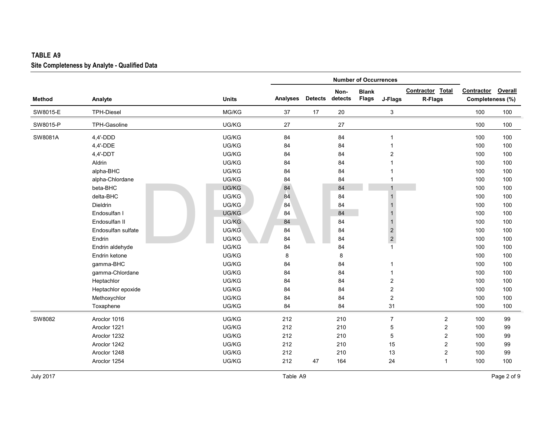|               |                    |              |                 |                |                 | <b>Number of Occurrences</b> |                         |                             |                                |         |
|---------------|--------------------|--------------|-----------------|----------------|-----------------|------------------------------|-------------------------|-----------------------------|--------------------------------|---------|
| <b>Method</b> | Analyte            | <b>Units</b> | <b>Analyses</b> | <b>Detects</b> | Non-<br>detects | <b>Blank</b><br>Flags        | J-Flags                 | Contractor Total<br>R-Flags | Contractor<br>Completeness (%) | Overall |
| SW8015-E      | <b>TPH-Diesel</b>  | MG/KG        | 37              | 17             | 20              |                              | 3                       |                             | 100                            | 100     |
| SW8015-P      | TPH-Gasoline       | UG/KG        | 27              |                | 27              |                              |                         |                             | 100                            | 100     |
| SW8081A       | $4,4'$ -DDD        | UG/KG        | 84              |                | 84              |                              | 1                       |                             | 100                            | 100     |
|               | 4,4'-DDE           | UG/KG        | 84              |                | 84              |                              | 1                       |                             | 100                            | 100     |
|               | $4,4'$ -DDT        | UG/KG        | 84              |                | 84              |                              | $\overline{2}$          |                             | 100                            | 100     |
|               | Aldrin             | UG/KG        | 84              |                | 84              |                              |                         |                             | 100                            | 100     |
|               | alpha-BHC          | UG/KG        | 84              |                | 84              |                              |                         |                             | 100                            | 100     |
|               | alpha-Chlordane    | UG/KG        | 84              |                | 84              |                              |                         |                             | 100                            | 100     |
|               | beta-BHC           | UG/KG        | 84              |                | 84              |                              |                         |                             | 100                            | 100     |
|               | delta-BHC          | UG/KG        | 84              |                | 84              |                              | -1                      |                             | 100                            | 100     |
|               | Dieldrin           | UG/KG        | 84              |                | 84              |                              |                         |                             | 100                            | 100     |
|               | Endosulfan I       | UG/KG        | 84              |                | 84              |                              | -1                      |                             | 100                            | 100     |
|               | Endosulfan II      | UG/KG        | 84              |                | 84              |                              | -1                      |                             | 100                            | 100     |
|               | Endosulfan sulfate | UG/KG        | 84              |                | 84              |                              | $\sqrt{2}$              |                             | 100                            | 100     |
|               | Endrin             | UG/KG        | 84              |                | 84              |                              | $\overline{\mathbf{c}}$ |                             | 100                            | 100     |
|               | Endrin aldehyde    | UG/KG        | 84              |                | 84              |                              | $\mathbf{1}$            |                             | 100                            | 100     |
|               | Endrin ketone      | UG/KG        | 8               |                | 8               |                              |                         |                             | 100                            | 100     |
|               | gamma-BHC          | UG/KG        | 84              |                | 84              |                              | -1                      |                             | 100                            | 100     |
|               | gamma-Chlordane    | UG/KG        | 84              |                | 84              |                              | 1                       |                             | 100                            | 100     |
|               | Heptachlor         | UG/KG        | 84              |                | 84              |                              | $\overline{c}$          |                             | 100                            | 100     |
|               | Heptachlor epoxide | UG/KG        | 84              |                | 84              |                              | $\overline{c}$          |                             | 100                            | 100     |
|               | Methoxychlor       | UG/KG        | 84              |                | 84              |                              | $\overline{2}$          |                             | 100                            | 100     |
|               | Toxaphene          | UG/KG        | 84              |                | 84              |                              | 31                      |                             | 100                            | 100     |
| SW8082        | Aroclor 1016       | UG/KG        | 212             |                | 210             |                              | $\overline{7}$          | $\overline{2}$              | 100                            | 99      |
|               | Aroclor 1221       | UG/KG        | 212             |                | 210             |                              | 5                       | $\overline{c}$              | 100                            | 99      |
|               | Aroclor 1232       | UG/KG        | 212             |                | 210             |                              | 5                       | $\overline{2}$              | 100                            | 99      |
|               | Aroclor 1242       | UG/KG        | 212             |                | 210             |                              | 15                      | $\overline{2}$              | 100                            | 99      |
|               | Aroclor 1248       | UG/KG        | 212             |                | 210             |                              | 13                      | $\overline{2}$              | 100                            | 99      |
|               | Aroclor 1254       | UG/KG        | 212             | 47             | 164             |                              | 24                      | $\mathbf{1}$                | 100                            | 100     |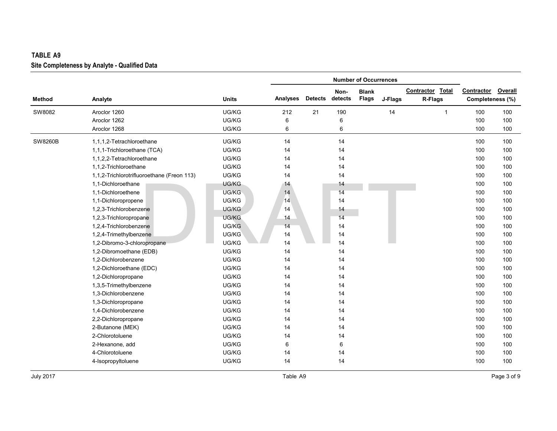|                |                                            |              |                 |                |         | <b>Number of Occurrences</b> |         |                  |                  |         |
|----------------|--------------------------------------------|--------------|-----------------|----------------|---------|------------------------------|---------|------------------|------------------|---------|
|                |                                            |              |                 |                | Non-    | <b>Blank</b>                 |         | Contractor Total | Contractor       | Overall |
| <b>Method</b>  | Analyte                                    | <b>Units</b> | <b>Analyses</b> | <b>Detects</b> | detects | <b>Flags</b>                 | J-Flags | R-Flags          | Completeness (%) |         |
| SW8082         | Aroclor 1260                               | UG/KG        | 212             | 21             | 190     |                              | 14      | $\mathbf{1}$     | 100              | 100     |
|                | Aroclor 1262                               | UG/KG        | 6               |                | 6       |                              |         |                  | 100              | 100     |
|                | Aroclor 1268                               | UG/KG        | 6               |                | 6       |                              |         |                  | 100              | 100     |
| <b>SW8260B</b> | 1,1,1,2-Tetrachloroethane                  | UG/KG        | 14              |                | 14      |                              |         |                  | 100              | 100     |
|                | 1,1,1-Trichloroethane (TCA)                | UG/KG        | 14              |                | 14      |                              |         |                  | 100              | 100     |
|                | 1,1,2,2-Tetrachloroethane                  | UG/KG        | 14              |                | 14      |                              |         |                  | 100              | 100     |
|                | 1,1,2-Trichloroethane                      | UG/KG        | 14              |                | 14      |                              |         |                  | 100              | 100     |
|                | 1,1,2-Trichlorotrifluoroethane (Freon 113) | UG/KG        | 14              |                | 14      |                              |         |                  | 100              | 100     |
|                | 1,1-Dichloroethane                         | UG/KG        | 14              |                | 14      |                              |         |                  | 100              | 100     |
|                | 1,1-Dichloroethene                         | UG/KG        | 14              |                | 14      |                              |         |                  | 100              | 100     |
|                | 1,1-Dichloropropene                        | UG/KG        | 14              |                | 14      |                              |         |                  | 100              | 100     |
|                | 1,2,3-Trichlorobenzene                     | UG/KG        | 14              |                | 14      |                              |         |                  | 100              | 100     |
|                | 1,2,3-Trichloropropane                     | UG/KG        | 14              |                | 14      |                              |         |                  | 100              | 100     |
|                | 1,2,4-Trichlorobenzene                     | UG/KG        | 14              |                | 14      |                              |         |                  | 100              | 100     |
|                | 1,2,4-Trimethylbenzene                     | UG/KG        | 14              |                | 14      |                              |         |                  | 100              | 100     |
|                | 1,2-Dibromo-3-chloropropane                | UG/KG        | 14              |                | 14      |                              |         |                  | 100              | 100     |
|                | 1,2-Dibromoethane (EDB)                    | UG/KG        | 14              |                | 14      |                              |         |                  | 100              | 100     |
|                | 1,2-Dichlorobenzene                        | UG/KG        | 14              |                | 14      |                              |         |                  | 100              | 100     |
|                | 1,2-Dichloroethane (EDC)                   | UG/KG        | 14              |                | 14      |                              |         |                  | 100              | 100     |
|                | 1,2-Dichloropropane                        | UG/KG        | 14              |                | 14      |                              |         |                  | 100              | 100     |
|                | 1,3,5-Trimethylbenzene                     | UG/KG        | 14              |                | 14      |                              |         |                  | 100              | 100     |
|                | 1,3-Dichlorobenzene                        | UG/KG        | 14              |                | 14      |                              |         |                  | 100              | 100     |
|                | 1,3-Dichloropropane                        | UG/KG        | 14              |                | 14      |                              |         |                  | 100              | 100     |
|                | 1,4-Dichlorobenzene                        | UG/KG        | 14              |                | 14      |                              |         |                  | 100              | 100     |
|                | 2,2-Dichloropropane                        | UG/KG        | 14              |                | 14      |                              |         |                  | 100              | 100     |
|                | 2-Butanone (MEK)                           | UG/KG        | 14              |                | 14      |                              |         |                  | 100              | 100     |
|                | 2-Chlorotoluene                            | UG/KG        | 14              |                | 14      |                              |         |                  | 100              | 100     |
|                | 2-Hexanone, add                            | UG/KG        | 6               |                | 6       |                              |         |                  | 100              | 100     |
|                | 4-Chlorotoluene                            | UG/KG        | 14              |                | 14      |                              |         |                  | 100              | 100     |
|                | 4-Isopropyltoluene                         | UG/KG        | 14              |                | 14      |                              |         |                  | 100              | 100     |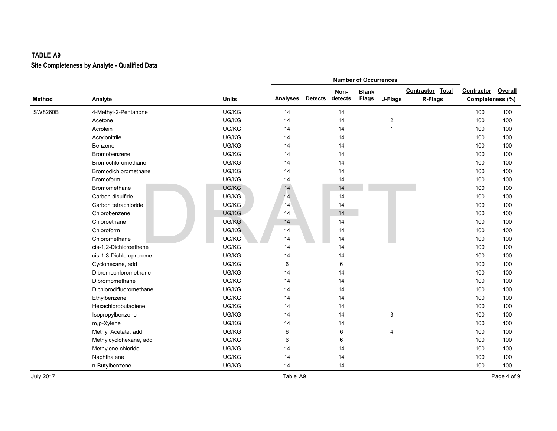|                |                         |              |          |                |         | <b>Number of Occurrences</b> |                  |                  |                    |     |
|----------------|-------------------------|--------------|----------|----------------|---------|------------------------------|------------------|------------------|--------------------|-----|
|                |                         |              |          |                | Non-    | <b>Blank</b>                 |                  | Contractor Total | Contractor Overall |     |
| <b>Method</b>  | Analyte                 | <b>Units</b> | Analyses | <b>Detects</b> | detects | <b>Flags</b>                 | J-Flags          | R-Flags          | Completeness (%)   |     |
| <b>SW8260B</b> | 4-Methyl-2-Pentanone    | UG/KG        | 14       |                | 14      |                              |                  |                  | 100                | 100 |
|                | Acetone                 | UG/KG        | 14       |                | 14      |                              | $\boldsymbol{2}$ |                  | 100                | 100 |
|                | Acrolein                | UG/KG        | 14       |                | 14      |                              | 1                |                  | 100                | 100 |
|                | Acrylonitrile           | UG/KG        | 14       |                | 14      |                              |                  |                  | 100                | 100 |
|                | Benzene                 | UG/KG        | 14       |                | 14      |                              |                  |                  | 100                | 100 |
|                | Bromobenzene            | UG/KG        | 14       |                | 14      |                              |                  |                  | 100                | 100 |
|                | Bromochloromethane      | UG/KG        | 14       |                | 14      |                              |                  |                  | 100                | 100 |
|                | Bromodichloromethane    | UG/KG        | 14       |                | 14      |                              |                  |                  | 100                | 100 |
|                | Bromoform               | UG/KG        | 14       |                | 14      |                              |                  |                  | 100                | 100 |
|                | Bromomethane            | UG/KG        | 14       |                | 14      |                              |                  |                  | 100                | 100 |
|                | Carbon disulfide        | UG/KG        | 14       |                | 14      |                              |                  |                  | 100                | 100 |
|                | Carbon tetrachloride    | UG/KG        | 14       |                | 14      |                              |                  |                  | 100                | 100 |
|                | Chlorobenzene           | UG/KG        | 14       |                | 14      |                              |                  |                  | 100                | 100 |
|                | Chloroethane            | UG/KG        | 14       |                | 14      |                              |                  |                  | 100                | 100 |
|                | Chloroform              | UG/KG        | 14       |                | 14      |                              |                  |                  | 100                | 100 |
|                | Chloromethane           | UG/KG        | 14       |                | 14      |                              |                  |                  | 100                | 100 |
|                | cis-1,2-Dichloroethene  | UG/KG        | 14       |                | 14      |                              |                  |                  | 100                | 100 |
|                | cis-1,3-Dichloropropene | UG/KG        | 14       |                | 14      |                              |                  |                  | 100                | 100 |
|                | Cyclohexane, add        | UG/KG        | 6        |                | 6       |                              |                  |                  | 100                | 100 |
|                | Dibromochloromethane    | UG/KG        | 14       |                | 14      |                              |                  |                  | 100                | 100 |
|                | Dibromomethane          | UG/KG        | 14       |                | 14      |                              |                  |                  | 100                | 100 |
|                | Dichlorodifluoromethane | UG/KG        | 14       |                | 14      |                              |                  |                  | 100                | 100 |
|                | Ethylbenzene            | UG/KG        | 14       |                | 14      |                              |                  |                  | 100                | 100 |
|                | Hexachlorobutadiene     | UG/KG        | 14       |                | 14      |                              |                  |                  | 100                | 100 |
|                | Isopropylbenzene        | UG/KG        | 14       |                | 14      |                              | 3                |                  | 100                | 100 |
|                | m,p-Xylene              | UG/KG        | 14       |                | 14      |                              |                  |                  | 100                | 100 |
|                | Methyl Acetate, add     | UG/KG        | 6        |                | 6       |                              | 4                |                  | 100                | 100 |
|                | Methylcyclohexane, add  | UG/KG        | 6        |                | 6       |                              |                  |                  | 100                | 100 |
|                | Methylene chloride      | UG/KG        | 14       |                | 14      |                              |                  |                  | 100                | 100 |
|                | Naphthalene             | UG/KG        | 14       |                | 14      |                              |                  |                  | 100                | 100 |
|                | n-Butylbenzene          | UG/KG        | 14       |                | 14      |                              |                  |                  | 100                | 100 |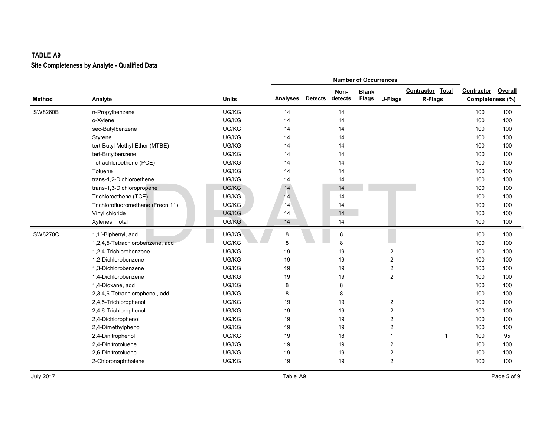|               |                                   |              |          |                |         | <b>Number of Occurrences</b> |                         |                  |                  |                |
|---------------|-----------------------------------|--------------|----------|----------------|---------|------------------------------|-------------------------|------------------|------------------|----------------|
|               |                                   |              |          |                | Non-    | <b>Blank</b>                 |                         | Contractor Total | Contractor       | <b>Overall</b> |
| <b>Method</b> | Analyte                           | <b>Units</b> | Analyses | <b>Detects</b> | detects | <b>Flags</b>                 | J-Flags                 | R-Flags          | Completeness (%) |                |
| SW8260B       | n-Propylbenzene                   | UG/KG        | 14       |                | 14      |                              |                         |                  | 100              | 100            |
|               | o-Xylene                          | UG/KG        | 14       |                | 14      |                              |                         |                  | 100              | 100            |
|               | sec-Butylbenzene                  | UG/KG        | 14       |                | 14      |                              |                         |                  | 100              | 100            |
|               | Styrene                           | UG/KG        | 14       |                | 14      |                              |                         |                  | 100              | 100            |
|               | tert-Butyl Methyl Ether (MTBE)    | UG/KG        | 14       |                | 14      |                              |                         |                  | 100              | 100            |
|               | tert-Butylbenzene                 | UG/KG        | 14       |                | 14      |                              |                         |                  | 100              | 100            |
|               | Tetrachloroethene (PCE)           | UG/KG        | 14       |                | 14      |                              |                         |                  | 100              | 100            |
|               | Toluene                           | UG/KG        | 14       |                | 14      |                              |                         |                  | 100              | 100            |
|               | trans-1,2-Dichloroethene          | UG/KG        | 14       |                | 14      |                              |                         |                  | 100              | 100            |
|               | trans-1,3-Dichloropropene         | UG/KG        | 14       |                | 14      |                              |                         |                  | 100              | 100            |
|               | Trichloroethene (TCE)             | UG/KG        | 14       |                | 14      |                              |                         |                  | 100              | 100            |
|               | Trichlorofluoromethane (Freon 11) | UG/KG        | 14       |                | 14      |                              |                         |                  | 100              | 100            |
|               | Vinyl chloride                    | UG/KG        | 14       |                | 14      |                              |                         |                  | 100              | 100            |
|               | Xylenes, Total                    | UG/KG        | 14       |                | 14      |                              |                         |                  | 100              | 100            |
| SW8270C       | 1,1'-Biphenyl, add                | UG/KG        | 8        |                | 8       |                              |                         |                  | 100              | 100            |
|               | 1,2,4,5-Tetrachlorobenzene, add   | UG/KG        | 8        |                | 8       |                              |                         |                  | 100              | 100            |
|               | 1,2,4-Trichlorobenzene            | UG/KG        | 19       |                | 19      |                              | 2                       |                  | 100              | 100            |
|               | 1,2-Dichlorobenzene               | UG/KG        | 19       |                | 19      |                              | $\overline{c}$          |                  | 100              | 100            |
|               | 1,3-Dichlorobenzene               | UG/KG        | 19       |                | 19      |                              | $\overline{\mathbf{c}}$ |                  | 100              | 100            |
|               | 1,4-Dichlorobenzene               | UG/KG        | 19       |                | 19      |                              | $\overline{2}$          |                  | 100              | 100            |
|               | 1,4-Dioxane, add                  | UG/KG        | 8        |                | 8       |                              |                         |                  | 100              | 100            |
|               | 2,3,4,6-Tetrachlorophenol, add    | UG/KG        | 8        |                | 8       |                              |                         |                  | 100              | 100            |
|               | 2,4,5-Trichlorophenol             | UG/KG        | 19       |                | 19      |                              | $\overline{\mathbf{c}}$ |                  | 100              | 100            |
|               | 2,4,6-Trichlorophenol             | UG/KG        | 19       |                | 19      |                              | 2                       |                  | 100              | 100            |
|               | 2,4-Dichlorophenol                | UG/KG        | 19       |                | 19      |                              | 2                       |                  | 100              | 100            |
|               | 2,4-Dimethylphenol                | UG/KG        | 19       |                | 19      |                              | 2                       |                  | 100              | 100            |
|               | 2,4-Dinitrophenol                 | UG/KG        | 19       |                | 18      |                              | 1                       | $\overline{1}$   | 100              | 95             |
|               | 2,4-Dinitrotoluene                | UG/KG        | 19       |                | 19      |                              | 2                       |                  | 100              | 100            |
|               | 2,6-Dinitrotoluene                | UG/KG        | 19       |                | 19      |                              | 2                       |                  | 100              | 100            |
|               | 2-Chloronaphthalene               | UG/KG        | 19       |                | 19      |                              | $\overline{2}$          |                  | 100              | 100            |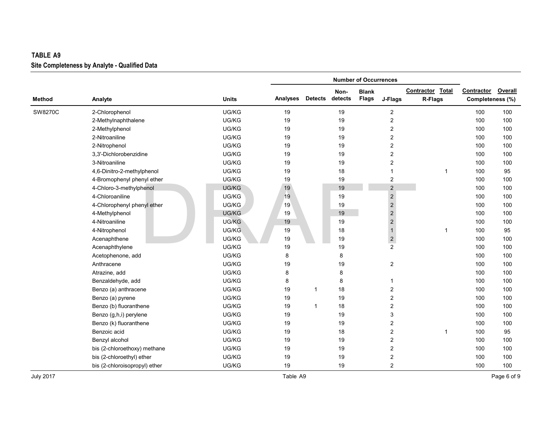| <b>TABLE A9</b> |                                               |              |                 |                |         |                              |                         |                  |                  |         |
|-----------------|-----------------------------------------------|--------------|-----------------|----------------|---------|------------------------------|-------------------------|------------------|------------------|---------|
|                 | Site Completeness by Analyte - Qualified Data |              |                 |                |         |                              |                         |                  |                  |         |
|                 |                                               |              |                 |                |         | <b>Number of Occurrences</b> |                         |                  |                  |         |
|                 |                                               |              |                 |                | Non-    | <b>Blank</b>                 |                         | Contractor Total | Contractor       | Overall |
| <b>Method</b>   | Analyte                                       | <b>Units</b> | <b>Analyses</b> | <b>Detects</b> | detects | <b>Flags</b>                 | J-Flags                 | R-Flags          | Completeness (%) |         |
| SW8270C         | 2-Chlorophenol                                | UG/KG        | 19              |                | 19      |                              | $\overline{c}$          |                  | 100              | 100     |
|                 | 2-Methylnaphthalene                           | UG/KG        | 19              |                | 19      |                              | $\boldsymbol{2}$        |                  | 100              | 100     |
|                 | 2-Methylphenol                                | UG/KG        | 19              |                | 19      |                              | $\mathbf 2$             |                  | 100              | 100     |
|                 | 2-Nitroaniline                                | UG/KG        | 19              |                | 19      |                              | $\overline{c}$          |                  | 100              | 100     |
|                 | 2-Nitrophenol                                 | UG/KG        | 19              |                | 19      |                              | $\mathbf 2$             |                  | 100              | 100     |
|                 | 3,3'-Dichlorobenzidine                        | UG/KG        | 19              |                | 19      |                              | $\overline{c}$          |                  | 100              | 100     |
|                 | 3-Nitroaniline                                | UG/KG        | 19              |                | 19      |                              | $\overline{c}$          |                  | 100              | 100     |
|                 | 4,6-Dinitro-2-methylphenol                    | UG/KG        | 19              |                | 18      |                              | 1                       | 1                | 100              | 95      |
|                 | 4-Bromophenyl phenyl ether                    | UG/KG        | 19              |                | 19      |                              | 2                       |                  | 100              | 100     |
|                 | 4-Chloro-3-methylphenol                       | UG/KG        | 19              |                | 19      |                              | $\mathbf 2$             |                  | 100              | 100     |
|                 | 4-Chloroaniline                               | UG/KG        | 19              |                | 19      |                              | $\mathbf 2$             |                  | 100              | 100     |
|                 | 4-Chlorophenyl phenyl ether                   | UG/KG        | 19              |                | 19      |                              | $\mathbf 2$             |                  | 100              | 100     |
|                 | 4-Methylphenol                                | UG/KG        | 19              |                | 19      |                              | $\overline{c}$          |                  | 100              | 100     |
|                 | 4-Nitroaniline                                | UG/KG        | 19              |                | 19      |                              | $\mathbf 2$             |                  | 100              | 100     |
|                 | 4-Nitrophenol                                 | UG/KG        | 19              |                | 18      |                              | $\mathbf{1}$            | 1                | 100              | 95      |
|                 | Acenaphthene                                  | UG/KG        | 19              |                | 19      |                              | $\overline{\mathbf{c}}$ |                  | 100              | 100     |
|                 | Acenaphthylene                                | UG/KG        | 19              |                | 19      |                              | $\overline{2}$          |                  | 100              | 100     |
|                 | Acetophenone, add                             | UG/KG        | 8               |                | 8       |                              |                         |                  | 100              | 100     |
|                 | Anthracene                                    | UG/KG        | 19              |                | 19      |                              | $\overline{\mathbf{c}}$ |                  | 100              | 100     |
|                 | Atrazine, add                                 | UG/KG        | 8               |                | 8       |                              |                         |                  | 100              | 100     |
|                 | Benzaldehyde, add                             | UG/KG        | 8               |                | 8       |                              | 1                       |                  | 100              | 100     |
|                 | Benzo (a) anthracene                          | UG/KG        | 19              | $\mathbf{1}$   | 18      |                              | $\overline{\mathbf{c}}$ |                  | 100              | 100     |
|                 | Benzo (a) pyrene                              | UG/KG        | 19              |                | 19      |                              | $\overline{c}$          |                  | 100              | 100     |
|                 | Benzo (b) fluoranthene                        | UG/KG        | 19              | $\mathbf{1}$   | 18      |                              | $\overline{c}$          |                  | 100              | 100     |
|                 | Benzo (g,h,i) perylene                        | UG/KG        | 19              |                | 19      |                              | 3                       |                  | 100              | 100     |
|                 | Benzo (k) fluoranthene                        | UG/KG        | 19              |                | 19      |                              | $\overline{c}$          |                  | 100              | 100     |
|                 | Benzoic acid                                  | UG/KG        | 19              |                | 18      |                              | $\mathbf 2$             | 1                | 100              | 95      |
|                 | Benzyl alcohol                                | UG/KG        | 19              |                | 19      |                              | $\overline{c}$          |                  | 100              | 100     |
|                 | bis (2-chloroethoxy) methane                  | UG/KG        | 19              |                | 19      |                              | $\overline{c}$          |                  | 100              | 100     |
|                 | bis (2-chloroethyl) ether                     | UG/KG        | 19              |                | 19      |                              | $\overline{c}$          |                  | 100              | 100     |
|                 | bis (2-chloroisopropyl) ether                 | UG/KG        | 19              |                | 19      |                              | $\overline{c}$          |                  | 100              | 100     |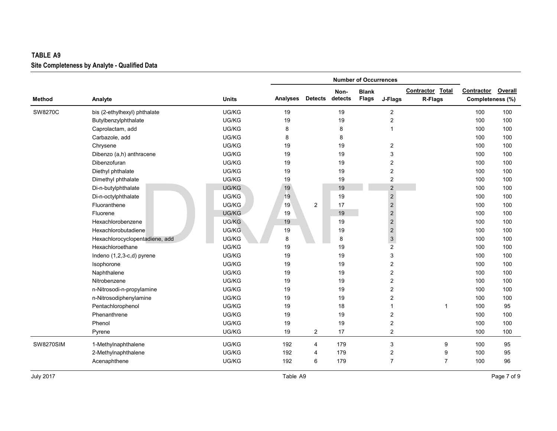## **Site Completeness by Analyte - Qualified Data TABLE**

|                  | Site Completeness by Analyte - Qualified Data |              |          |                |         |                              |                         |                  |                  |                |
|------------------|-----------------------------------------------|--------------|----------|----------------|---------|------------------------------|-------------------------|------------------|------------------|----------------|
|                  |                                               |              |          |                |         | <b>Number of Occurrences</b> |                         |                  |                  |                |
|                  |                                               |              |          |                | Non-    | <b>Blank</b>                 |                         | Contractor Total | Contractor       | <b>Overall</b> |
| <b>Method</b>    | Analyte                                       | <b>Units</b> | Analyses | <b>Detects</b> | detects | <b>Flags</b>                 | J-Flags                 | R-Flags          | Completeness (%) |                |
| SW8270C          | bis (2-ethylhexyl) phthalate                  | UG/KG        | 19       |                | 19      |                              | $\overline{c}$          |                  | 100              | 100            |
|                  | Butylbenzylphthalate                          | UG/KG        | 19       |                | 19      |                              | $\overline{\mathbf{c}}$ |                  | 100              | 100            |
|                  | Caprolactam, add                              | UG/KG        | 8        |                | 8       |                              | 1                       |                  | 100              | 100            |
|                  | Carbazole, add                                | UG/KG        | 8        |                | 8       |                              |                         |                  | 100              | 100            |
|                  | Chrysene                                      | UG/KG        | 19       |                | 19      |                              | $\overline{\mathbf{c}}$ |                  | 100              | 100            |
|                  | Dibenzo (a,h) anthracene                      | UG/KG        | 19       |                | 19      |                              | 3                       |                  | 100              | 100            |
|                  | Dibenzofuran                                  | UG/KG        | 19       |                | 19      |                              | $\overline{\mathbf{c}}$ |                  | 100              | 100            |
|                  | Diethyl phthalate                             | UG/KG        | 19       |                | 19      |                              | $\overline{\mathbf{c}}$ |                  | 100              | 100            |
|                  | Dimethyl phthalate                            | UG/KG        | 19       |                | 19      |                              | $\overline{2}$          |                  | 100              | 100            |
|                  | Di-n-butylphthalate                           | UG/KG        | 19       |                | 19      |                              | $\overline{2}$          |                  | 100              | 100            |
|                  | Di-n-octylphthalate                           | UG/KG        | 19       |                | 19      |                              | $\sqrt{2}$              |                  | 100              | 100            |
|                  | Fluoranthene                                  | UG/KG        | 19       | 2              | 17      |                              | $\mathbf 2$             |                  | 100              | 100            |
|                  | Fluorene                                      | UG/KG        | 19       |                | 19      |                              | $\sqrt{2}$              |                  | 100              | 100            |
|                  | Hexachlorobenzene                             | UG/KG        | 19       |                | 19      |                              | $\sqrt{2}$              |                  | 100              | 100            |
|                  | Hexachlorobutadiene                           | UG/KG        | 19       |                | 19      |                              | $\sqrt{2}$              |                  | 100              | 100            |
|                  | Hexachlorocyclopentadiene, add                | UG/KG        | 8        |                | 8       |                              | $\mathbf{3}$            |                  | 100              | 100            |
|                  | Hexachloroethane                              | UG/KG        | 19       |                | 19      |                              | $\overline{c}$          |                  | 100              | 100            |
|                  | Indeno (1,2,3-c,d) pyrene                     | UG/KG        | 19       |                | 19      |                              | 3                       |                  | 100              | 100            |
|                  | Isophorone                                    | UG/KG        | 19       |                | 19      |                              | 2                       |                  | 100              | 100            |
|                  | Naphthalene                                   | UG/KG        | 19       |                | 19      |                              | $\overline{2}$          |                  | 100              | 100            |
|                  | Nitrobenzene                                  | UG/KG        | 19       |                | 19      |                              | 2                       |                  | 100              | 100            |
|                  | n-Nitrosodi-n-propylamine                     | UG/KG        | 19       |                | 19      |                              | 2                       |                  | 100              | 100            |
|                  | n-Nitrosodiphenylamine                        | UG/KG        | 19       |                | 19      |                              | $\overline{c}$          |                  | 100              | 100            |
|                  | Pentachlorophenol                             | UG/KG        | 19       |                | 18      |                              | 1                       | $\overline{1}$   | 100              | 95             |
|                  | Phenanthrene                                  | UG/KG        | 19       |                | 19      |                              | $\overline{2}$          |                  | 100              | 100            |
|                  | Phenol                                        | UG/KG        | 19       |                | 19      |                              | $\overline{\mathbf{c}}$ |                  | 100              | 100            |
|                  | Pyrene                                        | UG/KG        | 19       | $\overline{c}$ | 17      |                              | $\overline{2}$          |                  | 100              | 100            |
| <b>SW8270SIM</b> | 1-Methylnaphthalene                           | UG/KG        | 192      | 4              | 179     |                              | 3                       | 9                | 100              | 95             |
|                  | 2-Methylnaphthalene                           | UG/KG        | 192      | 4              | 179     |                              | $\overline{2}$          | 9                | 100              | 95             |
|                  | Acenaphthene                                  | UG/KG        | 192      | 6              | 179     |                              | $\overline{7}$          | $\overline{7}$   | 100              | 96             |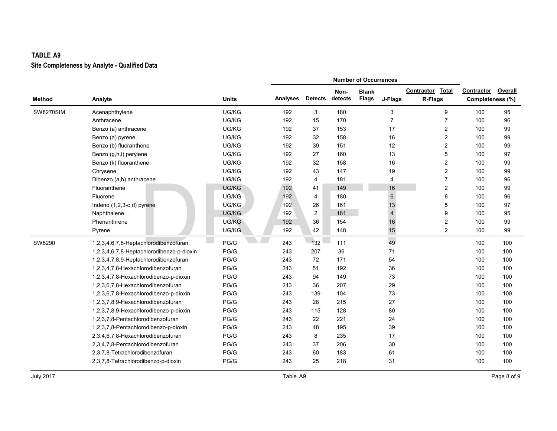## **Site Completeness by Analyte - Qualified Data TABLE**

|                  |                                           |              |          |                  |         | <b>Number of Occurrences</b> |                |                         |                  |         |
|------------------|-------------------------------------------|--------------|----------|------------------|---------|------------------------------|----------------|-------------------------|------------------|---------|
|                  |                                           |              |          |                  | Non-    | <b>Blank</b>                 |                | Contractor Total        | Contractor       | Overall |
| <b>Method</b>    | Analyte                                   | <b>Units</b> | Analyses | <b>Detects</b>   | detects | <b>Flags</b>                 | J-Flags        | R-Flags                 | Completeness (%) |         |
| <b>SW8270SIM</b> | Acenaphthylene                            | UG/KG        | 192      | 3                | 180     |                              | 3              | 9                       | 100              | 95      |
|                  | Anthracene                                | UG/KG        | 192      | 15               | 170     |                              | $\overline{7}$ | $\overline{7}$          | 100              | 96      |
|                  | Benzo (a) anthracene                      | UG/KG        | 192      | 37               | 153     |                              | 17             | $\overline{2}$          | 100              | 99      |
|                  | Benzo (a) pyrene                          | UG/KG        | 192      | 32               | 158     |                              | 16             | 2                       | 100              | 99      |
|                  | Benzo (b) fluoranthene                    | UG/KG        | 192      | 39               | 151     |                              | 12             | $\overline{\mathbf{c}}$ | 100              | 99      |
|                  | Benzo (g,h,i) perylene                    | UG/KG        | 192      | 27               | 160     |                              | 13             | 5                       | 100              | 97      |
|                  | Benzo (k) fluoranthene                    | UG/KG        | 192      | 32               | 158     |                              | 16             | 2                       | 100              | 99      |
|                  | Chrysene                                  | UG/KG        | 192      | 43               | 147     |                              | 19             | $\overline{2}$          | 100              | 99      |
|                  | Dibenzo (a,h) anthracene                  | UG/KG        | 192      | $\overline{4}$   | 181     |                              | 4              | $\overline{7}$          | 100              | 96      |
|                  | Fluoranthene                              | UG/KG        | 192      | 41               | 149     |                              | 16             | $\overline{2}$          | 100              | 99      |
|                  | Fluorene                                  | UG/KG        | 192      | $\overline{4}$   | 180     |                              | $6\phantom{1}$ | 8                       | 100              | 96      |
|                  | Indeno (1,2,3-c,d) pyrene                 | UG/KG        | 192      | 26               | 161     |                              | 13             | 5                       | 100              | 97      |
|                  | Naphthalene                               | UG/KG        | 192      | $\boldsymbol{2}$ | 181     |                              | $\overline{4}$ | 9                       | 100              | 95      |
|                  | Phenanthrene                              | UG/KG        | 192      | 36               | 154     |                              | 16             | 2                       | 100              | 99      |
|                  | Pyrene                                    | UG/KG        | 192      | 42               | 148     |                              | 15             | $\overline{2}$          | 100              | 99      |
| SW8290           | 1,2,3,4,6,7,8-Heptachlorodibenzofuran     | PG/G         | 243      | 132              | 111     |                              | 49             |                         | 100              | 100     |
|                  | 1,2,3,4,6,7,8-Heptachlorodibenzo-p-dioxin | PG/G         | 243      | 207              | 36      |                              | 71             |                         | 100              | 100     |
|                  | 1,2,3,4,7,8,9-Heptachlorodibenzofuran     | PG/G         | 243      | 72               | 171     |                              | 54             |                         | 100              | 100     |
|                  | 1,2,3,4,7,8-Hexachlorodibenzofuran        | PG/G         | 243      | 51               | 192     |                              | 36             |                         | 100              | 100     |
|                  | 1,2,3,4,7,8-Hexachlorodibenzo-p-dioxin    | PG/G         | 243      | 94               | 149     |                              | 73             |                         | 100              | 100     |
|                  | 1,2,3,6,7,8-Hexachlorodibenzofuran        | PG/G         | 243      | 36               | 207     |                              | 29             |                         | 100              | 100     |
|                  | 1,2,3,6,7,8-Hexachlorodibenzo-p-dioxin    | PG/G         | 243      | 139              | 104     |                              | 73             |                         | 100              | 100     |
|                  | 1,2,3,7,8,9-Hexachlorodibenzofuran        | PG/G         | 243      | 28               | 215     |                              | 27             |                         | 100              | 100     |
|                  | 1,2,3,7,8,9-Hexachlorodibenzo-p-dioxin    | PG/G         | 243      | 115              | 128     |                              | 80             |                         | 100              | 100     |
|                  | 1,2,3,7,8-Pentachlorodibenzofuran         | PG/G         | 243      | 22               | 221     |                              | 24             |                         | 100              | 100     |
|                  | 1,2,3,7,8-Pentachlorodibenzo-p-dioxin     | PG/G         | 243      | 48               | 195     |                              | 39             |                         | 100              | 100     |
|                  | 2,3,4,6,7,8-Hexachlorodibenzofuran        | PG/G         | 243      | 8                | 235     |                              | 17             |                         | 100              | 100     |
|                  | 2,3,4,7,8-Pentachlorodibenzofuran         | PG/G         | 243      | 37               | 206     |                              | 30             |                         | 100              | 100     |
|                  | 2,3,7,8-Tetrachlorodibenzofuran           | PG/G         | 243      | 60               | 183     |                              | 61             |                         | 100              | 100     |
|                  | 2,3,7,8-Tetrachlorodibenzo-p-dioxin       | PG/G         | 243      | 25               | 218     |                              | 31             |                         | 100              | 100     |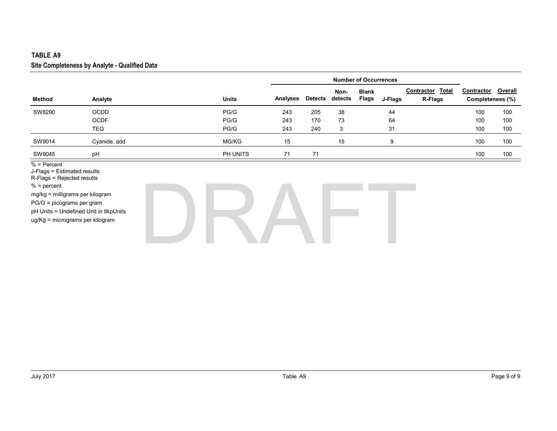#### **Site Completeness by Analyte - Qualified Data TABLE**

|                                                                                                                                                                                                |                                        |              |                 |                |                 | <b>Number of Occurrences</b> |         |                                |                                |                |
|------------------------------------------------------------------------------------------------------------------------------------------------------------------------------------------------|----------------------------------------|--------------|-----------------|----------------|-----------------|------------------------------|---------|--------------------------------|--------------------------------|----------------|
| <b>Method</b>                                                                                                                                                                                  | Analyte                                | <b>Units</b> | <b>Analyses</b> | <b>Detects</b> | Non-<br>detects | <b>Blank</b><br>Flags        | J-Flags | Contractor<br>Total<br>R-Flags | Contractor<br>Completeness (%) | <b>Overall</b> |
| SW8290                                                                                                                                                                                         | <b>OCDD</b>                            | PG/G         | 243             | 205            | 38              |                              | 44      |                                | 100                            | 100            |
|                                                                                                                                                                                                | <b>OCDF</b>                            | PG/G         | 243             | 170            | 73              |                              | 64      |                                | 100                            | 100            |
|                                                                                                                                                                                                | TEQ                                    | PG/G         | 243             | 240            | 3               |                              | 31      |                                | 100                            | 100            |
| SW9014                                                                                                                                                                                         | Cyanide, add                           | MG/KG        | 15              |                | 15              |                              | 9       |                                | 100                            | 100            |
| SW9045                                                                                                                                                                                         | pH                                     | PH UNITS     | 71              | 71             |                 |                              |         |                                | 100                            | 100            |
| $%$ = Percent<br>J-Flags = Estimated results<br>R-Flags = Rejected results<br>$% = percent$<br>mg/kg = milligrams per kilogram<br>PG/G = picograms per gram<br>ug/Kg = micrograms per kilogram | pH Units = Undefined Unit in tlkpUnits |              |                 |                |                 |                              |         |                                |                                |                |

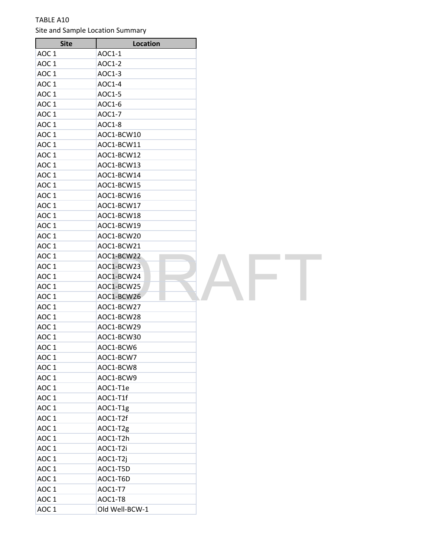### TABLE A10 Site and Sample Location Summary

| <b>Site</b>      | Location       |  |
|------------------|----------------|--|
| AOC <sub>1</sub> | AOC1-1         |  |
| AOC 1            | AOC1-2         |  |
| AOC <sub>1</sub> | AOC1-3         |  |
| AOC <sub>1</sub> | AOC1-4         |  |
| AOC <sub>1</sub> | AOC1-5         |  |
| AOC <sub>1</sub> | AOC1-6         |  |
| AOC <sub>1</sub> | AOC1-7         |  |
| AOC <sub>1</sub> | AOC1-8         |  |
| AOC <sub>1</sub> | AOC1-BCW10     |  |
| AOC <sub>1</sub> | AOC1-BCW11     |  |
| AOC <sub>1</sub> | AOC1-BCW12     |  |
| AOC <sub>1</sub> | AOC1-BCW13     |  |
| AOC <sub>1</sub> | AOC1-BCW14     |  |
| AOC <sub>1</sub> | AOC1-BCW15     |  |
| AOC <sub>1</sub> | AOC1-BCW16     |  |
| AOC <sub>1</sub> | AOC1-BCW17     |  |
| AOC <sub>1</sub> | AOC1-BCW18     |  |
| AOC <sub>1</sub> | AOC1-BCW19     |  |
| AOC <sub>1</sub> | AOC1-BCW20     |  |
| AOC <sub>1</sub> | AOC1-BCW21     |  |
| AOC <sub>1</sub> | AOC1-BCW22     |  |
| AOC <sub>1</sub> | AOC1-BCW23     |  |
| AOC <sub>1</sub> | AOC1-BCW24     |  |
| AOC <sub>1</sub> | AOC1-BCW25     |  |
| AOC <sub>1</sub> | AOC1-BCW26     |  |
| AOC <sub>1</sub> | AOC1-BCW27     |  |
| AOC <sub>1</sub> | AOC1-BCW28     |  |
| AOC <sub>1</sub> | AOC1-BCW29     |  |
| AOC <sub>1</sub> | AOC1-BCW30     |  |
| AOC <sub>1</sub> | AOC1-BCW6      |  |
| AOC <sub>1</sub> | AOC1-BCW7      |  |
| AOC <sub>1</sub> | AOC1-BCW8      |  |
| AOC <sub>1</sub> | AOC1-BCW9      |  |
| AOC <sub>1</sub> | AOC1-T1e       |  |
| AOC <sub>1</sub> | AOC1-T1f       |  |
| AOC <sub>1</sub> | AOC1-T1g       |  |
| AOC <sub>1</sub> | AOC1-T2f       |  |
| AOC <sub>1</sub> | AOC1-T2g       |  |
| AOC <sub>1</sub> | AOC1-T2h       |  |
| AOC <sub>1</sub> | AOC1-T2i       |  |
| AOC <sub>1</sub> | AOC1-T2j       |  |
| AOC <sub>1</sub> | AOC1-T5D       |  |
| AOC <sub>1</sub> | AOC1-T6D       |  |
| AOC <sub>1</sub> | AOC1-T7        |  |
| AOC <sub>1</sub> | AOC1-T8        |  |
| AOC <sub>1</sub> | Old Well-BCW-1 |  |

**FT**